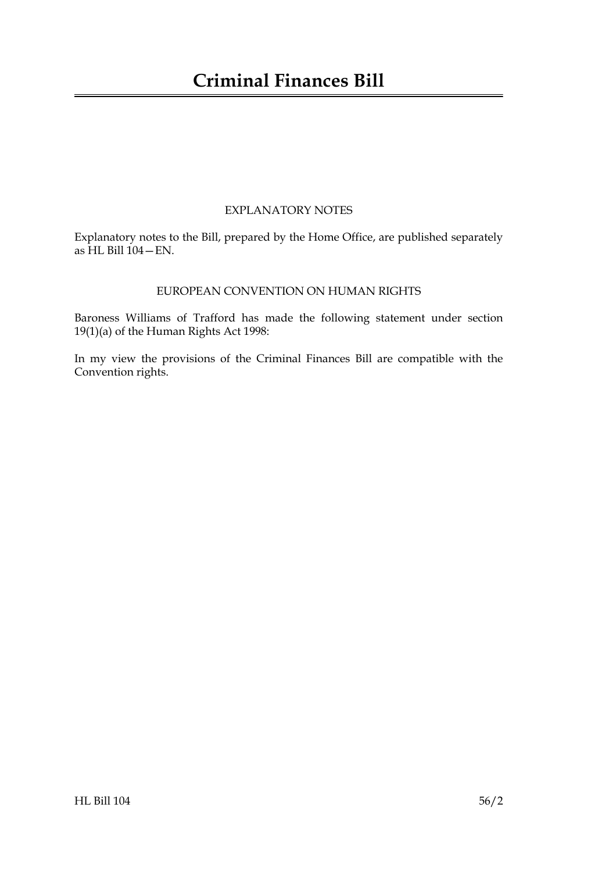# EXPLANATORY NOTES

Explanatory notes to the Bill, prepared by the Home Office, are published separately as HL Bill 104—EN.

# EUROPEAN CONVENTION ON HUMAN RIGHTS

Baroness Williams of Trafford has made the following statement under section 19(1)(a) of the Human Rights Act 1998:

In my view the provisions of the Criminal Finances Bill are compatible with the Convention rights.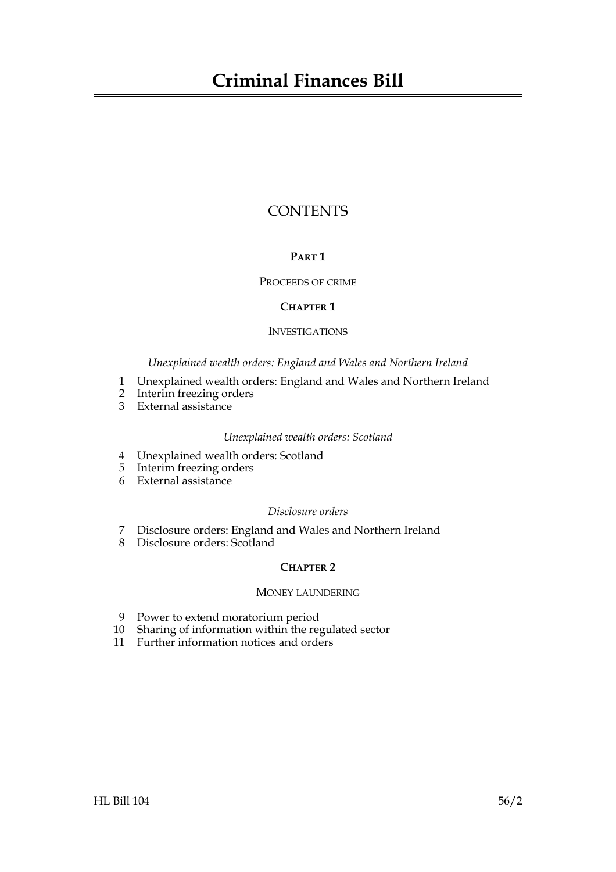# **CONTENTS**

# **PART 1**

# PROCEEDS OF CRIME

# **CHAPTER 1**

## INVESTIGATIONS

# *Unexplained wealth orders: England and Wales and Northern Ireland*

- 1 Unexplained wealth orders: England and Wales and Northern Ireland
- 2 Interim freezing orders
- 3 External assistance

## *Unexplained wealth orders: Scotland*

- 4 Unexplained wealth orders: Scotland
- 5 Interim freezing orders
- 6 External assistance

## *Disclosure orders*

- 7 Disclosure orders: England and Wales and Northern Ireland
- 8 Disclosure orders: Scotland

# **CHAPTER 2**

#### MONEY LAUNDERING

- 9 Power to extend moratorium period
- 10 Sharing of information within the regulated sector
- 11 Further information notices and orders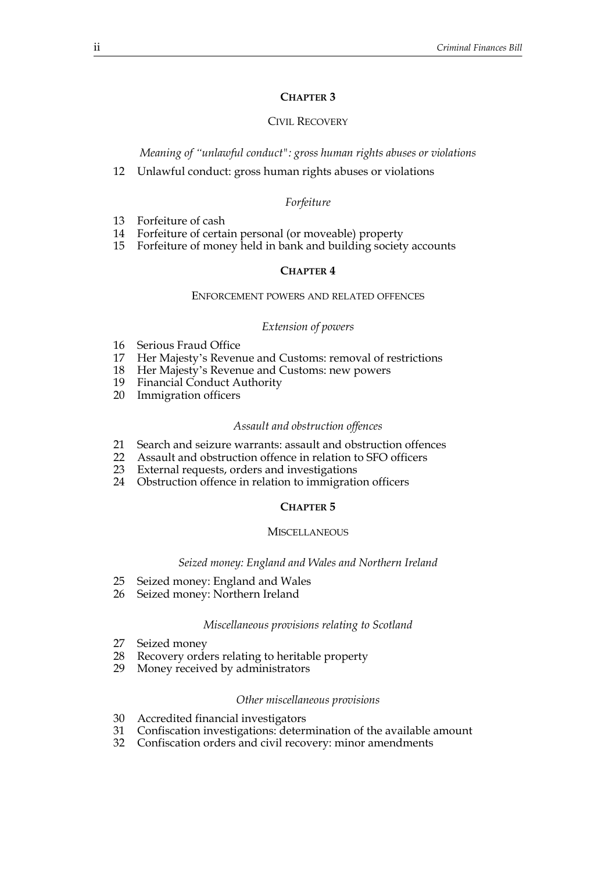## **CHAPTER 3**

## CIVIL RECOVERY

*Meaning of "unlawful conduct": gross human rights abuses or violations*

12 Unlawful conduct: gross human rights abuses or violations

#### *Forfeiture*

- 13 Forfeiture of cash
- 14 Forfeiture of certain personal (or moveable) property
- 15 Forfeiture of money held in bank and building society accounts

#### **CHAPTER 4**

#### ENFORCEMENT POWERS AND RELATED OFFENCES

#### *Extension of powers*

- 16 Serious Fraud Office
- 17 Her Majesty's Revenue and Customs: removal of restrictions
- 18 Her Majesty's Revenue and Customs: new powers
- 19 Financial Conduct Authority
- 20 Immigration officers

#### *Assault and obstruction offences*

- 21 Search and seizure warrants: assault and obstruction offences
- 22 Assault and obstruction offence in relation to SFO officers
- 23 External requests, orders and investigations
- 24 Obstruction offence in relation to immigration officers

## **CHAPTER 5**

#### **MISCELLANEOUS**

#### *Seized money: England and Wales and Northern Ireland*

- 25 Seized money: England and Wales
- 26 Seized money: Northern Ireland

#### *Miscellaneous provisions relating to Scotland*

- 27 Seized money
- 28 Recovery orders relating to heritable property
- 29 Money received by administrators

#### *Other miscellaneous provisions*

- 30 Accredited financial investigators
- 31 Confiscation investigations: determination of the available amount
- 32 Confiscation orders and civil recovery: minor amendments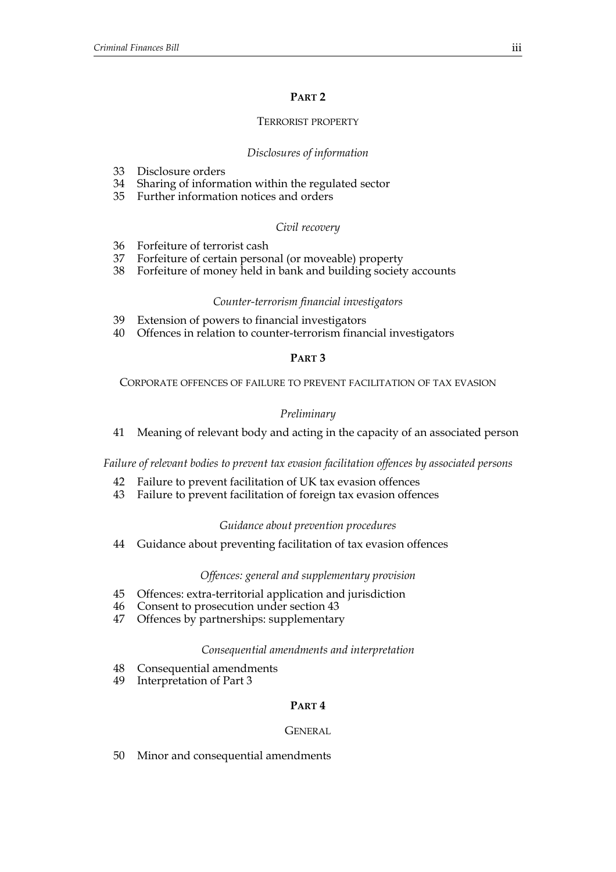# **PART 2**

## TERRORIST PROPERTY

## *Disclosures of information*

- 33 Disclosure orders
- 34 Sharing of information within the regulated sector
- 35 Further information notices and orders

# *Civil recovery*

- 36 Forfeiture of terrorist cash
- 37 Forfeiture of certain personal (or moveable) property
- 38 Forfeiture of money held in bank and building society accounts

## *Counter-terrorism financial investigators*

- 39 Extension of powers to financial investigators
- 40 Offences in relation to counter-terrorism financial investigators

# **PART 3**

CORPORATE OFFENCES OF FAILURE TO PREVENT FACILITATION OF TAX EVASION

# *Preliminary*

41 Meaning of relevant body and acting in the capacity of an associated person

*Failure of relevant bodies to prevent tax evasion facilitation offences by associated persons*

- 42 Failure to prevent facilitation of UK tax evasion offences
- 43 Failure to prevent facilitation of foreign tax evasion offences

## *Guidance about prevention procedures*

44 Guidance about preventing facilitation of tax evasion offences

## *Offences: general and supplementary provision*

- 45 Offences: extra-territorial application and jurisdiction
- 46 Consent to prosecution under section 43
- 47 Offences by partnerships: supplementary

## *Consequential amendments and interpretation*

- 48 Consequential amendments
- 49 Interpretation of Part 3

## **PART 4**

#### **GENERAL**

50 Minor and consequential amendments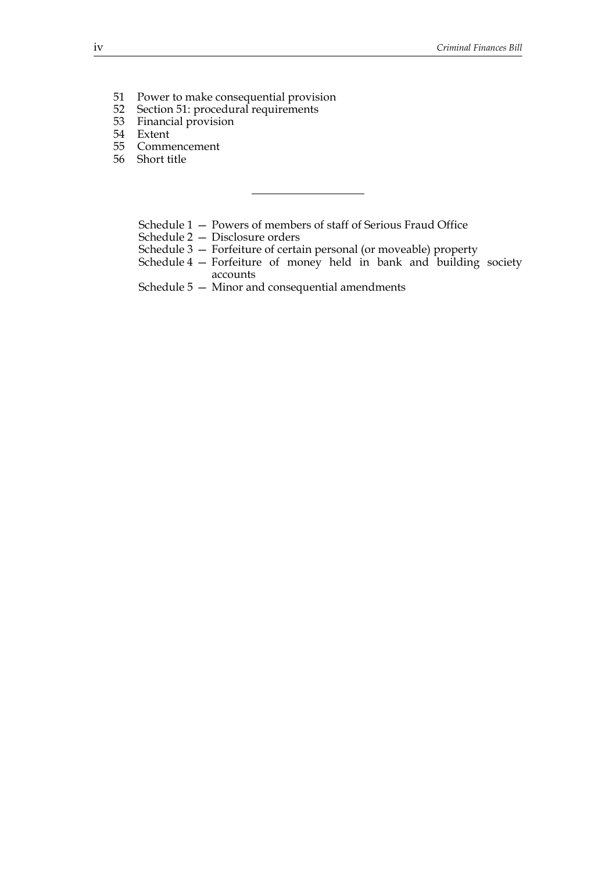- 51 Power to make consequential provision
- 52 Section 51: procedural requirements<br>53 Financial provision
- Financial provision
- 54 Extent
- 55 Commencement
- 56 Short title
	- Schedule 1 Powers of members of staff of Serious Fraud Office
	- Schedule 2 Disclosure orders
	- Schedule 3 Forfeiture of certain personal (or moveable) property
	- Schedule 4 Forfeiture of money held in bank and building society accounts
	- Schedule 5 Minor and consequential amendments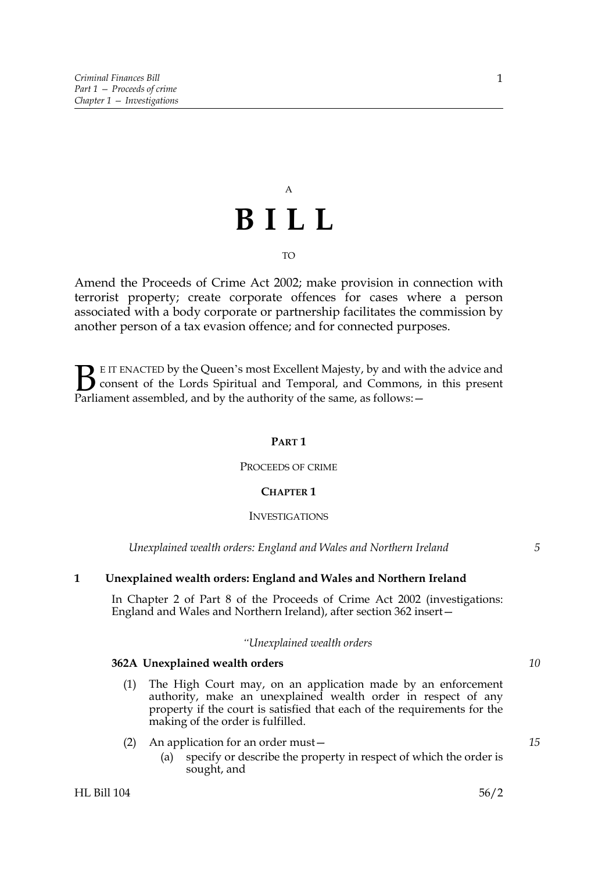# A **BILL**

#### TO

Amend the Proceeds of Crime Act 2002; make provision in connection with terrorist property; create corporate offences for cases where a person associated with a body corporate or partnership facilitates the commission by another person of a tax evasion offence; and for connected purposes.

E IT ENACTED by the Queen's most Excellent Majesty, by and with the advice and consent of the Lords Spiritual and Temporal, and Commons, in this present Parliament assembled, and by the authority of the same, as follows: - $B_{\text{p}}$ 

#### **PART 1**

#### PROCEEDS OF CRIME

#### **CHAPTER 1**

#### INVESTIGATIONS

*Unexplained wealth orders: England and Wales and Northern Ireland*

## **1 Unexplained wealth orders: England and Wales and Northern Ireland**

In Chapter 2 of Part 8 of the Proceeds of Crime Act 2002 (investigations: England and Wales and Northern Ireland), after section 362 insert—

#### *"Unexplained wealth orders*

#### **362A Unexplained wealth orders**

- (1) The High Court may, on an application made by an enforcement authority, make an unexplained wealth order in respect of any property if the court is satisfied that each of the requirements for the making of the order is fulfilled.
- (2) An application for an order must—
	- (a) specify or describe the property in respect of which the order is sought, and

*10*

*15*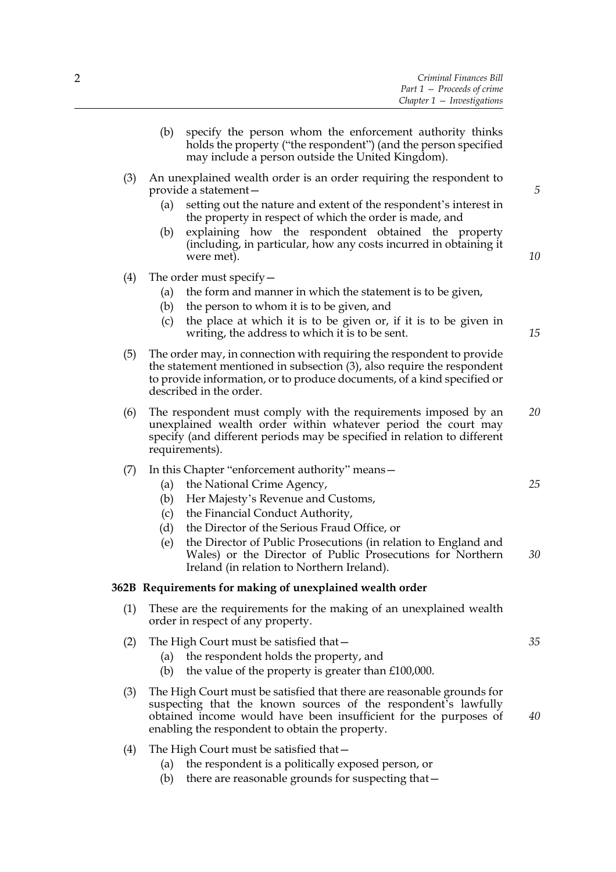- (b) specify the person whom the enforcement authority thinks holds the property ("the respondent") (and the person specified may include a person outside the United Kingdom).
- (3) An unexplained wealth order is an order requiring the respondent to provide a statement—
	- (a) setting out the nature and extent of the respondent's interest in the property in respect of which the order is made, and
	- (b) explaining how the respondent obtained the property (including, in particular, how any costs incurred in obtaining it were met).
- (4) The order must specify—
	- (a) the form and manner in which the statement is to be given,
	- (b) the person to whom it is to be given, and
	- (c) the place at which it is to be given or, if it is to be given in writing, the address to which it is to be sent.
- (5) The order may, in connection with requiring the respondent to provide the statement mentioned in subsection (3), also require the respondent to provide information, or to produce documents, of a kind specified or described in the order.
- (6) The respondent must comply with the requirements imposed by an unexplained wealth order within whatever period the court may specify (and different periods may be specified in relation to different requirements). *20*

## (7) In this Chapter "enforcement authority" means—

- (a) the National Crime Agency,
- (b) Her Majesty's Revenue and Customs,
- (c) the Financial Conduct Authority,
- (d) the Director of the Serious Fraud Office, or
- (e) the Director of Public Prosecutions (in relation to England and Wales) or the Director of Public Prosecutions for Northern Ireland (in relation to Northern Ireland). *30*

#### **362B Requirements for making of unexplained wealth order**

- (1) These are the requirements for the making of an unexplained wealth order in respect of any property.
- (2) The High Court must be satisfied that—
	- (a) the respondent holds the property, and
	- (b) the value of the property is greater than £100,000.
- (3) The High Court must be satisfied that there are reasonable grounds for suspecting that the known sources of the respondent's lawfully obtained income would have been insufficient for the purposes of enabling the respondent to obtain the property.
- (4) The High Court must be satisfied that—
	- (a) the respondent is a politically exposed person, or
	- (b) there are reasonable grounds for suspecting that—

*15*

*5*

*10*

*35*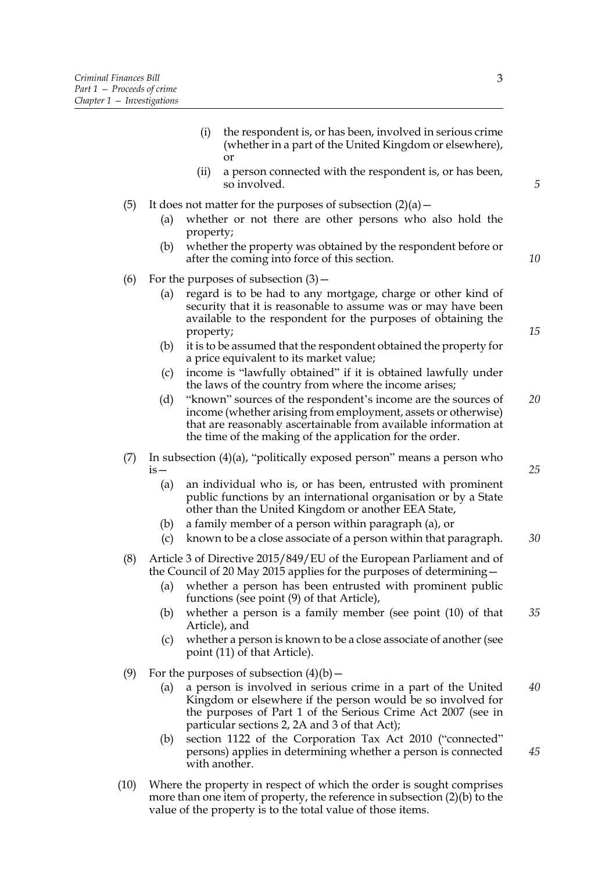|      |            | (i)       | the respondent is, or has been, involved in serious crime<br>(whether in a part of the United Kingdom or elsewhere),<br>or                                                                                                                                    |    |  |
|------|------------|-----------|---------------------------------------------------------------------------------------------------------------------------------------------------------------------------------------------------------------------------------------------------------------|----|--|
|      |            | (ii)      | a person connected with the respondent is, or has been,<br>so involved.                                                                                                                                                                                       | 5  |  |
| (5)  | (a)        | property; | It does not matter for the purposes of subsection $(2)(a)$ –<br>whether or not there are other persons who also hold the                                                                                                                                      |    |  |
|      | (b)        |           | whether the property was obtained by the respondent before or<br>after the coming into force of this section.                                                                                                                                                 | 10 |  |
| (6)  | (a)        | property; | For the purposes of subsection $(3)$ –<br>regard is to be had to any mortgage, charge or other kind of<br>security that it is reasonable to assume was or may have been<br>available to the respondent for the purposes of obtaining the                      | 15 |  |
|      | (b)        |           | it is to be assumed that the respondent obtained the property for<br>a price equivalent to its market value;                                                                                                                                                  |    |  |
|      | (c)        |           | income is "lawfully obtained" if it is obtained lawfully under<br>the laws of the country from where the income arises;                                                                                                                                       |    |  |
|      | (d)        |           | "known" sources of the respondent's income are the sources of<br>income (whether arising from employment, assets or otherwise)<br>that are reasonably ascertainable from available information at<br>the time of the making of the application for the order. | 20 |  |
| (7)  | $is -$     |           | In subsection $(4)(a)$ , "politically exposed person" means a person who                                                                                                                                                                                      | 25 |  |
|      | (a)        |           | an individual who is, or has been, entrusted with prominent<br>public functions by an international organisation or by a State<br>other than the United Kingdom or another EEA State,                                                                         |    |  |
|      | (b)<br>(c) |           | a family member of a person within paragraph (a), or<br>known to be a close associate of a person within that paragraph.                                                                                                                                      | 30 |  |
| (8)  |            |           | Article 3 of Directive 2015/849/EU of the European Parliament and of<br>the Council of 20 May 2015 applies for the purposes of determining –                                                                                                                  |    |  |
|      |            |           | (a) whether a person has been entrusted with prominent public<br>functions (see point (9) of that Article),                                                                                                                                                   |    |  |
|      | (b)        |           | whether a person is a family member (see point $(10)$ of that<br>Article), and                                                                                                                                                                                | 35 |  |
|      | (c)        |           | whether a person is known to be a close associate of another (see<br>point (11) of that Article).                                                                                                                                                             |    |  |
| (9)  |            |           | For the purposes of subsection $(4)(b)$ –                                                                                                                                                                                                                     |    |  |
|      | (a)        |           | a person is involved in serious crime in a part of the United<br>Kingdom or elsewhere if the person would be so involved for<br>the purposes of Part 1 of the Serious Crime Act 2007 (see in<br>particular sections 2, 2A and 3 of that Act);                 | 40 |  |
|      | (b)        |           | section 1122 of the Corporation Tax Act 2010 ("connected"<br>persons) applies in determining whether a person is connected<br>with another.                                                                                                                   | 45 |  |
| (10) |            |           | Where the property in respect of which the order is sought comprises<br>more than one item of property, the reference in subsection $(2)(b)$ to the<br>value of the property is to the total value of those items.                                            |    |  |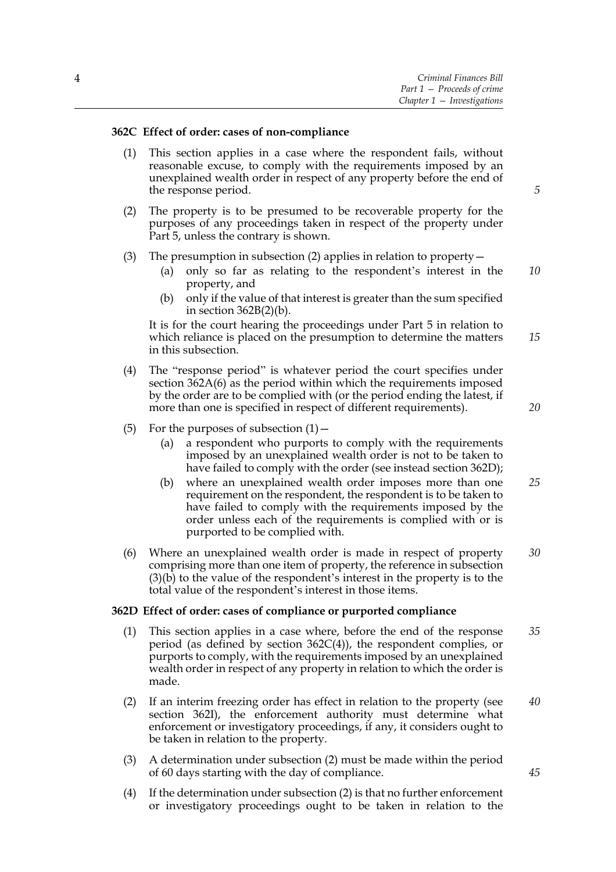#### **362C Effect of order: cases of non-compliance**

- (1) This section applies in a case where the respondent fails, without reasonable excuse, to comply with the requirements imposed by an unexplained wealth order in respect of any property before the end of the response period.
- (2) The property is to be presumed to be recoverable property for the purposes of any proceedings taken in respect of the property under Part 5, unless the contrary is shown.
- (3) The presumption in subsection (2) applies in relation to property—
	- (a) only so far as relating to the respondent's interest in the property, and *10*
	- (b) only if the value of that interest is greater than the sum specified in section 362B(2)(b).

It is for the court hearing the proceedings under Part 5 in relation to which reliance is placed on the presumption to determine the matters in this subsection. *15*

- (4) The "response period" is whatever period the court specifies under section 362A(6) as the period within which the requirements imposed by the order are to be complied with (or the period ending the latest, if more than one is specified in respect of different requirements).
- (5) For the purposes of subsection  $(1)$ 
	- (a) a respondent who purports to comply with the requirements imposed by an unexplained wealth order is not to be taken to have failed to comply with the order (see instead section 362D);
	- (b) where an unexplained wealth order imposes more than one requirement on the respondent, the respondent is to be taken to have failed to comply with the requirements imposed by the order unless each of the requirements is complied with or is purported to be complied with. *25*
- (6) Where an unexplained wealth order is made in respect of property comprising more than one item of property, the reference in subsection (3)(b) to the value of the respondent's interest in the property is to the total value of the respondent's interest in those items. *30*

#### **362D Effect of order: cases of compliance or purported compliance**

- (1) This section applies in a case where, before the end of the response period (as defined by section 362C(4)), the respondent complies, or purports to comply, with the requirements imposed by an unexplained wealth order in respect of any property in relation to which the order is made. *35*
- (2) If an interim freezing order has effect in relation to the property (see section 362I), the enforcement authority must determine what enforcement or investigatory proceedings, if any, it considers ought to be taken in relation to the property. *40*
- (3) A determination under subsection (2) must be made within the period of 60 days starting with the day of compliance.
- (4) If the determination under subsection (2) is that no further enforcement or investigatory proceedings ought to be taken in relation to the

*20*

*45*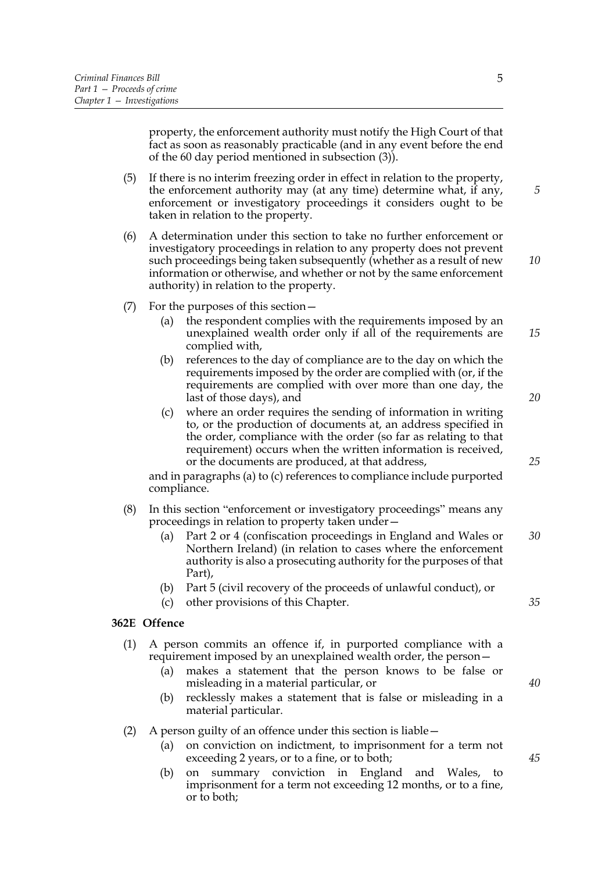property, the enforcement authority must notify the High Court of that fact as soon as reasonably practicable (and in any event before the end of the 60 day period mentioned in subsection (3)).

- (5) If there is no interim freezing order in effect in relation to the property, the enforcement authority may (at any time) determine what, if any, enforcement or investigatory proceedings it considers ought to be taken in relation to the property.
- (6) A determination under this section to take no further enforcement or investigatory proceedings in relation to any property does not prevent such proceedings being taken subsequently (whether as a result of new information or otherwise, and whether or not by the same enforcement authority) in relation to the property.
- (7) For the purposes of this section—
	- (a) the respondent complies with the requirements imposed by an unexplained wealth order only if all of the requirements are complied with,
	- (b) references to the day of compliance are to the day on which the requirements imposed by the order are complied with (or, if the requirements are complied with over more than one day, the last of those days), and
	- (c) where an order requires the sending of information in writing to, or the production of documents at, an address specified in the order, compliance with the order (so far as relating to that requirement) occurs when the written information is received, or the documents are produced, at that address,

and in paragraphs (a) to (c) references to compliance include purported compliance.

- (8) In this section "enforcement or investigatory proceedings" means any proceedings in relation to property taken under—
	- (a) Part 2 or 4 (confiscation proceedings in England and Wales or Northern Ireland) (in relation to cases where the enforcement authority is also a prosecuting authority for the purposes of that Part), *30*
	- (b) Part 5 (civil recovery of the proceeds of unlawful conduct), or
	- (c) other provisions of this Chapter.

#### **362E Offence**

- (1) A person commits an offence if, in purported compliance with a requirement imposed by an unexplained wealth order, the person—
	- (a) makes a statement that the person knows to be false or misleading in a material particular, or
	- (b) recklessly makes a statement that is false or misleading in a material particular.
- (2) A person guilty of an offence under this section is liable—
	- (a) on conviction on indictment, to imprisonment for a term not exceeding 2 years, or to a fine, or to both;
	- (b) on summary conviction in England and Wales, to imprisonment for a term not exceeding 12 months, or to a fine, or to both;

*5*

*10*

*15*

*20*

*25*

*35*

*40*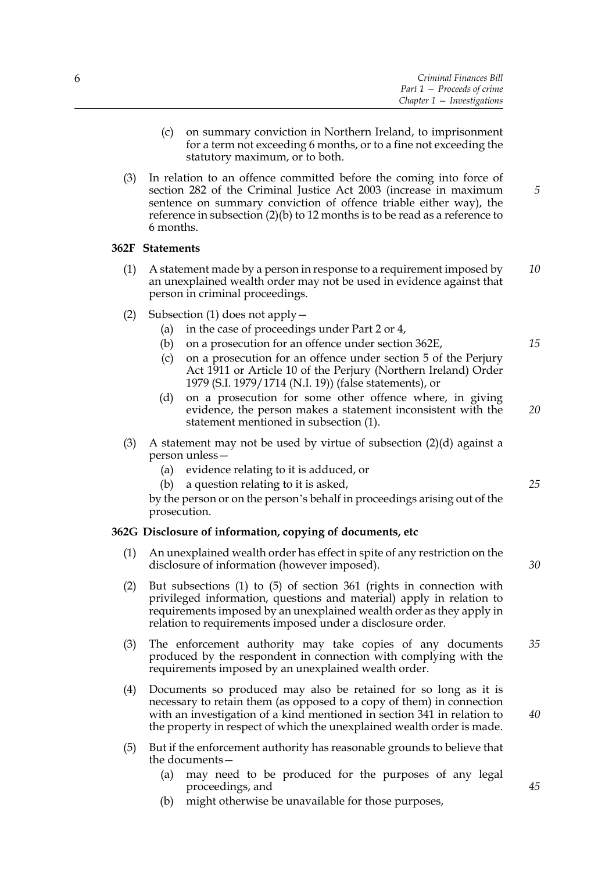- (c) on summary conviction in Northern Ireland, to imprisonment for a term not exceeding 6 months, or to a fine not exceeding the statutory maximum, or to both.
- (3) In relation to an offence committed before the coming into force of section 282 of the Criminal Justice Act 2003 (increase in maximum sentence on summary conviction of offence triable either way), the reference in subsection (2)(b) to 12 months is to be read as a reference to 6 months. *5*

## **362F Statements**

- (1) A statement made by a person in response to a requirement imposed by an unexplained wealth order may not be used in evidence against that person in criminal proceedings. *10*
- (2) Subsection (1) does not apply  $-$ 
	- (a) in the case of proceedings under Part 2 or 4,
	- (b) on a prosecution for an offence under section 362E,
	- (c) on a prosecution for an offence under section 5 of the Perjury Act 1911 or Article 10 of the Perjury (Northern Ireland) Order 1979 (S.I. 1979/1714 (N.I. 19)) (false statements), or
	- (d) on a prosecution for some other offence where, in giving evidence, the person makes a statement inconsistent with the statement mentioned in subsection (1). *20*
- (3) A statement may not be used by virtue of subsection (2)(d) against a person unless—
	- (a) evidence relating to it is adduced, or
	- (b) a question relating to it is asked,

by the person or on the person's behalf in proceedings arising out of the prosecution.

## **362G Disclosure of information, copying of documents, etc**

- (1) An unexplained wealth order has effect in spite of any restriction on the disclosure of information (however imposed).
- (2) But subsections (1) to (5) of section 361 (rights in connection with privileged information, questions and material) apply in relation to requirements imposed by an unexplained wealth order as they apply in relation to requirements imposed under a disclosure order.
- (3) The enforcement authority may take copies of any documents produced by the respondent in connection with complying with the requirements imposed by an unexplained wealth order. *35*
- (4) Documents so produced may also be retained for so long as it is necessary to retain them (as opposed to a copy of them) in connection with an investigation of a kind mentioned in section 341 in relation to the property in respect of which the unexplained wealth order is made.
- (5) But if the enforcement authority has reasonable grounds to believe that the documents—
	- (a) may need to be produced for the purposes of any legal proceedings, and
	- (b) might otherwise be unavailable for those purposes,

*30*

*25*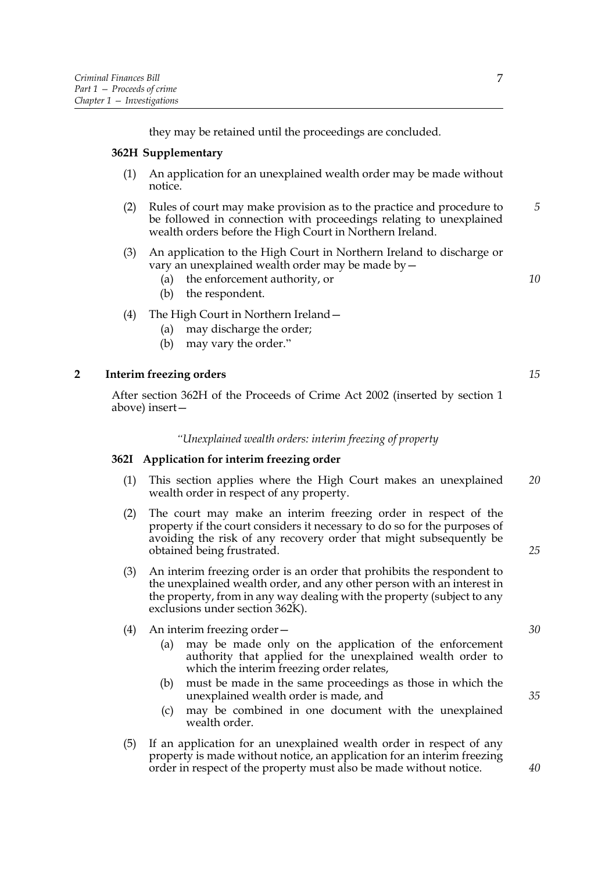they may be retained until the proceedings are concluded.

## **362H Supplementary**

- (1) An application for an unexplained wealth order may be made without notice.
- (2) Rules of court may make provision as to the practice and procedure to be followed in connection with proceedings relating to unexplained wealth orders before the High Court in Northern Ireland. *5*
- (3) An application to the High Court in Northern Ireland to discharge or vary an unexplained wealth order may be made by—
	- (a) the enforcement authority, or
	- (b) the respondent.
- (4) The High Court in Northern Ireland—
	- (a) may discharge the order;
	- (b) may vary the order."

#### **2 Interim freezing orders**

After section 362H of the Proceeds of Crime Act 2002 (inserted by section 1 above) insert—

#### *"Unexplained wealth orders: interim freezing of property*

#### **362I Application for interim freezing order**

- (1) This section applies where the High Court makes an unexplained wealth order in respect of any property. *20*
- (2) The court may make an interim freezing order in respect of the property if the court considers it necessary to do so for the purposes of avoiding the risk of any recovery order that might subsequently be obtained being frustrated.
- (3) An interim freezing order is an order that prohibits the respondent to the unexplained wealth order, and any other person with an interest in the property, from in any way dealing with the property (subject to any exclusions under section 362K).

## (4) An interim freezing order—

- (a) may be made only on the application of the enforcement authority that applied for the unexplained wealth order to which the interim freezing order relates,
- (b) must be made in the same proceedings as those in which the unexplained wealth order is made, and
- (c) may be combined in one document with the unexplained wealth order.
- (5) If an application for an unexplained wealth order in respect of any property is made without notice, an application for an interim freezing order in respect of the property must also be made without notice.

*30*

*25*

*10*

*15*

*35*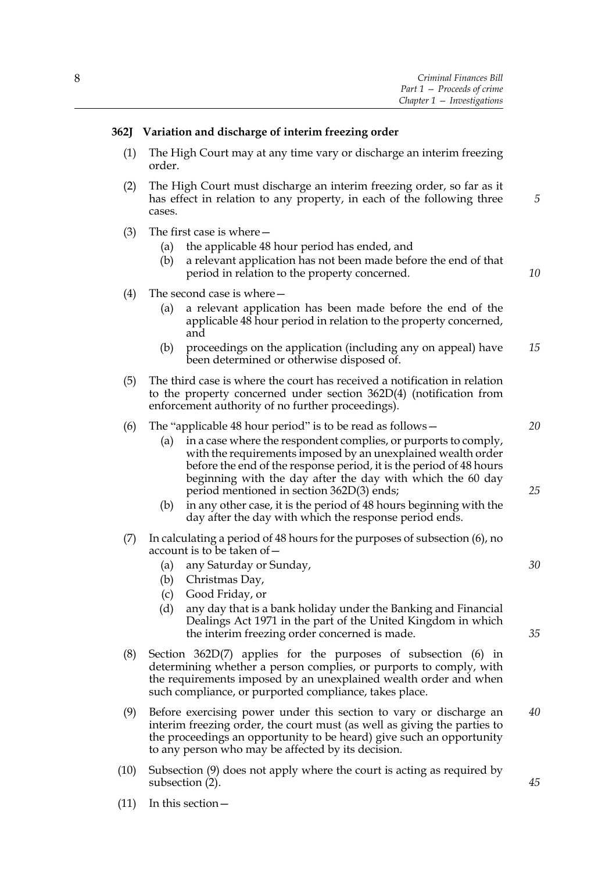# **362J Variation and discharge of interim freezing order**

- (1) The High Court may at any time vary or discharge an interim freezing order.
- (2) The High Court must discharge an interim freezing order, so far as it has effect in relation to any property, in each of the following three cases.
- (3) The first case is where—
	- (a) the applicable 48 hour period has ended, and
	- (b) a relevant application has not been made before the end of that period in relation to the property concerned.
- (4) The second case is where—
	- (a) a relevant application has been made before the end of the applicable 48 hour period in relation to the property concerned, and
	- (b) proceedings on the application (including any on appeal) have been determined or otherwise disposed of. *15*
- (5) The third case is where the court has received a notification in relation to the property concerned under section 362D(4) (notification from enforcement authority of no further proceedings).

#### (6) The "applicable 48 hour period" is to be read as follows—

- (a) in a case where the respondent complies, or purports to comply, with the requirements imposed by an unexplained wealth order before the end of the response period, it is the period of 48 hours beginning with the day after the day with which the 60 day period mentioned in section 362D(3) ends;
- (b) in any other case, it is the period of 48 hours beginning with the day after the day with which the response period ends.
- (7) In calculating a period of 48 hours for the purposes of subsection (6), no account is to be taken of—
	- (a) any Saturday or Sunday,
	- (b) Christmas Day,
	- (c) Good Friday, or
	- (d) any day that is a bank holiday under the Banking and Financial Dealings Act 1971 in the part of the United Kingdom in which the interim freezing order concerned is made.
- (8) Section 362D(7) applies for the purposes of subsection (6) in determining whether a person complies, or purports to comply, with the requirements imposed by an unexplained wealth order and when such compliance, or purported compliance, takes place.
- (9) Before exercising power under this section to vary or discharge an interim freezing order, the court must (as well as giving the parties to the proceedings an opportunity to be heard) give such an opportunity to any person who may be affected by its decision. *40*
- (10) Subsection (9) does not apply where the court is acting as required by subsection (2).
- (11) In this section—

*20*

*5*

*10*

*25*

*35*

*30*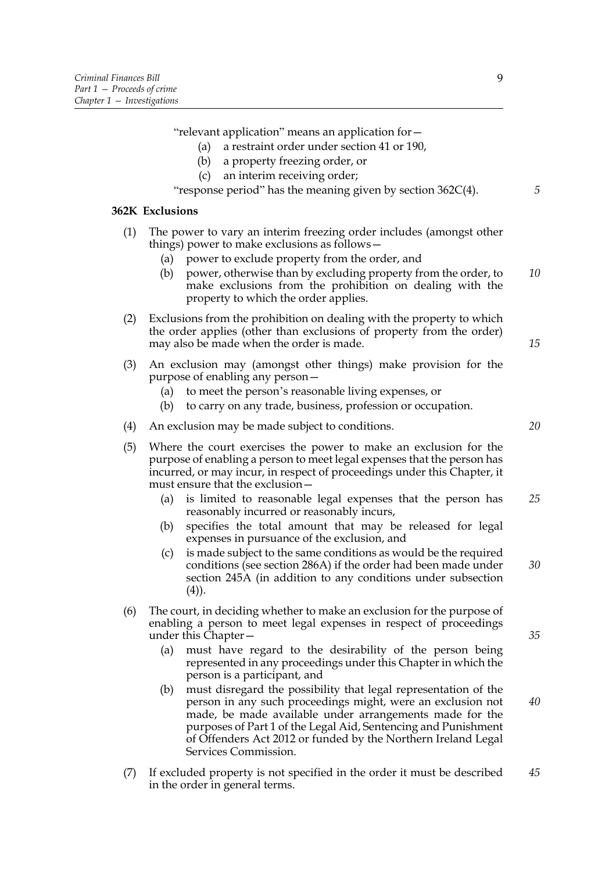"relevant application" means an application for— (a) a restraint order under section 41 or 190, (b) a property freezing order, or (c) an interim receiving order; "response period" has the meaning given by section 362C(4). **362K Exclusions** (1) The power to vary an interim freezing order includes (amongst other things) power to make exclusions as follows— (a) power to exclude property from the order, and (b) power, otherwise than by excluding property from the order, to make exclusions from the prohibition on dealing with the property to which the order applies. (2) Exclusions from the prohibition on dealing with the property to which the order applies (other than exclusions of property from the order) may also be made when the order is made. (3) An exclusion may (amongst other things) make provision for the purpose of enabling any person— (a) to meet the person's reasonable living expenses, or (b) to carry on any trade, business, profession or occupation. (4) An exclusion may be made subject to conditions. (5) Where the court exercises the power to make an exclusion for the purpose of enabling a person to meet legal expenses that the person has incurred, or may incur, in respect of proceedings under this Chapter, it must ensure that the exclusion— (a) is limited to reasonable legal expenses that the person has reasonably incurred or reasonably incurs, (b) specifies the total amount that may be released for legal expenses in pursuance of the exclusion, and (c) is made subject to the same conditions as would be the required conditions (see section 286A) if the order had been made under section 245A (in addition to any conditions under subsection  $(4)$ ). (6) The court, in deciding whether to make an exclusion for the purpose of enabling a person to meet legal expenses in respect of proceedings under this Chapter— (a) must have regard to the desirability of the person being represented in any proceedings under this Chapter in which the person is a participant, and (b) must disregard the possibility that legal representation of the person in any such proceedings might, were an exclusion not made, be made available under arrangements made for the purposes of Part 1 of the Legal Aid, Sentencing and Punishment of Offenders Act 2012 or funded by the Northern Ireland Legal *5 10 15 20 25 30 35 40*

(7) If excluded property is not specified in the order it must be described in the order in general terms. *45*

Services Commission.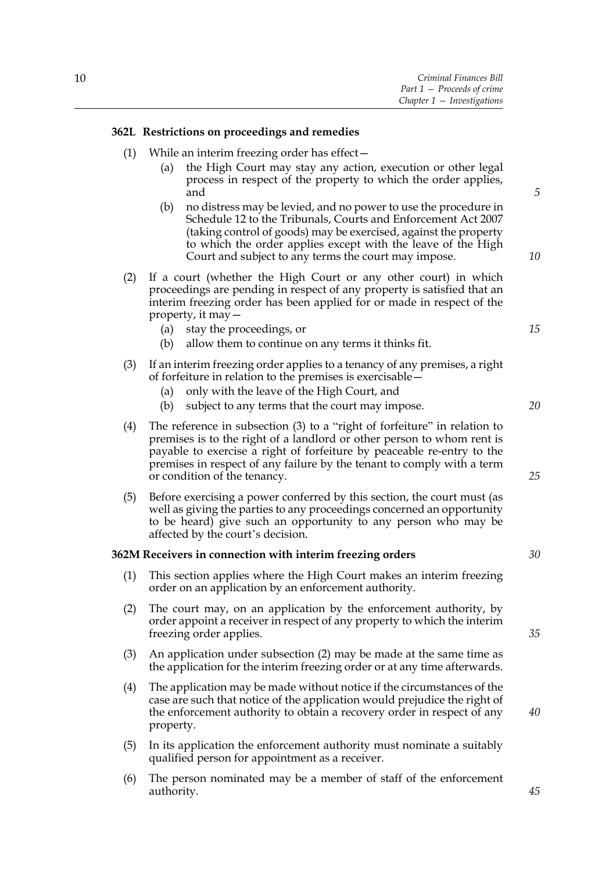## **362L Restrictions on proceedings and remedies**

- (1) While an interim freezing order has effect—
	- (a) the High Court may stay any action, execution or other legal process in respect of the property to which the order applies, and
	- (b) no distress may be levied, and no power to use the procedure in Schedule 12 to the Tribunals, Courts and Enforcement Act 2007 (taking control of goods) may be exercised, against the property to which the order applies except with the leave of the High Court and subject to any terms the court may impose.
- (2) If a court (whether the High Court or any other court) in which proceedings are pending in respect of any property is satisfied that an interim freezing order has been applied for or made in respect of the property, it may—
	- (a) stay the proceedings, or
	- (b) allow them to continue on any terms it thinks fit.
- (3) If an interim freezing order applies to a tenancy of any premises, a right of forfeiture in relation to the premises is exercisable—
	- (a) only with the leave of the High Court, and
	- (b) subject to any terms that the court may impose.
- (4) The reference in subsection (3) to a "right of forfeiture" in relation to premises is to the right of a landlord or other person to whom rent is payable to exercise a right of forfeiture by peaceable re-entry to the premises in respect of any failure by the tenant to comply with a term or condition of the tenancy.
- (5) Before exercising a power conferred by this section, the court must (as well as giving the parties to any proceedings concerned an opportunity to be heard) give such an opportunity to any person who may be affected by the court's decision.

#### **362M Receivers in connection with interim freezing orders**

- (1) This section applies where the High Court makes an interim freezing order on an application by an enforcement authority.
- (2) The court may, on an application by the enforcement authority, by order appoint a receiver in respect of any property to which the interim freezing order applies.
- (3) An application under subsection (2) may be made at the same time as the application for the interim freezing order or at any time afterwards.
- (4) The application may be made without notice if the circumstances of the case are such that notice of the application would prejudice the right of the enforcement authority to obtain a recovery order in respect of any property.
- (5) In its application the enforcement authority must nominate a suitably qualified person for appointment as a receiver.
- (6) The person nominated may be a member of staff of the enforcement authority.

*5*

*10*

*15*

*20*

*25*

*30*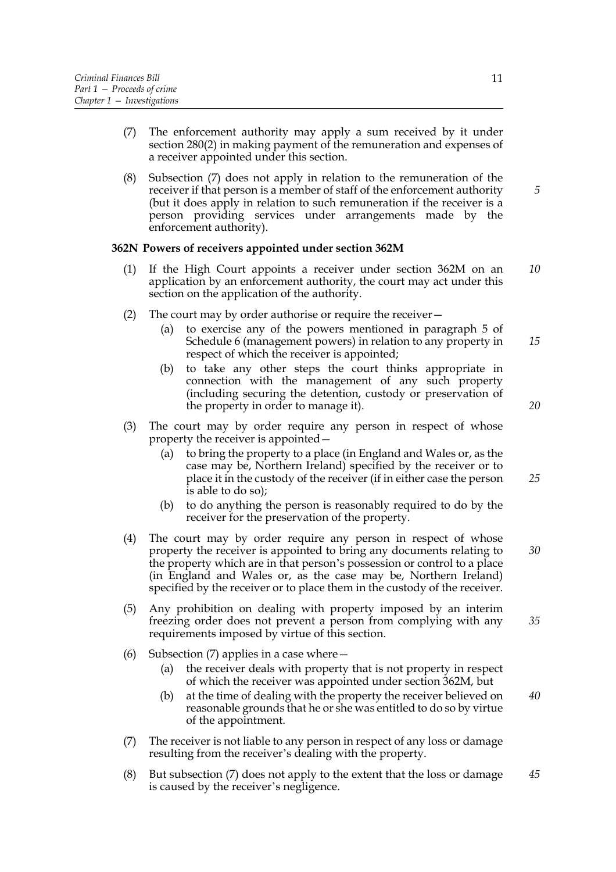- (7) The enforcement authority may apply a sum received by it under section 280(2) in making payment of the remuneration and expenses of a receiver appointed under this section.
- (8) Subsection (7) does not apply in relation to the remuneration of the receiver if that person is a member of staff of the enforcement authority (but it does apply in relation to such remuneration if the receiver is a person providing services under arrangements made by the enforcement authority).

## **362N Powers of receivers appointed under section 362M**

- (1) If the High Court appoints a receiver under section 362M on an application by an enforcement authority, the court may act under this section on the application of the authority. *10*
- (2) The court may by order authorise or require the receiver—
	- (a) to exercise any of the powers mentioned in paragraph 5 of Schedule 6 (management powers) in relation to any property in respect of which the receiver is appointed;
	- (b) to take any other steps the court thinks appropriate in connection with the management of any such property (including securing the detention, custody or preservation of the property in order to manage it).
- (3) The court may by order require any person in respect of whose property the receiver is appointed—
	- (a) to bring the property to a place (in England and Wales or, as the case may be, Northern Ireland) specified by the receiver or to place it in the custody of the receiver (if in either case the person is able to do so);
	- (b) to do anything the person is reasonably required to do by the receiver for the preservation of the property.
- (4) The court may by order require any person in respect of whose property the receiver is appointed to bring any documents relating to the property which are in that person's possession or control to a place (in England and Wales or, as the case may be, Northern Ireland) specified by the receiver or to place them in the custody of the receiver. *30*
- (5) Any prohibition on dealing with property imposed by an interim freezing order does not prevent a person from complying with any requirements imposed by virtue of this section.
- (6) Subsection (7) applies in a case where  $-$ 
	- (a) the receiver deals with property that is not property in respect of which the receiver was appointed under section 362M, but
	- (b) at the time of dealing with the property the receiver believed on reasonable grounds that he or she was entitled to do so by virtue of the appointment. *40*
- (7) The receiver is not liable to any person in respect of any loss or damage resulting from the receiver's dealing with the property.
- (8) But subsection (7) does not apply to the extent that the loss or damage is caused by the receiver's negligence. *45*

*20*

*25*

*15*

*5*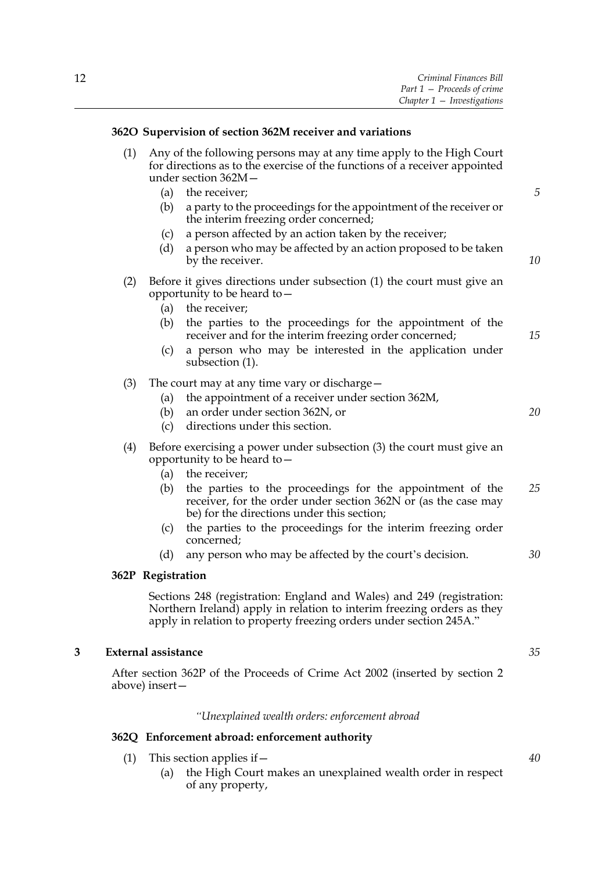# **362O Supervision of section 362M receiver and variations**

|   | (1) | Any of the following persons may at any time apply to the High Court<br>for directions as to the exercise of the functions of a receiver appointed<br>under section 362M-<br>(a)<br>the receiver;                     | 5  |  |
|---|-----|-----------------------------------------------------------------------------------------------------------------------------------------------------------------------------------------------------------------------|----|--|
|   |     | a party to the proceedings for the appointment of the receiver or<br>(b)<br>the interim freezing order concerned;<br>a person affected by an action taken by the receiver;<br>(c)                                     |    |  |
|   |     | a person who may be affected by an action proposed to be taken<br>(d)<br>by the receiver.                                                                                                                             | 10 |  |
|   | (2) | Before it gives directions under subsection (1) the court must give an<br>opportunity to be heard to $-$<br>(a)<br>the receiver;                                                                                      |    |  |
|   |     | (b)<br>the parties to the proceedings for the appointment of the<br>receiver and for the interim freezing order concerned;<br>a person who may be interested in the application under<br>(c)<br>subsection (1).       | 15 |  |
|   | (3) | The court may at any time vary or discharge –<br>the appointment of a receiver under section 362M,<br>(a)<br>(b)<br>an order under section 362N, or<br>directions under this section.<br>(c)                          | 20 |  |
|   | (4) | Before exercising a power under subsection (3) the court must give an<br>opportunity to be heard to -<br>(a)<br>the receiver;                                                                                         |    |  |
|   |     | (b)<br>the parties to the proceedings for the appointment of the<br>receiver, for the order under section 362N or (as the case may<br>be) for the directions under this section;                                      | 25 |  |
|   |     | the parties to the proceedings for the interim freezing order<br>(c)<br>concerned:                                                                                                                                    |    |  |
|   |     | any person who may be affected by the court's decision.<br>(d)                                                                                                                                                        | 30 |  |
|   |     | 362P Registration                                                                                                                                                                                                     |    |  |
|   |     | Sections 248 (registration: England and Wales) and 249 (registration:<br>Northern Ireland) apply in relation to interim freezing orders as they<br>apply in relation to property freezing orders under section 245A." |    |  |
| 3 |     | <b>External assistance</b>                                                                                                                                                                                            | 35 |  |

After section 362P of the Proceeds of Crime Act 2002 (inserted by section 2 above) insert—

# *"Unexplained wealth orders: enforcement abroad*

# **362Q Enforcement abroad: enforcement authority**

- (1) This section applies if—
	- (a) the High Court makes an unexplained wealth order in respect of any property,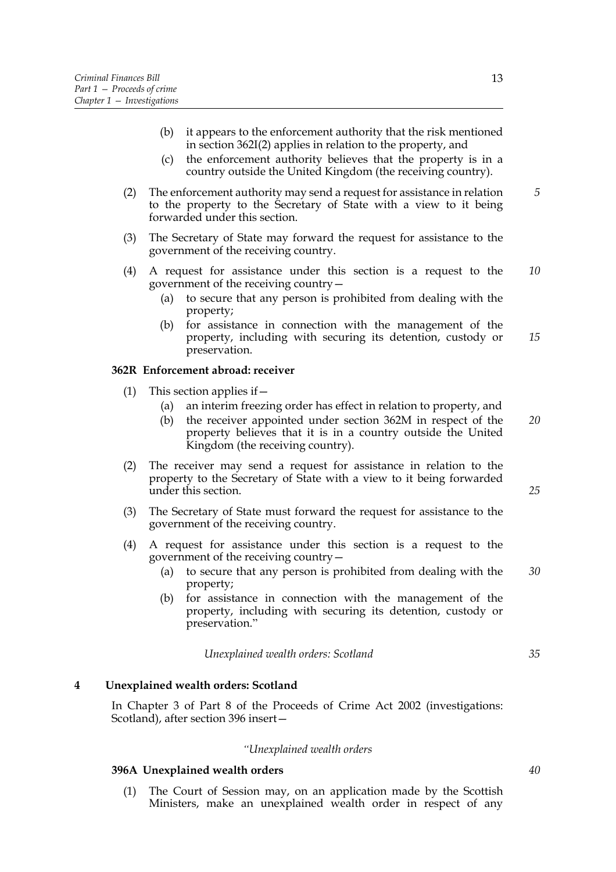- (b) it appears to the enforcement authority that the risk mentioned in section 362I(2) applies in relation to the property, and
- (c) the enforcement authority believes that the property is in a country outside the United Kingdom (the receiving country).
- (2) The enforcement authority may send a request for assistance in relation to the property to the Secretary of State with a view to it being forwarded under this section. *5*
- (3) The Secretary of State may forward the request for assistance to the government of the receiving country.
- (4) A request for assistance under this section is a request to the government of the receiving country— *10*
	- (a) to secure that any person is prohibited from dealing with the property;
	- (b) for assistance in connection with the management of the property, including with securing its detention, custody or preservation. *15*

## **362R Enforcement abroad: receiver**

- (1) This section applies if  $-$ 
	- (a) an interim freezing order has effect in relation to property, and
	- (b) the receiver appointed under section 362M in respect of the property believes that it is in a country outside the United Kingdom (the receiving country).
- (2) The receiver may send a request for assistance in relation to the property to the Secretary of State with a view to it being forwarded under this section.
- (3) The Secretary of State must forward the request for assistance to the government of the receiving country.
- (4) A request for assistance under this section is a request to the government of the receiving country—
	- (a) to secure that any person is prohibited from dealing with the property; *30*
	- (b) for assistance in connection with the management of the property, including with securing its detention, custody or preservation."

*Unexplained wealth orders: Scotland*

## **4 Unexplained wealth orders: Scotland**

In Chapter 3 of Part 8 of the Proceeds of Crime Act 2002 (investigations: Scotland), after section 396 insert—

#### *"Unexplained wealth orders*

## **396A Unexplained wealth orders**

(1) The Court of Session may, on an application made by the Scottish Ministers, make an unexplained wealth order in respect of any

*20*

*25*

*35*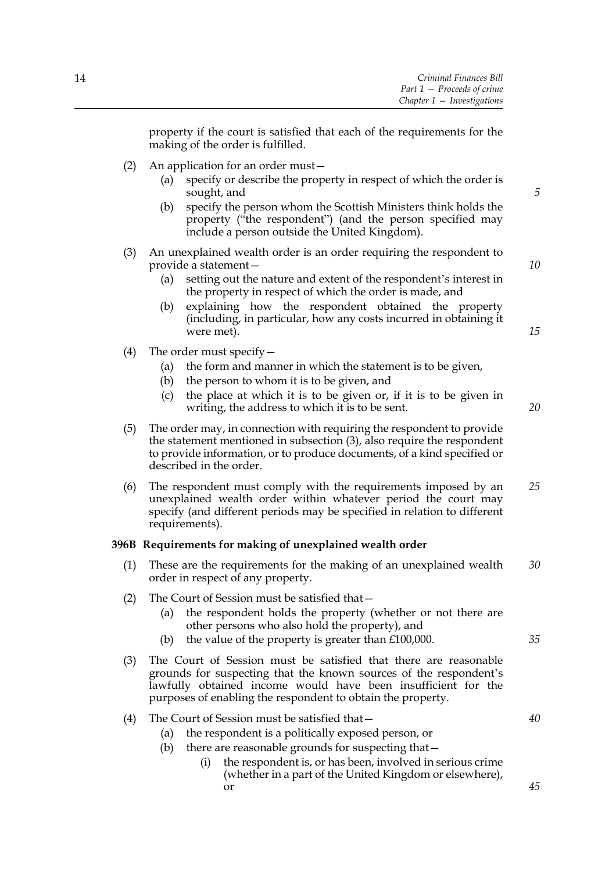property if the court is satisfied that each of the requirements for the making of the order is fulfilled.

- (2) An application for an order must—
	- (a) specify or describe the property in respect of which the order is sought, and
	- (b) specify the person whom the Scottish Ministers think holds the property ("the respondent") (and the person specified may include a person outside the United Kingdom).
- (3) An unexplained wealth order is an order requiring the respondent to provide a statement—
	- (a) setting out the nature and extent of the respondent's interest in the property in respect of which the order is made, and
	- (b) explaining how the respondent obtained the property (including, in particular, how any costs incurred in obtaining it were met).
- (4) The order must specify—
	- (a) the form and manner in which the statement is to be given,
	- (b) the person to whom it is to be given, and
	- (c) the place at which it is to be given or, if it is to be given in writing, the address to which it is to be sent.
- (5) The order may, in connection with requiring the respondent to provide the statement mentioned in subsection (3), also require the respondent to provide information, or to produce documents, of a kind specified or described in the order.
- (6) The respondent must comply with the requirements imposed by an unexplained wealth order within whatever period the court may specify (and different periods may be specified in relation to different requirements). *25*

#### **396B Requirements for making of unexplained wealth order**

- (1) These are the requirements for the making of an unexplained wealth order in respect of any property. *30*
- (2) The Court of Session must be satisfied that—
	- (a) the respondent holds the property (whether or not there are other persons who also hold the property), and
	- (b) the value of the property is greater than £100,000. *35*
- (3) The Court of Session must be satisfied that there are reasonable grounds for suspecting that the known sources of the respondent's lawfully obtained income would have been insufficient for the purposes of enabling the respondent to obtain the property.

#### (4) The Court of Session must be satisfied that—

- (a) the respondent is a politically exposed person, or
- (b) there are reasonable grounds for suspecting that—
	- (i) the respondent is, or has been, involved in serious crime (whether in a part of the United Kingdom or elsewhere), or

*10*

*5*

*20*

*15*

*40*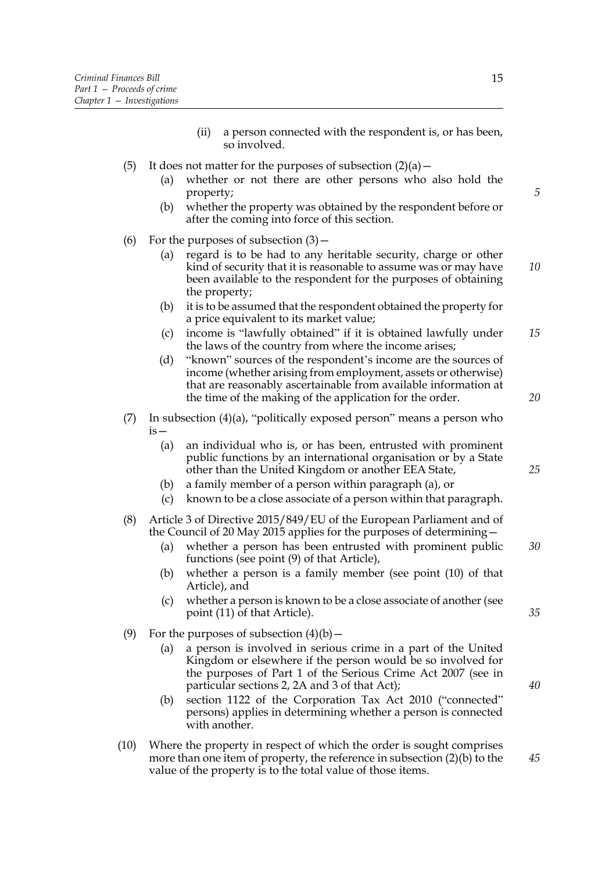- (ii) a person connected with the respondent is, or has been, so involved.
- (5) It does not matter for the purposes of subsection  $(2)(a)$ 
	- (a) whether or not there are other persons who also hold the property;
	- (b) whether the property was obtained by the respondent before or after the coming into force of this section.
- (6) For the purposes of subsection  $(3)$ 
	- (a) regard is to be had to any heritable security, charge or other kind of security that it is reasonable to assume was or may have been available to the respondent for the purposes of obtaining the property;
	- (b) it is to be assumed that the respondent obtained the property for a price equivalent to its market value;
	- (c) income is "lawfully obtained" if it is obtained lawfully under the laws of the country from where the income arises; *15*
	- (d) "known" sources of the respondent's income are the sources of income (whether arising from employment, assets or otherwise) that are reasonably ascertainable from available information at the time of the making of the application for the order.
- (7) In subsection (4)(a), "politically exposed person" means a person who is—
	- (a) an individual who is, or has been, entrusted with prominent public functions by an international organisation or by a State other than the United Kingdom or another EEA State,
	- (b) a family member of a person within paragraph (a), or
	- (c) known to be a close associate of a person within that paragraph.
- (8) Article 3 of Directive 2015/849/EU of the European Parliament and of the Council of 20 May 2015 applies for the purposes of determining—
	- (a) whether a person has been entrusted with prominent public functions (see point (9) of that Article), *30*
	- (b) whether a person is a family member (see point (10) of that Article), and
	- (c) whether a person is known to be a close associate of another (see point (11) of that Article).
- (9) For the purposes of subsection  $(4)(b)$ 
	- (a) a person is involved in serious crime in a part of the United Kingdom or elsewhere if the person would be so involved for the purposes of Part 1 of the Serious Crime Act 2007 (see in particular sections 2, 2A and 3 of that Act);
	- (b) section 1122 of the Corporation Tax Act 2010 ("connected" persons) applies in determining whether a person is connected with another.
- (10) Where the property in respect of which the order is sought comprises more than one item of property, the reference in subsection (2)(b) to the value of the property is to the total value of those items.

*5*

*10*

*20*

*25*

*35*

*40*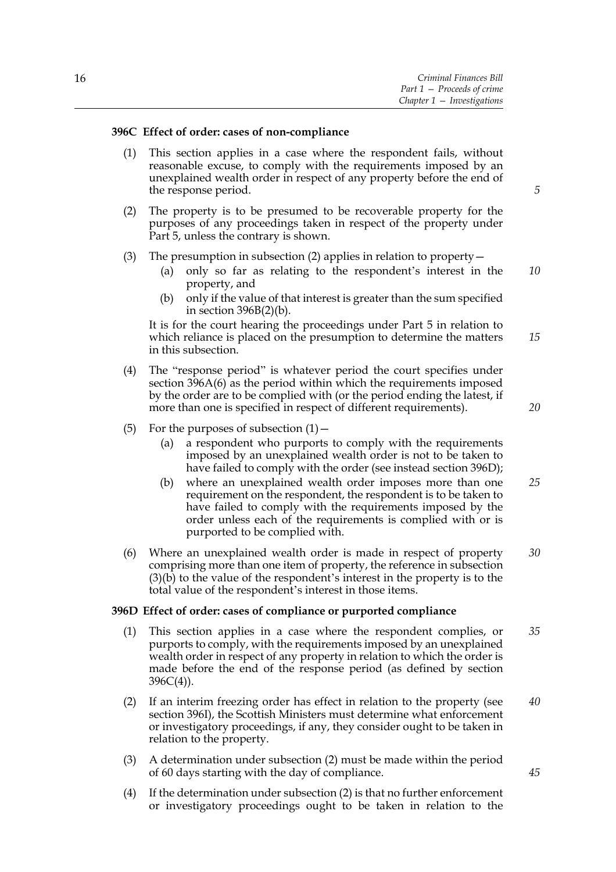## **396C Effect of order: cases of non-compliance**

- (1) This section applies in a case where the respondent fails, without reasonable excuse, to comply with the requirements imposed by an unexplained wealth order in respect of any property before the end of the response period.
- (2) The property is to be presumed to be recoverable property for the purposes of any proceedings taken in respect of the property under Part 5, unless the contrary is shown.
- (3) The presumption in subsection (2) applies in relation to property—
	- (a) only so far as relating to the respondent's interest in the property, and *10*
	- (b) only if the value of that interest is greater than the sum specified in section 396B(2)(b).

It is for the court hearing the proceedings under Part 5 in relation to which reliance is placed on the presumption to determine the matters in this subsection. *15*

- (4) The "response period" is whatever period the court specifies under section 396A(6) as the period within which the requirements imposed by the order are to be complied with (or the period ending the latest, if more than one is specified in respect of different requirements).
- (5) For the purposes of subsection  $(1)$ 
	- (a) a respondent who purports to comply with the requirements imposed by an unexplained wealth order is not to be taken to have failed to comply with the order (see instead section 396D);
	- (b) where an unexplained wealth order imposes more than one requirement on the respondent, the respondent is to be taken to have failed to comply with the requirements imposed by the order unless each of the requirements is complied with or is purported to be complied with. *25*
- (6) Where an unexplained wealth order is made in respect of property comprising more than one item of property, the reference in subsection (3)(b) to the value of the respondent's interest in the property is to the total value of the respondent's interest in those items. *30*

#### **396D Effect of order: cases of compliance or purported compliance**

- (1) This section applies in a case where the respondent complies, or purports to comply, with the requirements imposed by an unexplained wealth order in respect of any property in relation to which the order is made before the end of the response period (as defined by section  $396C(4)$ ). *35*
- (2) If an interim freezing order has effect in relation to the property (see section 396I), the Scottish Ministers must determine what enforcement or investigatory proceedings, if any, they consider ought to be taken in relation to the property. *40*
- (3) A determination under subsection (2) must be made within the period of 60 days starting with the day of compliance.
- (4) If the determination under subsection (2) is that no further enforcement or investigatory proceedings ought to be taken in relation to the

*20*

*45*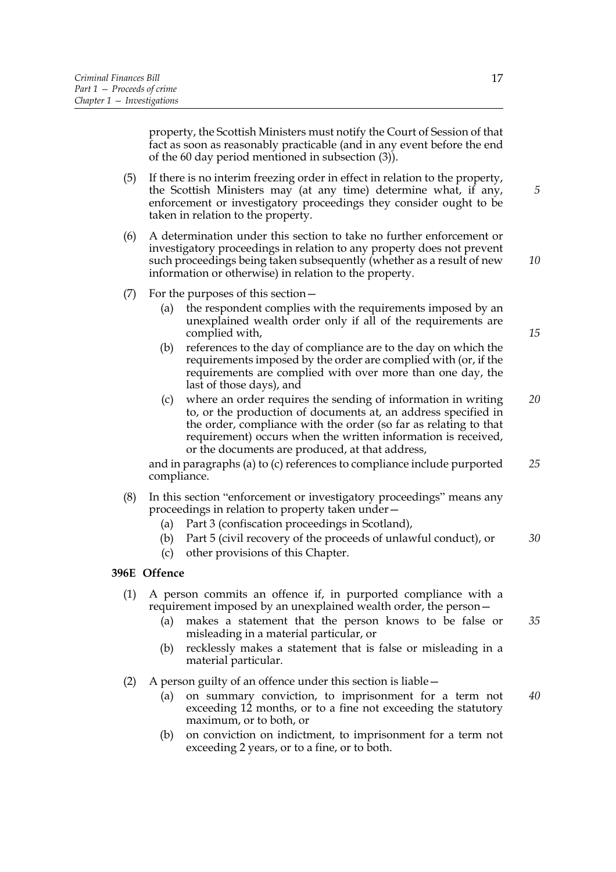property, the Scottish Ministers must notify the Court of Session of that fact as soon as reasonably practicable (and in any event before the end of the 60 day period mentioned in subsection (3)).

- (5) If there is no interim freezing order in effect in relation to the property, the Scottish Ministers may (at any time) determine what, if any, enforcement or investigatory proceedings they consider ought to be taken in relation to the property.
- (6) A determination under this section to take no further enforcement or investigatory proceedings in relation to any property does not prevent such proceedings being taken subsequently (whether as a result of new information or otherwise) in relation to the property.
- (7) For the purposes of this section—
	- (a) the respondent complies with the requirements imposed by an unexplained wealth order only if all of the requirements are complied with,
	- (b) references to the day of compliance are to the day on which the requirements imposed by the order are complied with (or, if the requirements are complied with over more than one day, the last of those days), and
	- (c) where an order requires the sending of information in writing to, or the production of documents at, an address specified in the order, compliance with the order (so far as relating to that requirement) occurs when the written information is received, or the documents are produced, at that address, *20*

and in paragraphs (a) to (c) references to compliance include purported compliance. *25*

## (8) In this section "enforcement or investigatory proceedings" means any proceedings in relation to property taken under—

- (a) Part 3 (confiscation proceedings in Scotland),
- (b) Part 5 (civil recovery of the proceeds of unlawful conduct), or *30*
- (c) other provisions of this Chapter.

## **396E Offence**

- (1) A person commits an offence if, in purported compliance with a requirement imposed by an unexplained wealth order, the person—
	- (a) makes a statement that the person knows to be false or misleading in a material particular, or *35*
	- (b) recklessly makes a statement that is false or misleading in a material particular.
- (2) A person guilty of an offence under this section is liable—
	- (a) on summary conviction, to imprisonment for a term not exceeding 12 months, or to a fine not exceeding the statutory maximum, or to both, or *40*
	- (b) on conviction on indictment, to imprisonment for a term not exceeding 2 years, or to a fine, or to both.

*15*

*10*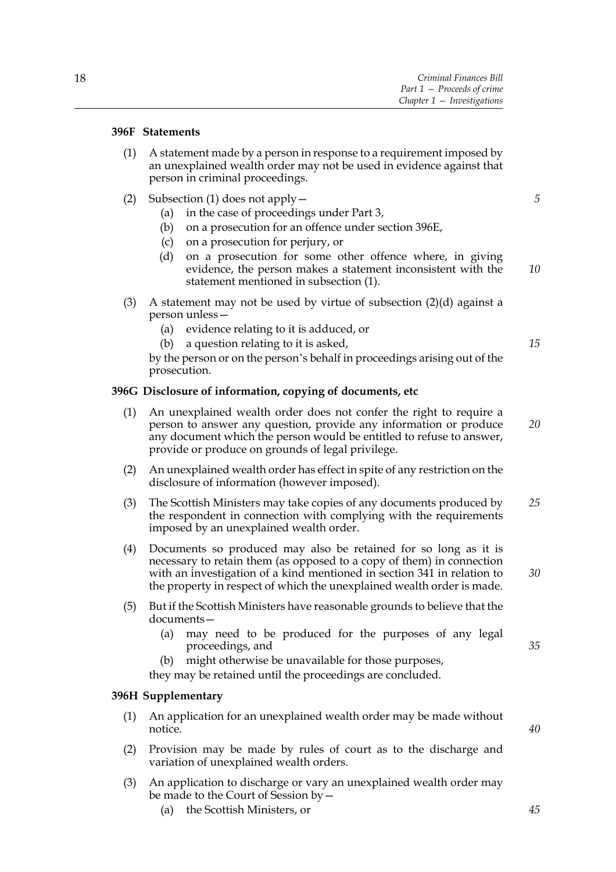# **396F Statements**

- (1) A statement made by a person in response to a requirement imposed by an unexplained wealth order may not be used in evidence against that person in criminal proceedings.
- (2) Subsection (1) does not apply—
	- (a) in the case of proceedings under Part 3,
	- (b) on a prosecution for an offence under section 396E,
	- (c) on a prosecution for perjury, or
	- (d) on a prosecution for some other offence where, in giving evidence, the person makes a statement inconsistent with the statement mentioned in subsection (1). *10*
- (3) A statement may not be used by virtue of subsection  $(2)(d)$  against a person unless—
	- (a) evidence relating to it is adduced, or
	- (b) a question relating to it is asked,

by the person or on the person's behalf in proceedings arising out of the prosecution.

## **396G Disclosure of information, copying of documents, etc**

- (1) An unexplained wealth order does not confer the right to require a person to answer any question, provide any information or produce any document which the person would be entitled to refuse to answer, provide or produce on grounds of legal privilege. *20*
- (2) An unexplained wealth order has effect in spite of any restriction on the disclosure of information (however imposed).
- (3) The Scottish Ministers may take copies of any documents produced by the respondent in connection with complying with the requirements imposed by an unexplained wealth order. *25*
- (4) Documents so produced may also be retained for so long as it is necessary to retain them (as opposed to a copy of them) in connection with an investigation of a kind mentioned in section 341 in relation to the property in respect of which the unexplained wealth order is made.
- (5) But if the Scottish Ministers have reasonable grounds to believe that the documents—
	- (a) may need to be produced for the purposes of any legal proceedings, and
	- (b) might otherwise be unavailable for those purposes,

they may be retained until the proceedings are concluded.

# **396H Supplementary**

- (1) An application for an unexplained wealth order may be made without notice.
- (2) Provision may be made by rules of court as to the discharge and variation of unexplained wealth orders.
- (3) An application to discharge or vary an unexplained wealth order may be made to the Court of Session by—
	- (a) the Scottish Ministers, or

*5*

*15*

*30*

*35*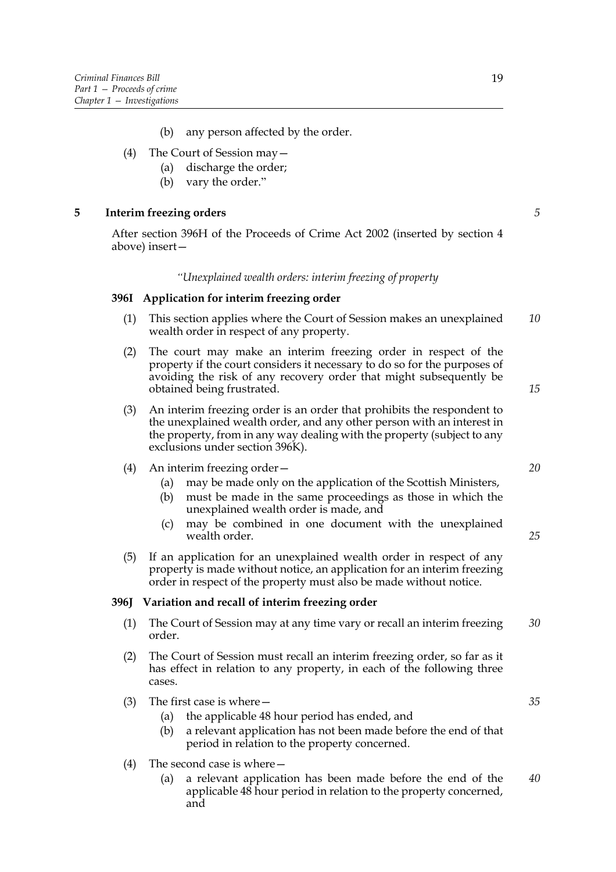- (b) any person affected by the order.
- (4) The Court of Session may—
	- (a) discharge the order;
	- (b) vary the order."

## **5 Interim freezing orders**

After section 396H of the Proceeds of Crime Act 2002 (inserted by section 4 above) insert—

## *"Unexplained wealth orders: interim freezing of property*

## **396I Application for interim freezing order**

- (1) This section applies where the Court of Session makes an unexplained wealth order in respect of any property. *10*
- (2) The court may make an interim freezing order in respect of the property if the court considers it necessary to do so for the purposes of avoiding the risk of any recovery order that might subsequently be obtained being frustrated.
- (3) An interim freezing order is an order that prohibits the respondent to the unexplained wealth order, and any other person with an interest in the property, from in any way dealing with the property (subject to any exclusions under section 396K).
- (4) An interim freezing order—
	- (a) may be made only on the application of the Scottish Ministers,
	- (b) must be made in the same proceedings as those in which the unexplained wealth order is made, and
	- (c) may be combined in one document with the unexplained wealth order.
- (5) If an application for an unexplained wealth order in respect of any property is made without notice, an application for an interim freezing order in respect of the property must also be made without notice.

#### **396J Variation and recall of interim freezing order**

- (1) The Court of Session may at any time vary or recall an interim freezing order. *30*
- (2) The Court of Session must recall an interim freezing order, so far as it has effect in relation to any property, in each of the following three cases.
- (3) The first case is where—
	- (a) the applicable 48 hour period has ended, and
	- (b) a relevant application has not been made before the end of that period in relation to the property concerned.
- (4) The second case is where—
	- (a) a relevant application has been made before the end of the applicable 48 hour period in relation to the property concerned, and *40*

*20*

*15*

*5*

*25*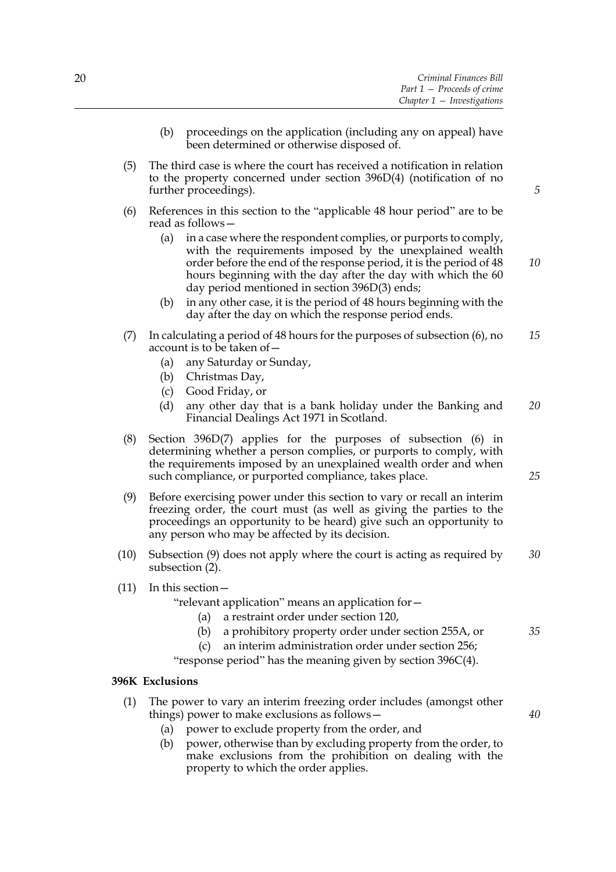- (b) proceedings on the application (including any on appeal) have been determined or otherwise disposed of.
- (5) The third case is where the court has received a notification in relation to the property concerned under section 396D(4) (notification of no further proceedings).
- (6) References in this section to the "applicable 48 hour period" are to be read as follows—
	- (a) in a case where the respondent complies, or purports to comply, with the requirements imposed by the unexplained wealth order before the end of the response period, it is the period of 48 hours beginning with the day after the day with which the 60 day period mentioned in section 396D(3) ends;
	- (b) in any other case, it is the period of 48 hours beginning with the day after the day on which the response period ends.
- (7) In calculating a period of 48 hours for the purposes of subsection (6), no account is to be taken of— *15*
	- (a) any Saturday or Sunday,
	- (b) Christmas Day,
	- (c) Good Friday, or
	- (d) any other day that is a bank holiday under the Banking and Financial Dealings Act 1971 in Scotland. *20*
- (8) Section 396D(7) applies for the purposes of subsection (6) in determining whether a person complies, or purports to comply, with the requirements imposed by an unexplained wealth order and when such compliance, or purported compliance, takes place.
- (9) Before exercising power under this section to vary or recall an interim freezing order, the court must (as well as giving the parties to the proceedings an opportunity to be heard) give such an opportunity to any person who may be affected by its decision.
- (10) Subsection (9) does not apply where the court is acting as required by subsection (2). *30*
- (11) In this section—

"relevant application" means an application for—

- (a) a restraint order under section 120,
- (b) a prohibitory property order under section 255A, or
- (c) an interim administration order under section 256;

"response period" has the meaning given by section 396C(4).

## **396K Exclusions**

- (1) The power to vary an interim freezing order includes (amongst other things) power to make exclusions as follows—
	- (a) power to exclude property from the order, and
	- (b) power, otherwise than by excluding property from the order, to make exclusions from the prohibition on dealing with the property to which the order applies.

*25*

*5*

*10*

*35*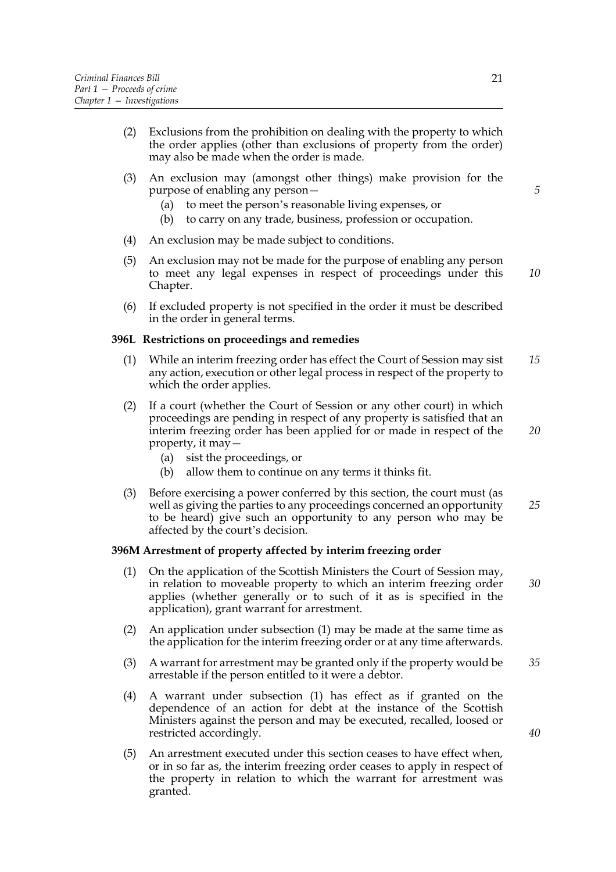- (2) Exclusions from the prohibition on dealing with the property to which the order applies (other than exclusions of property from the order) may also be made when the order is made.
- (3) An exclusion may (amongst other things) make provision for the purpose of enabling any person—
	- (a) to meet the person's reasonable living expenses, or
	- (b) to carry on any trade, business, profession or occupation.
- (4) An exclusion may be made subject to conditions.
- (5) An exclusion may not be made for the purpose of enabling any person to meet any legal expenses in respect of proceedings under this Chapter. *10*
- (6) If excluded property is not specified in the order it must be described in the order in general terms.

## **396L Restrictions on proceedings and remedies**

- (1) While an interim freezing order has effect the Court of Session may sist any action, execution or other legal process in respect of the property to which the order applies. *15*
- (2) If a court (whether the Court of Session or any other court) in which proceedings are pending in respect of any property is satisfied that an interim freezing order has been applied for or made in respect of the property, it may—
	- (a) sist the proceedings, or
	- (b) allow them to continue on any terms it thinks fit.
- (3) Before exercising a power conferred by this section, the court must (as well as giving the parties to any proceedings concerned an opportunity to be heard) give such an opportunity to any person who may be affected by the court's decision. *25*

#### **396M Arrestment of property affected by interim freezing order**

- (1) On the application of the Scottish Ministers the Court of Session may, in relation to moveable property to which an interim freezing order applies (whether generally or to such of it as is specified in the application), grant warrant for arrestment. *30*
- (2) An application under subsection (1) may be made at the same time as the application for the interim freezing order or at any time afterwards.
- (3) A warrant for arrestment may be granted only if the property would be arrestable if the person entitled to it were a debtor. *35*
- (4) A warrant under subsection (1) has effect as if granted on the dependence of an action for debt at the instance of the Scottish Ministers against the person and may be executed, recalled, loosed or restricted accordingly.
- (5) An arrestment executed under this section ceases to have effect when, or in so far as, the interim freezing order ceases to apply in respect of the property in relation to which the warrant for arrestment was granted.

21

*5*

*20*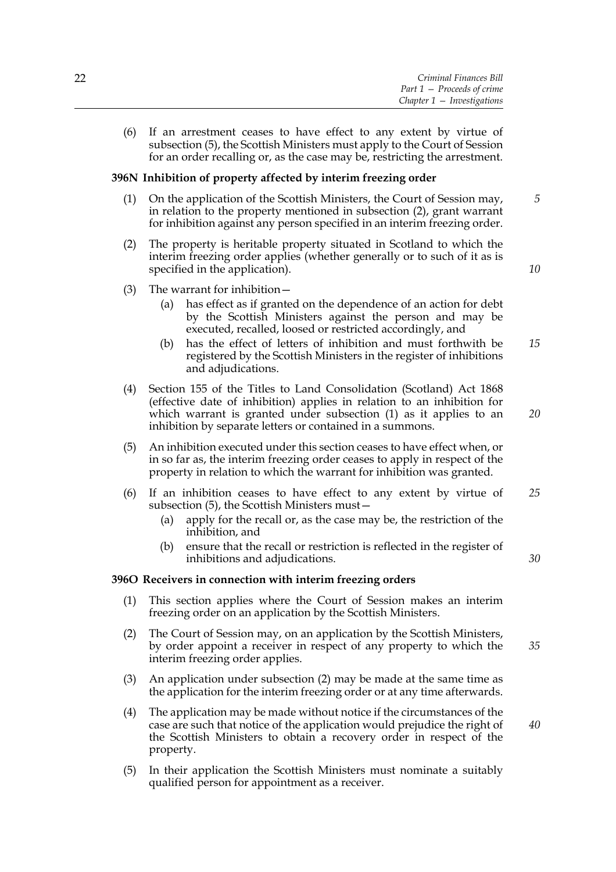(6) If an arrestment ceases to have effect to any extent by virtue of subsection (5), the Scottish Ministers must apply to the Court of Session for an order recalling or, as the case may be, restricting the arrestment.

## **396N Inhibition of property affected by interim freezing order**

- (1) On the application of the Scottish Ministers, the Court of Session may, in relation to the property mentioned in subsection (2), grant warrant for inhibition against any person specified in an interim freezing order.
- (2) The property is heritable property situated in Scotland to which the interim freezing order applies (whether generally or to such of it as is specified in the application).
- (3) The warrant for inhibition—
	- (a) has effect as if granted on the dependence of an action for debt by the Scottish Ministers against the person and may be executed, recalled, loosed or restricted accordingly, and
	- (b) has the effect of letters of inhibition and must forthwith be registered by the Scottish Ministers in the register of inhibitions and adjudications. *15*
- (4) Section 155 of the Titles to Land Consolidation (Scotland) Act 1868 (effective date of inhibition) applies in relation to an inhibition for which warrant is granted under subsection (1) as it applies to an inhibition by separate letters or contained in a summons.
- (5) An inhibition executed under this section ceases to have effect when, or in so far as, the interim freezing order ceases to apply in respect of the property in relation to which the warrant for inhibition was granted.
- (6) If an inhibition ceases to have effect to any extent by virtue of subsection (5), the Scottish Ministers must— *25*
	- (a) apply for the recall or, as the case may be, the restriction of the inhibition, and
	- (b) ensure that the recall or restriction is reflected in the register of inhibitions and adjudications.

#### **396O Receivers in connection with interim freezing orders**

- (1) This section applies where the Court of Session makes an interim freezing order on an application by the Scottish Ministers.
- (2) The Court of Session may, on an application by the Scottish Ministers, by order appoint a receiver in respect of any property to which the interim freezing order applies. *35*
- (3) An application under subsection (2) may be made at the same time as the application for the interim freezing order or at any time afterwards.
- (4) The application may be made without notice if the circumstances of the case are such that notice of the application would prejudice the right of the Scottish Ministers to obtain a recovery order in respect of the property.
- (5) In their application the Scottish Ministers must nominate a suitably qualified person for appointment as a receiver.

*10*

*20*

*30*

*40*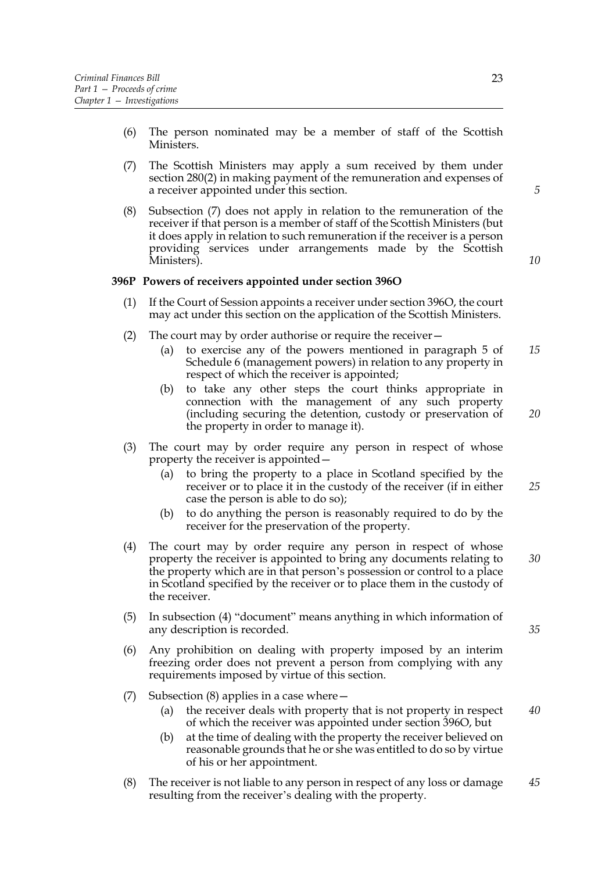- (6) The person nominated may be a member of staff of the Scottish Ministers.
- (7) The Scottish Ministers may apply a sum received by them under section 280(2) in making payment of the remuneration and expenses of a receiver appointed under this section.
- (8) Subsection (7) does not apply in relation to the remuneration of the receiver if that person is a member of staff of the Scottish Ministers (but it does apply in relation to such remuneration if the receiver is a person providing services under arrangements made by the Scottish Ministers).

## **396P Powers of receivers appointed under section 396O**

- (1) If the Court of Session appoints a receiver under section 396O, the court may act under this section on the application of the Scottish Ministers.
- (2) The court may by order authorise or require the receiver—
	- (a) to exercise any of the powers mentioned in paragraph 5 of Schedule 6 (management powers) in relation to any property in respect of which the receiver is appointed; *15*
	- (b) to take any other steps the court thinks appropriate in connection with the management of any such property (including securing the detention, custody or preservation of the property in order to manage it).
- (3) The court may by order require any person in respect of whose property the receiver is appointed—
	- (a) to bring the property to a place in Scotland specified by the receiver or to place it in the custody of the receiver (if in either case the person is able to do so);
	- (b) to do anything the person is reasonably required to do by the receiver for the preservation of the property.
- (4) The court may by order require any person in respect of whose property the receiver is appointed to bring any documents relating to the property which are in that person's possession or control to a place in Scotland specified by the receiver or to place them in the custody of the receiver.
- (5) In subsection (4) "document" means anything in which information of any description is recorded.
- (6) Any prohibition on dealing with property imposed by an interim freezing order does not prevent a person from complying with any requirements imposed by virtue of this section.
- (7) Subsection (8) applies in a case where—
	- (a) the receiver deals with property that is not property in respect of which the receiver was appointed under section 396O, but *40*
	- (b) at the time of dealing with the property the receiver believed on reasonable grounds that he or she was entitled to do so by virtue of his or her appointment.
- (8) The receiver is not liable to any person in respect of any loss or damage resulting from the receiver's dealing with the property. *45*

*5*

*10*

*20*

*25*

*35*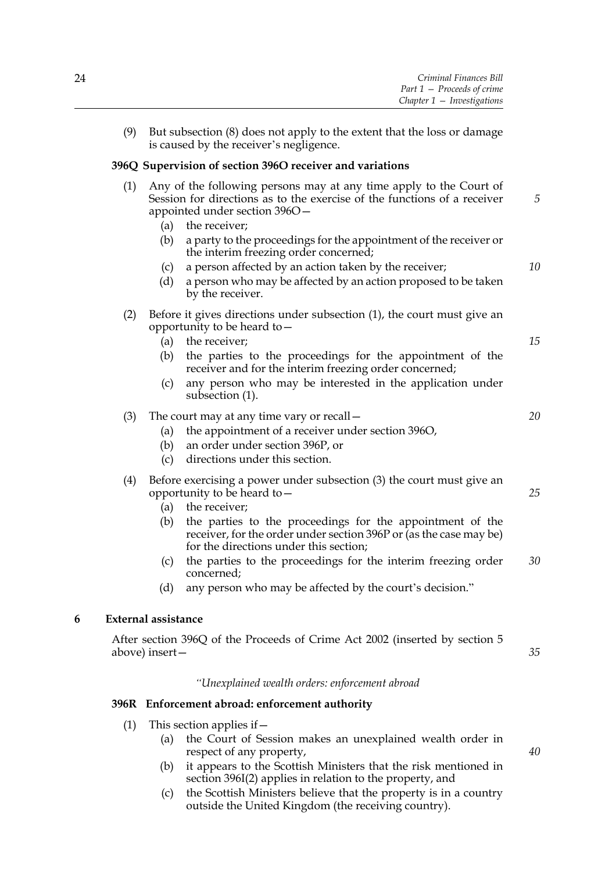- (9) But subsection (8) does not apply to the extent that the loss or damage is caused by the receiver's negligence. **396Q Supervision of section 396O receiver and variations** (1) Any of the following persons may at any time apply to the Court of Session for directions as to the exercise of the functions of a receiver appointed under section 396O— (a) the receiver; (b) a party to the proceedings for the appointment of the receiver or the interim freezing order concerned; (c) a person affected by an action taken by the receiver; (d) a person who may be affected by an action proposed to be taken by the receiver. (2) Before it gives directions under subsection (1), the court must give an opportunity to be heard to— (a) the receiver; (b) the parties to the proceedings for the appointment of the receiver and for the interim freezing order concerned; (c) any person who may be interested in the application under subsection (1). (3) The court may at any time vary or recall— (a) the appointment of a receiver under section 396O, (b) an order under section 396P, or (c) directions under this section. *5 10 20*
	- (4) Before exercising a power under subsection (3) the court must give an opportunity to be heard to—
		- (a) the receiver;
		- (b) the parties to the proceedings for the appointment of the receiver, for the order under section 396P or (as the case may be) for the directions under this section;
		- (c) the parties to the proceedings for the interim freezing order concerned; *30*
		- (d) any person who may be affected by the court's decision."

## **6 External assistance**

After section 396Q of the Proceeds of Crime Act 2002 (inserted by section 5 above) insert—

#### *"Unexplained wealth orders: enforcement abroad*

## **396R Enforcement abroad: enforcement authority**

- (1) This section applies if  $-$ 
	- (a) the Court of Session makes an unexplained wealth order in respect of any property,
	- (b) it appears to the Scottish Ministers that the risk mentioned in section 396I(2) applies in relation to the property, and
	- (c) the Scottish Ministers believe that the property is in a country outside the United Kingdom (the receiving country).

*15*

*25*

*35*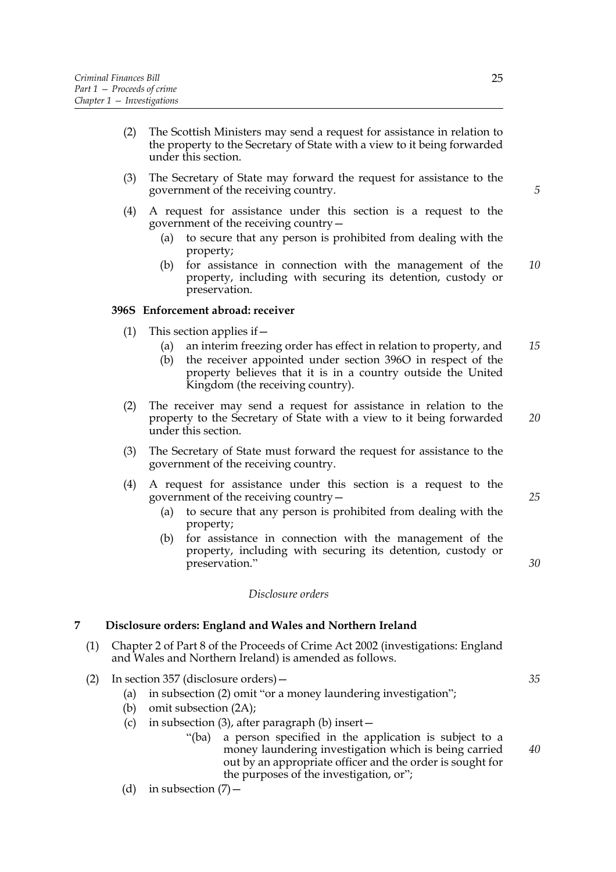- (2) The Scottish Ministers may send a request for assistance in relation to the property to the Secretary of State with a view to it being forwarded under this section.
- (3) The Secretary of State may forward the request for assistance to the government of the receiving country.
- (4) A request for assistance under this section is a request to the government of the receiving country—
	- (a) to secure that any person is prohibited from dealing with the property;
	- (b) for assistance in connection with the management of the property, including with securing its detention, custody or preservation. *10*

## **396S Enforcement abroad: receiver**

- (1) This section applies if  $-$ 
	- (a) an interim freezing order has effect in relation to property, and *15*
	- (b) the receiver appointed under section 396O in respect of the property believes that it is in a country outside the United Kingdom (the receiving country).
- (2) The receiver may send a request for assistance in relation to the property to the Secretary of State with a view to it being forwarded under this section.
- (3) The Secretary of State must forward the request for assistance to the government of the receiving country.
- (4) A request for assistance under this section is a request to the government of the receiving country—
	- (a) to secure that any person is prohibited from dealing with the property;
	- (b) for assistance in connection with the management of the property, including with securing its detention, custody or preservation."

## *Disclosure orders*

## **7 Disclosure orders: England and Wales and Northern Ireland**

- (1) Chapter 2 of Part 8 of the Proceeds of Crime Act 2002 (investigations: England and Wales and Northern Ireland) is amended as follows.
- (2) In section 357 (disclosure orders)—
	- (a) in subsection (2) omit "or a money laundering investigation";
	- (b) omit subsection (2A);
	- (c) in subsection (3), after paragraph (b) insert  $-$ 
		- "(ba) a person specified in the application is subject to a money laundering investigation which is being carried out by an appropriate officer and the order is sought for the purposes of the investigation, or"; *40*
	- (d) in subsection  $(7)$  –

*5*

*25*

*30*

*20*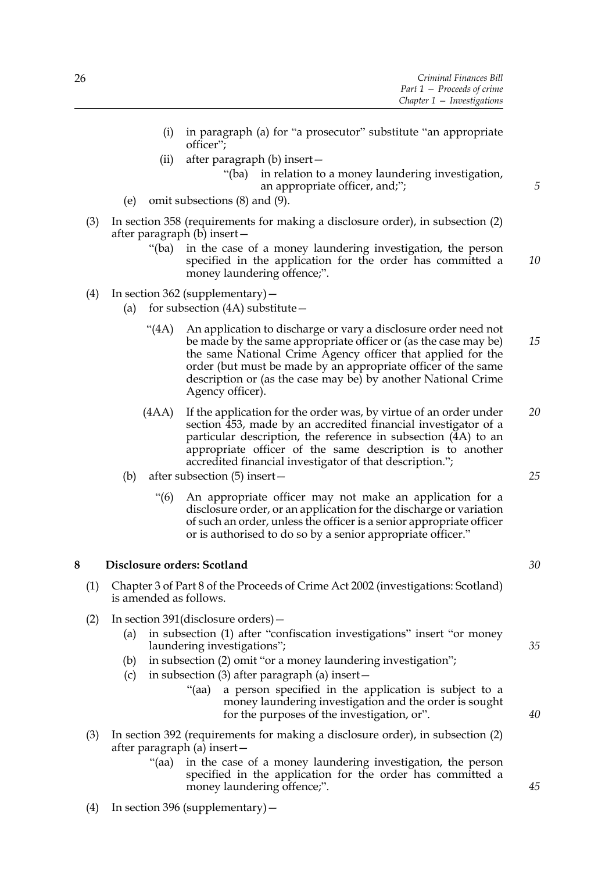- (i) in paragraph (a) for "a prosecutor" substitute "an appropriate officer";
- (ii) after paragraph (b) insert—
	- "(ba) in relation to a money laundering investigation, an appropriate officer, and;";
- (e) omit subsections (8) and (9).
- (3) In section 358 (requirements for making a disclosure order), in subsection (2) after paragraph (b) insert—
	- "(ba) in the case of a money laundering investigation, the person specified in the application for the order has committed a money laundering offence;".
- (4) In section 362 (supplementary)—
	- (a) for subsection  $(4A)$  substitute  $-$ 
		- "(4A) An application to discharge or vary a disclosure order need not be made by the same appropriate officer or (as the case may be) the same National Crime Agency officer that applied for the order (but must be made by an appropriate officer of the same description or (as the case may be) by another National Crime Agency officer). *15*
		- (4AA) If the application for the order was, by virtue of an order under section 453, made by an accredited financial investigator of a particular description, the reference in subsection  $(\tilde{4}A)$  to an appropriate officer of the same description is to another accredited financial investigator of that description."; *20*
	- (b) after subsection (5) insert—
		- "(6) An appropriate officer may not make an application for a disclosure order, or an application for the discharge or variation of such an order, unless the officer is a senior appropriate officer or is authorised to do so by a senior appropriate officer."

## **8 Disclosure orders: Scotland**

- (1) Chapter 3 of Part 8 of the Proceeds of Crime Act 2002 (investigations: Scotland) is amended as follows.
- (2) In section 391(disclosure orders)—
	- (a) in subsection (1) after "confiscation investigations" insert "or money laundering investigations";
	- (b) in subsection (2) omit "or a money laundering investigation";
	- (c) in subsection (3) after paragraph (a) insert—
		- "(aa) a person specified in the application is subject to a money laundering investigation and the order is sought for the purposes of the investigation, or".
- (3) In section 392 (requirements for making a disclosure order), in subsection (2) after paragraph (a) insert—
	- "(aa) in the case of a money laundering investigation, the person specified in the application for the order has committed a money laundering offence;".
- (4) In section 396 (supplementary)—

*25*

*5*

*10*

*35*

*30*

*40*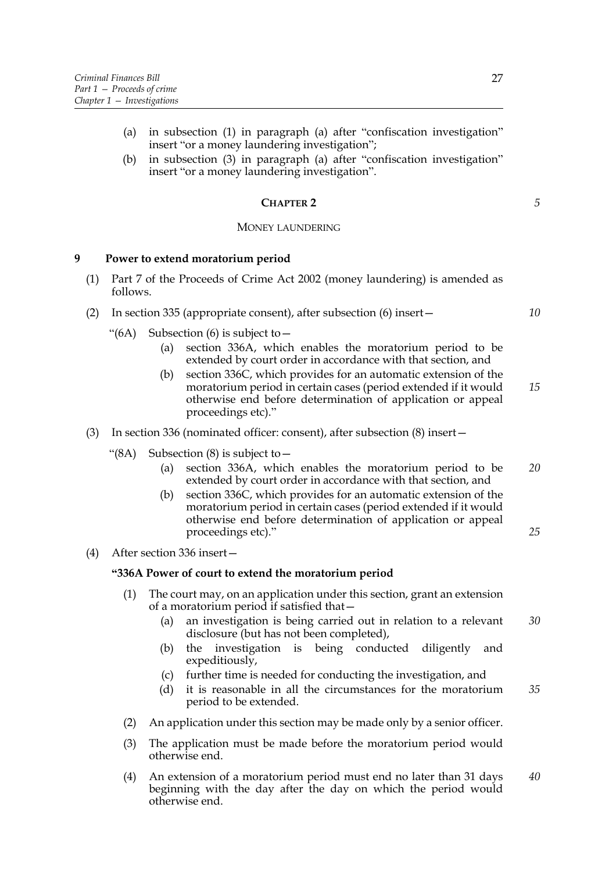- (a) in subsection (1) in paragraph (a) after "confiscation investigation" insert "or a money laundering investigation";
- (b) in subsection (3) in paragraph (a) after "confiscation investigation" insert "or a money laundering investigation".

#### **CHAPTER 2**

#### MONEY LAUNDERING

#### **9 Power to extend moratorium period**

- (1) Part 7 of the Proceeds of Crime Act 2002 (money laundering) is amended as follows.
- (2) In section 335 (appropriate consent), after subsection (6) insert—
	- "(6A) Subsection (6) is subject to  $-$ 
		- (a) section 336A, which enables the moratorium period to be extended by court order in accordance with that section, and
		- (b) section 336C, which provides for an automatic extension of the moratorium period in certain cases (period extended if it would otherwise end before determination of application or appeal proceedings etc)." *15*
- (3) In section 336 (nominated officer: consent), after subsection (8) insert—
	- "(8A) Subsection (8) is subject to  $-$ 
		- (a) section 336A, which enables the moratorium period to be extended by court order in accordance with that section, and *20*
		- (b) section 336C, which provides for an automatic extension of the moratorium period in certain cases (period extended if it would otherwise end before determination of application or appeal proceedings etc)."
- (4) After section 336 insert—

#### **"336A Power of court to extend the moratorium period**

- (1) The court may, on an application under this section, grant an extension of a moratorium period if satisfied that—
	- (a) an investigation is being carried out in relation to a relevant disclosure (but has not been completed), *30*
	- (b) the investigation is being conducted diligently and expeditiously,
	- (c) further time is needed for conducting the investigation, and
	- (d) it is reasonable in all the circumstances for the moratorium period to be extended. *35*
- (2) An application under this section may be made only by a senior officer.
- (3) The application must be made before the moratorium period would otherwise end.
- (4) An extension of a moratorium period must end no later than 31 days beginning with the day after the day on which the period would otherwise end. *40*

*10*

*25*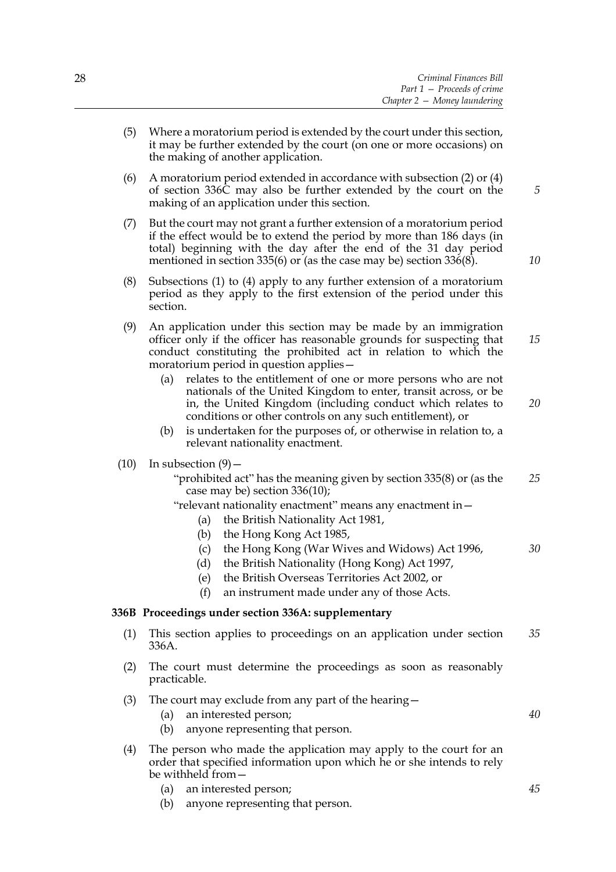- (5) Where a moratorium period is extended by the court under this section, it may be further extended by the court (on one or more occasions) on the making of another application.
- (6) A moratorium period extended in accordance with subsection (2) or (4) of section 336C may also be further extended by the court on the making of an application under this section.
- (7) But the court may not grant a further extension of a moratorium period if the effect would be to extend the period by more than 186 days (in total) beginning with the day after the end of the 31 day period mentioned in section 335(6) or (as the case may be) section 336(8).
- (8) Subsections (1) to (4) apply to any further extension of a moratorium period as they apply to the first extension of the period under this section.
- (9) An application under this section may be made by an immigration officer only if the officer has reasonable grounds for suspecting that conduct constituting the prohibited act in relation to which the moratorium period in question applies— *15*
	- (a) relates to the entitlement of one or more persons who are not nationals of the United Kingdom to enter, transit across, or be in, the United Kingdom (including conduct which relates to conditions or other controls on any such entitlement), or
	- (b) is undertaken for the purposes of, or otherwise in relation to, a relevant nationality enactment.

## $(10)$  In subsection  $(9)$  –

"prohibited act" has the meaning given by section 335(8) or (as the case may be) section 336(10); *25*

"relevant nationality enactment" means any enactment in—

- (a) the British Nationality Act 1981,
- (b) the Hong Kong Act 1985,
- (c) the Hong Kong (War Wives and Widows) Act 1996, *30*
- (d) the British Nationality (Hong Kong) Act 1997,
- (e) the British Overseas Territories Act 2002, or
- (f) an instrument made under any of those Acts.

## **336B Proceedings under section 336A: supplementary**

- (1) This section applies to proceedings on an application under section 336A. *35*
- (2) The court must determine the proceedings as soon as reasonably practicable.
- (3) The court may exclude from any part of the hearing—
	- (a) an interested person;
	- (b) anyone representing that person.
- (4) The person who made the application may apply to the court for an order that specified information upon which he or she intends to rely be withheld from—
	- (a) an interested person;
	- (b) anyone representing that person.

*10*

*5*

*20*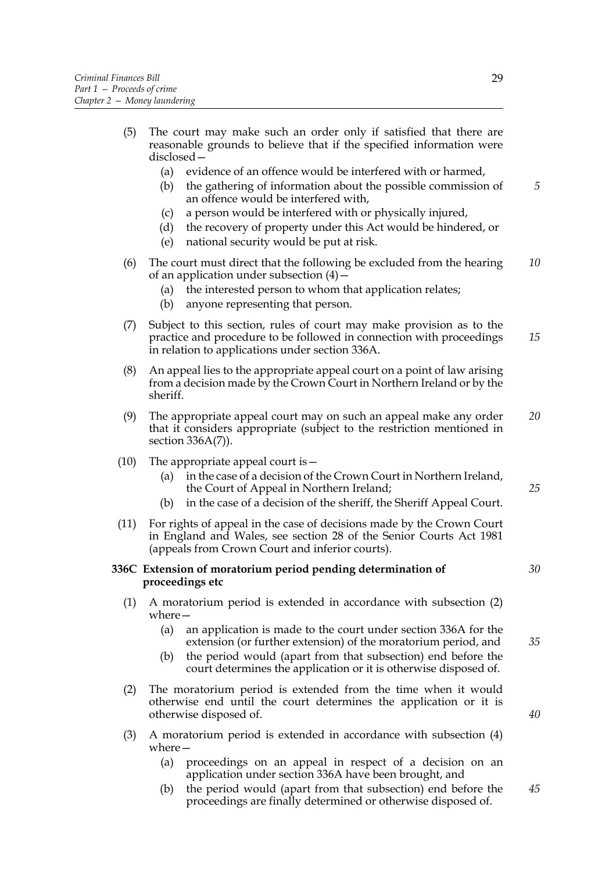- (5) The court may make such an order only if satisfied that there are reasonable grounds to believe that if the specified information were disclosed—
	- (a) evidence of an offence would be interfered with or harmed,
	- (b) the gathering of information about the possible commission of an offence would be interfered with,
	- (c) a person would be interfered with or physically injured,
	- (d) the recovery of property under this Act would be hindered, or
	- (e) national security would be put at risk.
- (6) The court must direct that the following be excluded from the hearing of an application under subsection  $(4)$  – *10*
	- (a) the interested person to whom that application relates;
	- (b) anyone representing that person.
- (7) Subject to this section, rules of court may make provision as to the practice and procedure to be followed in connection with proceedings in relation to applications under section 336A. *15*
- (8) An appeal lies to the appropriate appeal court on a point of law arising from a decision made by the Crown Court in Northern Ireland or by the sheriff.
- (9) The appropriate appeal court may on such an appeal make any order that it considers appropriate (subject to the restriction mentioned in section 336A(7)). *20*
- (10) The appropriate appeal court is  $-$ 
	- (a) in the case of a decision of the Crown Court in Northern Ireland, the Court of Appeal in Northern Ireland;
	- (b) in the case of a decision of the sheriff, the Sheriff Appeal Court.
- (11) For rights of appeal in the case of decisions made by the Crown Court in England and Wales, see section 28 of the Senior Courts Act 1981 (appeals from Crown Court and inferior courts).

#### **336C Extension of moratorium period pending determination of proceedings etc**

- (1) A moratorium period is extended in accordance with subsection (2) where—
	- (a) an application is made to the court under section 336A for the extension (or further extension) of the moratorium period, and
	- (b) the period would (apart from that subsection) end before the court determines the application or it is otherwise disposed of.
- (2) The moratorium period is extended from the time when it would otherwise end until the court determines the application or it is otherwise disposed of.
- (3) A moratorium period is extended in accordance with subsection (4) where—
	- (a) proceedings on an appeal in respect of a decision on an application under section 336A have been brought, and
	- (b) the period would (apart from that subsection) end before the proceedings are finally determined or otherwise disposed of. *45*

*5*

*40*

*35*

*25*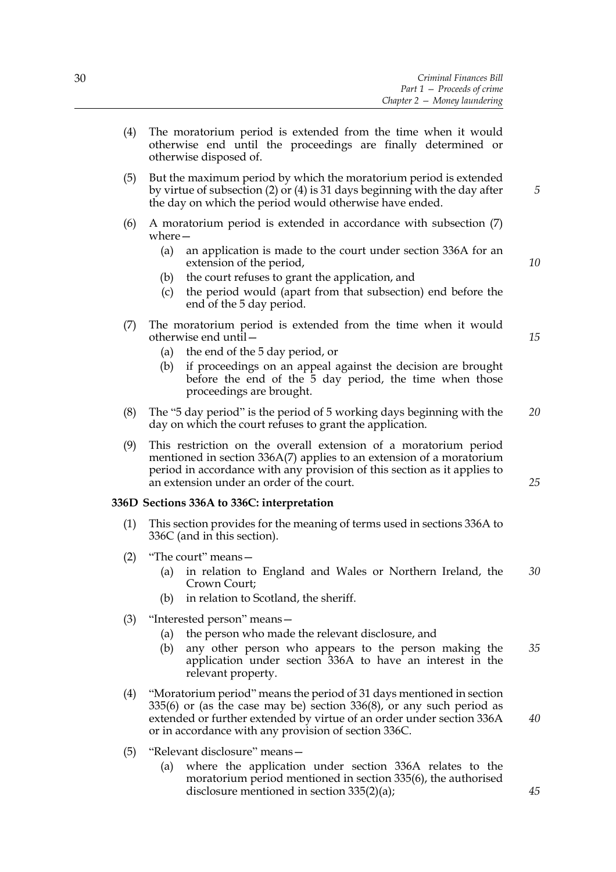|    | The moratorium period is extended from the time when it would<br>otherwise end until the proceedings are finally determined or<br>otherwise disposed of.                                                                                                                                                                      | (4) |  |  |
|----|-------------------------------------------------------------------------------------------------------------------------------------------------------------------------------------------------------------------------------------------------------------------------------------------------------------------------------|-----|--|--|
| 5  | But the maximum period by which the moratorium period is extended<br>by virtue of subsection $(2)$ or $(4)$ is 31 days beginning with the day after<br>the day on which the period would otherwise have ended.                                                                                                                |     |  |  |
|    | A moratorium period is extended in accordance with subsection (7)<br>where $-$                                                                                                                                                                                                                                                | (6) |  |  |
| 10 | (a)<br>an application is made to the court under section 336A for an<br>extension of the period,<br>the court refuses to grant the application, and<br>(b)                                                                                                                                                                    |     |  |  |
|    | the period would (apart from that subsection) end before the<br>(c)<br>end of the 5 day period.                                                                                                                                                                                                                               |     |  |  |
| 15 | The moratorium period is extended from the time when it would<br>otherwise end until -<br>the end of the 5 day period, or<br>(a)<br>if proceedings on an appeal against the decision are brought<br>(b)<br>before the end of the 5 day period, the time when those<br>proceedings are brought.                                | (7) |  |  |
| 20 | The "5 day period" is the period of 5 working days beginning with the                                                                                                                                                                                                                                                         | (8) |  |  |
| 25 | day on which the court refuses to grant the application.<br>This restriction on the overall extension of a moratorium period<br>mentioned in section 336A(7) applies to an extension of a moratorium<br>period in accordance with any provision of this section as it applies to<br>an extension under an order of the court. | (9) |  |  |
|    | 336D Sections 336A to 336C: interpretation                                                                                                                                                                                                                                                                                    |     |  |  |
|    | This section provides for the meaning of terms used in sections 336A to<br>336C (and in this section).                                                                                                                                                                                                                        | (1) |  |  |
| 30 | "The court" means-<br>in relation to England and Wales or Northern Ireland, the<br>(a)<br>Crown Court;                                                                                                                                                                                                                        | (2) |  |  |
|    | in relation to Scotland, the sheriff.<br>(b)<br>"Interested person" means-                                                                                                                                                                                                                                                    | (3) |  |  |
| 35 | the person who made the relevant disclosure, and<br>(a)<br>any other person who appears to the person making the<br>(b)<br>application under section 336A to have an interest in the<br>relevant property.                                                                                                                    |     |  |  |
| 40 | "Moratorium period" means the period of 31 days mentioned in section<br>$335(6)$ or (as the case may be) section $336(8)$ , or any such period as<br>extended or further extended by virtue of an order under section 336A                                                                                                    | (4) |  |  |

- (5) "Relevant disclosure" means—
	- (a) where the application under section 336A relates to the moratorium period mentioned in section 335(6), the authorised disclosure mentioned in section 335(2)(a);

or in accordance with any provision of section 336C.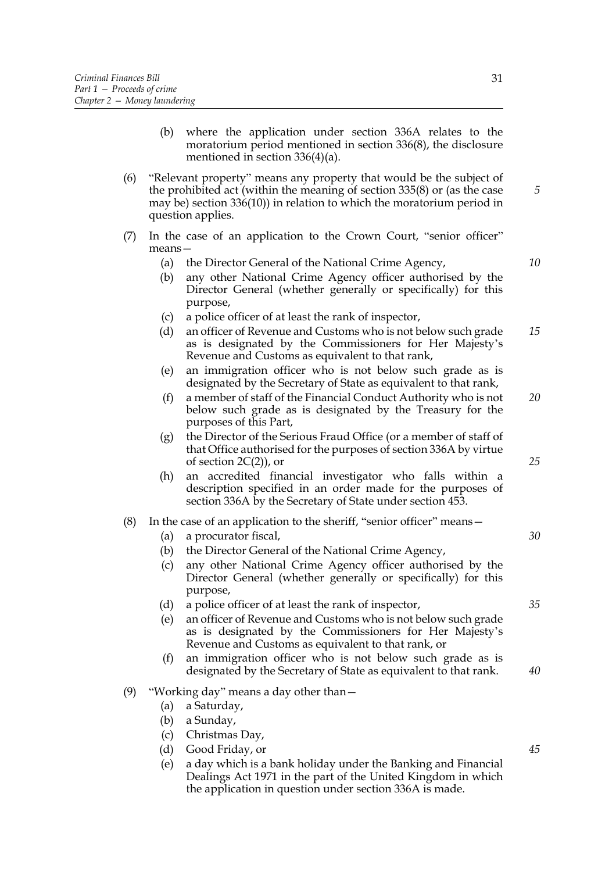- (b) where the application under section 336A relates to the moratorium period mentioned in section 336(8), the disclosure mentioned in section 336(4)(a).
- (6) "Relevant property" means any property that would be the subject of the prohibited act (within the meaning of section 335(8) or (as the case may be) section 336(10)) in relation to which the moratorium period in question applies.
- (7) In the case of an application to the Crown Court, "senior officer" means—
	- (a) the Director General of the National Crime Agency,
	- (b) any other National Crime Agency officer authorised by the Director General (whether generally or specifically) for this purpose,
	- (c) a police officer of at least the rank of inspector,
	- (d) an officer of Revenue and Customs who is not below such grade as is designated by the Commissioners for Her Majesty's Revenue and Customs as equivalent to that rank, *15*
	- (e) an immigration officer who is not below such grade as is designated by the Secretary of State as equivalent to that rank,
	- (f) a member of staff of the Financial Conduct Authority who is not below such grade as is designated by the Treasury for the purposes of this Part,
	- (g) the Director of the Serious Fraud Office (or a member of staff of that Office authorised for the purposes of section 336A by virtue of section  $2C(2)$ , or
	- (h) an accredited financial investigator who falls within a description specified in an order made for the purposes of section 336A by the Secretary of State under section 453.

# (8) In the case of an application to the sheriff, "senior officer" means—

- (a) a procurator fiscal,
- (b) the Director General of the National Crime Agency,
- (c) any other National Crime Agency officer authorised by the Director General (whether generally or specifically) for this purpose,
- (d) a police officer of at least the rank of inspector,
- (e) an officer of Revenue and Customs who is not below such grade as is designated by the Commissioners for Her Majesty's Revenue and Customs as equivalent to that rank, or
- (f) an immigration officer who is not below such grade as is designated by the Secretary of State as equivalent to that rank.
- (9) "Working day" means a day other than—
	- (a) a Saturday,
	- (b) a Sunday,
	- (c) Christmas Day,
	- (d) Good Friday, or
	- (e) a day which is a bank holiday under the Banking and Financial Dealings Act 1971 in the part of the United Kingdom in which the application in question under section 336A is made.

*40*

*30*

*45*

*10*

*5*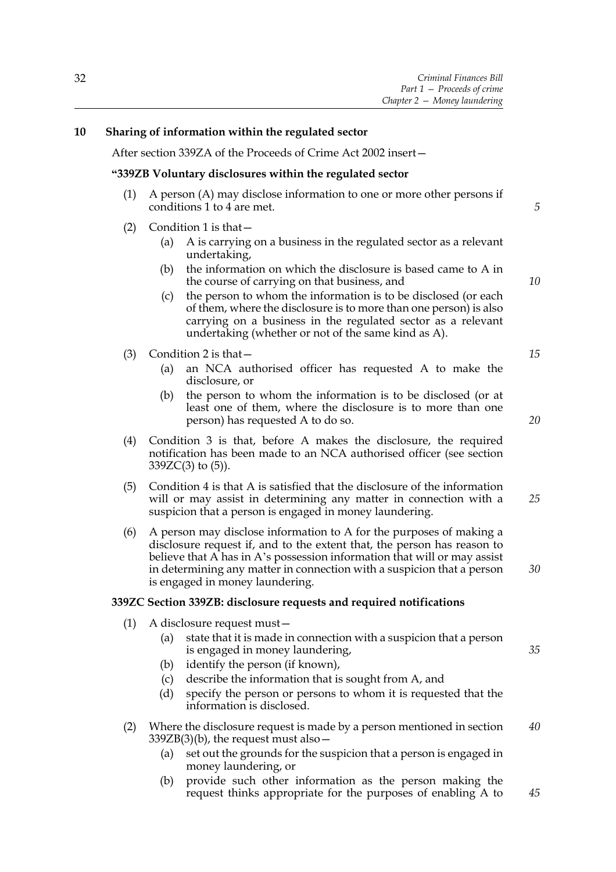# **10 Sharing of information within the regulated sector** After section 339ZA of the Proceeds of Crime Act 2002 insert— **"339ZB Voluntary disclosures within the regulated sector** (1) A person (A) may disclose information to one or more other persons if conditions 1 to 4 are met. (2) Condition 1 is that— (a) A is carrying on a business in the regulated sector as a relevant undertaking, (b) the information on which the disclosure is based came to A in the course of carrying on that business, and (c) the person to whom the information is to be disclosed (or each of them, where the disclosure is to more than one person) is also carrying on a business in the regulated sector as a relevant undertaking (whether or not of the same kind as A). (3) Condition 2 is that— (a) an NCA authorised officer has requested A to make the disclosure, or (b) the person to whom the information is to be disclosed (or at least one of them, where the disclosure is to more than one person) has requested A to do so. (4) Condition 3 is that, before A makes the disclosure, the required notification has been made to an NCA authorised officer (see section  $339ZC(3)$  to  $(5)$ ). (5) Condition 4 is that A is satisfied that the disclosure of the information will or may assist in determining any matter in connection with a suspicion that a person is engaged in money laundering. (6) A person may disclose information to A for the purposes of making a disclosure request if, and to the extent that, the person has reason to believe that A has in A's possession information that will or may assist in determining any matter in connection with a suspicion that a person is engaged in money laundering. **339ZC Section 339ZB: disclosure requests and required notifications** (1) A disclosure request must— (a) state that it is made in connection with a suspicion that a person is engaged in money laundering, (b) identify the person (if known), (c) describe the information that is sought from A, and (d) specify the person or persons to whom it is requested that the information is disclosed. (2) Where the disclosure request is made by a person mentioned in section  $339ZB(3)(b)$ , the request must also  $-$ (a) set out the grounds for the suspicion that a person is engaged in money laundering, or (b) provide such other information as the person making the request thinks appropriate for the purposes of enabling A to *5 10 15 20 25 30 35 40 45*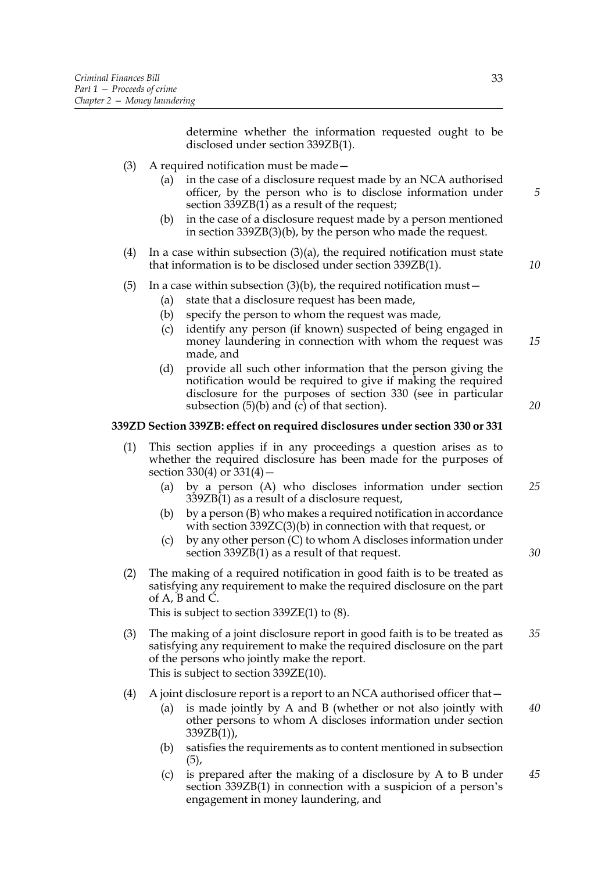determine whether the information requested ought to be disclosed under section 339ZB(1).

- (3) A required notification must be made—
	- (a) in the case of a disclosure request made by an NCA authorised officer, by the person who is to disclose information under section 339ZB(1) as a result of the request;
	- (b) in the case of a disclosure request made by a person mentioned in section 339ZB(3)(b), by the person who made the request.
- (4) In a case within subsection  $(3)(a)$ , the required notification must state that information is to be disclosed under section 339ZB(1).
- (5) In a case within subsection  $(3)(b)$ , the required notification must -
	- (a) state that a disclosure request has been made,
	- (b) specify the person to whom the request was made,
	- (c) identify any person (if known) suspected of being engaged in money laundering in connection with whom the request was made, and *15*
	- (d) provide all such other information that the person giving the notification would be required to give if making the required disclosure for the purposes of section 330 (see in particular subsection (5)(b) and (c) of that section).

#### **339ZD Section 339ZB: effect on required disclosures under section 330 or 331**

- (1) This section applies if in any proceedings a question arises as to whether the required disclosure has been made for the purposes of section 330(4) or 331(4)—
	- (a) by a person (A) who discloses information under section 339ZB(1) as a result of a disclosure request, *25*
	- (b) by a person  $(B)$  who makes a required notification in accordance with section 339ZC(3)(b) in connection with that request, or
	- (c) by any other person (C) to whom A discloses information under section 339ZB(1) as a result of that request.
- (2) The making of a required notification in good faith is to be treated as satisfying any requirement to make the required disclosure on the part of A, B and C.

This is subject to section 339ZE(1) to (8).

- (3) The making of a joint disclosure report in good faith is to be treated as satisfying any requirement to make the required disclosure on the part of the persons who jointly make the report. This is subject to section 339ZE(10). *35*
- (4) A joint disclosure report is a report to an NCA authorised officer that  $-$ 
	- (a) is made jointly by A and B (whether or not also jointly with other persons to whom A discloses information under section 339ZB(1)),
	- (b) satisfies the requirements as to content mentioned in subsection (5),
	- (c) is prepared after the making of a disclosure by A to B under section 339ZB(1) in connection with a suspicion of a person's engagement in money laundering, and *45*

*10*

*5*

*20*

*30*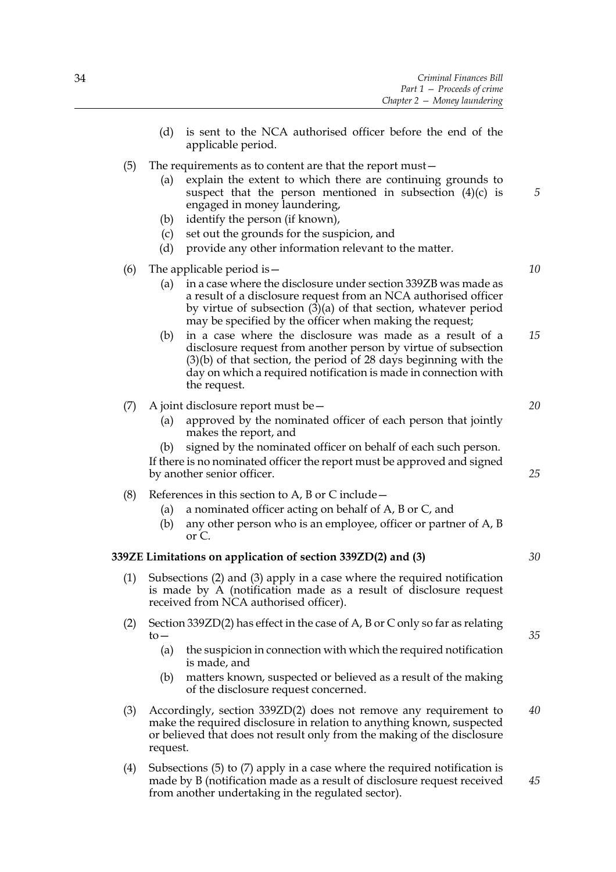*5*

*10*

*20*

*25*

*30*

*35*

- (d) is sent to the NCA authorised officer before the end of the applicable period. (5) The requirements as to content are that the report must—
	- (a) explain the extent to which there are continuing grounds to suspect that the person mentioned in subsection  $(4)(c)$  is engaged in money laundering,
	- (b) identify the person (if known),
	- (c) set out the grounds for the suspicion, and
	- (d) provide any other information relevant to the matter.
- (6) The applicable period is  $-$ 
	- (a) in a case where the disclosure under section 339ZB was made as a result of a disclosure request from an NCA authorised officer by virtue of subsection (3)(a) of that section, whatever period may be specified by the officer when making the request;
	- (b) in a case where the disclosure was made as a result of a disclosure request from another person by virtue of subsection (3)(b) of that section, the period of 28 days beginning with the day on which a required notification is made in connection with the request. *15*
- (7) A joint disclosure report must be—
	- (a) approved by the nominated officer of each person that jointly makes the report, and
	- (b) signed by the nominated officer on behalf of each such person.
	- If there is no nominated officer the report must be approved and signed by another senior officer.
- (8) References in this section to A, B or C include  $-$ 
	- (a) a nominated officer acting on behalf of A, B or C, and
	- (b) any other person who is an employee, officer or partner of A, B or C.

#### **339ZE Limitations on application of section 339ZD(2) and (3)**

- (1) Subsections (2) and (3) apply in a case where the required notification is made by A (notification made as a result of disclosure request received from NCA authorised officer).
- (2) Section 339ZD(2) has effect in the case of A, B or C only so far as relating to—
	- (a) the suspicion in connection with which the required notification is made, and
	- (b) matters known, suspected or believed as a result of the making of the disclosure request concerned.
- (3) Accordingly, section 339ZD(2) does not remove any requirement to make the required disclosure in relation to anything known, suspected or believed that does not result only from the making of the disclosure request. *40*
- (4) Subsections (5) to (7) apply in a case where the required notification is made by B (notification made as a result of disclosure request received from another undertaking in the regulated sector). *45*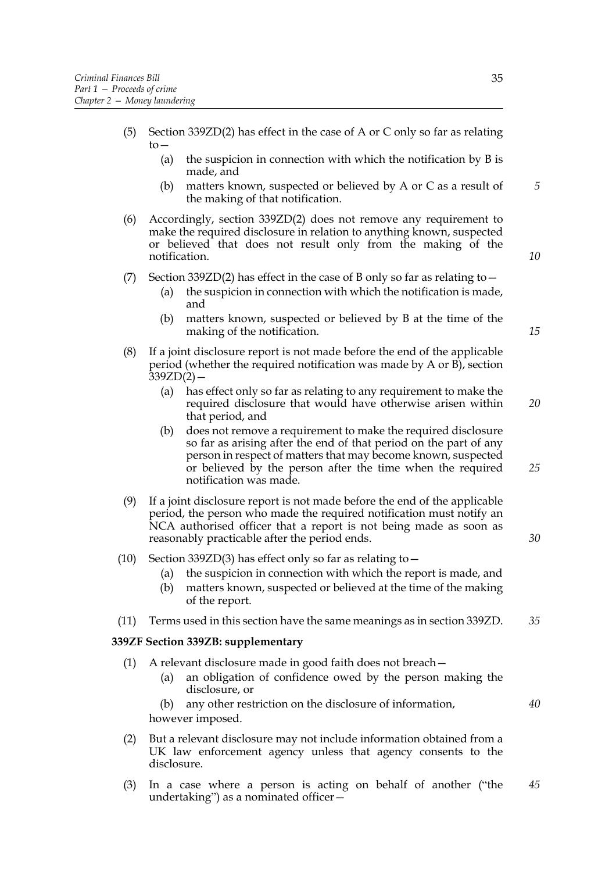- (5) Section 339ZD(2) has effect in the case of A or C only so far as relating to—
	- (a) the suspicion in connection with which the notification by B is made, and
	- (b) matters known, suspected or believed by A or C as a result of the making of that notification.
- (6) Accordingly, section 339ZD(2) does not remove any requirement to make the required disclosure in relation to anything known, suspected or believed that does not result only from the making of the notification.

#### (7) Section 339ZD(2) has effect in the case of B only so far as relating to—

- (a) the suspicion in connection with which the notification is made, and
- (b) matters known, suspected or believed by B at the time of the making of the notification.
- (8) If a joint disclosure report is not made before the end of the applicable period (whether the required notification was made by A or B), section  $339ZD(2)$  –
	- (a) has effect only so far as relating to any requirement to make the required disclosure that would have otherwise arisen within that period, and
	- (b) does not remove a requirement to make the required disclosure so far as arising after the end of that period on the part of any person in respect of matters that may become known, suspected or believed by the person after the time when the required notification was made.
- (9) If a joint disclosure report is not made before the end of the applicable period, the person who made the required notification must notify an NCA authorised officer that a report is not being made as soon as reasonably practicable after the period ends.
- (10) Section 339ZD(3) has effect only so far as relating to  $-$ 
	- (a) the suspicion in connection with which the report is made, and
	- (b) matters known, suspected or believed at the time of the making of the report.
- (11) Terms used in this section have the same meanings as in section 339ZD. *35*

### **339ZF Section 339ZB: supplementary**

- (1) A relevant disclosure made in good faith does not breach—
	- (a) an obligation of confidence owed by the person making the disclosure, or

(b) any other restriction on the disclosure of information, however imposed.

- (2) But a relevant disclosure may not include information obtained from a UK law enforcement agency unless that agency consents to the disclosure.
- (3) In a case where a person is acting on behalf of another ("the undertaking") as a nominated officer— *45*

*5*

*10*

*15*

*20*

*25*

*30*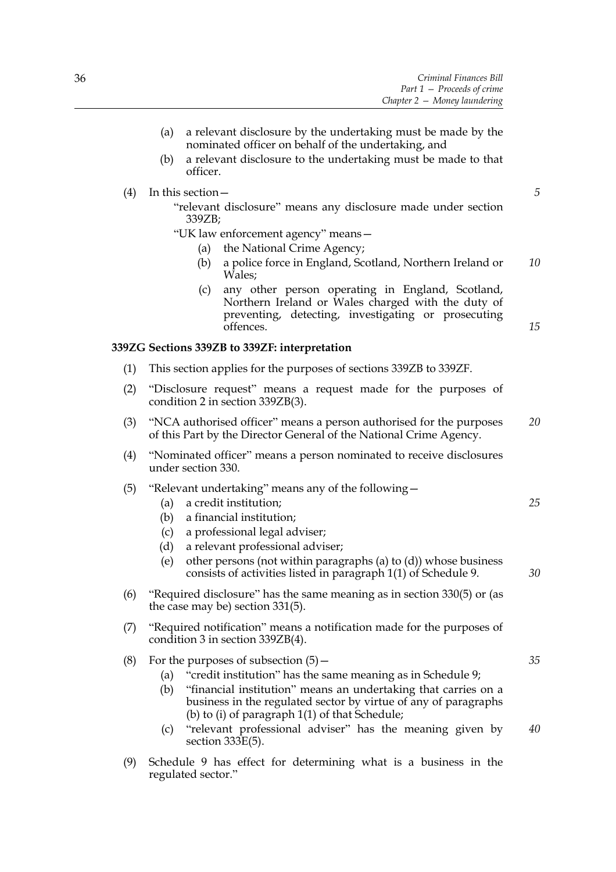nominated officer on behalf of the undertaking, and (b) a relevant disclosure to the undertaking must be made to that officer. (4) In this section— "relevant disclosure" means any disclosure made under section 339ZB; "UK law enforcement agency" means— (a) the National Crime Agency; (b) a police force in England, Scotland, Northern Ireland or Wales; (c) any other person operating in England, Scotland, Northern Ireland or Wales charged with the duty of preventing, detecting, investigating or prosecuting offences. **339ZG Sections 339ZB to 339ZF: interpretation** (1) This section applies for the purposes of sections 339ZB to 339ZF. (2) "Disclosure request" means a request made for the purposes of condition 2 in section 339ZB(3). (3) "NCA authorised officer" means a person authorised for the purposes of this Part by the Director General of the National Crime Agency. (4) "Nominated officer" means a person nominated to receive disclosures under section 330. (5) "Relevant undertaking" means any of the following— (a) a credit institution; (b) a financial institution; (c) a professional legal adviser; (d) a relevant professional adviser; (e) other persons (not within paragraphs (a) to (d)) whose business consists of activities listed in paragraph 1(1) of Schedule 9. (6) "Required disclosure" has the same meaning as in section 330(5) or (as the case may be) section 331(5). (7) "Required notification" means a notification made for the purposes of condition 3 in section 339ZB(4). (8) For the purposes of subsection  $(5)$  – (a) "credit institution" has the same meaning as in Schedule 9; (b) "financial institution" means an undertaking that carries on a business in the regulated sector by virtue of any of paragraphs (b) to (i) of paragraph 1(1) of that Schedule; *5 10 15 20 25 30 40*

(a) a relevant disclosure by the undertaking must be made by the

- (c) "relevant professional adviser" has the meaning given by section 333E(5).
- (9) Schedule 9 has effect for determining what is a business in the regulated sector."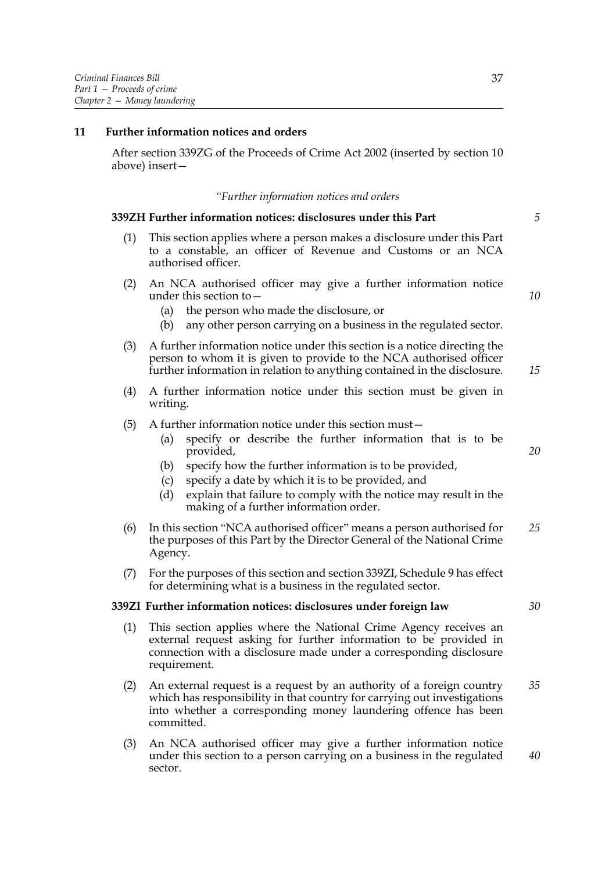### **11 Further information notices and orders**

After section 339ZG of the Proceeds of Crime Act 2002 (inserted by section 10 above) insert—

#### *"Further information notices and orders*

#### **339ZH Further information notices: disclosures under this Part**

- (1) This section applies where a person makes a disclosure under this Part to a constable, an officer of Revenue and Customs or an NCA authorised officer.
- (2) An NCA authorised officer may give a further information notice under this section to—
	- (a) the person who made the disclosure, or
	- (b) any other person carrying on a business in the regulated sector.
- (3) A further information notice under this section is a notice directing the person to whom it is given to provide to the NCA authorised officer further information in relation to anything contained in the disclosure.
- (4) A further information notice under this section must be given in writing.
- (5) A further information notice under this section must—
	- (a) specify or describe the further information that is to be provided,
	- (b) specify how the further information is to be provided,
	- (c) specify a date by which it is to be provided, and
	- (d) explain that failure to comply with the notice may result in the making of a further information order.
- (6) In this section "NCA authorised officer" means a person authorised for the purposes of this Part by the Director General of the National Crime Agency. *25*
- (7) For the purposes of this section and section 339ZI, Schedule 9 has effect for determining what is a business in the regulated sector.

#### **339ZI Further information notices: disclosures under foreign law**

- (1) This section applies where the National Crime Agency receives an external request asking for further information to be provided in connection with a disclosure made under a corresponding disclosure requirement.
- (2) An external request is a request by an authority of a foreign country which has responsibility in that country for carrying out investigations into whether a corresponding money laundering offence has been committed. *35*
- (3) An NCA authorised officer may give a further information notice under this section to a person carrying on a business in the regulated sector. *40*

*5*

*10*

*15*

*20*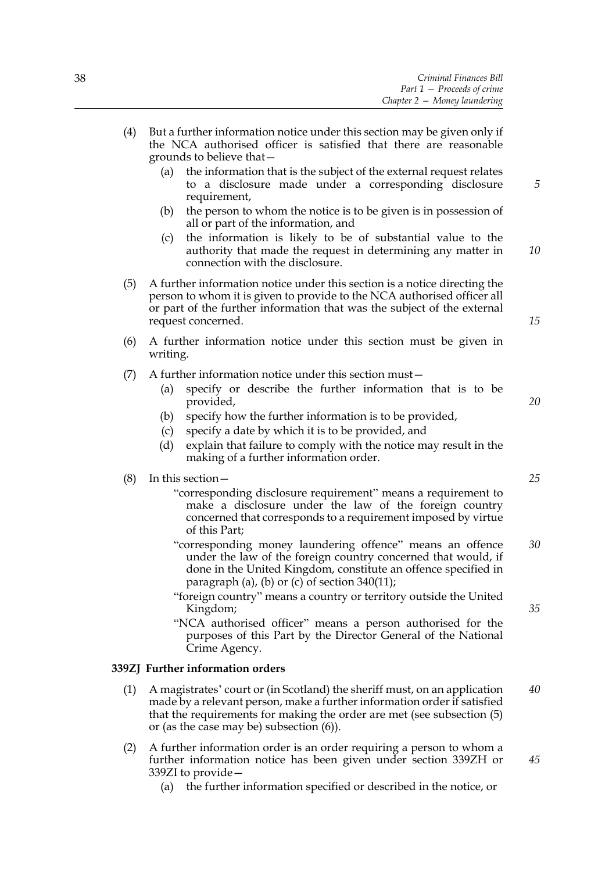|    | But a further information notice under this section may be given only if<br>the NCA authorised officer is satisfied that there are reasonable<br>grounds to believe that -                                                                                                     | (4) |
|----|--------------------------------------------------------------------------------------------------------------------------------------------------------------------------------------------------------------------------------------------------------------------------------|-----|
| 5  | the information that is the subject of the external request relates<br>(a)<br>to a disclosure made under a corresponding disclosure<br>requirement,                                                                                                                            |     |
|    | the person to whom the notice is to be given is in possession of<br>(b)<br>all or part of the information, and                                                                                                                                                                 |     |
| 10 | the information is likely to be of substantial value to the<br>(c)<br>authority that made the request in determining any matter in<br>connection with the disclosure.                                                                                                          |     |
| 15 | A further information notice under this section is a notice directing the<br>person to whom it is given to provide to the NCA authorised officer all<br>or part of the further information that was the subject of the external<br>request concerned.                          | (5) |
|    | A further information notice under this section must be given in<br>writing.                                                                                                                                                                                                   | (6) |
| 20 | A further information notice under this section must-<br>specify or describe the further information that is to be<br>(a)<br>provided,<br>specify how the further information is to be provided,<br>(b)<br>specify a date by which it is to be provided, and<br>(c)            | (7) |
|    | explain that failure to comply with the notice may result in the<br>(d)<br>making of a further information order.                                                                                                                                                              |     |
| 25 | In this section $-$<br>"corresponding disclosure requirement" means a requirement to<br>make a disclosure under the law of the foreign country<br>concerned that corresponds to a requirement imposed by virtue<br>of this Part;                                               | (8) |
| 30 | "corresponding money laundering offence" means an offence<br>under the law of the foreign country concerned that would, if<br>done in the United Kingdom, constitute an offence specified in<br>paragraph (a), (b) or (c) of section $340(11)$ ;                               |     |
| 35 | "foreign country" means a country or territory outside the United<br>Kingdom;<br>"NCA authorised officer" means a person authorised for the<br>purposes of this Part by the Director General of the National<br>Crime Agency.                                                  |     |
|    | 339ZJ Further information orders                                                                                                                                                                                                                                               |     |
| 40 | A magistrates' court or (in Scotland) the sheriff must, on an application<br>made by a relevant person, make a further information order if satisfied<br>that the requirements for making the order are met (see subsection (5)<br>or (as the case may be) subsection $(6)$ ). | (1) |
| 45 | A further information order is an order requiring a person to whom a<br>further information notice has been given under section 339ZH or<br>$339ZI$ to provide $-$                                                                                                             | (2) |

(a) the further information specified or described in the notice, or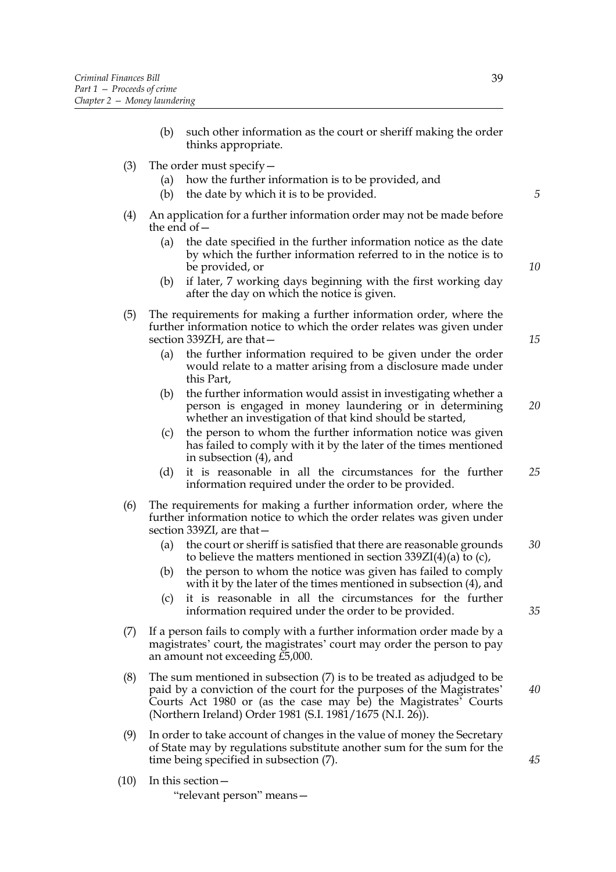- (b) such other information as the court or sheriff making the order thinks appropriate.
- (3) The order must specify—
	- (a) how the further information is to be provided, and
	- (b) the date by which it is to be provided.
- (4) An application for a further information order may not be made before the end of—
	- (a) the date specified in the further information notice as the date by which the further information referred to in the notice is to be provided, or
	- (b) if later, 7 working days beginning with the first working day after the day on which the notice is given.
- (5) The requirements for making a further information order, where the further information notice to which the order relates was given under section 339ZH, are that—
	- (a) the further information required to be given under the order would relate to a matter arising from a disclosure made under this Part,
	- (b) the further information would assist in investigating whether a person is engaged in money laundering or in determining whether an investigation of that kind should be started,
	- (c) the person to whom the further information notice was given has failed to comply with it by the later of the times mentioned in subsection (4), and
	- (d) it is reasonable in all the circumstances for the further information required under the order to be provided. *25*
- (6) The requirements for making a further information order, where the further information notice to which the order relates was given under section 339ZI, are that—
	- (a) the court or sheriff is satisfied that there are reasonable grounds to believe the matters mentioned in section 339ZI(4)(a) to (c), *30*
	- (b) the person to whom the notice was given has failed to comply with it by the later of the times mentioned in subsection (4), and
	- (c) it is reasonable in all the circumstances for the further information required under the order to be provided.
- (7) If a person fails to comply with a further information order made by a magistrates' court, the magistrates' court may order the person to pay an amount not exceeding £5,000.
- (8) The sum mentioned in subsection (7) is to be treated as adjudged to be paid by a conviction of the court for the purposes of the Magistrates' Courts Act 1980 or (as the case may be) the Magistrates' Courts (Northern Ireland) Order 1981 (S.I. 1981/1675 (N.I. 26)).
- (9) In order to take account of changes in the value of money the Secretary of State may by regulations substitute another sum for the sum for the time being specified in subsection (7).
- (10) In this section—

"relevant person" means—

*5*

*10*

*15*

*20*

*35*

*40*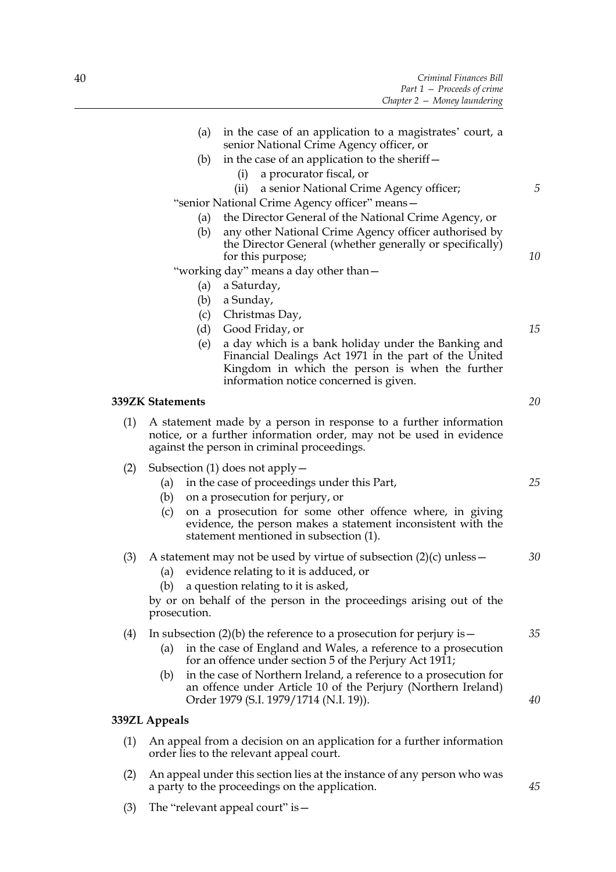|     | (a)<br>in the case of an application to a magistrates' court, a<br>senior National Crime Agency officer, or                                                                                                      |        |
|-----|------------------------------------------------------------------------------------------------------------------------------------------------------------------------------------------------------------------|--------|
|     | in the case of an application to the sheriff -<br>(b)                                                                                                                                                            |        |
|     | a procurator fiscal, or<br>(i)<br>(ii)<br>a senior National Crime Agency officer;                                                                                                                                | 5      |
|     | "senior National Crime Agency officer" means-                                                                                                                                                                    |        |
|     | the Director General of the National Crime Agency, or<br>(a)                                                                                                                                                     |        |
|     | any other National Crime Agency officer authorised by<br>(b)<br>the Director General (whether generally or specifically)<br>for this purpose;                                                                    | 10     |
|     | "working day" means a day other than -                                                                                                                                                                           |        |
|     | (a)<br>a Saturday,                                                                                                                                                                                               |        |
|     | (b)<br>a Sunday,                                                                                                                                                                                                 |        |
|     | Christmas Day,<br>(c)                                                                                                                                                                                            |        |
|     | Good Friday, or<br>(d)                                                                                                                                                                                           | 15     |
|     | (e)<br>a day which is a bank holiday under the Banking and<br>Financial Dealings Act 1971 in the part of the United<br>Kingdom in which the person is when the further<br>information notice concerned is given. |        |
|     | 339ZK Statements                                                                                                                                                                                                 | 20     |
| (1) | A statement made by a person in response to a further information<br>notice, or a further information order, may not be used in evidence<br>against the person in criminal proceedings.                          |        |
| (2) | Subsection $(1)$ does not apply $-$                                                                                                                                                                              |        |
|     | in the case of proceedings under this Part,<br>(a)                                                                                                                                                               | 25     |
|     | on a prosecution for perjury, or<br>(b)                                                                                                                                                                          |        |
|     | on a prosecution for some other offence where, in giving<br>(c)<br>evidence, the person makes a statement inconsistent with the<br>statement mentioned in subsection (1).                                        |        |
| (3) | A statement may not be used by virtue of subsection $(2)(c)$ unless –                                                                                                                                            | $30\,$ |
|     | evidence relating to it is adduced, or<br>(a)                                                                                                                                                                    |        |
|     | a question relating to it is asked,<br>(b)                                                                                                                                                                       |        |
|     | by or on behalf of the person in the proceedings arising out of the<br>prosecution.                                                                                                                              |        |
| (4) | In subsection $(2)(b)$ the reference to a prosecution for perjury is $-$                                                                                                                                         | 35     |
|     | in the case of England and Wales, a reference to a prosecution<br>(a)<br>for an offence under section 5 of the Perjury Act 1911;                                                                                 |        |
|     | in the case of Northern Ireland, a reference to a prosecution for<br>(b)<br>an offence under Article 10 of the Perjury (Northern Ireland)<br>Order 1979 (S.I. 1979/1714 (N.I. 19)).                              | 40     |
|     | <b>339ZL Appeals</b>                                                                                                                                                                                             |        |
| (1) | An appeal from a decision on an application for a further information<br>order lies to the relevant appeal court.                                                                                                |        |
|     |                                                                                                                                                                                                                  |        |

- (2) An appeal under this section lies at the instance of any person who was a party to the proceedings on the application.
- (3) The "relevant appeal court" is—

*20*

*25*

*35*

*40*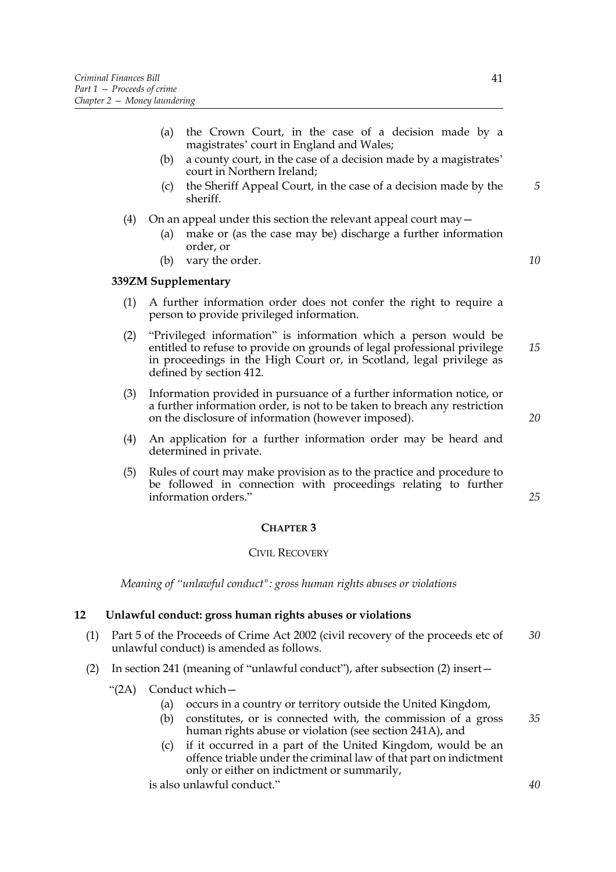(a) the Crown Court, in the case of a decision made by a magistrates' court in England and Wales; (b) a county court, in the case of a decision made by a magistrates' court in Northern Ireland; (c) the Sheriff Appeal Court, in the case of a decision made by the sheriff.

# (4) On an appeal under this section the relevant appeal court may—

- (a) make or (as the case may be) discharge a further information order, or
- (b) vary the order.

#### **339ZM Supplementary**

- (1) A further information order does not confer the right to require a person to provide privileged information.
- (2) "Privileged information" is information which a person would be entitled to refuse to provide on grounds of legal professional privilege in proceedings in the High Court or, in Scotland, legal privilege as defined by section 412. *15*
- (3) Information provided in pursuance of a further information notice, or a further information order, is not to be taken to breach any restriction on the disclosure of information (however imposed).
- (4) An application for a further information order may be heard and determined in private.
- (5) Rules of court may make provision as to the practice and procedure to be followed in connection with proceedings relating to further information orders."

#### **CHAPTER 3**

#### CIVIL RECOVERY

*Meaning of "unlawful conduct": gross human rights abuses or violations*

#### **12 Unlawful conduct: gross human rights abuses or violations**

- (1) Part 5 of the Proceeds of Crime Act 2002 (civil recovery of the proceeds etc of unlawful conduct) is amended as follows. *30*
- (2) In section 241 (meaning of "unlawful conduct"), after subsection (2) insert—
	- "(2A) Conduct which—
		- (a) occurs in a country or territory outside the United Kingdom,
		- (b) constitutes, or is connected with, the commission of a gross human rights abuse or violation (see section 241A), and *35*
		- (c) if it occurred in a part of the United Kingdom, would be an offence triable under the criminal law of that part on indictment only or either on indictment or summarily,

is also unlawful conduct."

*20*

*25*

*5*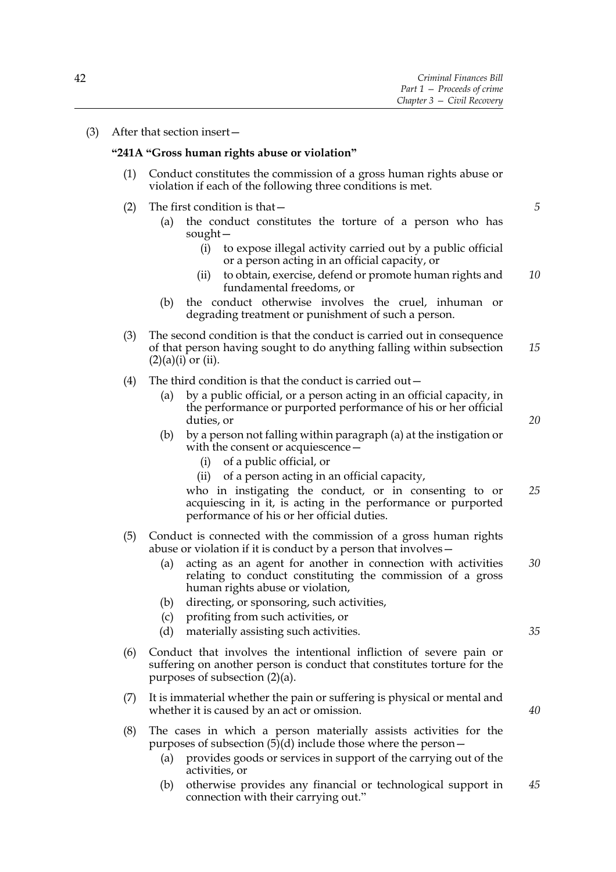# (3) After that section insert—

#### **"241A "Gross human rights abuse or violation"**

- (1) Conduct constitutes the commission of a gross human rights abuse or violation if each of the following three conditions is met.
- (2) The first condition is that—
	- (a) the conduct constitutes the torture of a person who has sought—
		- (i) to expose illegal activity carried out by a public official or a person acting in an official capacity, or
		- (ii) to obtain, exercise, defend or promote human rights and fundamental freedoms, or *10*
	- (b) the conduct otherwise involves the cruel, inhuman or degrading treatment or punishment of such a person.
- (3) The second condition is that the conduct is carried out in consequence of that person having sought to do anything falling within subsection  $(2)(a)(i)$  or (ii). *15*
- (4) The third condition is that the conduct is carried out  $-$ 
	- (a) by a public official, or a person acting in an official capacity, in the performance or purported performance of his or her official duties, or
	- (b) by a person not falling within paragraph (a) at the instigation or with the consent or acquiescence—
		- (i) of a public official, or
		- (ii) of a person acting in an official capacity,

who in instigating the conduct, or in consenting to or acquiescing in it, is acting in the performance or purported performance of his or her official duties. *25*

### (5) Conduct is connected with the commission of a gross human rights abuse or violation if it is conduct by a person that involves—

- (a) acting as an agent for another in connection with activities relating to conduct constituting the commission of a gross human rights abuse or violation, *30*
- (b) directing, or sponsoring, such activities,
- (c) profiting from such activities, or
- (d) materially assisting such activities.
- (6) Conduct that involves the intentional infliction of severe pain or suffering on another person is conduct that constitutes torture for the purposes of subsection (2)(a).
- (7) It is immaterial whether the pain or suffering is physical or mental and whether it is caused by an act or omission.
- (8) The cases in which a person materially assists activities for the purposes of subsection  $(5)(d)$  include those where the person –
	- (a) provides goods or services in support of the carrying out of the activities, or
	- (b) otherwise provides any financial or technological support in connection with their carrying out." *45*

42

*40*

*35*

*5*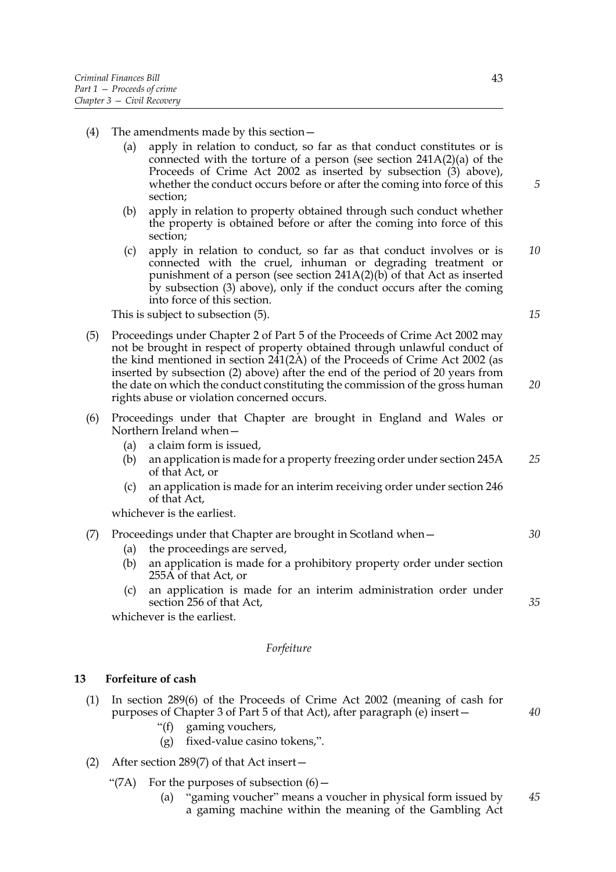- (4) The amendments made by this section—
	- (a) apply in relation to conduct, so far as that conduct constitutes or is connected with the torture of a person (see section 241A(2)(a) of the Proceeds of Crime Act 2002 as inserted by subsection (3) above), whether the conduct occurs before or after the coming into force of this section;
	- (b) apply in relation to property obtained through such conduct whether the property is obtained before or after the coming into force of this section;
	- (c) apply in relation to conduct, so far as that conduct involves or is connected with the cruel, inhuman or degrading treatment or punishment of a person (see section 241A(2)(b) of that Act as inserted by subsection (3) above), only if the conduct occurs after the coming into force of this section. *10*

This is subject to subsection (5).

- (5) Proceedings under Chapter 2 of Part 5 of the Proceeds of Crime Act 2002 may not be brought in respect of property obtained through unlawful conduct of the kind mentioned in section 241(2A) of the Proceeds of Crime Act 2002 (as inserted by subsection (2) above) after the end of the period of 20 years from the date on which the conduct constituting the commission of the gross human rights abuse or violation concerned occurs.
- (6) Proceedings under that Chapter are brought in England and Wales or Northern Ireland when—
	- (a) a claim form is issued,
	- (b) an application is made for a property freezing order under section 245A of that Act, or *25*
	- (c) an application is made for an interim receiving order under section 246 of that Act,

whichever is the earliest.

|  |  | (7) Proceedings under that Chapter are brought in Scotland when - | 30 |
|--|--|-------------------------------------------------------------------|----|
|--|--|-------------------------------------------------------------------|----|

- (a) the proceedings are served,
- (b) an application is made for a prohibitory property order under section 255A of that Act, or
- (c) an application is made for an interim administration order under section 256 of that Act,

whichever is the earliest.

#### *Forfeiture*

# **13 Forfeiture of cash**

- (1) In section 289(6) of the Proceeds of Crime Act 2002 (meaning of cash for purposes of Chapter 3 of Part 5 of that Act), after paragraph (e) insert—
	- "(f) gaming vouchers,
	- (g) fixed-value casino tokens,".
- (2) After section 289(7) of that Act insert—
	- "(7A) For the purposes of subsection  $(6)$  -
		- (a) "gaming voucher" means a voucher in physical form issued by a gaming machine within the meaning of the Gambling Act *45*

*15*

*20*

*5*

*35*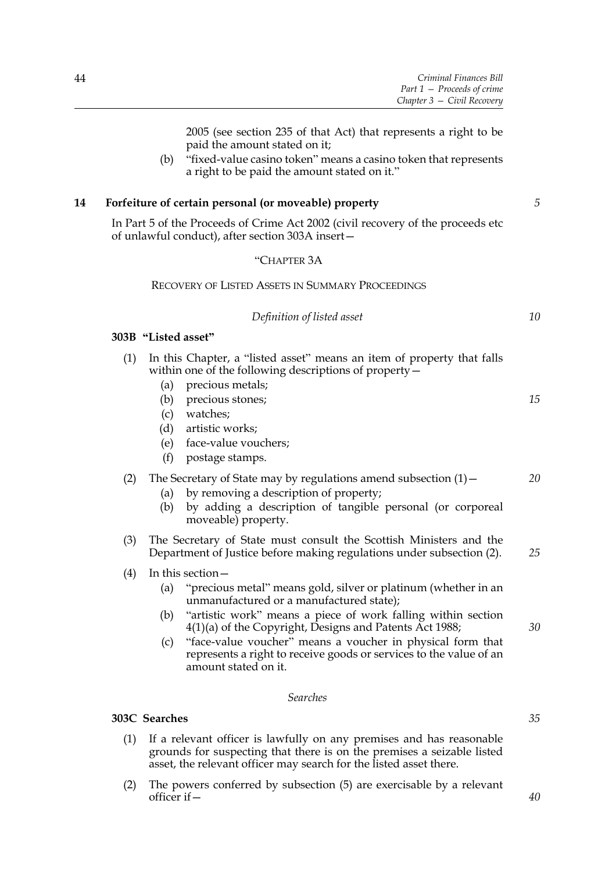2005 (see section 235 of that Act) that represents a right to be paid the amount stated on it;

(b) "fixed-value casino token" means a casino token that represents a right to be paid the amount stated on it."

### **14 Forfeiture of certain personal (or moveable) property**

In Part 5 of the Proceeds of Crime Act 2002 (civil recovery of the proceeds etc of unlawful conduct), after section 303A insert—

### "CHAPTER 3A

#### RECOVERY OF LISTED ASSETS IN SUMMARY PROCEEDINGS

#### *Definition of listed asset*

#### **303B "Listed asset"**

| (1) In this Chapter, a "listed asset" means an item of property that falls |  |
|----------------------------------------------------------------------------|--|
| within one of the following descriptions of property $-$                   |  |

- (a) precious metals;
- (b) precious stones;
- (c) watches;
- (d) artistic works;
- (e) face-value vouchers;
- (f) postage stamps.

### (2) The Secretary of State may by regulations amend subsection  $(1)$  -

- (a) by removing a description of property;
- (b) by adding a description of tangible personal (or corporeal moveable) property.
- (3) The Secretary of State must consult the Scottish Ministers and the Department of Justice before making regulations under subsection (2).
- (4) In this section—
	- (a) "precious metal" means gold, silver or platinum (whether in an unmanufactured or a manufactured state);
	- (b) "artistic work" means a piece of work falling within section 4(1)(a) of the Copyright, Designs and Patents Act 1988;
	- (c) "face-value voucher" means a voucher in physical form that represents a right to receive goods or services to the value of an amount stated on it.

#### *Searches*

### **303C Searches**

- (1) If a relevant officer is lawfully on any premises and has reasonable grounds for suspecting that there is on the premises a seizable listed asset, the relevant officer may search for the listed asset there.
- (2) The powers conferred by subsection (5) are exercisable by a relevant officer if—

*35*

*5*

*10*

*15*

*20*

*25*

*30*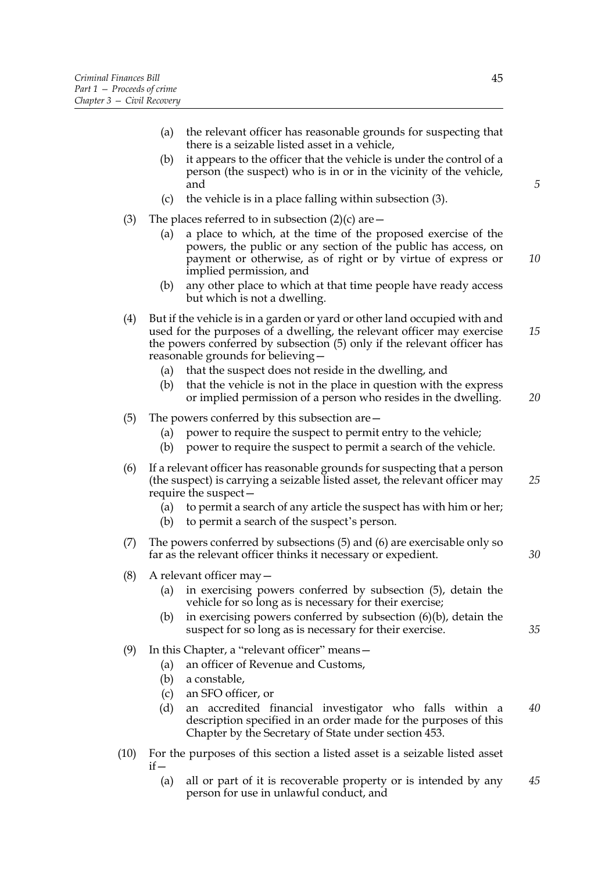- (a) the relevant officer has reasonable grounds for suspecting that there is a seizable listed asset in a vehicle, (b) it appears to the officer that the vehicle is under the control of a person (the suspect) who is in or in the vicinity of the vehicle, and (c) the vehicle is in a place falling within subsection (3). (3) The places referred to in subsection  $(2)(c)$  are  $-$ (a) a place to which, at the time of the proposed exercise of the powers, the public or any section of the public has access, on payment or otherwise, as of right or by virtue of express or implied permission, and (b) any other place to which at that time people have ready access but which is not a dwelling. (4) But if the vehicle is in a garden or yard or other land occupied with and used for the purposes of a dwelling, the relevant officer may exercise the powers conferred by subsection (5) only if the relevant officer has reasonable grounds for believing— (a) that the suspect does not reside in the dwelling, and (b) that the vehicle is not in the place in question with the express or implied permission of a person who resides in the dwelling. (5) The powers conferred by this subsection are— (a) power to require the suspect to permit entry to the vehicle; (b) power to require the suspect to permit a search of the vehicle. (6) If a relevant officer has reasonable grounds for suspecting that a person (the suspect) is carrying a seizable listed asset, the relevant officer may require the suspect— (a) to permit a search of any article the suspect has with him or her; (b) to permit a search of the suspect's person. (7) The powers conferred by subsections (5) and (6) are exercisable only so far as the relevant officer thinks it necessary or expedient. (8) A relevant officer may— (a) in exercising powers conferred by subsection (5), detain the vehicle for so long as is necessary for their exercise; (b) in exercising powers conferred by subsection (6)(b), detain the suspect for so long as is necessary for their exercise. (9) In this Chapter, a "relevant officer" means— (a) an officer of Revenue and Customs, (b) a constable, (c) an SFO officer, or (d) an accredited financial investigator who falls within a description specified in an order made for the purposes of this Chapter by the Secretary of State under section 453. *5 10 15 20 25 30 35 40*
- (10) For the purposes of this section a listed asset is a seizable listed asset  $if -$ 
	- (a) all or part of it is recoverable property or is intended by any person for use in unlawful conduct, and *45*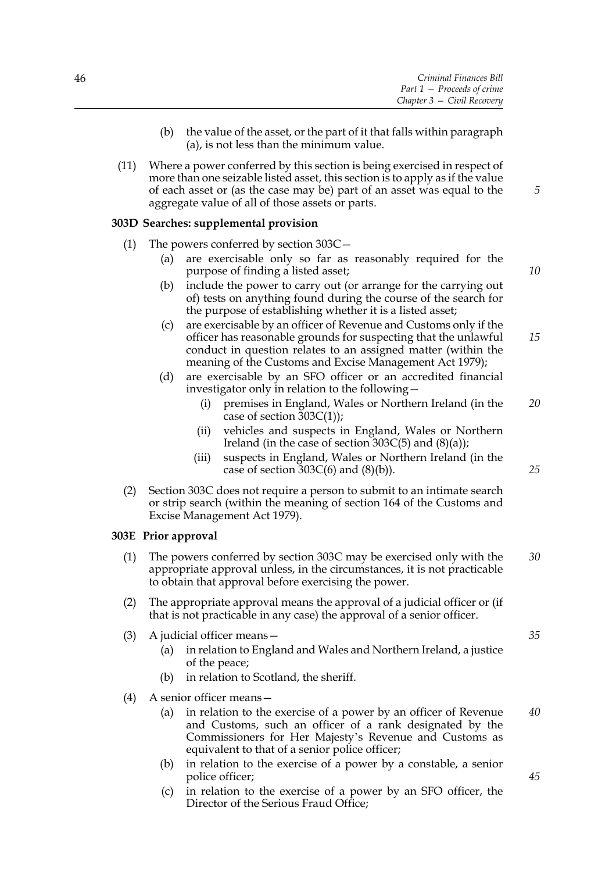- (b) the value of the asset, or the part of it that falls within paragraph (a), is not less than the minimum value.
- (11) Where a power conferred by this section is being exercised in respect of more than one seizable listed asset, this section is to apply as if the value of each asset or (as the case may be) part of an asset was equal to the aggregate value of all of those assets or parts.

### **303D Searches: supplemental provision**

- (1) The powers conferred by section 303C—
	- (a) are exercisable only so far as reasonably required for the purpose of finding a listed asset;

(b) include the power to carry out (or arrange for the carrying out of) tests on anything found during the course of the search for the purpose of establishing whether it is a listed asset;

- (c) are exercisable by an officer of Revenue and Customs only if the officer has reasonable grounds for suspecting that the unlawful conduct in question relates to an assigned matter (within the meaning of the Customs and Excise Management Act 1979); *15*
- (d) are exercisable by an SFO officer or an accredited financial investigator only in relation to the following
	- premises in England, Wales or Northern Ireland (in the case of section 303C(1)); *20*
	- (ii) vehicles and suspects in England, Wales or Northern Ireland (in the case of section  $303C(5)$  and  $(8)(a)$ );
	- (iii) suspects in England, Wales or Northern Ireland (in the case of section  $303C(6)$  and  $(8)(b)$ ).
- (2) Section 303C does not require a person to submit to an intimate search or strip search (within the meaning of section 164 of the Customs and Excise Management Act 1979).

### **303E Prior approval**

- (1) The powers conferred by section 303C may be exercised only with the appropriate approval unless, in the circumstances, it is not practicable to obtain that approval before exercising the power. *30*
- (2) The appropriate approval means the approval of a judicial officer or (if that is not practicable in any case) the approval of a senior officer.
- (3) A judicial officer means—
	- (a) in relation to England and Wales and Northern Ireland, a justice of the peace;
		- (b) in relation to Scotland, the sheriff.
- (4) A senior officer means—
	- (a) in relation to the exercise of a power by an officer of Revenue and Customs, such an officer of a rank designated by the Commissioners for Her Majesty's Revenue and Customs as equivalent to that of a senior police officer;
	- (b) in relation to the exercise of a power by a constable, a senior police officer;
	- (c) in relation to the exercise of a power by an SFO officer, the Director of the Serious Fraud Office;

*35*

*25*

*5*

*10*

*40*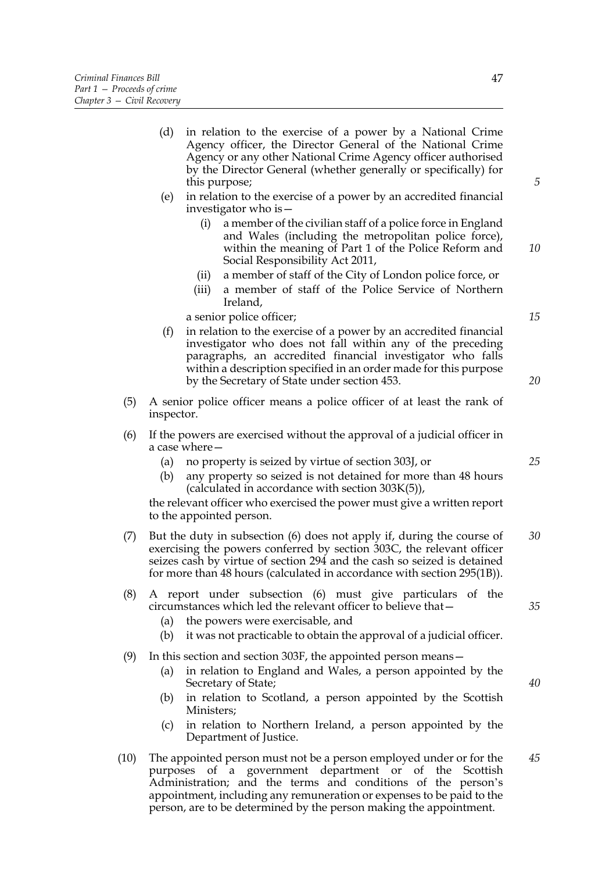- (d) in relation to the exercise of a power by a National Crime Agency officer, the Director General of the National Crime Agency or any other National Crime Agency officer authorised by the Director General (whether generally or specifically) for this purpose; (e) in relation to the exercise of a power by an accredited financial investigator who is— (i) a member of the civilian staff of a police force in England and Wales (including the metropolitan police force), within the meaning of Part 1 of the Police Reform and Social Responsibility Act 2011, (ii) a member of staff of the City of London police force, or (iii) a member of staff of the Police Service of Northern Ireland, a senior police officer; (f) in relation to the exercise of a power by an accredited financial investigator who does not fall within any of the preceding paragraphs, an accredited financial investigator who falls within a description specified in an order made for this purpose by the Secretary of State under section 453. (5) A senior police officer means a police officer of at least the rank of inspector. (6) If the powers are exercised without the approval of a judicial officer in a case where— (a) no property is seized by virtue of section 303J, or (b) any property so seized is not detained for more than 48 hours (calculated in accordance with section 303K(5)), the relevant officer who exercised the power must give a written report to the appointed person. (7) But the duty in subsection (6) does not apply if, during the course of exercising the powers conferred by section 303C, the relevant officer seizes cash by virtue of section 294 and the cash so seized is detained for more than 48 hours (calculated in accordance with section 295(1B)). (8) A report under subsection (6) must give particulars of the circumstances which led the relevant officer to believe that— (a) the powers were exercisable, and (b) it was not practicable to obtain the approval of a judicial officer. *5 10 15 20 30 35*
- (9) In this section and section 303F, the appointed person means—
	- (a) in relation to England and Wales, a person appointed by the Secretary of State;
	- (b) in relation to Scotland, a person appointed by the Scottish Ministers;
	- (c) in relation to Northern Ireland, a person appointed by the Department of Justice.
- (10) The appointed person must not be a person employed under or for the purposes of a government department or of the Scottish Administration; and the terms and conditions of the person's appointment, including any remuneration or expenses to be paid to the person, are to be determined by the person making the appointment. *45*

*25*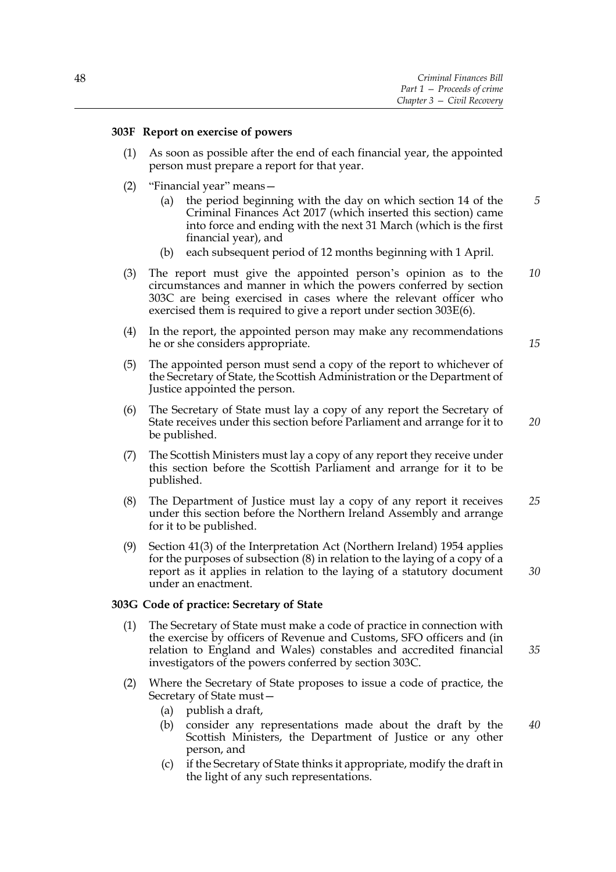### **303F Report on exercise of powers**

- (1) As soon as possible after the end of each financial year, the appointed person must prepare a report for that year.
- (2) "Financial year" means—
	- (a) the period beginning with the day on which section 14 of the Criminal Finances Act 2017 (which inserted this section) came into force and ending with the next 31 March (which is the first financial year), and
	- (b) each subsequent period of 12 months beginning with 1 April.
- (3) The report must give the appointed person's opinion as to the circumstances and manner in which the powers conferred by section 303C are being exercised in cases where the relevant officer who exercised them is required to give a report under section 303E(6). *10*
- (4) In the report, the appointed person may make any recommendations he or she considers appropriate.
- (5) The appointed person must send a copy of the report to whichever of the Secretary of State, the Scottish Administration or the Department of Justice appointed the person.
- (6) The Secretary of State must lay a copy of any report the Secretary of State receives under this section before Parliament and arrange for it to be published. *20*
- (7) The Scottish Ministers must lay a copy of any report they receive under this section before the Scottish Parliament and arrange for it to be published.
- (8) The Department of Justice must lay a copy of any report it receives under this section before the Northern Ireland Assembly and arrange for it to be published. *25*
- (9) Section 41(3) of the Interpretation Act (Northern Ireland) 1954 applies for the purposes of subsection (8) in relation to the laying of a copy of a report as it applies in relation to the laying of a statutory document under an enactment. *30*

### **303G Code of practice: Secretary of State**

- (1) The Secretary of State must make a code of practice in connection with the exercise by officers of Revenue and Customs, SFO officers and (in relation to England and Wales) constables and accredited financial investigators of the powers conferred by section 303C.
- (2) Where the Secretary of State proposes to issue a code of practice, the Secretary of State must—
	- (a) publish a draft,
	- (b) consider any representations made about the draft by the Scottish Ministers, the Department of Justice or any other person, and
	- (c) if the Secretary of State thinks it appropriate, modify the draft in the light of any such representations.

*15*

*35*

*40*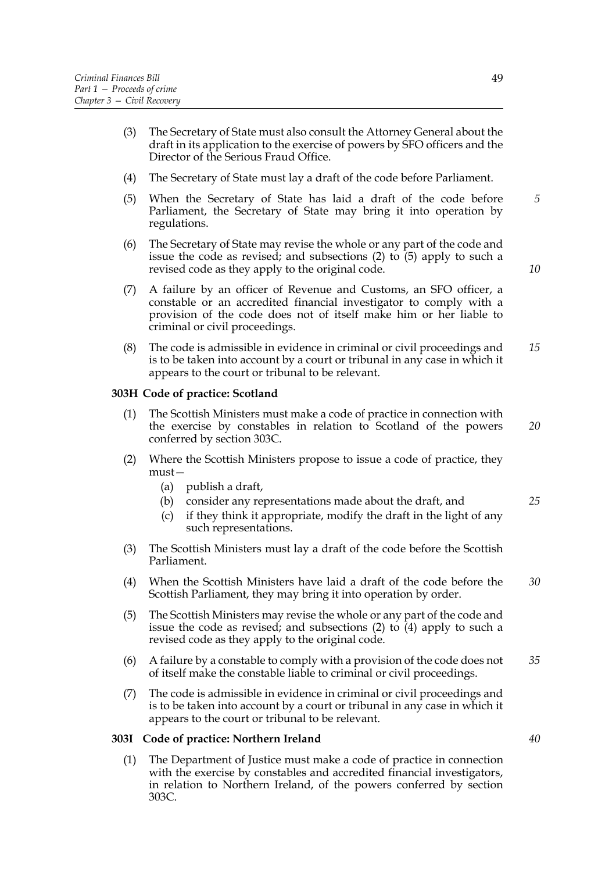- (3) The Secretary of State must also consult the Attorney General about the draft in its application to the exercise of powers by SFO officers and the Director of the Serious Fraud Office.
- (4) The Secretary of State must lay a draft of the code before Parliament.
- (5) When the Secretary of State has laid a draft of the code before Parliament, the Secretary of State may bring it into operation by regulations.
- (6) The Secretary of State may revise the whole or any part of the code and issue the code as revised; and subsections  $(2)$  to  $(5)$  apply to such a revised code as they apply to the original code.
- (7) A failure by an officer of Revenue and Customs, an SFO officer, a constable or an accredited financial investigator to comply with a provision of the code does not of itself make him or her liable to criminal or civil proceedings.
- (8) The code is admissible in evidence in criminal or civil proceedings and is to be taken into account by a court or tribunal in any case in which it appears to the court or tribunal to be relevant. *15*

### **303H Code of practice: Scotland**

- (1) The Scottish Ministers must make a code of practice in connection with the exercise by constables in relation to Scotland of the powers conferred by section 303C. *20*
- (2) Where the Scottish Ministers propose to issue a code of practice, they must—
	- (a) publish a draft,
	- (b) consider any representations made about the draft, and
	- (c) if they think it appropriate, modify the draft in the light of any such representations.
- (3) The Scottish Ministers must lay a draft of the code before the Scottish Parliament.
- (4) When the Scottish Ministers have laid a draft of the code before the Scottish Parliament, they may bring it into operation by order. *30*
- (5) The Scottish Ministers may revise the whole or any part of the code and issue the code as revised; and subsections (2) to (4) apply to such a revised code as they apply to the original code.
- (6) A failure by a constable to comply with a provision of the code does not of itself make the constable liable to criminal or civil proceedings. *35*
- (7) The code is admissible in evidence in criminal or civil proceedings and is to be taken into account by a court or tribunal in any case in which it appears to the court or tribunal to be relevant.

### **303I Code of practice: Northern Ireland**

(1) The Department of Justice must make a code of practice in connection with the exercise by constables and accredited financial investigators, in relation to Northern Ireland, of the powers conferred by section 303C.

*10*

*5*

*25*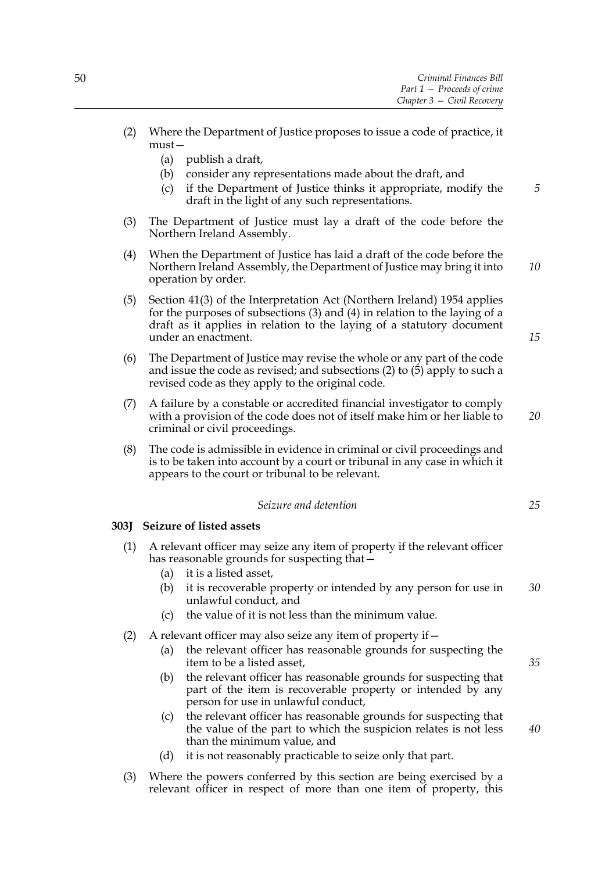- (2) Where the Department of Justice proposes to issue a code of practice, it must—
	- (a) publish a draft,
	- (b) consider any representations made about the draft, and
	- (c) if the Department of Justice thinks it appropriate, modify the draft in the light of any such representations.
- (3) The Department of Justice must lay a draft of the code before the Northern Ireland Assembly.
- (4) When the Department of Justice has laid a draft of the code before the Northern Ireland Assembly, the Department of Justice may bring it into operation by order.
- (5) Section 41(3) of the Interpretation Act (Northern Ireland) 1954 applies for the purposes of subsections (3) and (4) in relation to the laying of a draft as it applies in relation to the laying of a statutory document under an enactment.
- (6) The Department of Justice may revise the whole or any part of the code and issue the code as revised; and subsections (2) to  $(5)$  apply to such a revised code as they apply to the original code.
- (7) A failure by a constable or accredited financial investigator to comply with a provision of the code does not of itself make him or her liable to criminal or civil proceedings.
- (8) The code is admissible in evidence in criminal or civil proceedings and is to be taken into account by a court or tribunal in any case in which it appears to the court or tribunal to be relevant.

#### *Seizure and detention*

# **303J Seizure of listed assets**

- (1) A relevant officer may seize any item of property if the relevant officer has reasonable grounds for suspecting that—
	- (a) it is a listed asset,
	- (b) it is recoverable property or intended by any person for use in unlawful conduct, and *30*
	- (c) the value of it is not less than the minimum value.
- (2) A relevant officer may also seize any item of property if  $-$ 
	- (a) the relevant officer has reasonable grounds for suspecting the item to be a listed asset,
	- (b) the relevant officer has reasonable grounds for suspecting that part of the item is recoverable property or intended by any person for use in unlawful conduct,
	- (c) the relevant officer has reasonable grounds for suspecting that the value of the part to which the suspicion relates is not less than the minimum value, and
	- (d) it is not reasonably practicable to seize only that part.
- (3) Where the powers conferred by this section are being exercised by a relevant officer in respect of more than one item of property, this

*25*

*5*

*10*

*15*

*20*

*35*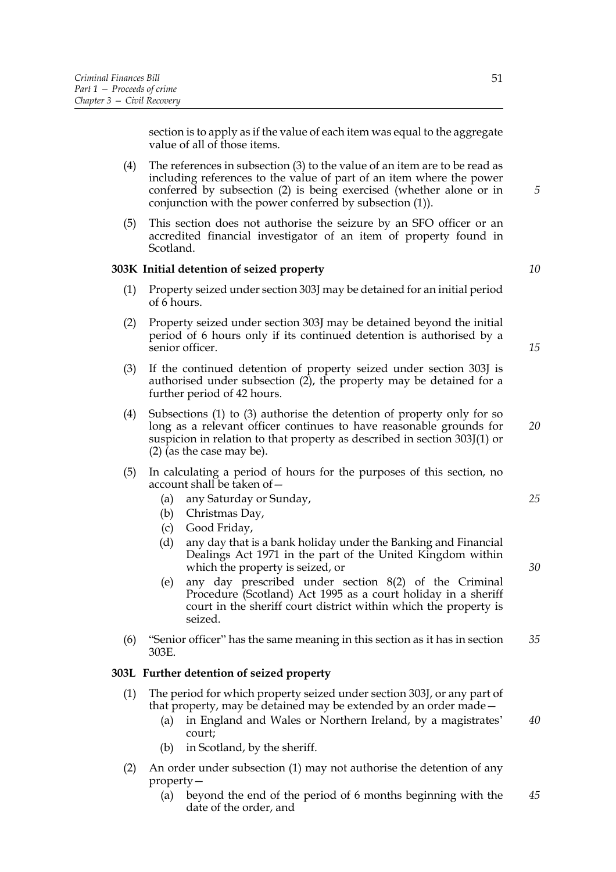section is to apply as if the value of each item was equal to the aggregate value of all of those items.

- (4) The references in subsection (3) to the value of an item are to be read as including references to the value of part of an item where the power conferred by subsection (2) is being exercised (whether alone or in conjunction with the power conferred by subsection (1)).
- (5) This section does not authorise the seizure by an SFO officer or an accredited financial investigator of an item of property found in Scotland.

### **303K Initial detention of seized property**

- (1) Property seized under section 303J may be detained for an initial period of 6 hours.
- (2) Property seized under section 303J may be detained beyond the initial period of 6 hours only if its continued detention is authorised by a senior officer.
- (3) If the continued detention of property seized under section 303J is authorised under subsection  $(2)$ , the property may be detained for a further period of 42 hours.
- (4) Subsections (1) to (3) authorise the detention of property only for so long as a relevant officer continues to have reasonable grounds for suspicion in relation to that property as described in section 303J(1) or (2) (as the case may be).
- (5) In calculating a period of hours for the purposes of this section, no account shall be taken of—
	- (a) any Saturday or Sunday,
	- (b) Christmas Day,
	- (c) Good Friday,
	- (d) any day that is a bank holiday under the Banking and Financial Dealings Act 1971 in the part of the United Kingdom within which the property is seized, or
	- (e) any day prescribed under section 8(2) of the Criminal Procedure (Scotland) Act 1995 as a court holiday in a sheriff court in the sheriff court district within which the property is seized.
- (6) "Senior officer" has the same meaning in this section as it has in section 303E. *35*

### **303L Further detention of seized property**

- (1) The period for which property seized under section 303J, or any part of that property, may be detained may be extended by an order made—
	- (a) in England and Wales or Northern Ireland, by a magistrates' court; *40*
	- (b) in Scotland, by the sheriff.
- (2) An order under subsection (1) may not authorise the detention of any property—
	- (a) beyond the end of the period of 6 months beginning with the date of the order, and *45*

*15*

*10*

*5*

*20*

*25*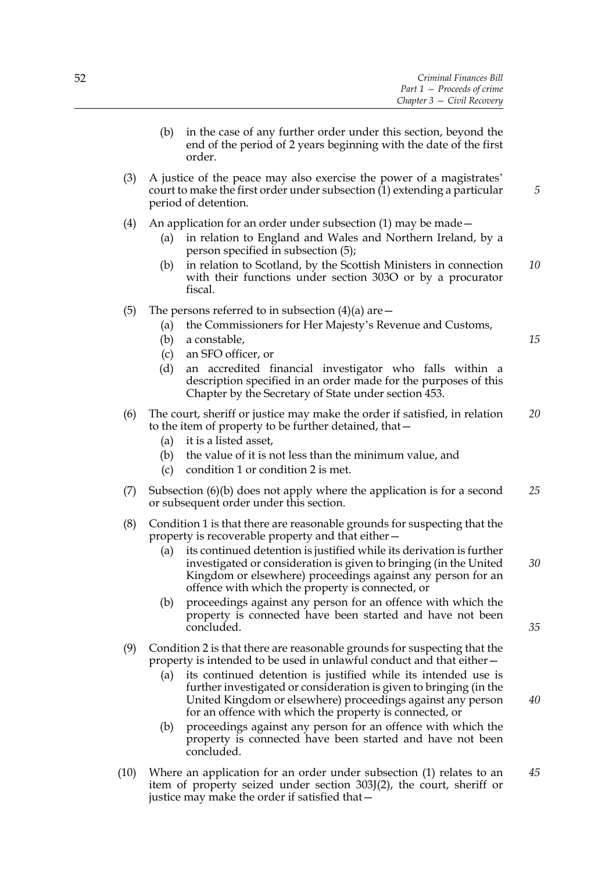|      | in the case of any further order under this section, beyond the<br>(b)<br>end of the period of 2 years beginning with the date of the first<br>order.                                                                                                                                                                                                                                                                                                                                                                                                                        |          |
|------|------------------------------------------------------------------------------------------------------------------------------------------------------------------------------------------------------------------------------------------------------------------------------------------------------------------------------------------------------------------------------------------------------------------------------------------------------------------------------------------------------------------------------------------------------------------------------|----------|
| (3)  | A justice of the peace may also exercise the power of a magistrates'<br>court to make the first order under subsection (1) extending a particular<br>period of detention.                                                                                                                                                                                                                                                                                                                                                                                                    | 5        |
| (4)  | An application for an order under subsection $(1)$ may be made $-$<br>in relation to England and Wales and Northern Ireland, by a<br>(a)<br>person specified in subsection (5);<br>in relation to Scotland, by the Scottish Ministers in connection<br>(b)<br>with their functions under section 3030 or by a procurator<br>fiscal.                                                                                                                                                                                                                                          | 10       |
| (5)  | The persons referred to in subsection $(4)(a)$ are $-$<br>the Commissioners for Her Majesty's Revenue and Customs,<br>(a)<br>(b)<br>a constable,<br>an SFO officer, or<br>(c)<br>(d)<br>an accredited financial investigator who falls within a<br>description specified in an order made for the purposes of this<br>Chapter by the Secretary of State under section 453.                                                                                                                                                                                                   | 15       |
| (6)  | The court, sheriff or justice may make the order if satisfied, in relation<br>to the item of property to be further detained, that -<br>it is a listed asset,<br>(a)<br>the value of it is not less than the minimum value, and<br>(b)<br>condition 1 or condition 2 is met.<br>(c)                                                                                                                                                                                                                                                                                          | 20       |
| (7)  | Subsection $(6)(b)$ does not apply where the application is for a second<br>or subsequent order under this section.                                                                                                                                                                                                                                                                                                                                                                                                                                                          | 25       |
| (8)  | Condition 1 is that there are reasonable grounds for suspecting that the<br>property is recoverable property and that either –<br>its continued detention is justified while its derivation is further<br>(a)<br>investigated or consideration is given to bringing (in the United<br>Kingdom or elsewhere) proceedings against any person for an<br>offence with which the property is connected, or<br>(b)<br>proceedings against any person for an offence with which the<br>property is connected have been started and have not been<br>concluded.                      | 30<br>35 |
| (9)  | Condition 2 is that there are reasonable grounds for suspecting that the<br>property is intended to be used in unlawful conduct and that either –<br>its continued detention is justified while its intended use is<br>(a)<br>further investigated or consideration is given to bringing (in the<br>United Kingdom or elsewhere) proceedings against any person<br>for an offence with which the property is connected, or<br>proceedings against any person for an offence with which the<br>(b)<br>property is connected have been started and have not been<br>concluded. | 40       |
| (10) | Where an application for an order under subsection (1) relates to an<br>item of property seized under section 303J(2), the court, sheriff or<br>justice may make the order if satisfied that -                                                                                                                                                                                                                                                                                                                                                                               | 45       |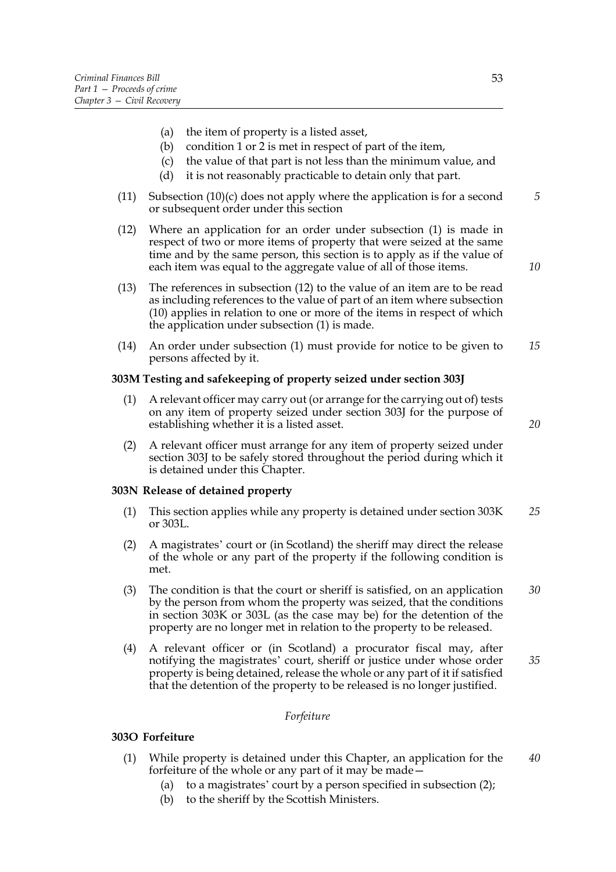- (a) the item of property is a listed asset,
- (b) condition 1 or 2 is met in respect of part of the item,
- (c) the value of that part is not less than the minimum value, and
- (d) it is not reasonably practicable to detain only that part.
- (11) Subsection (10)(c) does not apply where the application is for a second or subsequent order under this section *5*
- (12) Where an application for an order under subsection (1) is made in respect of two or more items of property that were seized at the same time and by the same person, this section is to apply as if the value of each item was equal to the aggregate value of all of those items.
- (13) The references in subsection (12) to the value of an item are to be read as including references to the value of part of an item where subsection (10) applies in relation to one or more of the items in respect of which the application under subsection (1) is made.
- (14) An order under subsection (1) must provide for notice to be given to persons affected by it. *15*

# **303M Testing and safekeeping of property seized under section 303J**

- (1) A relevant officer may carry out (or arrange for the carrying out of) tests on any item of property seized under section 303J for the purpose of establishing whether it is a listed asset.
- (2) A relevant officer must arrange for any item of property seized under section 303J to be safely stored throughout the period during which it is detained under this Chapter.

#### **303N Release of detained property**

- (1) This section applies while any property is detained under section 303K or 303L. *25*
- (2) A magistrates' court or (in Scotland) the sheriff may direct the release of the whole or any part of the property if the following condition is met.
- (3) The condition is that the court or sheriff is satisfied, on an application by the person from whom the property was seized, that the conditions in section 303K or 303L (as the case may be) for the detention of the property are no longer met in relation to the property to be released. *30*
- (4) A relevant officer or (in Scotland) a procurator fiscal may, after notifying the magistrates' court, sheriff or justice under whose order property is being detained, release the whole or any part of it if satisfied that the detention of the property to be released is no longer justified. *35*

#### *Forfeiture*

#### **303O Forfeiture**

- (1) While property is detained under this Chapter, an application for the forfeiture of the whole or any part of it may be made— *40*
	- (a) to a magistrates' court by a person specified in subsection (2);
	- (b) to the sheriff by the Scottish Ministers.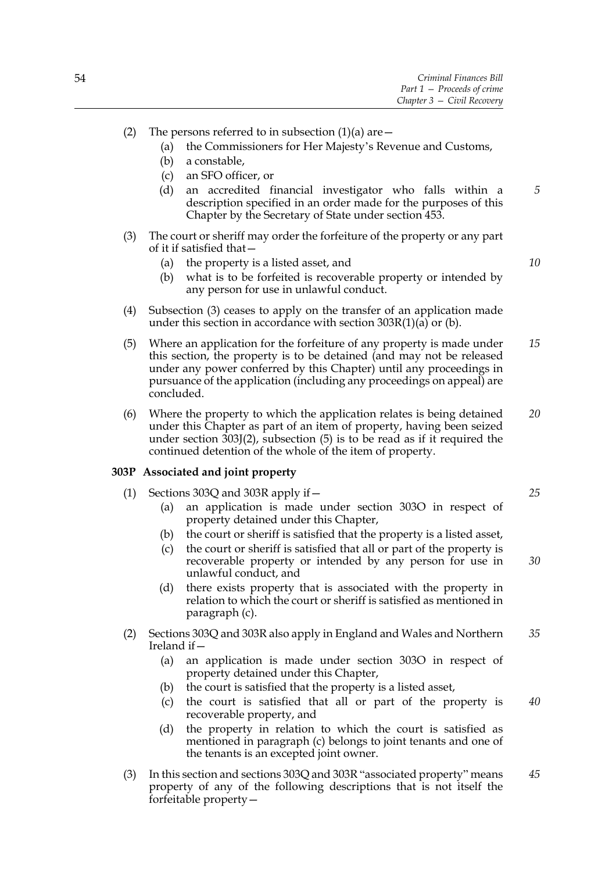- (2) The persons referred to in subsection  $(1)(a)$  are  $-$ 
	- (a) the Commissioners for Her Majesty's Revenue and Customs,
	- (b) a constable,
	- (c) an SFO officer, or
	- (d) an accredited financial investigator who falls within a description specified in an order made for the purposes of this Chapter by the Secretary of State under section 453. *5*
- (3) The court or sheriff may order the forfeiture of the property or any part of it if satisfied that—
	- (a) the property is a listed asset, and
	- (b) what is to be forfeited is recoverable property or intended by any person for use in unlawful conduct.
- (4) Subsection (3) ceases to apply on the transfer of an application made under this section in accordance with section 303R(1)(a) or (b).
- (5) Where an application for the forfeiture of any property is made under this section, the property is to be detained (and may not be released under any power conferred by this Chapter) until any proceedings in pursuance of the application (including any proceedings on appeal) are concluded. *15*
- (6) Where the property to which the application relates is being detained under this Chapter as part of an item of property, having been seized under section 303J(2), subsection (5) is to be read as if it required the continued detention of the whole of the item of property. *20*

#### **303P Associated and joint property**

- (1) Sections 303Q and 303R apply if—
	- (a) an application is made under section 303O in respect of property detained under this Chapter,
	- (b) the court or sheriff is satisfied that the property is a listed asset,
	- (c) the court or sheriff is satisfied that all or part of the property is recoverable property or intended by any person for use in unlawful conduct, and
	- (d) there exists property that is associated with the property in relation to which the court or sheriff is satisfied as mentioned in paragraph (c).
- (2) Sections 303Q and 303R also apply in England and Wales and Northern Ireland if— *35*
	- (a) an application is made under section 303O in respect of property detained under this Chapter,
	- (b) the court is satisfied that the property is a listed asset,
	- (c) the court is satisfied that all or part of the property is recoverable property, and *40*
	- (d) the property in relation to which the court is satisfied as mentioned in paragraph (c) belongs to joint tenants and one of the tenants is an excepted joint owner.
- (3) In this section and sections 303Q and 303R "associated property" means property of any of the following descriptions that is not itself the forfeitable property— *45*

*25*

*30*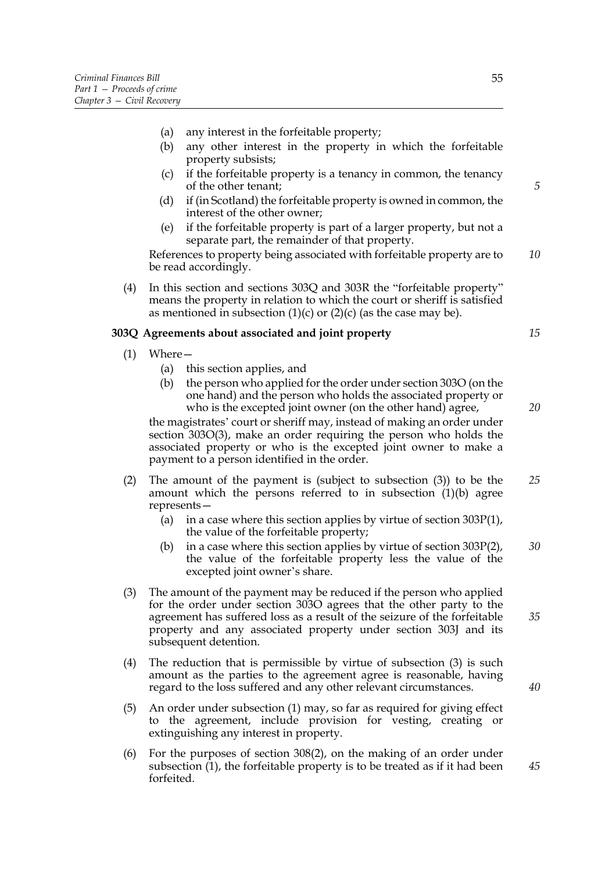| (a) any interest in the forfeitable property; |
|-----------------------------------------------|
|-----------------------------------------------|

- (b) any other interest in the property in which the forfeitable property subsists;
- (c) if the forfeitable property is a tenancy in common, the tenancy of the other tenant;
- (d) if (in Scotland) the forfeitable property is owned in common, the interest of the other owner;
- (e) if the forfeitable property is part of a larger property, but not a separate part, the remainder of that property.

References to property being associated with forfeitable property are to be read accordingly. *10*

(4) In this section and sections 303Q and 303R the "forfeitable property" means the property in relation to which the court or sheriff is satisfied as mentioned in subsection  $(1)(c)$  or  $(2)(c)$  (as the case may be).

# **303Q Agreements about associated and joint property**

*15*

*20*

*5*

- (1) Where—
	- (a) this section applies, and
	- (b) the person who applied for the order under section 303O (on the one hand) and the person who holds the associated property or who is the excepted joint owner (on the other hand) agree,

the magistrates' court or sheriff may, instead of making an order under section 303O(3), make an order requiring the person who holds the associated property or who is the excepted joint owner to make a payment to a person identified in the order.

- (2) The amount of the payment is (subject to subsection (3)) to be the amount which the persons referred to in subsection (1)(b) agree represents— *25*
	- (a) in a case where this section applies by virtue of section 303P(1), the value of the forfeitable property;
	- (b) in a case where this section applies by virtue of section 303P(2), the value of the forfeitable property less the value of the excepted joint owner's share. *30*
- (3) The amount of the payment may be reduced if the person who applied for the order under section 303O agrees that the other party to the agreement has suffered loss as a result of the seizure of the forfeitable property and any associated property under section 303J and its subsequent detention.
- (4) The reduction that is permissible by virtue of subsection (3) is such amount as the parties to the agreement agree is reasonable, having regard to the loss suffered and any other relevant circumstances.
- (5) An order under subsection (1) may, so far as required for giving effect to the agreement, include provision for vesting, creating or extinguishing any interest in property.
- (6) For the purposes of section 308(2), on the making of an order under subsection  $(1)$ , the forfeitable property is to be treated as if it had been forfeited.

*40*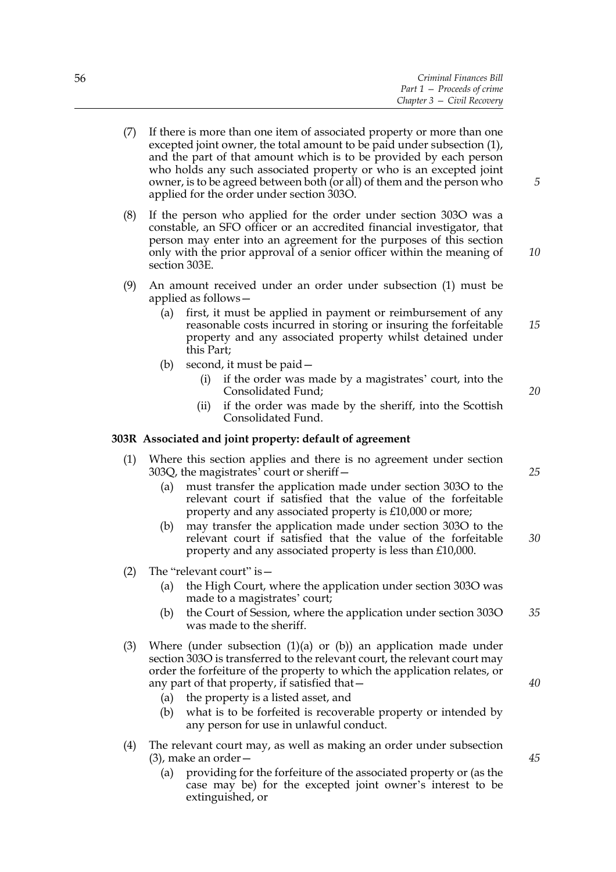- (7) If there is more than one item of associated property or more than one excepted joint owner, the total amount to be paid under subsection (1), and the part of that amount which is to be provided by each person who holds any such associated property or who is an excepted joint owner, is to be agreed between both (or all) of them and the person who applied for the order under section 303O.
- (8) If the person who applied for the order under section 303O was a constable, an SFO officer or an accredited financial investigator, that person may enter into an agreement for the purposes of this section only with the prior approval of a senior officer within the meaning of section 303E.
- (9) An amount received under an order under subsection (1) must be applied as follows—
	- (a) first, it must be applied in payment or reimbursement of any reasonable costs incurred in storing or insuring the forfeitable property and any associated property whilst detained under this Part;
	- (b) second, it must be paid—
		- (i) if the order was made by a magistrates' court, into the Consolidated Fund;
		- (ii) if the order was made by the sheriff, into the Scottish Consolidated Fund.

#### **303R Associated and joint property: default of agreement**

- (1) Where this section applies and there is no agreement under section 303Q, the magistrates' court or sheriff—
	- (a) must transfer the application made under section 303O to the relevant court if satisfied that the value of the forfeitable property and any associated property is £10,000 or more;
	- (b) may transfer the application made under section 303O to the relevant court if satisfied that the value of the forfeitable property and any associated property is less than £10,000. *30*
- (2) The "relevant court" is—
	- (a) the High Court, where the application under section 303O was made to a magistrates' court;
	- (b) the Court of Session, where the application under section 303O was made to the sheriff. *35*
- (3) Where (under subsection  $(1)(a)$  or  $(b)$ ) an application made under section 303O is transferred to the relevant court, the relevant court may order the forfeiture of the property to which the application relates, or any part of that property, if satisfied that—
	- (a) the property is a listed asset, and
	- (b) what is to be forfeited is recoverable property or intended by any person for use in unlawful conduct.
- (4) The relevant court may, as well as making an order under subsection (3), make an order—
	- (a) providing for the forfeiture of the associated property or (as the case may be) for the excepted joint owner's interest to be extinguished, or

*10*

*15*

*20*

*5*

*25*

*40*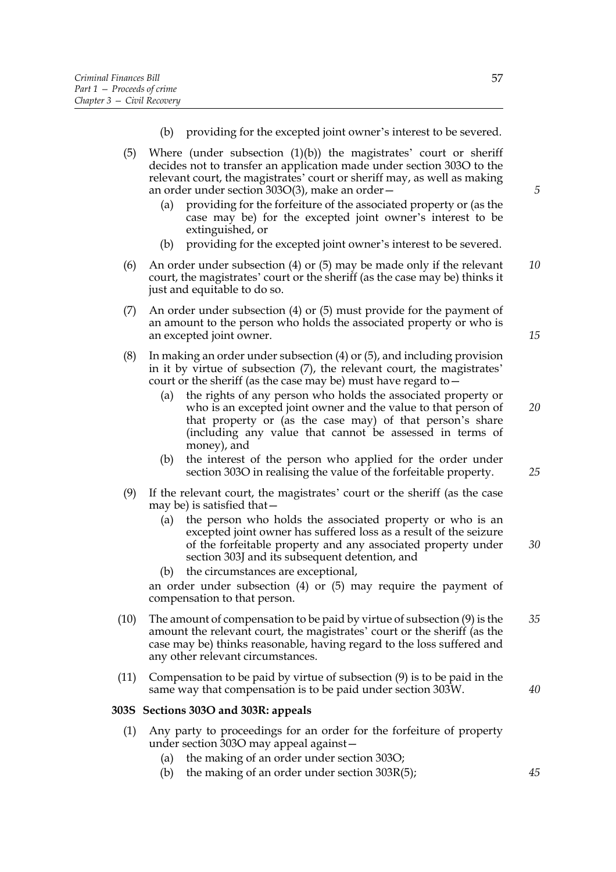(5) Where (under subsection  $(1)(b)$ ) the magistrates' court or sheriff decides not to transfer an application made under section 303O to the relevant court, the magistrates' court or sheriff may, as well as making an order under section 303O(3), make an order—

- (a) providing for the forfeiture of the associated property or (as the case may be) for the excepted joint owner's interest to be extinguished, or
- (b) providing for the excepted joint owner's interest to be severed.
- (6) An order under subsection (4) or (5) may be made only if the relevant court, the magistrates' court or the sheriff (as the case may be) thinks it just and equitable to do so. *10*
- (7) An order under subsection (4) or (5) must provide for the payment of an amount to the person who holds the associated property or who is an excepted joint owner.
- (8) In making an order under subsection (4) or (5), and including provision in it by virtue of subsection (7), the relevant court, the magistrates' court or the sheriff (as the case may be) must have regard to—
	- (a) the rights of any person who holds the associated property or who is an excepted joint owner and the value to that person of that property or (as the case may) of that person's share (including any value that cannot be assessed in terms of money), and
	- (b) the interest of the person who applied for the order under section 303O in realising the value of the forfeitable property.
- (9) If the relevant court, the magistrates' court or the sheriff (as the case may be) is satisfied that—
	- (a) the person who holds the associated property or who is an excepted joint owner has suffered loss as a result of the seizure of the forfeitable property and any associated property under section 303J and its subsequent detention, and
	- (b) the circumstances are exceptional,

an order under subsection (4) or (5) may require the payment of compensation to that person.

- (10) The amount of compensation to be paid by virtue of subsection (9) is the amount the relevant court, the magistrates' court or the sheriff (as the case may be) thinks reasonable, having regard to the loss suffered and any other relevant circumstances. *35*
- (11) Compensation to be paid by virtue of subsection (9) is to be paid in the same way that compensation is to be paid under section 303W.

### **303S Sections 303O and 303R: appeals**

- (1) Any party to proceedings for an order for the forfeiture of property under section 303O may appeal against—
	- (a) the making of an order under section 303O;
	- (b) the making of an order under section 303R(5);

*15*

*5*

*30*

*20*

*40*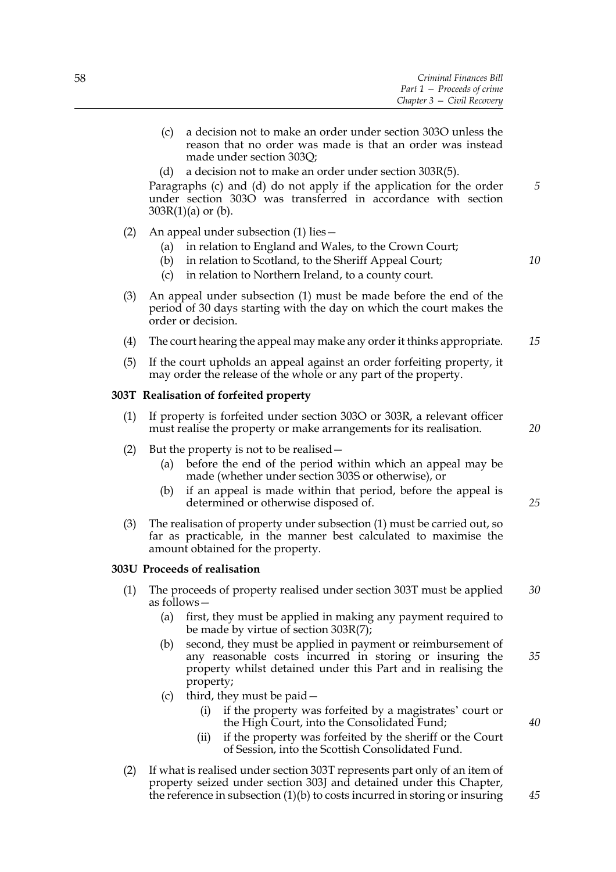- (c) a decision not to make an order under section 303O unless the reason that no order was made is that an order was instead made under section 303Q;
- (d) a decision not to make an order under section 303R(5).

Paragraphs (c) and (d) do not apply if the application for the order under section 303O was transferred in accordance with section  $303R(1)$ (a) or (b).

- (2) An appeal under subsection (1) lies—
	- (a) in relation to England and Wales, to the Crown Court;
	- (b) in relation to Scotland, to the Sheriff Appeal Court;
	- (c) in relation to Northern Ireland, to a county court.
- (3) An appeal under subsection (1) must be made before the end of the period of 30 days starting with the day on which the court makes the order or decision.
- (4) The court hearing the appeal may make any order it thinks appropriate. *15*
- (5) If the court upholds an appeal against an order forfeiting property, it may order the release of the whole or any part of the property.

#### **303T Realisation of forfeited property**

- (1) If property is forfeited under section 303O or 303R, a relevant officer must realise the property or make arrangements for its realisation.
- (2) But the property is not to be realised—
	- (a) before the end of the period within which an appeal may be made (whether under section 303S or otherwise), or
	- (b) if an appeal is made within that period, before the appeal is determined or otherwise disposed of.
- (3) The realisation of property under subsection (1) must be carried out, so far as practicable, in the manner best calculated to maximise the amount obtained for the property.

#### **303U Proceeds of realisation**

- (1) The proceeds of property realised under section 303T must be applied as follows— *30*
	- (a) first, they must be applied in making any payment required to be made by virtue of section 303R(7);
	- (b) second, they must be applied in payment or reimbursement of any reasonable costs incurred in storing or insuring the property whilst detained under this Part and in realising the property; *35*
	- (c) third, they must be paid—
		- (i) if the property was forfeited by a magistrates' court or the High Court, into the Consolidated Fund;
		- (ii) if the property was forfeited by the sheriff or the Court of Session, into the Scottish Consolidated Fund.
- (2) If what is realised under section 303T represents part only of an item of property seized under section 303J and detained under this Chapter, the reference in subsection (1)(b) to costs incurred in storing or insuring

*20*

*5*

*10*

*40*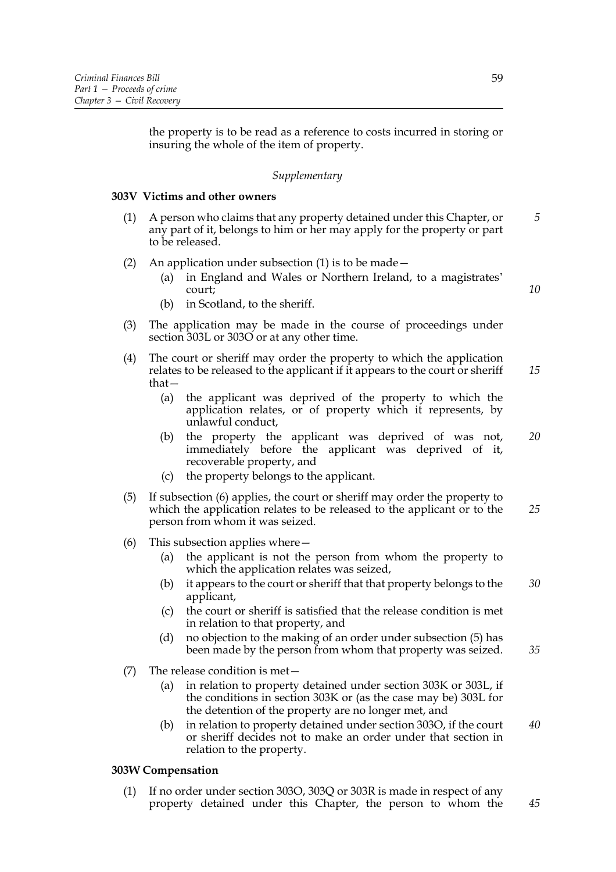the property is to be read as a reference to costs incurred in storing or insuring the whole of the item of property.

### *Supplementary*

#### **303V Victims and other owners**

- (1) A person who claims that any property detained under this Chapter, or any part of it, belongs to him or her may apply for the property or part to be released. *5*
- (2) An application under subsection  $(1)$  is to be made  $-$ 
	- (a) in England and Wales or Northern Ireland, to a magistrates' court;
	- (b) in Scotland, to the sheriff.
- (3) The application may be made in the course of proceedings under section 303L or 303O or at any other time.
- (4) The court or sheriff may order the property to which the application relates to be released to the applicant if it appears to the court or sheriff that— *15*
	- (a) the applicant was deprived of the property to which the application relates, or of property which it represents, by unlawful conduct,
	- (b) the property the applicant was deprived of was not, immediately before the applicant was deprived of it, recoverable property, and *20*
	- (c) the property belongs to the applicant.
- (5) If subsection (6) applies, the court or sheriff may order the property to which the application relates to be released to the applicant or to the person from whom it was seized. *25*
- (6) This subsection applies where—
	- (a) the applicant is not the person from whom the property to which the application relates was seized,
	- (b) it appears to the court or sheriff that that property belongs to the applicant, *30*
	- (c) the court or sheriff is satisfied that the release condition is met in relation to that property, and
	- (d) no objection to the making of an order under subsection (5) has been made by the person from whom that property was seized. *35*
- (7) The release condition is met—
	- (a) in relation to property detained under section 303K or 303L, if the conditions in section 303K or (as the case may be) 303L for the detention of the property are no longer met, and
	- (b) in relation to property detained under section 303O, if the court or sheriff decides not to make an order under that section in relation to the property. *40*

### **303W Compensation**

(1) If no order under section 303O, 303Q or 303R is made in respect of any property detained under this Chapter, the person to whom the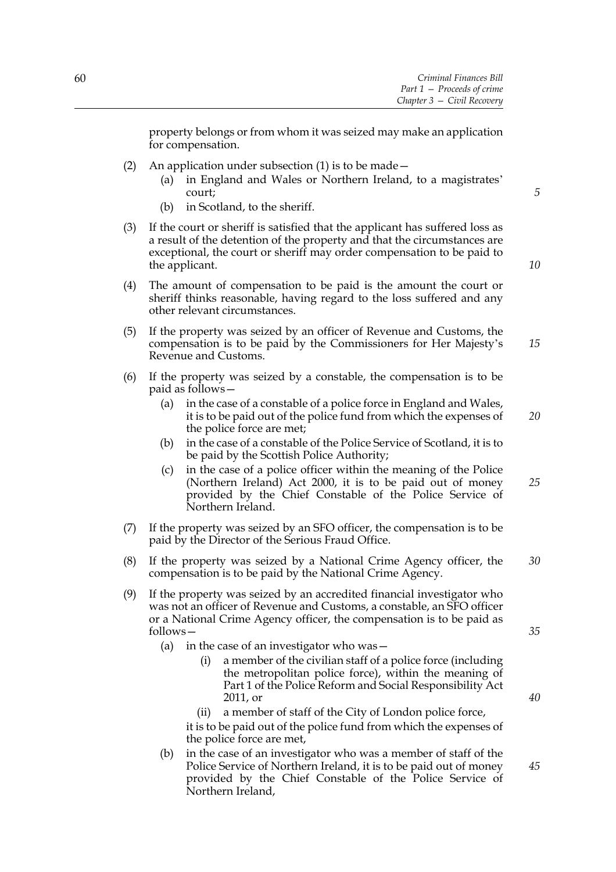property belongs or from whom it was seized may make an application for compensation.

- (2) An application under subsection  $(1)$  is to be made  $-$ 
	- (a) in England and Wales or Northern Ireland, to a magistrates' court;
	- (b) in Scotland, to the sheriff.
- (3) If the court or sheriff is satisfied that the applicant has suffered loss as a result of the detention of the property and that the circumstances are exceptional, the court or sheriff may order compensation to be paid to the applicant.
- (4) The amount of compensation to be paid is the amount the court or sheriff thinks reasonable, having regard to the loss suffered and any other relevant circumstances.
- (5) If the property was seized by an officer of Revenue and Customs, the compensation is to be paid by the Commissioners for Her Majesty's Revenue and Customs. *15*
- (6) If the property was seized by a constable, the compensation is to be paid as follows—
	- (a) in the case of a constable of a police force in England and Wales, it is to be paid out of the police fund from which the expenses of the police force are met; *20*
	- (b) in the case of a constable of the Police Service of Scotland, it is to be paid by the Scottish Police Authority;
	- (c) in the case of a police officer within the meaning of the Police (Northern Ireland) Act 2000, it is to be paid out of money provided by the Chief Constable of the Police Service of Northern Ireland. *25*
- (7) If the property was seized by an SFO officer, the compensation is to be paid by the Director of the Serious Fraud Office.
- (8) If the property was seized by a National Crime Agency officer, the compensation is to be paid by the National Crime Agency. *30*
- (9) If the property was seized by an accredited financial investigator who was not an officer of Revenue and Customs, a constable, an SFO officer or a National Crime Agency officer, the compensation is to be paid as follows—
	- (a) in the case of an investigator who was—
		- (i) a member of the civilian staff of a police force (including the metropolitan police force), within the meaning of Part 1 of the Police Reform and Social Responsibility Act 2011, or
		- (ii) a member of staff of the City of London police force, it is to be paid out of the police fund from which the expenses of the police force are met,
	- (b) in the case of an investigator who was a member of staff of the Police Service of Northern Ireland, it is to be paid out of money provided by the Chief Constable of the Police Service of Northern Ireland,

*10*

*5*

*35*

*40*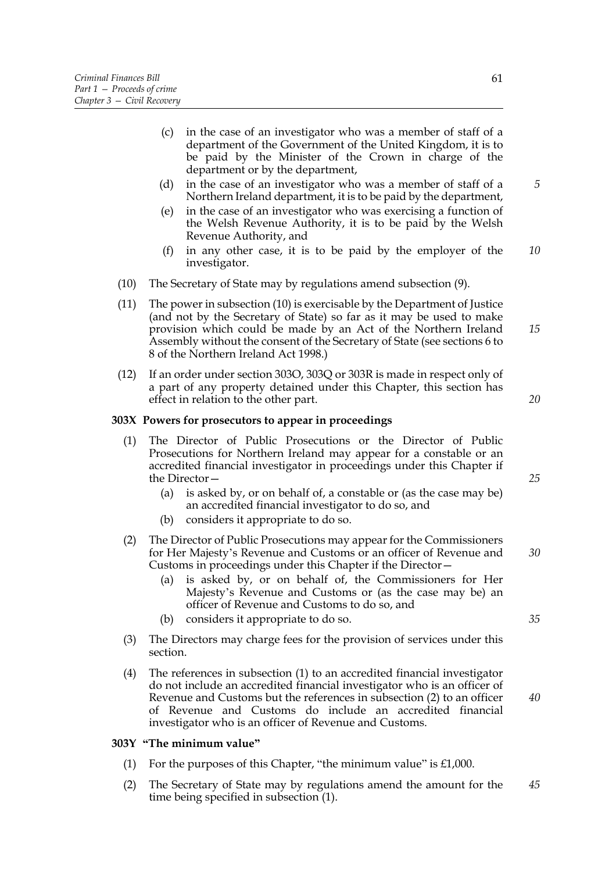- (c) in the case of an investigator who was a member of staff of a department of the Government of the United Kingdom, it is to be paid by the Minister of the Crown in charge of the department or by the department,
- (d) in the case of an investigator who was a member of staff of a Northern Ireland department, it is to be paid by the department,
- (e) in the case of an investigator who was exercising a function of the Welsh Revenue Authority, it is to be paid by the Welsh Revenue Authority, and
- (f) in any other case, it is to be paid by the employer of the investigator. *10*
- (10) The Secretary of State may by regulations amend subsection (9).
- (11) The power in subsection (10) is exercisable by the Department of Justice (and not by the Secretary of State) so far as it may be used to make provision which could be made by an Act of the Northern Ireland Assembly without the consent of the Secretary of State (see sections 6 to 8 of the Northern Ireland Act 1998.) *15*
- (12) If an order under section 303O, 303Q or 303R is made in respect only of a part of any property detained under this Chapter, this section has effect in relation to the other part.

#### **303X Powers for prosecutors to appear in proceedings**

- (1) The Director of Public Prosecutions or the Director of Public Prosecutions for Northern Ireland may appear for a constable or an accredited financial investigator in proceedings under this Chapter if the Director—
	- (a) is asked by, or on behalf of, a constable or (as the case may be) an accredited financial investigator to do so, and
	- (b) considers it appropriate to do so.
- (2) The Director of Public Prosecutions may appear for the Commissioners for Her Majesty's Revenue and Customs or an officer of Revenue and Customs in proceedings under this Chapter if the Director—
	- (a) is asked by, or on behalf of, the Commissioners for Her Majesty's Revenue and Customs or (as the case may be) an officer of Revenue and Customs to do so, and
	- (b) considers it appropriate to do so.
- (3) The Directors may charge fees for the provision of services under this section.
- (4) The references in subsection (1) to an accredited financial investigator do not include an accredited financial investigator who is an officer of Revenue and Customs but the references in subsection (2) to an officer of Revenue and Customs do include an accredited financial investigator who is an officer of Revenue and Customs.

### **303Y "The minimum value"**

- (1) For the purposes of this Chapter, "the minimum value" is  $£1,000$ .
- (2) The Secretary of State may by regulations amend the amount for the time being specified in subsection (1). *45*

*5*

*25*

*20*

*35*

*30*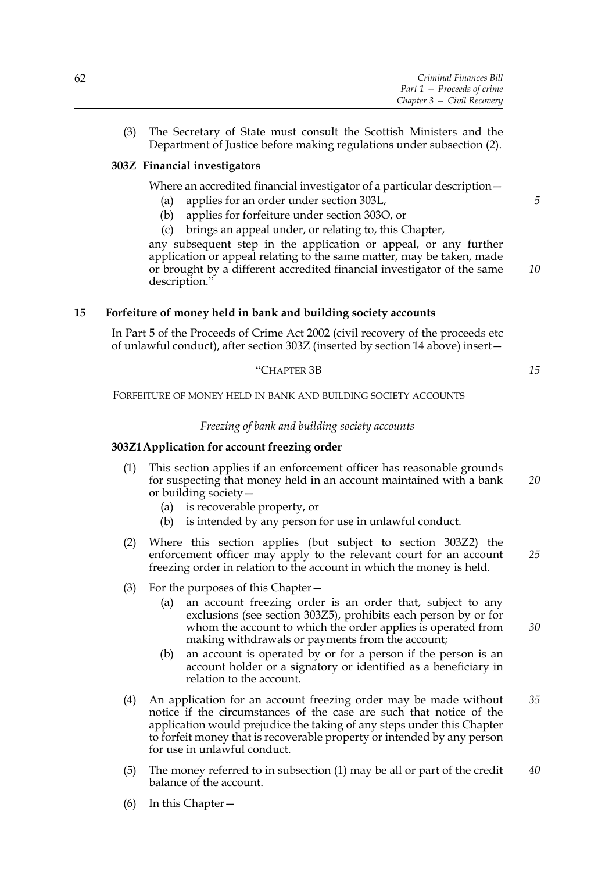(3) The Secretary of State must consult the Scottish Ministers and the Department of Justice before making regulations under subsection (2).

# **303Z Financial investigators**

Where an accredited financial investigator of a particular description—

- (a) applies for an order under section 303L,
- (b) applies for forfeiture under section 303O, or
- (c) brings an appeal under, or relating to, this Chapter,

any subsequent step in the application or appeal, or any further application or appeal relating to the same matter, may be taken, made or brought by a different accredited financial investigator of the same description."

# **15 Forfeiture of money held in bank and building society accounts**

In Part 5 of the Proceeds of Crime Act 2002 (civil recovery of the proceeds etc of unlawful conduct), after section 303Z (inserted by section 14 above) insert—

### "CHAPTER 3B

#### FORFEITURE OF MONEY HELD IN BANK AND BUILDING SOCIETY ACCOUNTS

### *Freezing of bank and building society accounts*

#### **303Z1Application for account freezing order**

- (1) This section applies if an enforcement officer has reasonable grounds for suspecting that money held in an account maintained with a bank or building society— *20*
	- (a) is recoverable property, or
	- (b) is intended by any person for use in unlawful conduct.
- (2) Where this section applies (but subject to section 303Z2) the enforcement officer may apply to the relevant court for an account freezing order in relation to the account in which the money is held. *25*
- (3) For the purposes of this Chapter—
	- (a) an account freezing order is an order that, subject to any exclusions (see section 303Z5), prohibits each person by or for whom the account to which the order applies is operated from making withdrawals or payments from the account;
	- (b) an account is operated by or for a person if the person is an account holder or a signatory or identified as a beneficiary in relation to the account.
- (4) An application for an account freezing order may be made without notice if the circumstances of the case are such that notice of the application would prejudice the taking of any steps under this Chapter to forfeit money that is recoverable property or intended by any person for use in unlawful conduct. *35*
- (5) The money referred to in subsection (1) may be all or part of the credit balance of the account. *40*
- (6) In this Chapter—

*10*

*5*

*15*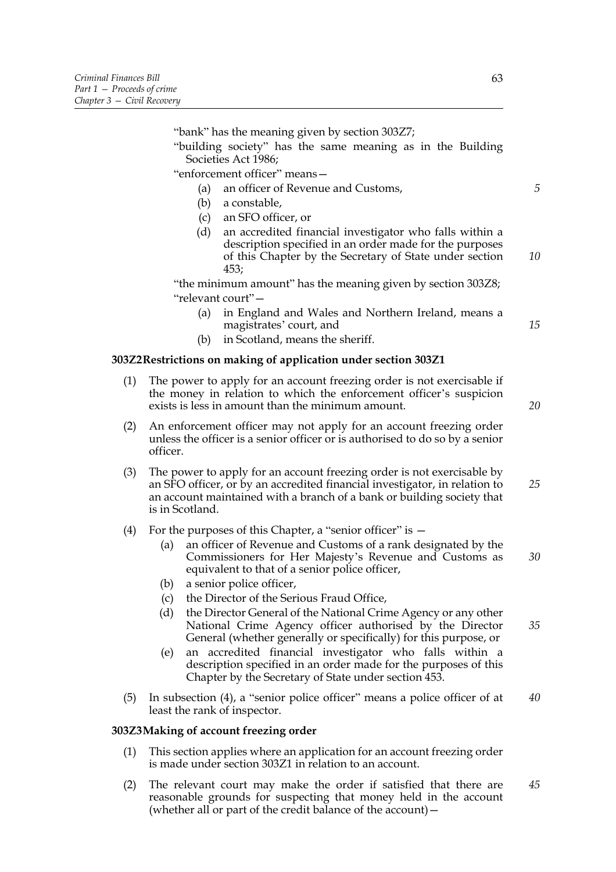"bank" has the meaning given by section 303Z7; "building society" has the same meaning as in the Building Societies Act 1986; "enforcement officer" means— (a) an officer of Revenue and Customs, (b) a constable, (c) an SFO officer, or (d) an accredited financial investigator who falls within a description specified in an order made for the purposes of this Chapter by the Secretary of State under section 453; "the minimum amount" has the meaning given by section 303Z8; "relevant court"— (a) in England and Wales and Northern Ireland, means a magistrates' court, and (b) in Scotland, means the sheriff. **303Z2Restrictions on making of application under section 303Z1** (1) The power to apply for an account freezing order is not exercisable if the money in relation to which the enforcement officer's suspicion exists is less in amount than the minimum amount. (2) An enforcement officer may not apply for an account freezing order unless the officer is a senior officer or is authorised to do so by a senior officer. (3) The power to apply for an account freezing order is not exercisable by an SFO officer, or by an accredited financial investigator, in relation to an account maintained with a branch of a bank or building society that is in Scotland. (4) For the purposes of this Chapter, a "senior officer" is  $-$ (a) an officer of Revenue and Customs of a rank designated by the Commissioners for Her Majesty's Revenue and Customs as equivalent to that of a senior police officer, (b) a senior police officer, (c) the Director of the Serious Fraud Office, (d) the Director General of the National Crime Agency or any other National Crime Agency officer authorised by the Director General (whether generally or specifically) for this purpose, or (e) an accredited financial investigator who falls within a description specified in an order made for the purposes of this Chapter by the Secretary of State under section 453. (5) In subsection (4), a "senior police officer" means a police officer of at least the rank of inspector.

#### **303Z3Making of account freezing order**

- (1) This section applies where an application for an account freezing order is made under section 303Z1 in relation to an account.
- (2) The relevant court may make the order if satisfied that there are reasonable grounds for suspecting that money held in the account (whether all or part of the credit balance of the account)— *45*

*20*

*25*

*30*

*35*

*40*

*5*

*10*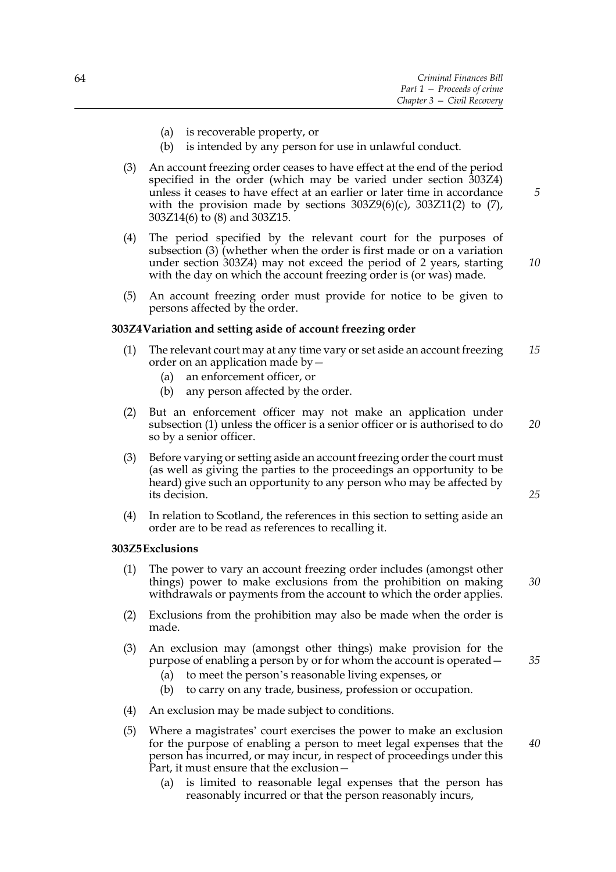- (a) is recoverable property, or
- (b) is intended by any person for use in unlawful conduct.
- (3) An account freezing order ceases to have effect at the end of the period specified in the order (which may be varied under section 303Z4) unless it ceases to have effect at an earlier or later time in accordance with the provision made by sections  $303Z9(6)(c)$ ,  $303Z11(2)$  to  $(7)$ , 303Z14(6) to (8) and 303Z15.
- (4) The period specified by the relevant court for the purposes of subsection (3) (whether when the order is first made or on a variation under section 303Z4) may not exceed the period of 2 years, starting with the day on which the account freezing order is (or was) made.
- (5) An account freezing order must provide for notice to be given to persons affected by the order.

#### **303Z4Variation and setting aside of account freezing order**

- (1) The relevant court may at any time vary or set aside an account freezing order on an application made by— *15*
	- (a) an enforcement officer, or
	- (b) any person affected by the order.
- (2) But an enforcement officer may not make an application under subsection (1) unless the officer is a senior officer or is authorised to do so by a senior officer. *20*
- (3) Before varying or setting aside an account freezing order the court must (as well as giving the parties to the proceedings an opportunity to be heard) give such an opportunity to any person who may be affected by its decision.
- (4) In relation to Scotland, the references in this section to setting aside an order are to be read as references to recalling it.

#### **303Z5Exclusions**

- (1) The power to vary an account freezing order includes (amongst other things) power to make exclusions from the prohibition on making withdrawals or payments from the account to which the order applies.
- (2) Exclusions from the prohibition may also be made when the order is made.
- (3) An exclusion may (amongst other things) make provision for the purpose of enabling a person by or for whom the account is operated—
	- (a) to meet the person's reasonable living expenses, or
	- (b) to carry on any trade, business, profession or occupation.
- (4) An exclusion may be made subject to conditions.
- (5) Where a magistrates' court exercises the power to make an exclusion for the purpose of enabling a person to meet legal expenses that the person has incurred, or may incur, in respect of proceedings under this Part, it must ensure that the exclusion—
	- (a) is limited to reasonable legal expenses that the person has reasonably incurred or that the person reasonably incurs,

*10*

*5*

*25*

*30*

*35*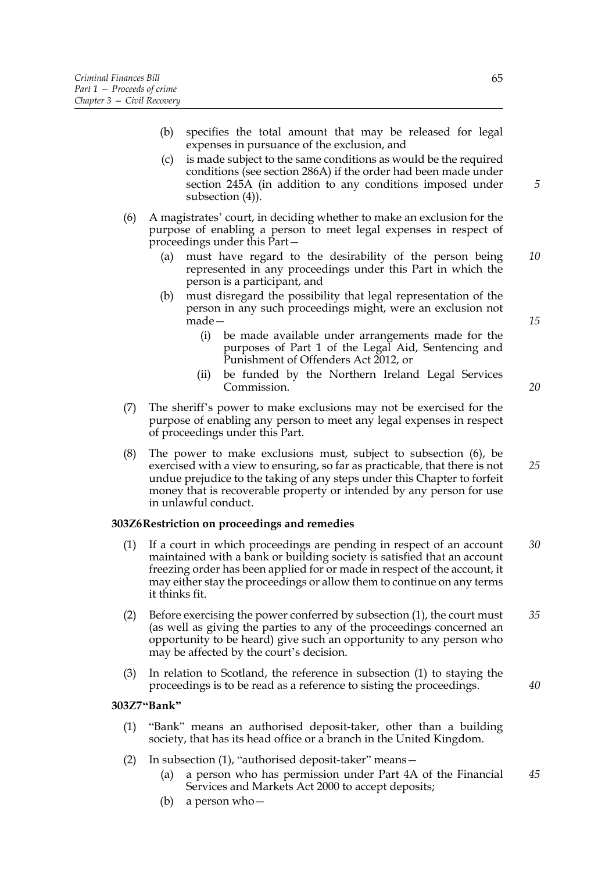- (b) specifies the total amount that may be released for legal expenses in pursuance of the exclusion, and
- (c) is made subject to the same conditions as would be the required conditions (see section 286A) if the order had been made under section 245A (in addition to any conditions imposed under subsection (4)).
- (6) A magistrates' court, in deciding whether to make an exclusion for the purpose of enabling a person to meet legal expenses in respect of proceedings under this Part—
	- (a) must have regard to the desirability of the person being represented in any proceedings under this Part in which the person is a participant, and *10*
	- (b) must disregard the possibility that legal representation of the person in any such proceedings might, were an exclusion not made—
		- (i) be made available under arrangements made for the purposes of Part 1 of the Legal Aid, Sentencing and Punishment of Offenders Act 2012, or
		- (ii) be funded by the Northern Ireland Legal Services Commission.
- (7) The sheriff's power to make exclusions may not be exercised for the purpose of enabling any person to meet any legal expenses in respect of proceedings under this Part.
- (8) The power to make exclusions must, subject to subsection (6), be exercised with a view to ensuring, so far as practicable, that there is not undue prejudice to the taking of any steps under this Chapter to forfeit money that is recoverable property or intended by any person for use in unlawful conduct. *25*

# **303Z6Restriction on proceedings and remedies**

- (1) If a court in which proceedings are pending in respect of an account maintained with a bank or building society is satisfied that an account freezing order has been applied for or made in respect of the account, it may either stay the proceedings or allow them to continue on any terms it thinks fit. *30*
- (2) Before exercising the power conferred by subsection (1), the court must (as well as giving the parties to any of the proceedings concerned an opportunity to be heard) give such an opportunity to any person who may be affected by the court's decision. *35*
- (3) In relation to Scotland, the reference in subsection (1) to staying the proceedings is to be read as a reference to sisting the proceedings.

# **303Z7"Bank"**

- (1) "Bank" means an authorised deposit-taker, other than a building society, that has its head office or a branch in the United Kingdom.
- (2) In subsection (1), "authorised deposit-taker" means—
	- (a) a person who has permission under Part 4A of the Financial Services and Markets Act 2000 to accept deposits; *45*
	- (b) a person who—

*15*

*5*

*20*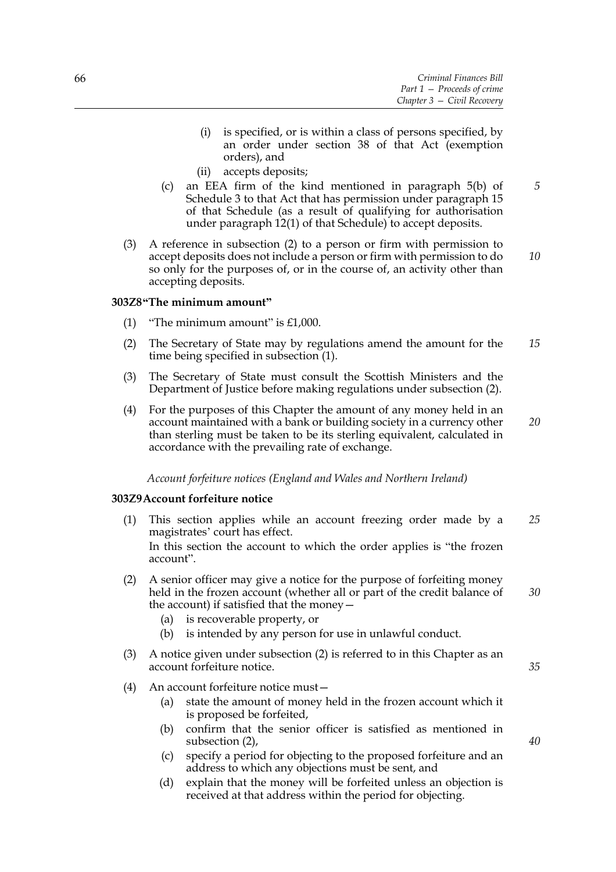- (i) is specified, or is within a class of persons specified, by an order under section 38 of that Act (exemption orders), and
- (ii) accepts deposits;
- (c) an EEA firm of the kind mentioned in paragraph 5(b) of Schedule 3 to that Act that has permission under paragraph 15 of that Schedule (as a result of qualifying for authorisation under paragraph 12(1) of that Schedule) to accept deposits. *5*
- (3) A reference in subsection (2) to a person or firm with permission to accept deposits does not include a person or firm with permission to do so only for the purposes of, or in the course of, an activity other than accepting deposits. *10*

### **303Z8"The minimum amount"**

- (1) "The minimum amount" is £1,000.
- (2) The Secretary of State may by regulations amend the amount for the time being specified in subsection (1). *15*
- (3) The Secretary of State must consult the Scottish Ministers and the Department of Justice before making regulations under subsection (2).
- (4) For the purposes of this Chapter the amount of any money held in an account maintained with a bank or building society in a currency other than sterling must be taken to be its sterling equivalent, calculated in accordance with the prevailing rate of exchange. *20*

#### *Account forfeiture notices (England and Wales and Northern Ireland)*

#### **303Z9Account forfeiture notice**

- (1) This section applies while an account freezing order made by a magistrates' court has effect. In this section the account to which the order applies is "the frozen account". *25*
- (2) A senior officer may give a notice for the purpose of forfeiting money held in the frozen account (whether all or part of the credit balance of the account) if satisfied that the money— *30*
	- (a) is recoverable property, or
	- (b) is intended by any person for use in unlawful conduct.
- (3) A notice given under subsection (2) is referred to in this Chapter as an account forfeiture notice.
- (4) An account forfeiture notice must—
	- (a) state the amount of money held in the frozen account which it is proposed be forfeited,
	- (b) confirm that the senior officer is satisfied as mentioned in subsection (2),
	- (c) specify a period for objecting to the proposed forfeiture and an address to which any objections must be sent, and
	- (d) explain that the money will be forfeited unless an objection is received at that address within the period for objecting.

*35*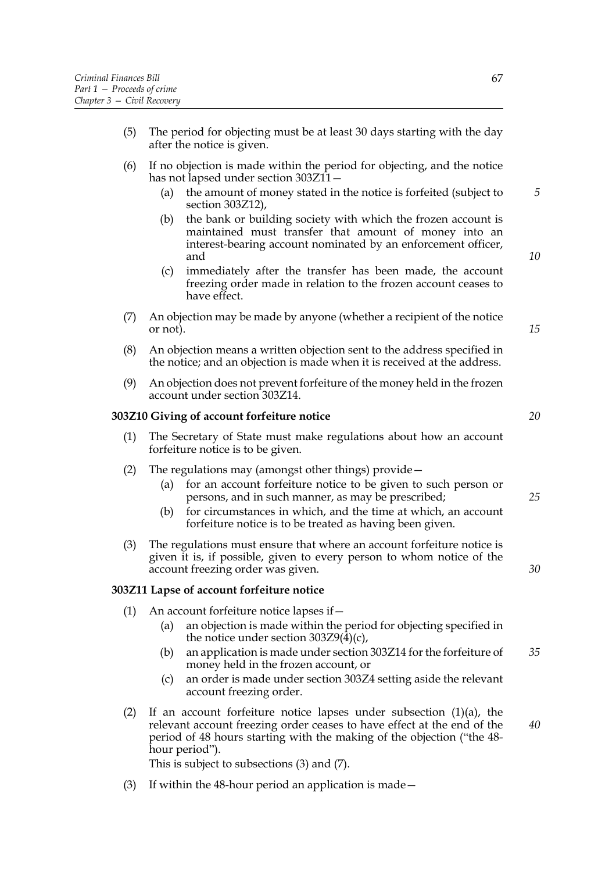- (5) The period for objecting must be at least 30 days starting with the day after the notice is given.
- (6) If no objection is made within the period for objecting, and the notice has not lapsed under section 303Z11 -
	- (a) the amount of money stated in the notice is forfeited (subject to section 303Z12), *5*
	- (b) the bank or building society with which the frozen account is maintained must transfer that amount of money into an interest-bearing account nominated by an enforcement officer, and
	- (c) immediately after the transfer has been made, the account freezing order made in relation to the frozen account ceases to have effect.
- (7) An objection may be made by anyone (whether a recipient of the notice or not).
- (8) An objection means a written objection sent to the address specified in the notice; and an objection is made when it is received at the address.
- (9) An objection does not prevent forfeiture of the money held in the frozen account under section 303Z14.

### **303Z10 Giving of account forfeiture notice**

- (1) The Secretary of State must make regulations about how an account forfeiture notice is to be given.
- (2) The regulations may (amongst other things) provide—
	- (a) for an account forfeiture notice to be given to such person or persons, and in such manner, as may be prescribed;
	- (b) for circumstances in which, and the time at which, an account forfeiture notice is to be treated as having been given.
- (3) The regulations must ensure that where an account forfeiture notice is given it is, if possible, given to every person to whom notice of the account freezing order was given.

### **303Z11 Lapse of account forfeiture notice**

- (1) An account forfeiture notice lapses if—
	- (a) an objection is made within the period for objecting specified in the notice under section 303Z9(4)(c),
	- (b) an application is made under section 303Z14 for the forfeiture of money held in the frozen account, or *35*
	- (c) an order is made under section 303Z4 setting aside the relevant account freezing order.
- (2) If an account forfeiture notice lapses under subsection (1)(a), the relevant account freezing order ceases to have effect at the end of the period of 48 hours starting with the making of the objection ("the 48 hour period").

This is subject to subsections (3) and (7).

(3) If within the 48-hour period an application is made  $-$ 

*20*

*10*

*15*

*25*

*30*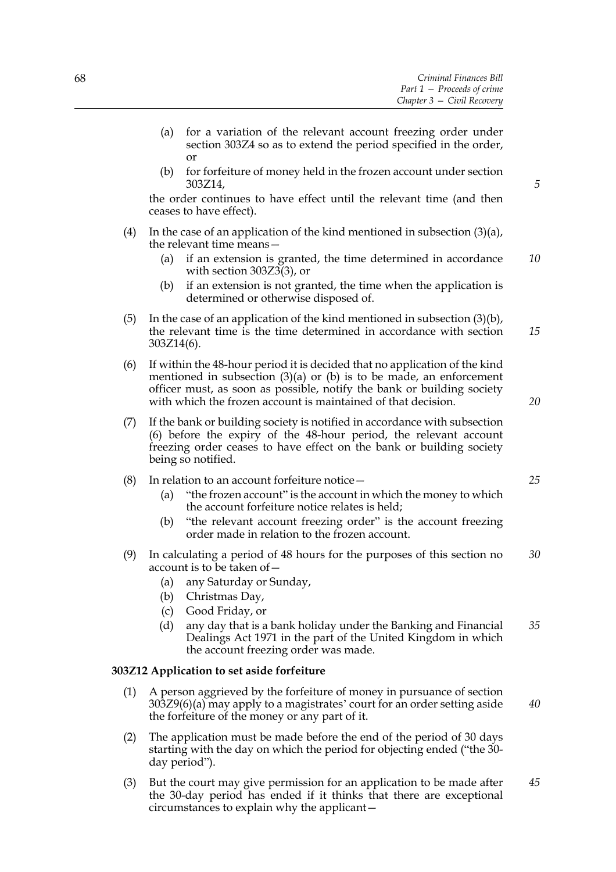- (a) for a variation of the relevant account freezing order under section 303Z4 so as to extend the period specified in the order, or
- (b) for forfeiture of money held in the frozen account under section 303Z14,

the order continues to have effect until the relevant time (and then ceases to have effect).

- (4) In the case of an application of the kind mentioned in subsection (3)(a), the relevant time means—
	- (a) if an extension is granted, the time determined in accordance with section 303Z3(3), or *10*
	- (b) if an extension is not granted, the time when the application is determined or otherwise disposed of.
- (5) In the case of an application of the kind mentioned in subsection (3)(b), the relevant time is the time determined in accordance with section 303Z14(6). *15*
- (6) If within the 48-hour period it is decided that no application of the kind mentioned in subsection (3)(a) or (b) is to be made, an enforcement officer must, as soon as possible, notify the bank or building society with which the frozen account is maintained of that decision.
- (7) If the bank or building society is notified in accordance with subsection (6) before the expiry of the 48-hour period, the relevant account freezing order ceases to have effect on the bank or building society being so notified.

### (8) In relation to an account forfeiture notice—

- (a) "the frozen account" is the account in which the money to which the account forfeiture notice relates is held;
- (b) "the relevant account freezing order" is the account freezing order made in relation to the frozen account.
- (9) In calculating a period of 48 hours for the purposes of this section no account is to be taken of— *30*
	- (a) any Saturday or Sunday,
	- (b) Christmas Day,
	- (c) Good Friday, or
	- (d) any day that is a bank holiday under the Banking and Financial Dealings Act 1971 in the part of the United Kingdom in which the account freezing order was made. *35*

### **303Z12 Application to set aside forfeiture**

- (1) A person aggrieved by the forfeiture of money in pursuance of section 303Z9(6)(a) may apply to a magistrates' court for an order setting aside the forfeiture of the money or any part of it. *40*
- (2) The application must be made before the end of the period of 30 days starting with the day on which the period for objecting ended ("the 30 day period").
- (3) But the court may give permission for an application to be made after the 30-day period has ended if it thinks that there are exceptional circumstances to explain why the applicant— *45*

*25*

*20*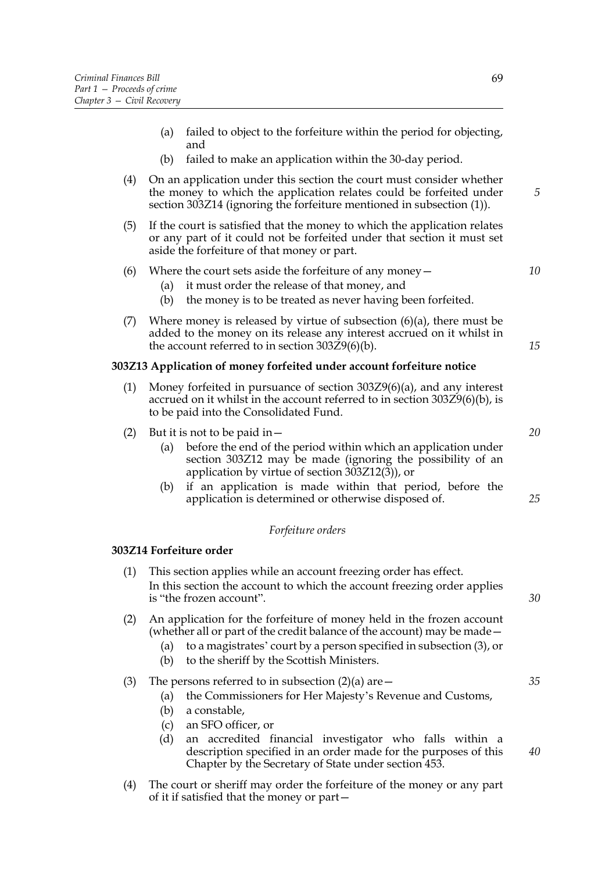- (a) failed to object to the forfeiture within the period for objecting, and
- (b) failed to make an application within the 30-day period.
- (4) On an application under this section the court must consider whether the money to which the application relates could be forfeited under section 303Z14 (ignoring the forfeiture mentioned in subsection (1)).
- (5) If the court is satisfied that the money to which the application relates or any part of it could not be forfeited under that section it must set aside the forfeiture of that money or part.
- (6) Where the court sets aside the forfeiture of any money—
	- (a) it must order the release of that money, and
	- (b) the money is to be treated as never having been forfeited.
- (7) Where money is released by virtue of subsection  $(6)(a)$ , there must be added to the money on its release any interest accrued on it whilst in the account referred to in section 303Z9(6)(b).

### **303Z13 Application of money forfeited under account forfeiture notice**

- (1) Money forfeited in pursuance of section 303Z9(6)(a), and any interest accrued on it whilst in the account referred to in section 303Z9(6)(b), is to be paid into the Consolidated Fund.
- (2) But it is not to be paid in  $-$ 
	- (a) before the end of the period within which an application under section 303Z12 may be made (ignoring the possibility of an application by virtue of section 303Z12(3)), or
	- (b) if an application is made within that period, before the application is determined or otherwise disposed of.

#### *Forfeiture orders*

## **303Z14 Forfeiture order**

- (1) This section applies while an account freezing order has effect. In this section the account to which the account freezing order applies is "the frozen account".
- (2) An application for the forfeiture of money held in the frozen account (whether all or part of the credit balance of the account) may be made—
	- (a) to a magistrates' court by a person specified in subsection (3), or
	- (b) to the sheriff by the Scottish Ministers.

### (3) The persons referred to in subsection  $(2)(a)$  are  $-$

- (a) the Commissioners for Her Majesty's Revenue and Customs,
- (b) a constable,
- (c) an SFO officer, or
- (d) an accredited financial investigator who falls within a description specified in an order made for the purposes of this Chapter by the Secretary of State under section 453.
- (4) The court or sheriff may order the forfeiture of the money or any part of it if satisfied that the money or part—

*5*

*10*

*15*

*20*

*25*

*30*

*35*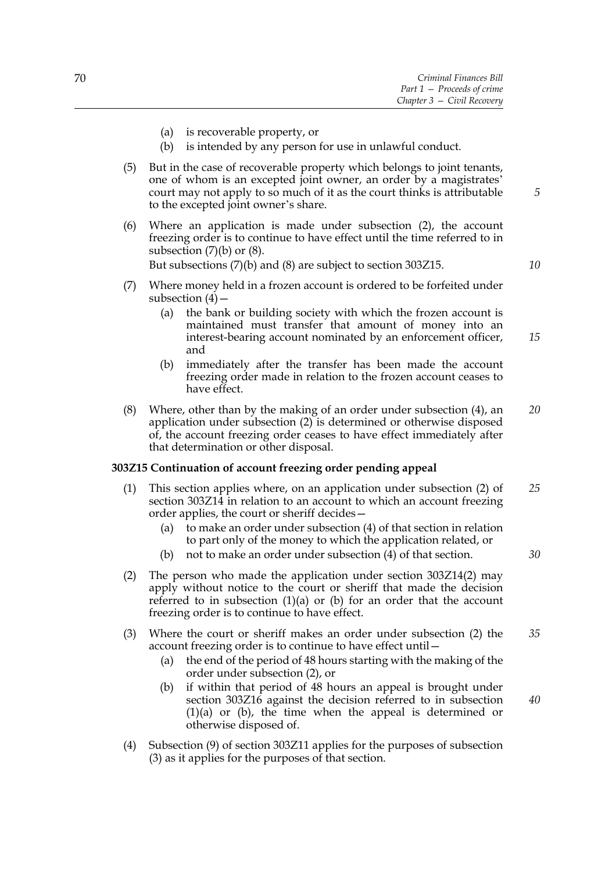- (a) is recoverable property, or
- (b) is intended by any person for use in unlawful conduct.
- (5) But in the case of recoverable property which belongs to joint tenants, one of whom is an excepted joint owner, an order by a magistrates' court may not apply to so much of it as the court thinks is attributable to the excepted joint owner's share.
- (6) Where an application is made under subsection (2), the account freezing order is to continue to have effect until the time referred to in subsection  $(7)(b)$  or  $(8)$ .

But subsections (7)(b) and (8) are subject to section 303Z15.

- (7) Where money held in a frozen account is ordered to be forfeited under subsection  $(4)$  –
	- (a) the bank or building society with which the frozen account is maintained must transfer that amount of money into an interest-bearing account nominated by an enforcement officer, and *15*
	- (b) immediately after the transfer has been made the account freezing order made in relation to the frozen account ceases to have effect.
- (8) Where, other than by the making of an order under subsection (4), an application under subsection (2) is determined or otherwise disposed of, the account freezing order ceases to have effect immediately after that determination or other disposal. *20*

### **303Z15 Continuation of account freezing order pending appeal**

- (1) This section applies where, on an application under subsection (2) of section 303Z14 in relation to an account to which an account freezing order applies, the court or sheriff decides— *25*
	- (a) to make an order under subsection (4) of that section in relation to part only of the money to which the application related, or
	- (b) not to make an order under subsection (4) of that section.
- (2) The person who made the application under section  $303Z14(2)$  may apply without notice to the court or sheriff that made the decision referred to in subsection  $(1)(a)$  or  $(b)$  for an order that the account freezing order is to continue to have effect.
- (3) Where the court or sheriff makes an order under subsection (2) the account freezing order is to continue to have effect until— *35*
	- (a) the end of the period of 48 hours starting with the making of the order under subsection (2), or
	- (b) if within that period of 48 hours an appeal is brought under section 303Z16 against the decision referred to in subsection (1)(a) or (b), the time when the appeal is determined or otherwise disposed of.
- (4) Subsection (9) of section 303Z11 applies for the purposes of subsection (3) as it applies for the purposes of that section.

*10*

*5*

*30*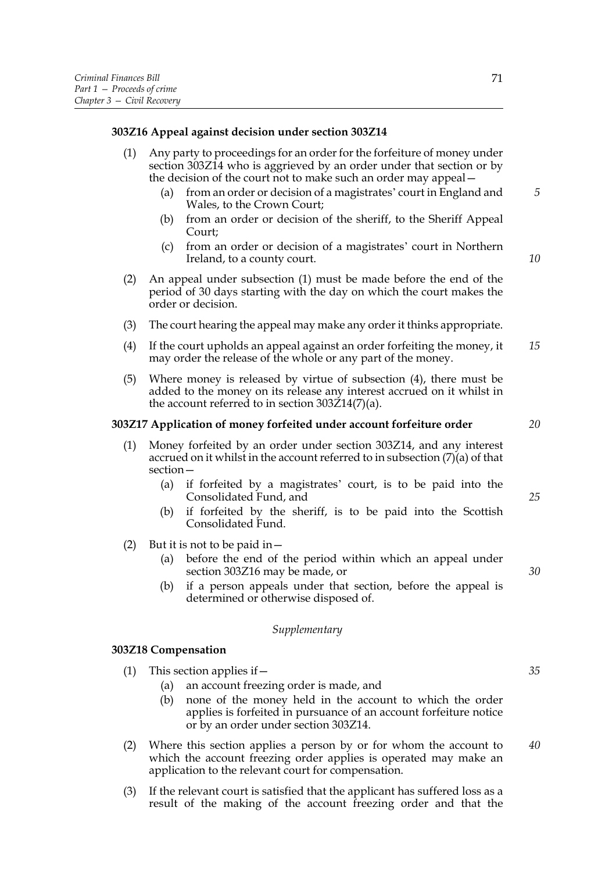#### **303Z16 Appeal against decision under section 303Z14**

| (1) Any party to proceedings for an order for the forfeiture of money under |
|-----------------------------------------------------------------------------|
| section 303Z14 who is aggrieved by an order under that section or by        |
| the decision of the court not to make such an order may appeal –            |

- (a) from an order or decision of a magistrates' court in England and Wales, to the Crown Court;
- (b) from an order or decision of the sheriff, to the Sheriff Appeal Court;
- (c) from an order or decision of a magistrates' court in Northern Ireland, to a county court.

*10*

*5*

- (2) An appeal under subsection (1) must be made before the end of the period of 30 days starting with the day on which the court makes the order or decision.
- (3) The court hearing the appeal may make any order it thinks appropriate.
- (4) If the court upholds an appeal against an order forfeiting the money, it may order the release of the whole or any part of the money. *15*
- (5) Where money is released by virtue of subsection (4), there must be added to the money on its release any interest accrued on it whilst in the account referred to in section  $303Z14(7)(a)$ .

### **303Z17 Application of money forfeited under account forfeiture order**

- (1) Money forfeited by an order under section 303Z14, and any interest accrued on it whilst in the account referred to in subsection  $(7)(a)$  of that section—
	- (a) if forfeited by a magistrates' court, is to be paid into the Consolidated Fund, and
	- (b) if forfeited by the sheriff, is to be paid into the Scottish Consolidated Fund.
- (2) But it is not to be paid in  $-$ 
	- (a) before the end of the period within which an appeal under section 303Z16 may be made, or
	- (b) if a person appeals under that section, before the appeal is determined or otherwise disposed of.

#### *Supplementary*

#### **303Z18 Compensation**

- (1) This section applies if  $-$ 
	- (a) an account freezing order is made, and
	- (b) none of the money held in the account to which the order applies is forfeited in pursuance of an account forfeiture notice or by an order under section 303Z14.
- (2) Where this section applies a person by or for whom the account to which the account freezing order applies is operated may make an application to the relevant court for compensation.
- (3) If the relevant court is satisfied that the applicant has suffered loss as a result of the making of the account freezing order and that the

*25*

*20*

*30*

*35*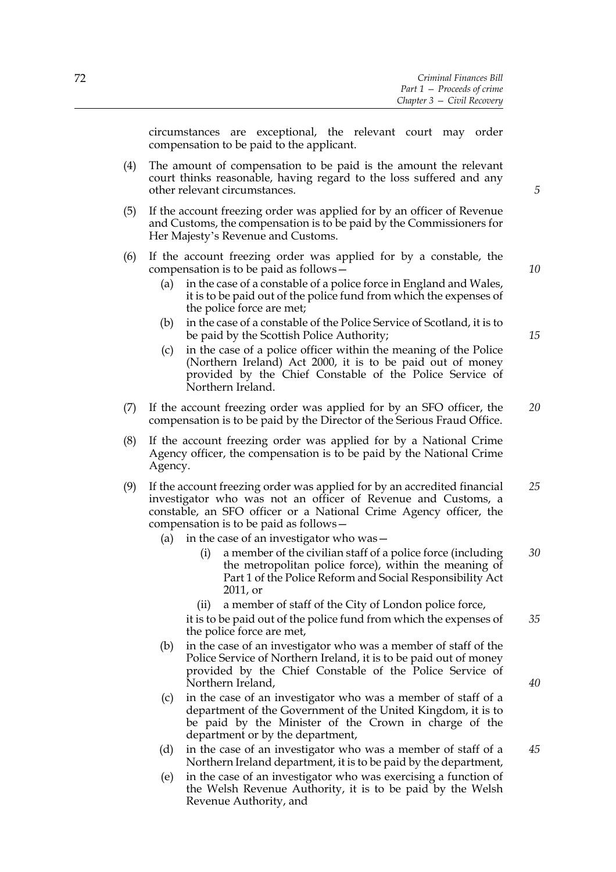72

circumstances are exceptional, the relevant court may order compensation to be paid to the applicant.

- (4) The amount of compensation to be paid is the amount the relevant court thinks reasonable, having regard to the loss suffered and any other relevant circumstances.
- (5) If the account freezing order was applied for by an officer of Revenue and Customs, the compensation is to be paid by the Commissioners for Her Majesty's Revenue and Customs.
- (6) If the account freezing order was applied for by a constable, the compensation is to be paid as follows—
	- (a) in the case of a constable of a police force in England and Wales, it is to be paid out of the police fund from which the expenses of the police force are met;
	- (b) in the case of a constable of the Police Service of Scotland, it is to be paid by the Scottish Police Authority;
	- (c) in the case of a police officer within the meaning of the Police (Northern Ireland) Act 2000, it is to be paid out of money provided by the Chief Constable of the Police Service of Northern Ireland.
- (7) If the account freezing order was applied for by an SFO officer, the compensation is to be paid by the Director of the Serious Fraud Office. *20*
- (8) If the account freezing order was applied for by a National Crime Agency officer, the compensation is to be paid by the National Crime Agency.
- (9) If the account freezing order was applied for by an accredited financial investigator who was not an officer of Revenue and Customs, a constable, an SFO officer or a National Crime Agency officer, the compensation is to be paid as follows— *25*
	- (a) in the case of an investigator who was—
		- (i) a member of the civilian staff of a police force (including the metropolitan police force), within the meaning of Part 1 of the Police Reform and Social Responsibility Act 2011, or *30*
		- (ii) a member of staff of the City of London police force,

it is to be paid out of the police fund from which the expenses of the police force are met, *35*

- (b) in the case of an investigator who was a member of staff of the Police Service of Northern Ireland, it is to be paid out of money provided by the Chief Constable of the Police Service of Northern Ireland,
- (c) in the case of an investigator who was a member of staff of a department of the Government of the United Kingdom, it is to be paid by the Minister of the Crown in charge of the department or by the department,
- (d) in the case of an investigator who was a member of staff of a Northern Ireland department, it is to be paid by the department, *45*
- (e) in the case of an investigator who was exercising a function of the Welsh Revenue Authority, it is to be paid by the Welsh Revenue Authority, and

*5*

*15*

*10*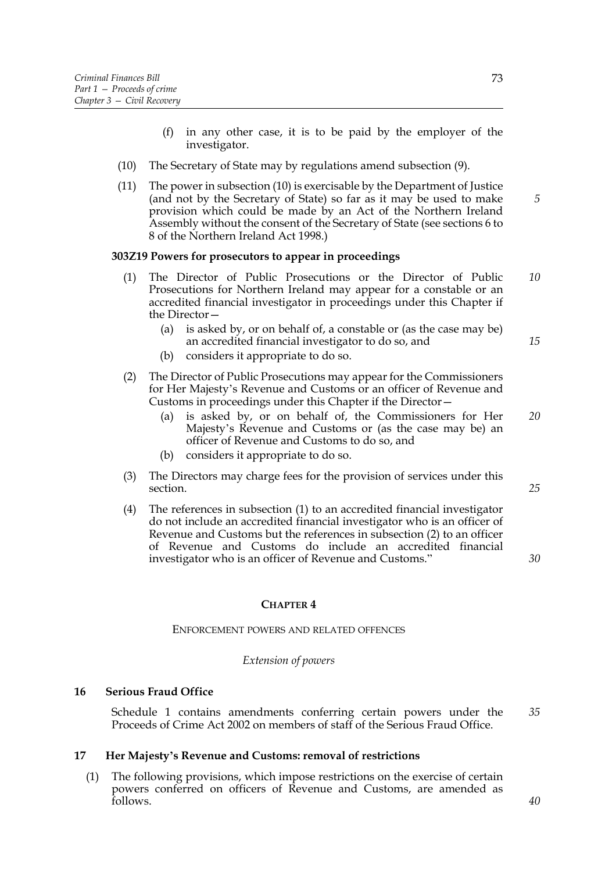- (f) in any other case, it is to be paid by the employer of the investigator.
- (10) The Secretary of State may by regulations amend subsection (9).
- (11) The power in subsection (10) is exercisable by the Department of Justice (and not by the Secretary of State) so far as it may be used to make provision which could be made by an Act of the Northern Ireland Assembly without the consent of the Secretary of State (see sections 6 to 8 of the Northern Ireland Act 1998.)

#### **303Z19 Powers for prosecutors to appear in proceedings**

- (1) The Director of Public Prosecutions or the Director of Public Prosecutions for Northern Ireland may appear for a constable or an accredited financial investigator in proceedings under this Chapter if the Director— *10*
	- (a) is asked by, or on behalf of, a constable or (as the case may be) an accredited financial investigator to do so, and
	- (b) considers it appropriate to do so.
- (2) The Director of Public Prosecutions may appear for the Commissioners for Her Majesty's Revenue and Customs or an officer of Revenue and Customs in proceedings under this Chapter if the Director—
	- (a) is asked by, or on behalf of, the Commissioners for Her Majesty's Revenue and Customs or (as the case may be) an officer of Revenue and Customs to do so, and *20*
	- (b) considers it appropriate to do so.
- (3) The Directors may charge fees for the provision of services under this section.
- (4) The references in subsection (1) to an accredited financial investigator do not include an accredited financial investigator who is an officer of Revenue and Customs but the references in subsection (2) to an officer of Revenue and Customs do include an accredited financial investigator who is an officer of Revenue and Customs."

#### **CHAPTER 4**

## ENFORCEMENT POWERS AND RELATED OFFENCES

#### *Extension of powers*

#### **16 Serious Fraud Office**

Schedule 1 contains amendments conferring certain powers under the Proceeds of Crime Act 2002 on members of staff of the Serious Fraud Office. *35*

### **17 Her Majesty's Revenue and Customs: removal of restrictions**

(1) The following provisions, which impose restrictions on the exercise of certain powers conferred on officers of Revenue and Customs, are amended as follows.

*25*

*30*

*15*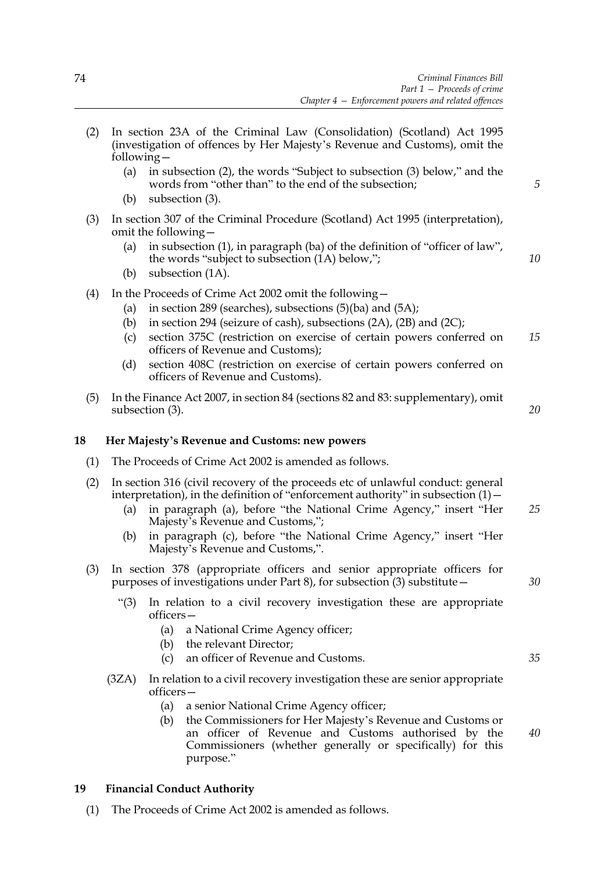- (2) In section 23A of the Criminal Law (Consolidation) (Scotland) Act 1995 (investigation of offences by Her Majesty's Revenue and Customs), omit the following— (a) in subsection (2), the words "Subject to subsection (3) below," and the words from "other than" to the end of the subsection; (b) subsection (3). (3) In section 307 of the Criminal Procedure (Scotland) Act 1995 (interpretation), omit the following— (a) in subsection (1), in paragraph (ba) of the definition of "officer of law", the words "subject to subsection (1A) below,";
	- (b) subsection (1A).
- (4) In the Proceeds of Crime Act 2002 omit the following—
	- (a) in section 289 (searches), subsections (5)(ba) and (5A);
	- (b) in section 294 (seizure of cash), subsections  $(2A)$ ,  $(2B)$  and  $(2C)$ ;
	- (c) section 375C (restriction on exercise of certain powers conferred on officers of Revenue and Customs); *15*
	- (d) section 408C (restriction on exercise of certain powers conferred on officers of Revenue and Customs).
- (5) In the Finance Act 2007, in section 84 (sections 82 and 83: supplementary), omit subsection (3).

## **18 Her Majesty's Revenue and Customs: new powers**

- (1) The Proceeds of Crime Act 2002 is amended as follows.
- (2) In section 316 (civil recovery of the proceeds etc of unlawful conduct: general interpretation), in the definition of "enforcement authority" in subsection  $(1)$  -
	- (a) in paragraph (a), before "the National Crime Agency," insert "Her Majesty's Revenue and Customs,"; *25*
	- (b) in paragraph (c), before "the National Crime Agency," insert "Her Majesty's Revenue and Customs,".
- (3) In section 378 (appropriate officers and senior appropriate officers for purposes of investigations under Part 8), for subsection (3) substitute—
	- "(3) In relation to a civil recovery investigation these are appropriate officers—
		- (a) a National Crime Agency officer;
		- (b) the relevant Director;
		- (c) an officer of Revenue and Customs.
	- (3ZA) In relation to a civil recovery investigation these are senior appropriate officers—
		- (a) a senior National Crime Agency officer;
		- (b) the Commissioners for Her Majesty's Revenue and Customs or an officer of Revenue and Customs authorised by the Commissioners (whether generally or specifically) for this purpose." *40*

# **19 Financial Conduct Authority**

(1) The Proceeds of Crime Act 2002 is amended as follows.

*35*

*30*

*5*

*10*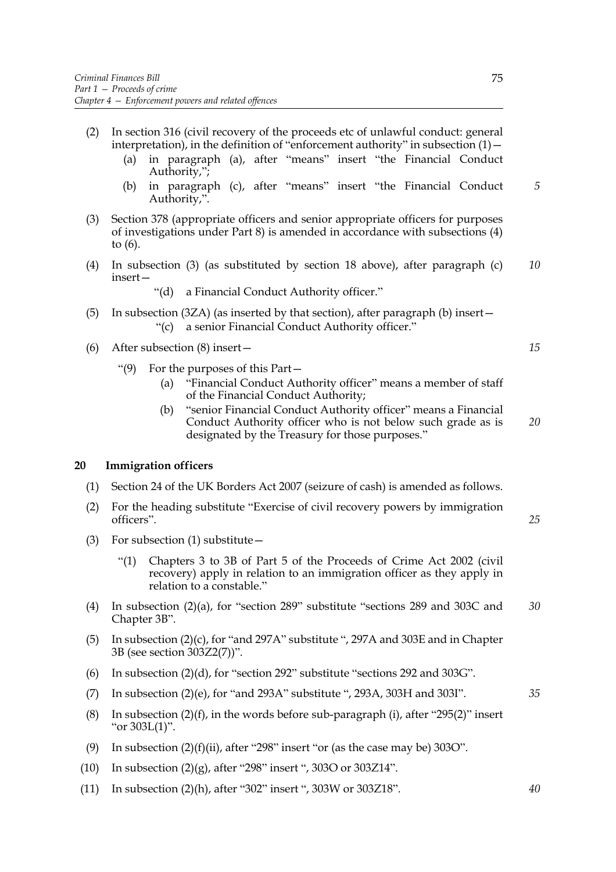- (2) In section 316 (civil recovery of the proceeds etc of unlawful conduct: general interpretation), in the definition of "enforcement authority" in subsection  $(1)$  -
	- (a) in paragraph (a), after "means" insert "the Financial Conduct Authority,";
		- (b) in paragraph (c), after "means" insert "the Financial Conduct Authority,". *5*
- (3) Section 378 (appropriate officers and senior appropriate officers for purposes of investigations under Part 8) is amended in accordance with subsections (4) to (6).
- (4) In subsection (3) (as substituted by section 18 above), after paragraph (c) insert— *10*
	- "(d) a Financial Conduct Authority officer."
- (5) In subsection (3ZA) (as inserted by that section), after paragraph (b) insert— "(c) a senior Financial Conduct Authority officer."
- (6) After subsection (8) insert—
	- "(9) For the purposes of this Part—
		- (a) "Financial Conduct Authority officer" means a member of staff of the Financial Conduct Authority;
		- (b) "senior Financial Conduct Authority officer" means a Financial Conduct Authority officer who is not below such grade as is designated by the Treasury for those purposes."

### **20 Immigration officers**

- (1) Section 24 of the UK Borders Act 2007 (seizure of cash) is amended as follows.
- (2) For the heading substitute "Exercise of civil recovery powers by immigration officers".
- *25*

*15*

*20*

- (3) For subsection (1) substitute  $-$ 
	- "(1) Chapters 3 to 3B of Part 5 of the Proceeds of Crime Act 2002 (civil recovery) apply in relation to an immigration officer as they apply in relation to a constable."
- (4) In subsection (2)(a), for "section 289" substitute "sections 289 and 303C and Chapter 3B". *30*
- (5) In subsection (2)(c), for "and 297A" substitute ", 297A and 303E and in Chapter 3B (see section 303Z2(7))".
- (6) In subsection  $(2)(d)$ , for "section 292" substitute "sections 292 and 303G".
- (7) In subsection (2)(e), for "and 293A" substitute ", 293A, 303H and 303I".
- (8) In subsection  $(2)(f)$ , in the words before sub-paragraph (i), after "295 $(2)$ " insert "or 303L(1)".
- (9) In subsection (2)(f)(ii), after "298" insert "or (as the case may be) 303O".
- (10) In subsection (2)(g), after "298" insert ", 303O or 303Z14".
- (11) In subsection (2)(h), after "302" insert ", 303W or 303Z18".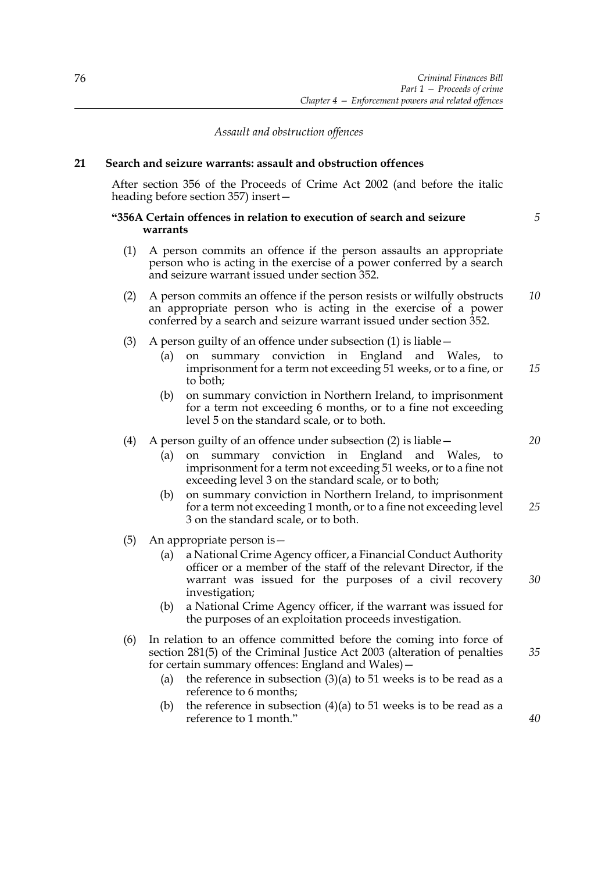## *Assault and obstruction offences*

### **21 Search and seizure warrants: assault and obstruction offences**

After section 356 of the Proceeds of Crime Act 2002 (and before the italic heading before section 357) insert—

#### **"356A Certain offences in relation to execution of search and seizure warrants**

- (1) A person commits an offence if the person assaults an appropriate person who is acting in the exercise of a power conferred by a search and seizure warrant issued under section 352.
- (2) A person commits an offence if the person resists or wilfully obstructs an appropriate person who is acting in the exercise of a power conferred by a search and seizure warrant issued under section 352. *10*
- (3) A person guilty of an offence under subsection  $(1)$  is liable  $-$ 
	- (a) on summary conviction in England and Wales, to imprisonment for a term not exceeding 51 weeks, or to a fine, or to both; *15*
	- (b) on summary conviction in Northern Ireland, to imprisonment for a term not exceeding 6 months, or to a fine not exceeding level 5 on the standard scale, or to both.

### (4) A person guilty of an offence under subsection (2) is liable—

- (a) on summary conviction in England and Wales, to imprisonment for a term not exceeding 51 weeks, or to a fine not exceeding level 3 on the standard scale, or to both;
- (b) on summary conviction in Northern Ireland, to imprisonment for a term not exceeding 1 month, or to a fine not exceeding level 3 on the standard scale, or to both. *25*
- (5) An appropriate person is—
	- (a) a National Crime Agency officer, a Financial Conduct Authority officer or a member of the staff of the relevant Director, if the warrant was issued for the purposes of a civil recovery investigation;
	- (b) a National Crime Agency officer, if the warrant was issued for the purposes of an exploitation proceeds investigation.
- (6) In relation to an offence committed before the coming into force of section 281(5) of the Criminal Justice Act 2003 (alteration of penalties for certain summary offences: England and Wales)— *35*
	- (a) the reference in subsection  $(3)(a)$  to 51 weeks is to be read as a reference to 6 months;
	- (b) the reference in subsection  $(4)(a)$  to 51 weeks is to be read as a reference to 1 month."

*5*

*20*

*30*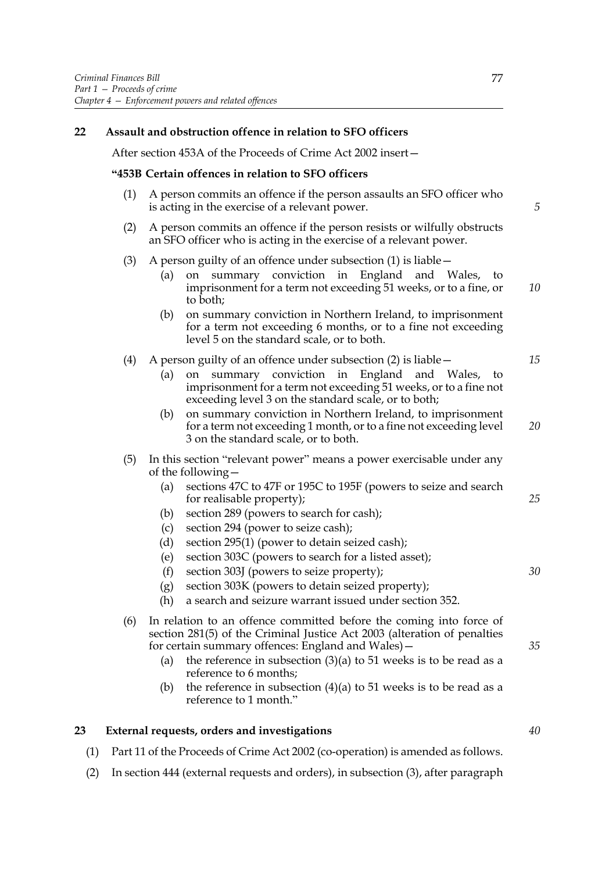## **22 Assault and obstruction offence in relation to SFO officers**

After section 453A of the Proceeds of Crime Act 2002 insert—

#### **"453B Certain offences in relation to SFO officers**

- (1) A person commits an offence if the person assaults an SFO officer who is acting in the exercise of a relevant power.
- (2) A person commits an offence if the person resists or wilfully obstructs an SFO officer who is acting in the exercise of a relevant power.

#### (3) A person guilty of an offence under subsection (1) is liable—

- (a) on summary conviction in England and Wales, to imprisonment for a term not exceeding 51 weeks, or to a fine, or to both; *10*
- (b) on summary conviction in Northern Ireland, to imprisonment for a term not exceeding 6 months, or to a fine not exceeding level 5 on the standard scale, or to both.

#### (4) A person guilty of an offence under subsection (2) is liable—

- (a) on summary conviction in England and Wales, to imprisonment for a term not exceeding 51 weeks, or to a fine not exceeding level 3 on the standard scale, or to both;
- (b) on summary conviction in Northern Ireland, to imprisonment for a term not exceeding 1 month, or to a fine not exceeding level 3 on the standard scale, or to both. *20*

# (5) In this section "relevant power" means a power exercisable under any of the following—

- (a) sections 47C to 47F or 195C to 195F (powers to seize and search for realisable property);
- (b) section 289 (powers to search for cash);
- (c) section 294 (power to seize cash);
- (d) section 295(1) (power to detain seized cash);
- (e) section 303C (powers to search for a listed asset);
- (f) section 303J (powers to seize property);
- (g) section 303K (powers to detain seized property);
- (h) a search and seizure warrant issued under section 352.
- (6) In relation to an offence committed before the coming into force of section 281(5) of the Criminal Justice Act 2003 (alteration of penalties for certain summary offences: England and Wales)—
	- (a) the reference in subsection  $(3)(a)$  to 51 weeks is to be read as a reference to 6 months;
	- (b) the reference in subsection  $(4)(a)$  to 51 weeks is to be read as a reference to 1 month."

# **23 External requests, orders and investigations**

- (1) Part 11 of the Proceeds of Crime Act 2002 (co-operation) is amended as follows.
- (2) In section 444 (external requests and orders), in subsection (3), after paragraph

*5*

*15*

*25*

*30*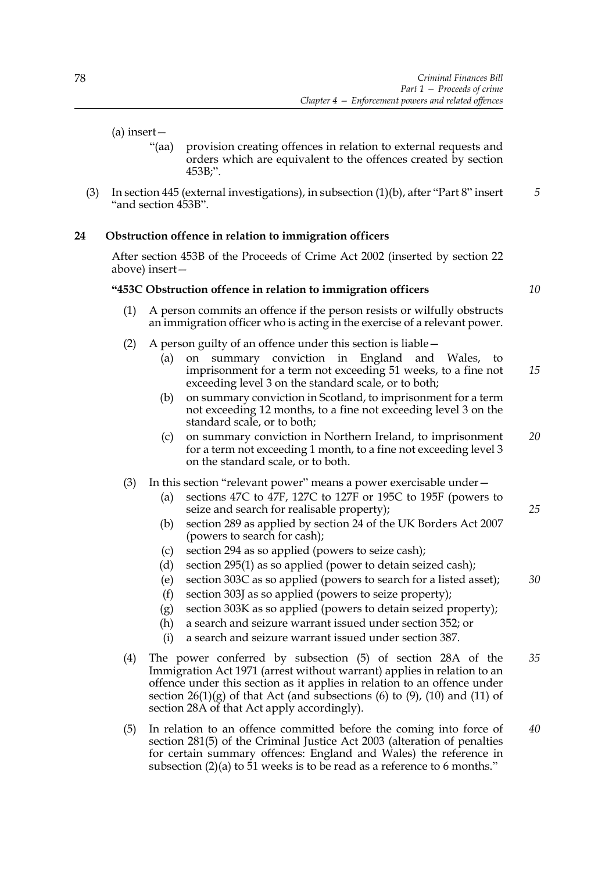(a) insert—

- "(aa) provision creating offences in relation to external requests and orders which are equivalent to the offences created by section 453B;".
- (3) In section 445 (external investigations), in subsection (1)(b), after "Part 8" insert "and section 453B". *5*

# **24 Obstruction offence in relation to immigration officers**

After section 453B of the Proceeds of Crime Act 2002 (inserted by section 22 above) insert—

### **"453C Obstruction offence in relation to immigration officers**

- (1) A person commits an offence if the person resists or wilfully obstructs an immigration officer who is acting in the exercise of a relevant power.
- (2) A person guilty of an offence under this section is liable—
	- (a) on summary conviction in England and Wales, to imprisonment for a term not exceeding 51 weeks, to a fine not exceeding level 3 on the standard scale, or to both; *15*
	- (b) on summary conviction in Scotland, to imprisonment for a term not exceeding 12 months, to a fine not exceeding level 3 on the standard scale, or to both;
	- (c) on summary conviction in Northern Ireland, to imprisonment for a term not exceeding 1 month, to a fine not exceeding level 3 on the standard scale, or to both. *20*

### (3) In this section "relevant power" means a power exercisable under—

- (a) sections 47C to 47F, 127C to 127F or 195C to 195F (powers to seize and search for realisable property);
- (b) section 289 as applied by section 24 of the UK Borders Act 2007 (powers to search for cash);
- (c) section 294 as so applied (powers to seize cash);
- (d) section 295(1) as so applied (power to detain seized cash);
- (e) section 303C as so applied (powers to search for a listed asset);
- (f) section 303J as so applied (powers to seize property);
- (g) section 303K as so applied (powers to detain seized property);
- (h) a search and seizure warrant issued under section 352; or
- (i) a search and seizure warrant issued under section 387.
- (4) The power conferred by subsection (5) of section 28A of the Immigration Act 1971 (arrest without warrant) applies in relation to an offence under this section as it applies in relation to an offence under section  $26(1)(g)$  of that Act (and subsections (6) to (9), (10) and (11) of section 28A of that Act apply accordingly). *35*
- (5) In relation to an offence committed before the coming into force of section 281(5) of the Criminal Justice Act 2003 (alteration of penalties for certain summary offences: England and Wales) the reference in subsection  $(2)(a)$  to  $\overline{5}1$  weeks is to be read as a reference to 6 months." *40*

*10*

*25*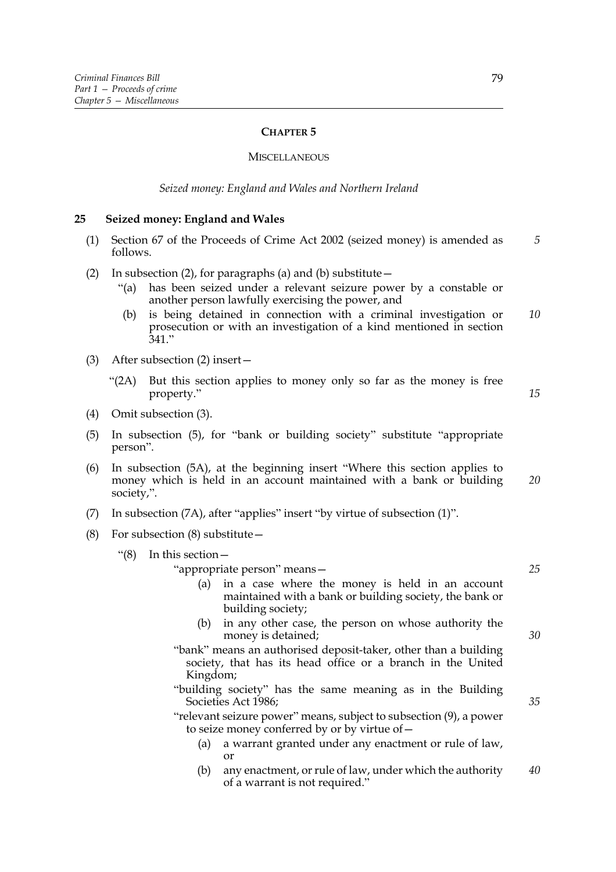### **CHAPTER 5**

#### MISCELLANEOUS

#### *Seized money: England and Wales and Northern Ireland*

#### **25 Seized money: England and Wales**

- (1) Section 67 of the Proceeds of Crime Act 2002 (seized money) is amended as follows. *5*
- (2) In subsection (2), for paragraphs (a) and (b) substitute—
	- "(a) has been seized under a relevant seizure power by a constable or another person lawfully exercising the power, and
		- (b) is being detained in connection with a criminal investigation or prosecution or with an investigation of a kind mentioned in section 341." *10*
- (3) After subsection (2) insert—
	- "(2A) But this section applies to money only so far as the money is free property."
- (4) Omit subsection (3).
- (5) In subsection (5), for "bank or building society" substitute "appropriate person".
- (6) In subsection (5A), at the beginning insert "Where this section applies to money which is held in an account maintained with a bank or building society,". *20*
- (7) In subsection (7A), after "applies" insert "by virtue of subsection (1)".
- (8) For subsection (8) substitute—
	- "(8) In this section—

"appropriate person" means—

- in a case where the money is held in an account maintained with a bank or building society, the bank or building society;
- (b) in any other case, the person on whose authority the money is detained;
- "bank" means an authorised deposit-taker, other than a building society, that has its head office or a branch in the United Kingdom;
- "building society" has the same meaning as in the Building Societies Act 1986;

"relevant seizure power" means, subject to subsection (9), a power to seize money conferred by or by virtue of—

- (a) a warrant granted under any enactment or rule of law, or
- (b) any enactment, or rule of law, under which the authority of a warrant is not required." *40*

*25*

*15*

*30*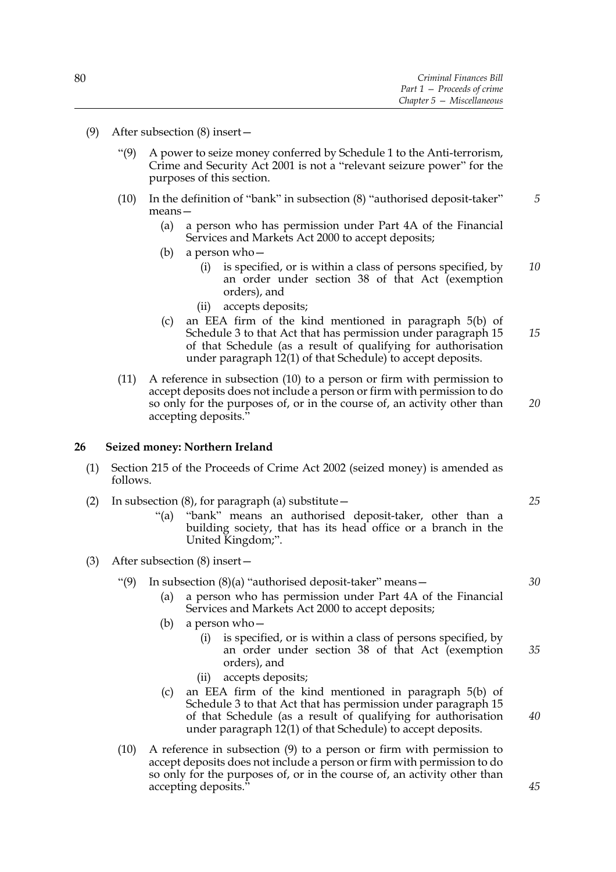- (9) After subsection (8) insert—
	- "(9) A power to seize money conferred by Schedule 1 to the Anti-terrorism, Crime and Security Act 2001 is not a "relevant seizure power" for the purposes of this section.
	- (10) In the definition of "bank" in subsection (8) "authorised deposit-taker" means— *5*
		- (a) a person who has permission under Part 4A of the Financial Services and Markets Act 2000 to accept deposits;
		- (b) a person who—
			- (i) is specified, or is within a class of persons specified, by an order under section 38 of that Act (exemption orders), and *10*
			- (ii) accepts deposits;
		- (c) an EEA firm of the kind mentioned in paragraph 5(b) of Schedule 3 to that Act that has permission under paragraph 15 of that Schedule (as a result of qualifying for authorisation under paragraph 12(1) of that Schedule) to accept deposits. *15*
	- (11) A reference in subsection (10) to a person or firm with permission to accept deposits does not include a person or firm with permission to do so only for the purposes of, or in the course of, an activity other than accepting deposits." *20*

## **26 Seized money: Northern Ireland**

- (1) Section 215 of the Proceeds of Crime Act 2002 (seized money) is amended as follows.
- (2) In subsection  $(8)$ , for paragraph  $(a)$  substitute  $-$ 
	- "(a) "bank" means an authorised deposit-taker, other than a building society, that has its head office or a branch in the United Kingdom;".
- (3) After subsection (8) insert—
	- "(9) In subsection  $(8)(a)$  "authorised deposit-taker" means  $-$ 
		- (a) a person who has permission under Part 4A of the Financial Services and Markets Act 2000 to accept deposits;
		- (b) a person who—
			- (i) is specified, or is within a class of persons specified, by an order under section 38 of that Act (exemption orders), and
			- (ii) accepts deposits;
		- (c) an EEA firm of the kind mentioned in paragraph 5(b) of Schedule 3 to that Act that has permission under paragraph 15 of that Schedule (as a result of qualifying for authorisation under paragraph 12(1) of that Schedule) to accept deposits.
	- (10) A reference in subsection (9) to a person or firm with permission to accept deposits does not include a person or firm with permission to do so only for the purposes of, or in the course of, an activity other than accepting deposits."

*25*

*30*

*35*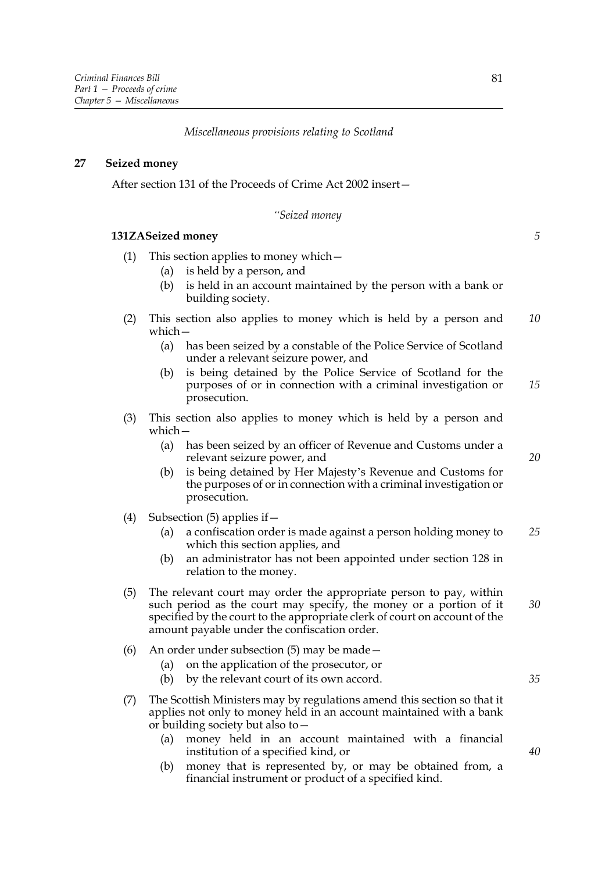### *Miscellaneous provisions relating to Scotland*

### **27 Seized money**

After section 131 of the Proceeds of Crime Act 2002 insert—

#### *"Seized money*

#### **131ZASeized money**

- (1) This section applies to money which—
	- (a) is held by a person, and
	- (b) is held in an account maintained by the person with a bank or building society.
- (2) This section also applies to money which is held by a person and which— *10*
	- (a) has been seized by a constable of the Police Service of Scotland under a relevant seizure power, and
	- (b) is being detained by the Police Service of Scotland for the purposes of or in connection with a criminal investigation or prosecution. *15*
- (3) This section also applies to money which is held by a person and which—
	- (a) has been seized by an officer of Revenue and Customs under a relevant seizure power, and
	- (b) is being detained by Her Majesty's Revenue and Customs for the purposes of or in connection with a criminal investigation or prosecution.
- (4) Subsection (5) applies if  $-$ 
	- (a) a confiscation order is made against a person holding money to which this section applies, and *25*
	- (b) an administrator has not been appointed under section 128 in relation to the money.
- (5) The relevant court may order the appropriate person to pay, within such period as the court may specify, the money or a portion of it specified by the court to the appropriate clerk of court on account of the amount payable under the confiscation order. *30*
- (6) An order under subsection (5) may be made—
	- (a) on the application of the prosecutor, or
	- (b) by the relevant court of its own accord.
- (7) The Scottish Ministers may by regulations amend this section so that it applies not only to money held in an account maintained with a bank or building society but also to—
	- (a) money held in an account maintained with a financial institution of a specified kind, or
	- (b) money that is represented by, or may be obtained from, a financial instrument or product of a specified kind.

*35*

*5*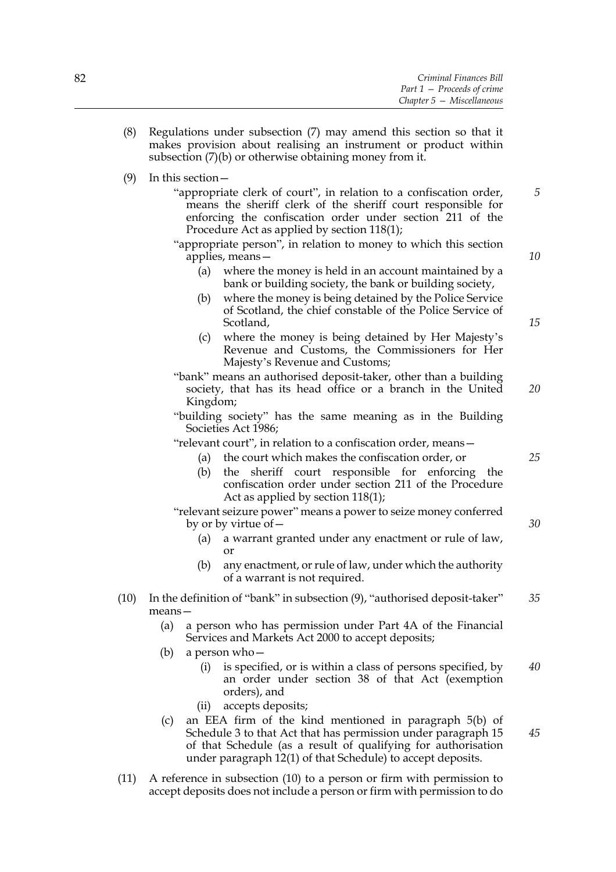- (8) Regulations under subsection (7) may amend this section so that it makes provision about realising an instrument or product within subsection (7)(b) or otherwise obtaining money from it. (9) In this section— "appropriate clerk of court", in relation to a confiscation order, means the sheriff clerk of the sheriff court responsible for enforcing the confiscation order under section 211 of the Procedure Act as applied by section 118(1); "appropriate person", in relation to money to which this section applies, means— (a) where the money is held in an account maintained by a bank or building society, the bank or building society, (b) where the money is being detained by the Police Service of Scotland, the chief constable of the Police Service of Scotland, (c) where the money is being detained by Her Majesty's Revenue and Customs, the Commissioners for Her Majesty's Revenue and Customs; "bank" means an authorised deposit-taker, other than a building society, that has its head office or a branch in the United Kingdom; "building society" has the same meaning as in the Building Societies Act 1986; "relevant court", in relation to a confiscation order, means— (a) the court which makes the confiscation order, or (b) the sheriff court responsible for enforcing the confiscation order under section 211 of the Procedure Act as applied by section 118(1); "relevant seizure power" means a power to seize money conferred by or by virtue of— (a) a warrant granted under any enactment or rule of law, or (b) any enactment, or rule of law, under which the authority of a warrant is not required. (10) In the definition of "bank" in subsection (9), "authorised deposit-taker" means— (a) a person who has permission under Part 4A of the Financial Services and Markets Act 2000 to accept deposits; (b) a person who— (i) is specified, or is within a class of persons specified, by an order under section 38 of that Act (exemption orders), and (ii) accepts deposits; (c) an EEA firm of the kind mentioned in paragraph 5(b) of Schedule 3 to that Act that has permission under paragraph 15 of that Schedule (as a result of qualifying for authorisation under paragraph 12(1) of that Schedule) to accept deposits. *5 10 20 25 30 35 40 45*
- (11) A reference in subsection (10) to a person or firm with permission to accept deposits does not include a person or firm with permission to do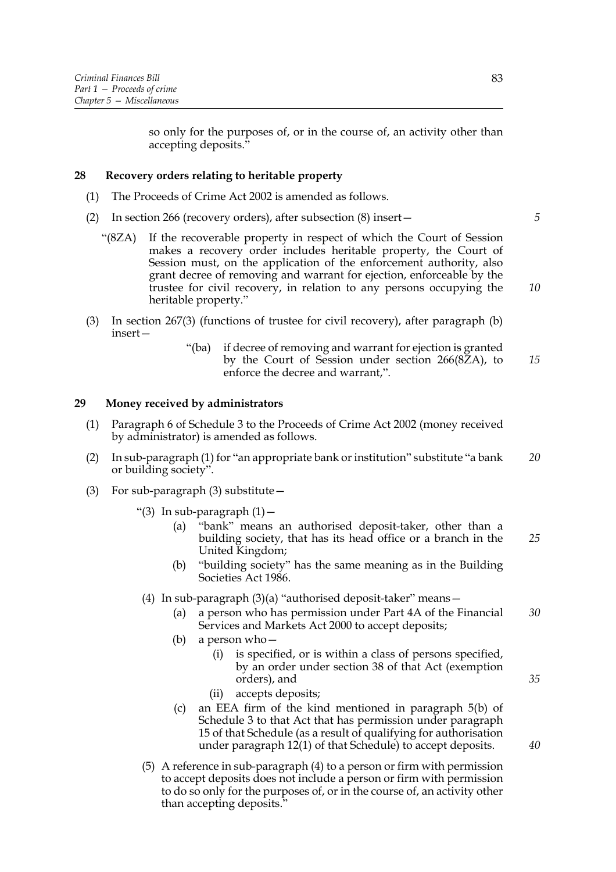so only for the purposes of, or in the course of, an activity other than accepting deposits."

### **28 Recovery orders relating to heritable property**

- (1) The Proceeds of Crime Act 2002 is amended as follows.
- (2) In section 266 (recovery orders), after subsection (8) insert—
	- "(8ZA) If the recoverable property in respect of which the Court of Session makes a recovery order includes heritable property, the Court of Session must, on the application of the enforcement authority, also grant decree of removing and warrant for ejection, enforceable by the trustee for civil recovery, in relation to any persons occupying the heritable property."
- (3) In section 267(3) (functions of trustee for civil recovery), after paragraph (b) insert—
	- "(ba) if decree of removing and warrant for ejection is granted by the Court of Session under section 266(8ZA), to enforce the decree and warrant,". *15*

## **29 Money received by administrators**

- (1) Paragraph 6 of Schedule 3 to the Proceeds of Crime Act 2002 (money received by administrator) is amended as follows.
- (2) In sub-paragraph (1) for "an appropriate bank or institution" substitute "a bank or building society". *20*
- (3) For sub-paragraph (3) substitute—
	- "(3) In sub-paragraph  $(1)$  -
		- (a) "bank" means an authorised deposit-taker, other than a building society, that has its head office or a branch in the United Kingdom; *25*
		- (b) "building society" has the same meaning as in the Building Societies Act 1986.
	- (4) In sub-paragraph  $(3)(a)$  "authorised deposit-taker" means -
		- (a) a person who has permission under Part 4A of the Financial Services and Markets Act 2000 to accept deposits; *30*
		- (b) a person who
			- is specified, or is within a class of persons specified, by an order under section 38 of that Act (exemption orders), and
			- (ii) accepts deposits;
		- (c) an EEA firm of the kind mentioned in paragraph 5(b) of Schedule 3 to that Act that has permission under paragraph 15 of that Schedule (as a result of qualifying for authorisation under paragraph 12(1) of that Schedule) to accept deposits.
	- (5) A reference in sub-paragraph (4) to a person or firm with permission to accept deposits does not include a person or firm with permission to do so only for the purposes of, or in the course of, an activity other than accepting deposits."

83

*10*

*35*

*40*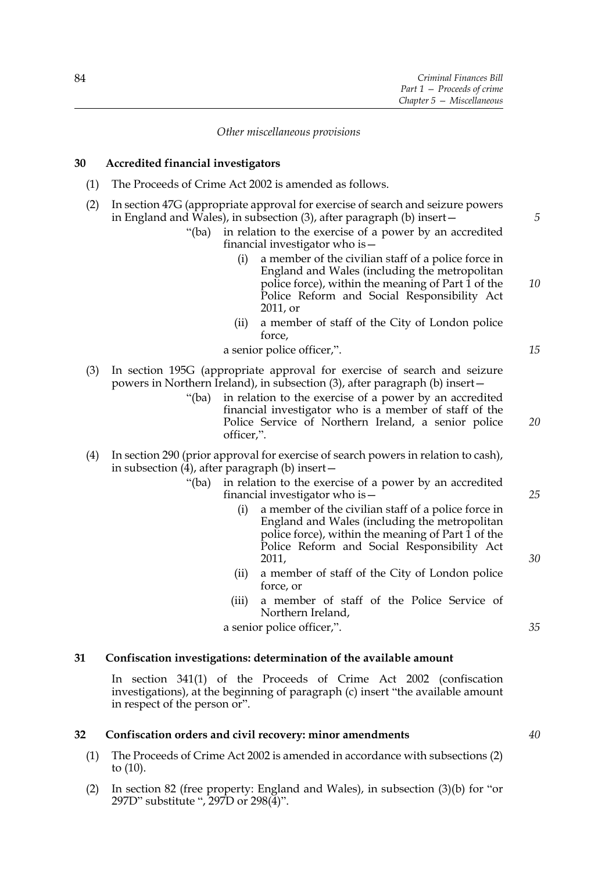#### *Other miscellaneous provisions*

#### **30 Accredited financial investigators**

- (1) The Proceeds of Crime Act 2002 is amended as follows.
- (2) In section 47G (appropriate approval for exercise of search and seizure powers in England and Wales), in subsection (3), after paragraph (b) insert—
	- "(ba) in relation to the exercise of a power by an accredited financial investigator who is—
		- (i) a member of the civilian staff of a police force in England and Wales (including the metropolitan police force), within the meaning of Part  $\overline{1}$  of the Police Reform and Social Responsibility Act 2011, or
		- (ii) a member of staff of the City of London police force,

a senior police officer,".

- (3) In section 195G (appropriate approval for exercise of search and seizure powers in Northern Ireland), in subsection (3), after paragraph (b) insert—
	- "(ba) in relation to the exercise of a power by an accredited financial investigator who is a member of staff of the Police Service of Northern Ireland, a senior police officer,".
- (4) In section 290 (prior approval for exercise of search powers in relation to cash), in subsection (4), after paragraph (b) insert—
	- "(ba) in relation to the exercise of a power by an accredited financial investigator who is—
		- (i) a member of the civilian staff of a police force in England and Wales (including the metropolitan police force), within the meaning of Part  $\bar{1}$  of the Police Reform and Social Responsibility Act 2011,
		- (ii) a member of staff of the City of London police force, or
		- (iii) a member of staff of the Police Service of Northern Ireland,

a senior police officer,".

### **31 Confiscation investigations: determination of the available amount**

In section 341(1) of the Proceeds of Crime Act 2002 (confiscation investigations), at the beginning of paragraph (c) insert "the available amount in respect of the person or".

#### **32 Confiscation orders and civil recovery: minor amendments**

- (1) The Proceeds of Crime Act 2002 is amended in accordance with subsections (2) to (10).
- (2) In section 82 (free property: England and Wales), in subsection (3)(b) for "or 297D" substitute ", 297D or 298(4)".

*20*

*15*

*5*

*10*

*30*

*25*

*35*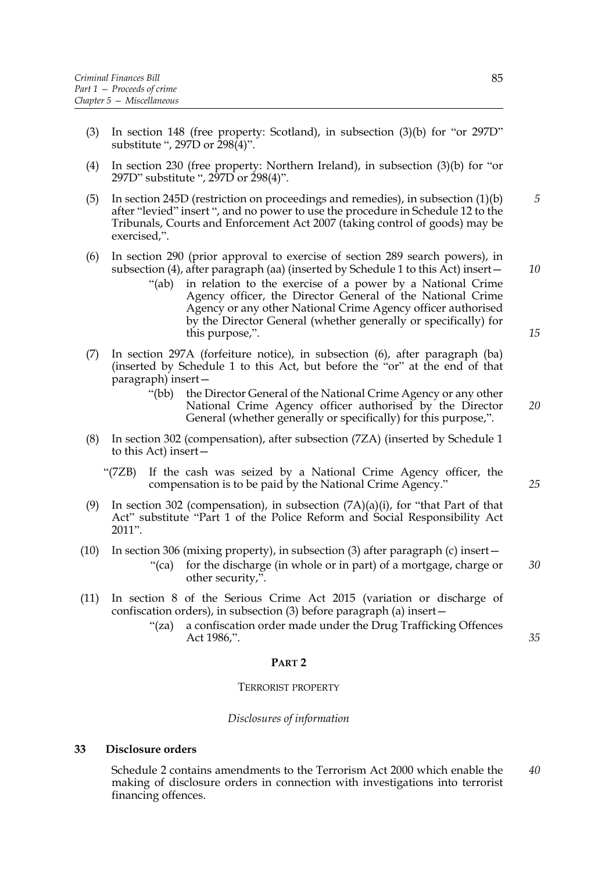- (3) In section 148 (free property: Scotland), in subsection (3)(b) for "or 297D" substitute ", 297D or  $298(4)$ ".
- (4) In section 230 (free property: Northern Ireland), in subsection (3)(b) for "or 297D" substitute ", 297D or 298(4)".
- (5) In section 245D (restriction on proceedings and remedies), in subsection (1)(b) after "levied" insert ", and no power to use the procedure in Schedule 12 to the Tribunals, Courts and Enforcement Act 2007 (taking control of goods) may be exercised,".
- (6) In section 290 (prior approval to exercise of section 289 search powers), in subsection (4), after paragraph (aa) (inserted by Schedule 1 to this Act) insert—
	- "(ab) in relation to the exercise of a power by a National Crime Agency officer, the Director General of the National Crime Agency or any other National Crime Agency officer authorised by the Director General (whether generally or specifically) for this purpose,".
- (7) In section 297A (forfeiture notice), in subsection (6), after paragraph (ba) (inserted by Schedule 1 to this Act, but before the "or" at the end of that paragraph) insert—
	- "(bb) the Director General of the National Crime Agency or any other National Crime Agency officer authorised by the Director General (whether generally or specifically) for this purpose,".
- (8) In section 302 (compensation), after subsection (7ZA) (inserted by Schedule 1 to this Act) insert—
	- "(7ZB) If the cash was seized by a National Crime Agency officer, the compensation is to be paid by the National Crime Agency."
- (9) In section 302 (compensation), in subsection  $(7A)(a)(i)$ , for "that Part of that Act" substitute "Part 1 of the Police Reform and Social Responsibility Act 2011".
- (10) In section 306 (mixing property), in subsection (3) after paragraph (c) insert—
	- "(ca) for the discharge (in whole or in part) of a mortgage, charge or other security,". *30*
- (11) In section 8 of the Serious Crime Act 2015 (variation or discharge of confiscation orders), in subsection (3) before paragraph (a) insert—
	- "(za) a confiscation order made under the Drug Trafficking Offences Act 1986,".

### **PART 2**

#### TERRORIST PROPERTY

### *Disclosures of information*

### **33 Disclosure orders**

Schedule 2 contains amendments to the Terrorism Act 2000 which enable the making of disclosure orders in connection with investigations into terrorist financing offences. *40*

*15*

*20*

*25*

*35*

*10*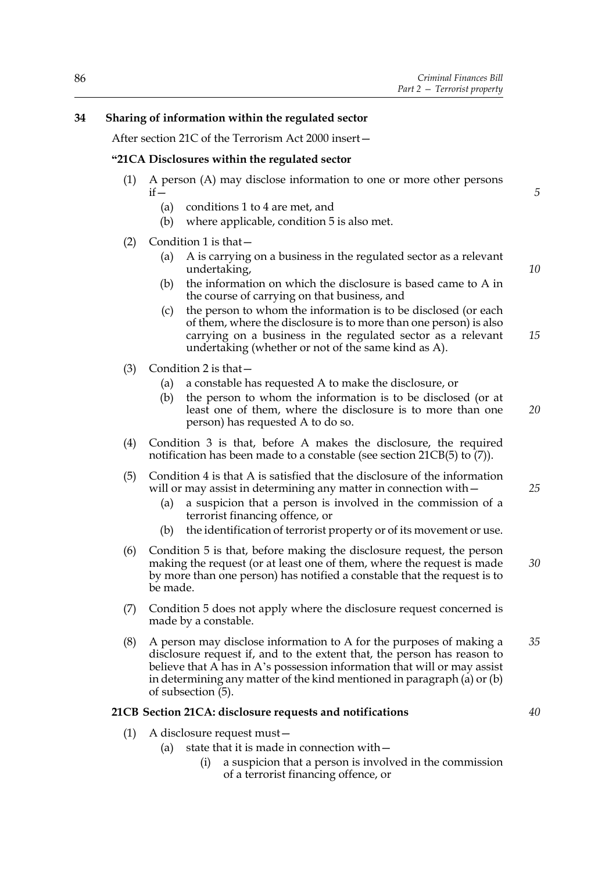### **34 Sharing of information within the regulated sector**

After section 21C of the Terrorism Act 2000 insert—

#### **"21CA Disclosures within the regulated sector**

- (1) A person (A) may disclose information to one or more other persons  $if -$ 
	- (a) conditions 1 to 4 are met, and
	- (b) where applicable, condition 5 is also met.
- (2) Condition 1 is that—
	- (a) A is carrying on a business in the regulated sector as a relevant undertaking,
	- (b) the information on which the disclosure is based came to A in the course of carrying on that business, and
	- (c) the person to whom the information is to be disclosed (or each of them, where the disclosure is to more than one person) is also carrying on a business in the regulated sector as a relevant undertaking (whether or not of the same kind as A). *15*
- (3) Condition 2 is that—
	- (a) a constable has requested A to make the disclosure, or
	- (b) the person to whom the information is to be disclosed (or at least one of them, where the disclosure is to more than one person) has requested A to do so.
- (4) Condition 3 is that, before A makes the disclosure, the required notification has been made to a constable (see section 21CB(5) to (7)).
- (5) Condition 4 is that A is satisfied that the disclosure of the information will or may assist in determining any matter in connection with -
	- (a) a suspicion that a person is involved in the commission of a terrorist financing offence, or
	- (b) the identification of terrorist property or of its movement or use.
- (6) Condition 5 is that, before making the disclosure request, the person making the request (or at least one of them, where the request is made by more than one person) has notified a constable that the request is to be made. *30*
- (7) Condition 5 does not apply where the disclosure request concerned is made by a constable.
- (8) A person may disclose information to A for the purposes of making a disclosure request if, and to the extent that, the person has reason to believe that A has in A's possession information that will or may assist in determining any matter of the kind mentioned in paragraph (a) or (b) of subsection (5). *35*

# **21CB Section 21CA: disclosure requests and notifications**

- (1) A disclosure request must—
	- (a) state that it is made in connection with  $-$ 
		- (i) a suspicion that a person is involved in the commission of a terrorist financing offence, or

*25*

*20*

*5*

*10*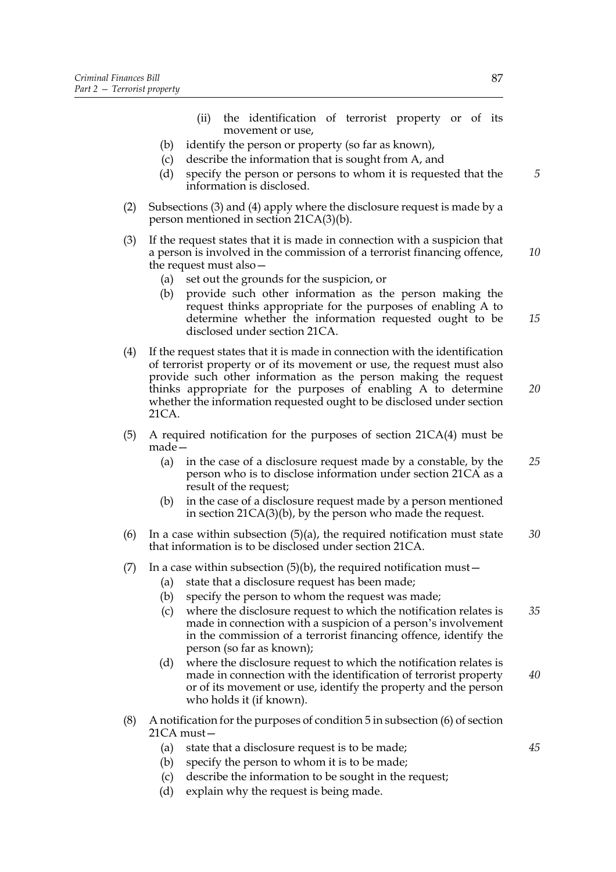|     |                                                                                                                                        | the identification of terrorist property or of its<br>(ii)<br>movement or use,                                                                                                                                                                                                                                                                                      |    |  |
|-----|----------------------------------------------------------------------------------------------------------------------------------------|---------------------------------------------------------------------------------------------------------------------------------------------------------------------------------------------------------------------------------------------------------------------------------------------------------------------------------------------------------------------|----|--|
|     | (b)                                                                                                                                    | identify the person or property (so far as known),                                                                                                                                                                                                                                                                                                                  |    |  |
|     | (c)                                                                                                                                    | describe the information that is sought from A, and                                                                                                                                                                                                                                                                                                                 |    |  |
|     | (d)                                                                                                                                    | specify the person or persons to whom it is requested that the<br>information is disclosed.                                                                                                                                                                                                                                                                         | 5  |  |
| (2) | Subsections (3) and (4) apply where the disclosure request is made by a<br>person mentioned in section $21CA(3)(b)$ .                  |                                                                                                                                                                                                                                                                                                                                                                     |    |  |
| (3) |                                                                                                                                        | If the request states that it is made in connection with a suspicion that<br>a person is involved in the commission of a terrorist financing offence,<br>the request must also –                                                                                                                                                                                    | 10 |  |
|     | (a)                                                                                                                                    | set out the grounds for the suspicion, or                                                                                                                                                                                                                                                                                                                           |    |  |
|     | (b)                                                                                                                                    | provide such other information as the person making the<br>request thinks appropriate for the purposes of enabling A to<br>determine whether the information requested ought to be<br>disclosed under section 21CA.                                                                                                                                                 | 15 |  |
| (4) |                                                                                                                                        | If the request states that it is made in connection with the identification<br>of terrorist property or of its movement or use, the request must also<br>provide such other information as the person making the request<br>thinks appropriate for the purposes of enabling A to determine<br>whether the information requested ought to be disclosed under section | 20 |  |
|     | 21CA.                                                                                                                                  |                                                                                                                                                                                                                                                                                                                                                                     |    |  |
| (5) | made-                                                                                                                                  | A required notification for the purposes of section 21CA(4) must be                                                                                                                                                                                                                                                                                                 |    |  |
|     | (a)                                                                                                                                    | in the case of a disclosure request made by a constable, by the<br>person who is to disclose information under section 21CA as a<br>result of the request;                                                                                                                                                                                                          | 25 |  |
|     | (b)                                                                                                                                    | in the case of a disclosure request made by a person mentioned<br>in section $21CA(3)(b)$ , by the person who made the request.                                                                                                                                                                                                                                     |    |  |
| (6) | In a case within subsection $(5)(a)$ , the required notification must state<br>that information is to be disclosed under section 21CA. |                                                                                                                                                                                                                                                                                                                                                                     | 30 |  |
|     |                                                                                                                                        | (7) In a case within subsection $(5)(b)$ , the required notification must-                                                                                                                                                                                                                                                                                          |    |  |
|     | (a)                                                                                                                                    | state that a disclosure request has been made;                                                                                                                                                                                                                                                                                                                      |    |  |
|     | (b)                                                                                                                                    | specify the person to whom the request was made;                                                                                                                                                                                                                                                                                                                    |    |  |
|     | (c)                                                                                                                                    | where the disclosure request to which the notification relates is<br>made in connection with a suspicion of a person's involvement<br>in the commission of a terrorist financing offence, identify the<br>person (so far as known);                                                                                                                                 | 35 |  |
|     | (d)                                                                                                                                    | where the disclosure request to which the notification relates is<br>made in connection with the identification of terrorist property<br>or of its movement or use, identify the property and the person<br>who holds it (if known).                                                                                                                                | 40 |  |
| (8) |                                                                                                                                        | A notification for the purposes of condition 5 in subsection (6) of section<br>21CA must-                                                                                                                                                                                                                                                                           |    |  |
|     | (a)                                                                                                                                    | state that a disclosure request is to be made;                                                                                                                                                                                                                                                                                                                      | 45 |  |
|     | (b)                                                                                                                                    | specify the person to whom it is to be made;                                                                                                                                                                                                                                                                                                                        |    |  |

- (c) describe the information to be sought in the request;
- (d) explain why the request is being made.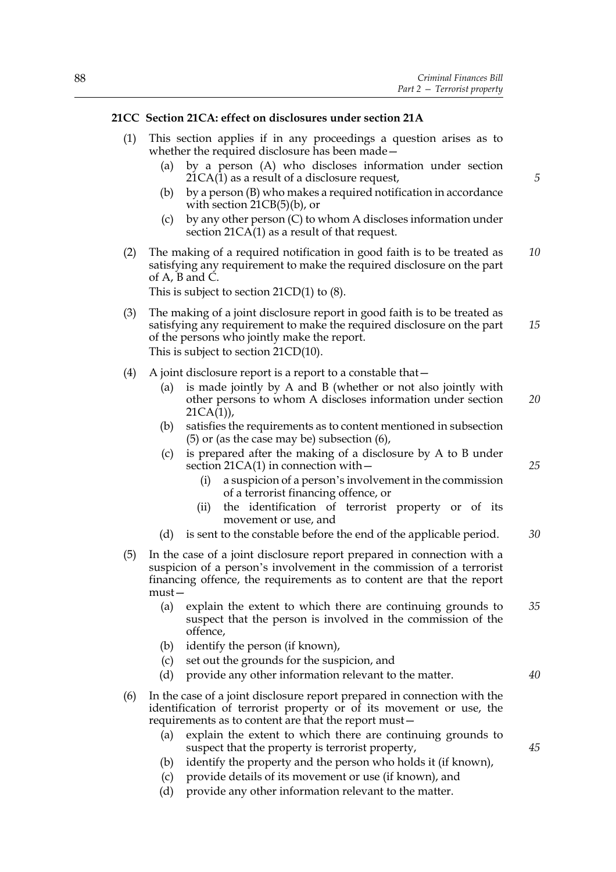### **21CC Section 21CA: effect on disclosures under section 21A**

- (1) This section applies if in any proceedings a question arises as to whether the required disclosure has been made—
	- (a) by a person (A) who discloses information under section  $21CA(1)$  as a result of a disclosure request,
	- (b) by a person  $(B)$  who makes a required notification in accordance with section 21CB(5)(b), or
	- (c) by any other person (C) to whom A discloses information under section 21CA(1) as a result of that request.
- (2) The making of a required notification in good faith is to be treated as satisfying any requirement to make the required disclosure on the part of A, B and C. *10*

This is subject to section 21CD(1) to (8).

- (3) The making of a joint disclosure report in good faith is to be treated as satisfying any requirement to make the required disclosure on the part of the persons who jointly make the report. This is subject to section 21CD(10). *15*
- (4) A joint disclosure report is a report to a constable that—
	- (a) is made jointly by A and B (whether or not also jointly with other persons to whom A discloses information under section 21CA(1)), *20*
	- (b) satisfies the requirements as to content mentioned in subsection (5) or (as the case may be) subsection (6),
	- (c) is prepared after the making of a disclosure by A to B under section  $21CA(1)$  in connection with  $-$ 
		- (i) a suspicion of a person's involvement in the commission of a terrorist financing offence, or
		- (ii) the identification of terrorist property or of its movement or use, and
	- (d) is sent to the constable before the end of the applicable period. *30*
- (5) In the case of a joint disclosure report prepared in connection with a suspicion of a person's involvement in the commission of a terrorist financing offence, the requirements as to content are that the report must—
	- (a) explain the extent to which there are continuing grounds to suspect that the person is involved in the commission of the offence, *35*
	- (b) identify the person (if known),
	- (c) set out the grounds for the suspicion, and
	- (d) provide any other information relevant to the matter.
- (6) In the case of a joint disclosure report prepared in connection with the identification of terrorist property or of its movement or use, the requirements as to content are that the report must—
	- (a) explain the extent to which there are continuing grounds to suspect that the property is terrorist property,
	- (b) identify the property and the person who holds it (if known),
	- (c) provide details of its movement or use (if known), and
	- (d) provide any other information relevant to the matter.

*25*

*5*

*40*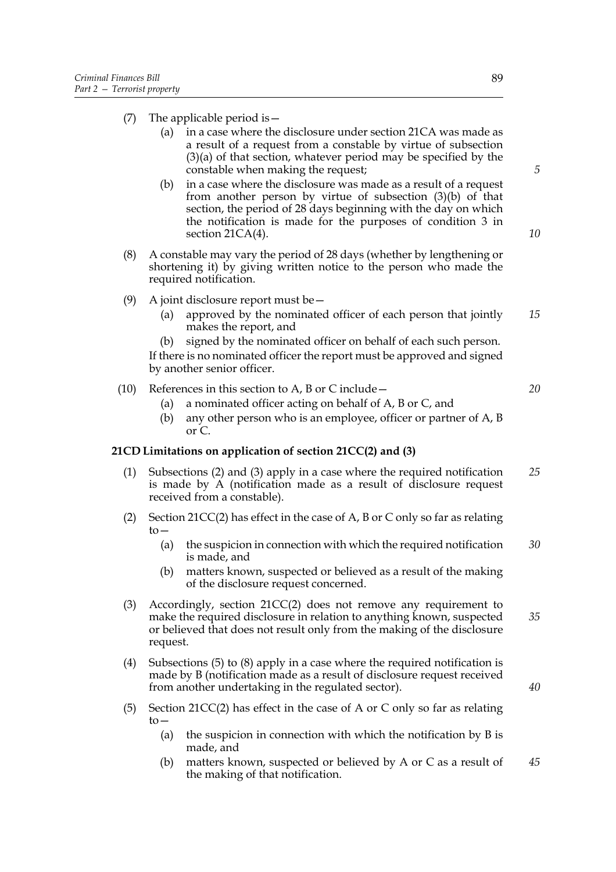- (7) The applicable period is  $-$ 
	- (a) in a case where the disclosure under section 21CA was made as a result of a request from a constable by virtue of subsection (3)(a) of that section, whatever period may be specified by the constable when making the request;
	- (b) in a case where the disclosure was made as a result of a request from another person by virtue of subsection (3)(b) of that section, the period of 28 days beginning with the day on which the notification is made for the purposes of condition 3 in section 21CA(4).
- (8) A constable may vary the period of 28 days (whether by lengthening or shortening it) by giving written notice to the person who made the required notification.
- (9) A joint disclosure report must be—
	- (a) approved by the nominated officer of each person that jointly makes the report, and *15*
	- (b) signed by the nominated officer on behalf of each such person. If there is no nominated officer the report must be approved and signed by another senior officer.

### (10) References in this section to A, B or C include—

- (a) a nominated officer acting on behalf of A, B or C, and
- (b) any other person who is an employee, officer or partner of A, B  $\overline{\text{or } } C$ .

# **21CD Limitations on application of section 21CC(2) and (3)**

- (1) Subsections (2) and (3) apply in a case where the required notification is made by A (notification made as a result of disclosure request received from a constable). *25*
- (2) Section 21CC(2) has effect in the case of A, B or C only so far as relating  $to-$ 
	- (a) the suspicion in connection with which the required notification is made, and *30*
	- (b) matters known, suspected or believed as a result of the making of the disclosure request concerned.
- (3) Accordingly, section 21CC(2) does not remove any requirement to make the required disclosure in relation to anything known, suspected or believed that does not result only from the making of the disclosure request. *35*
- (4) Subsections (5) to (8) apply in a case where the required notification is made by B (notification made as a result of disclosure request received from another undertaking in the regulated sector).
- (5) Section 21CC(2) has effect in the case of A or C only so far as relating to—
	- (a) the suspicion in connection with which the notification by B is made, and
	- (b) matters known, suspected or believed by A or C as a result of the making of that notification. *45*

*5*

*10*

*20*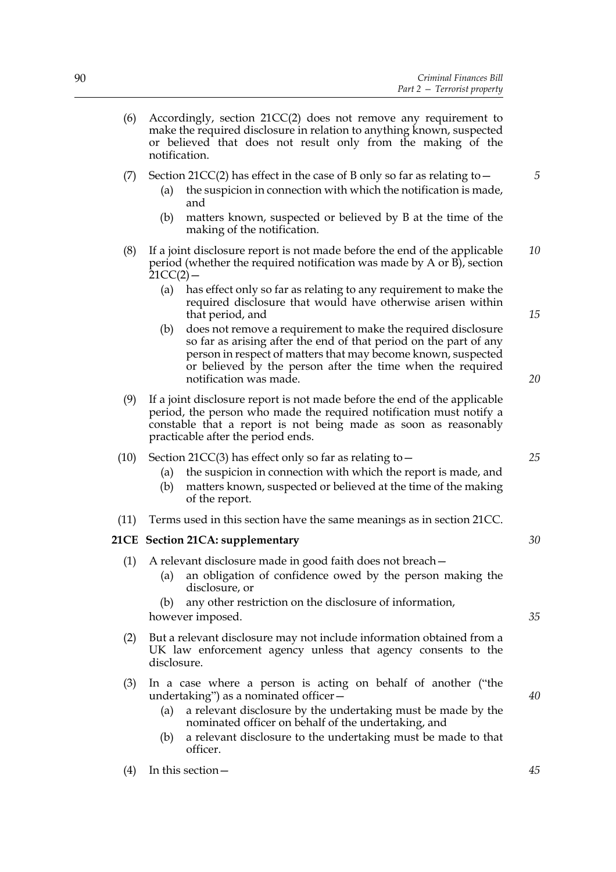(6) Accordingly, section 21CC(2) does not remove any requirement to make the required disclosure in relation to anything known, suspected or believed that does not result only from the making of the notification. (7) Section 21CC(2) has effect in the case of B only so far as relating to  $-$ (a) the suspicion in connection with which the notification is made, and (b) matters known, suspected or believed by B at the time of the making of the notification. (8) If a joint disclosure report is not made before the end of the applicable period (whether the required notification was made by A or B), section  $21CC(2)$  – (a) has effect only so far as relating to any requirement to make the required disclosure that would have otherwise arisen within that period, and (b) does not remove a requirement to make the required disclosure so far as arising after the end of that period on the part of any person in respect of matters that may become known, suspected or believed by the person after the time when the required notification was made. (9) If a joint disclosure report is not made before the end of the applicable period, the person who made the required notification must notify a constable that a report is not being made as soon as reasonably practicable after the period ends. (10) Section 21CC(3) has effect only so far as relating to  $-$ (a) the suspicion in connection with which the report is made, and (b) matters known, suspected or believed at the time of the making of the report. (11) Terms used in this section have the same meanings as in section 21CC. **21CE Section 21CA: supplementary** (1) A relevant disclosure made in good faith does not breach— (a) an obligation of confidence owed by the person making the disclosure, or (b) any other restriction on the disclosure of information, however imposed. (2) But a relevant disclosure may not include information obtained from a UK law enforcement agency unless that agency consents to the disclosure. (3) In a case where a person is acting on behalf of another ("the undertaking") as a nominated officer— (a) a relevant disclosure by the undertaking must be made by the nominated officer on behalf of the undertaking, and (b) a relevant disclosure to the undertaking must be made to that officer. *5 10 15 20 25 40*

*30*

*35*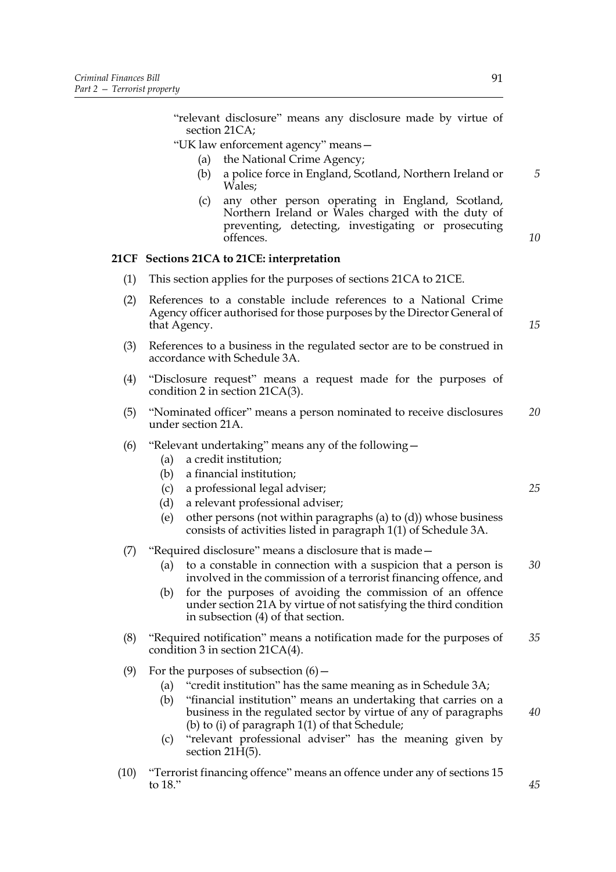"relevant disclosure" means any disclosure made by virtue of section 21CA;

"UK law enforcement agency" means—

- (a) the National Crime Agency;
- (b) a police force in England, Scotland, Northern Ireland or Wales;
- (c) any other person operating in England, Scotland, Northern Ireland or Wales charged with the duty of preventing, detecting, investigating or prosecuting offences.

### **21CF Sections 21CA to 21CE: interpretation**

- (1) This section applies for the purposes of sections 21CA to 21CE.
- (2) References to a constable include references to a National Crime Agency officer authorised for those purposes by the Director General of that Agency.
- (3) References to a business in the regulated sector are to be construed in accordance with Schedule 3A.
- (4) "Disclosure request" means a request made for the purposes of condition 2 in section 21CA(3).
- (5) "Nominated officer" means a person nominated to receive disclosures under section 21A. *20*
- (6) "Relevant undertaking" means any of the following—
	- (a) a credit institution;
	- (b) a financial institution;
	- (c) a professional legal adviser;
	- (d) a relevant professional adviser;
	- (e) other persons (not within paragraphs (a) to (d)) whose business consists of activities listed in paragraph 1(1) of Schedule 3A.
- (7) "Required disclosure" means a disclosure that is made—
	- (a) to a constable in connection with a suspicion that a person is involved in the commission of a terrorist financing offence, and *30*
	- (b) for the purposes of avoiding the commission of an offence under section 21A by virtue of not satisfying the third condition in subsection (4) of that section.
- (8) "Required notification" means a notification made for the purposes of condition 3 in section 21CA(4). *35*
- (9) For the purposes of subsection  $(6)$ 
	- (a) "credit institution" has the same meaning as in Schedule 3A;
	- (b) "financial institution" means an undertaking that carries on a business in the regulated sector by virtue of any of paragraphs (b) to (i) of paragraph 1(1) of that Schedule; *40*
	- (c) "relevant professional adviser" has the meaning given by section 21H(5).
- (10) "Terrorist financing offence" means an offence under any of sections 15 to 18."

*5*

*10*

*15*

*25*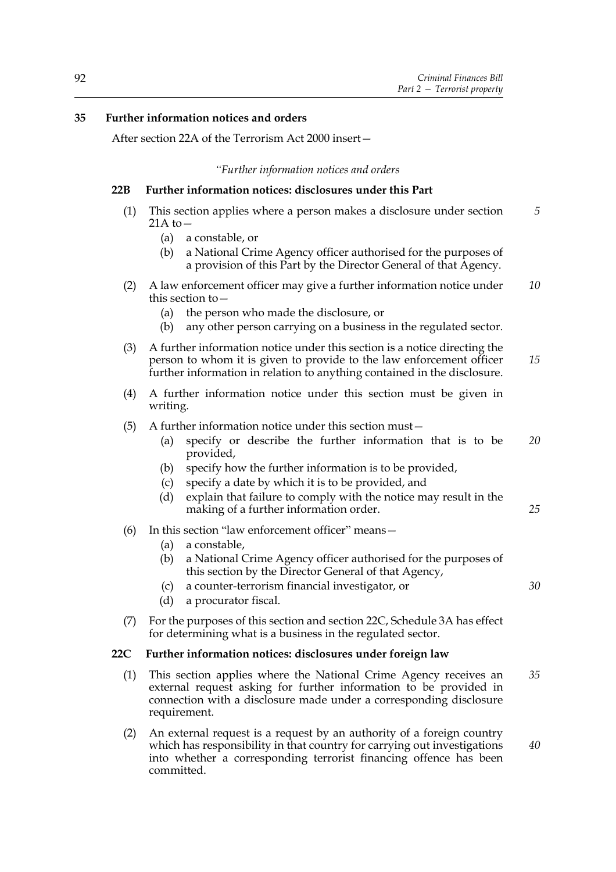## **35 Further information notices and orders**

After section 22A of the Terrorism Act 2000 insert—

#### *"Further information notices and orders*

## **22B Further information notices: disclosures under this Part**

- (1) This section applies where a person makes a disclosure under section  $21A$  to  $-$ *5*
	- (a) a constable, or
	- (b) a National Crime Agency officer authorised for the purposes of a provision of this Part by the Director General of that Agency.
- (2) A law enforcement officer may give a further information notice under this section to— *10*
	- (a) the person who made the disclosure, or
	- (b) any other person carrying on a business in the regulated sector.
- (3) A further information notice under this section is a notice directing the person to whom it is given to provide to the law enforcement officer further information in relation to anything contained in the disclosure. *15*
- (4) A further information notice under this section must be given in writing.
- (5) A further information notice under this section must—
	- (a) specify or describe the further information that is to be provided, *20*
	- (b) specify how the further information is to be provided,
	- (c) specify a date by which it is to be provided, and
	- (d) explain that failure to comply with the notice may result in the making of a further information order. *25*
- (6) In this section "law enforcement officer" means—
	- (a) a constable,
	- (b) a National Crime Agency officer authorised for the purposes of this section by the Director General of that Agency,
	- (c) a counter-terrorism financial investigator, or *30*
	- (d) a procurator fiscal.
- (7) For the purposes of this section and section 22C, Schedule 3A has effect for determining what is a business in the regulated sector.

#### **22C Further information notices: disclosures under foreign law**

- (1) This section applies where the National Crime Agency receives an external request asking for further information to be provided in connection with a disclosure made under a corresponding disclosure requirement. *35*
- (2) An external request is a request by an authority of a foreign country which has responsibility in that country for carrying out investigations into whether a corresponding terrorist financing offence has been committed. *40*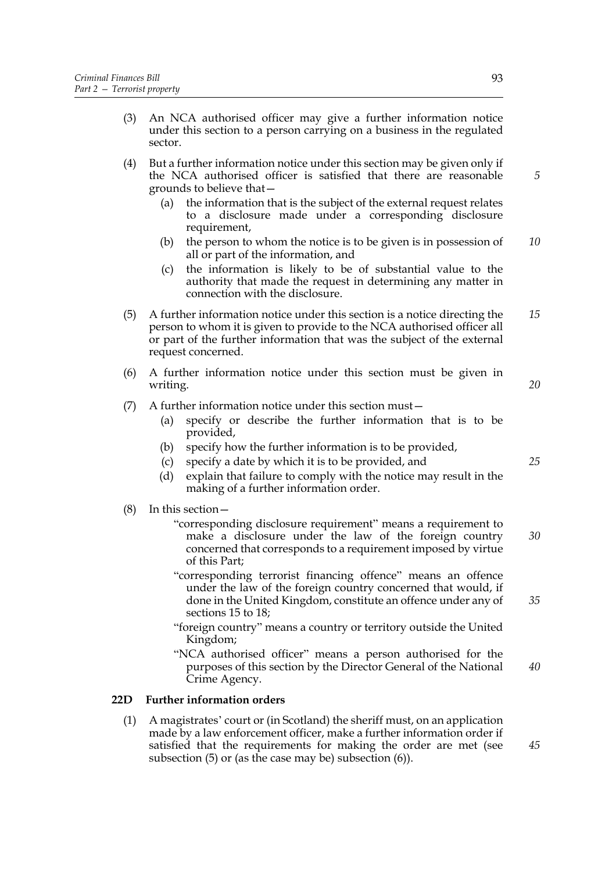- (3) An NCA authorised officer may give a further information notice under this section to a person carrying on a business in the regulated sector.
- (4) But a further information notice under this section may be given only if the NCA authorised officer is satisfied that there are reasonable grounds to believe that—
	- (a) the information that is the subject of the external request relates to a disclosure made under a corresponding disclosure requirement,
	- (b) the person to whom the notice is to be given is in possession of all or part of the information, and *10*
	- (c) the information is likely to be of substantial value to the authority that made the request in determining any matter in connection with the disclosure.
- (5) A further information notice under this section is a notice directing the person to whom it is given to provide to the NCA authorised officer all or part of the further information that was the subject of the external request concerned. *15*
- (6) A further information notice under this section must be given in writing.
- (7) A further information notice under this section must—
	- (a) specify or describe the further information that is to be provided,
	- (b) specify how the further information is to be provided,
	- (c) specify a date by which it is to be provided, and
	- (d) explain that failure to comply with the notice may result in the making of a further information order.
- (8) In this section—
	- "corresponding disclosure requirement" means a requirement to make a disclosure under the law of the foreign country concerned that corresponds to a requirement imposed by virtue of this Part; *30*
	- "corresponding terrorist financing offence" means an offence under the law of the foreign country concerned that would, if done in the United Kingdom, constitute an offence under any of sections 15 to 18;
	- "foreign country" means a country or territory outside the United Kingdom;
	- "NCA authorised officer" means a person authorised for the purposes of this section by the Director General of the National Crime Agency. *40*

### **22D Further information orders**

(1) A magistrates' court or (in Scotland) the sheriff must, on an application made by a law enforcement officer, make a further information order if satisfied that the requirements for making the order are met (see subsection (5) or (as the case may be) subsection (6)).

*5*

*25*

*20*

*45*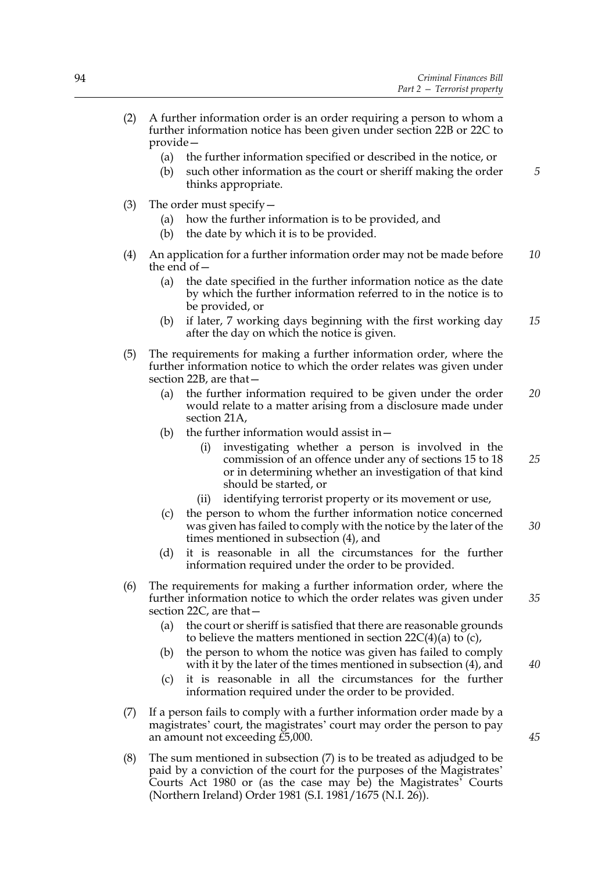*5*

- (2) A further information order is an order requiring a person to whom a further information notice has been given under section 22B or 22C to provide—
	- (a) the further information specified or described in the notice, or
	- (b) such other information as the court or sheriff making the order thinks appropriate.
- (3) The order must specify—
	- (a) how the further information is to be provided, and
	- (b) the date by which it is to be provided.
- (4) An application for a further information order may not be made before the end of— *10*
	- (a) the date specified in the further information notice as the date by which the further information referred to in the notice is to be provided, or
	- (b) if later, 7 working days beginning with the first working day after the day on which the notice is given. *15*
- (5) The requirements for making a further information order, where the further information notice to which the order relates was given under section 22B, are that—
	- (a) the further information required to be given under the order would relate to a matter arising from a disclosure made under section 21A, *20*
	- (b) the further information would assist in  $-$ 
		- (i) investigating whether a person is involved in the commission of an offence under any of sections 15 to 18 or in determining whether an investigation of that kind should be started, or *25*
		- (ii) identifying terrorist property or its movement or use,
	- (c) the person to whom the further information notice concerned was given has failed to comply with the notice by the later of the times mentioned in subsection (4), and *30*
	- (d) it is reasonable in all the circumstances for the further information required under the order to be provided.
- (6) The requirements for making a further information order, where the further information notice to which the order relates was given under section 22C, are that— *35*
	- (a) the court or sheriff is satisfied that there are reasonable grounds to believe the matters mentioned in section  $22C(4)(a)$  to  $(c)$ ,
	- (b) the person to whom the notice was given has failed to comply with it by the later of the times mentioned in subsection (4), and *40*
	- (c) it is reasonable in all the circumstances for the further information required under the order to be provided.
- (7) If a person fails to comply with a further information order made by a magistrates' court, the magistrates' court may order the person to pay an amount not exceeding £5,000.
- (8) The sum mentioned in subsection (7) is to be treated as adjudged to be paid by a conviction of the court for the purposes of the Magistrates' Courts Act 1980 or (as the case may be) the Magistrates' Courts (Northern Ireland) Order 1981 (S.I. 1981/1675 (N.I. 26)).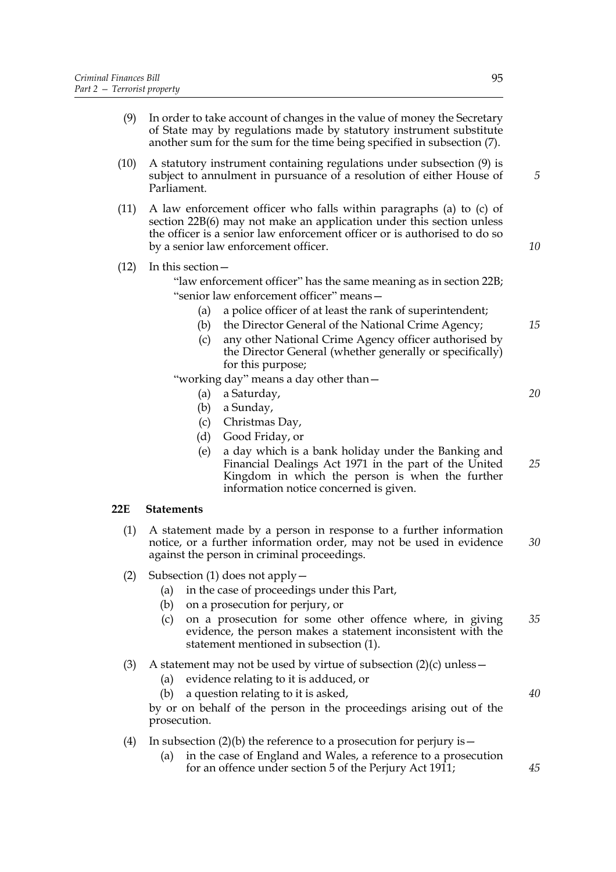- (9) In order to take account of changes in the value of money the Secretary of State may by regulations made by statutory instrument substitute another sum for the sum for the time being specified in subsection (7).
- (10) A statutory instrument containing regulations under subsection (9) is subject to annulment in pursuance of a resolution of either House of Parliament.
- (11) A law enforcement officer who falls within paragraphs (a) to (c) of section 22B(6) may not make an application under this section unless the officer is a senior law enforcement officer or is authorised to do so by a senior law enforcement officer.

(12) In this section—

"law enforcement officer" has the same meaning as in section 22B; "senior law enforcement officer" means—

- (a) a police officer of at least the rank of superintendent;
- (b) the Director General of the National Crime Agency;
- (c) any other National Crime Agency officer authorised by the Director General (whether generally or specifically) for this purpose;

"working day" means a day other than—

- (a) a Saturday,
- (b) a Sunday,
- (c) Christmas Day,
- (d) Good Friday, or
- (e) a day which is a bank holiday under the Banking and Financial Dealings Act 1971 in the part of the United Kingdom in which the person is when the further information notice concerned is given. *25*

### **22E Statements**

- (1) A statement made by a person in response to a further information notice, or a further information order, may not be used in evidence against the person in criminal proceedings. *30*
- (2) Subsection (1) does not apply—
	- (a) in the case of proceedings under this Part,
	- (b) on a prosecution for perjury, or
	- (c) on a prosecution for some other offence where, in giving evidence, the person makes a statement inconsistent with the statement mentioned in subsection (1). *35*

## (3) A statement may not be used by virtue of subsection  $(2)(c)$  unless –

- (a) evidence relating to it is adduced, or
- (b) a question relating to it is asked,

by or on behalf of the person in the proceedings arising out of the prosecution.

- (4) In subsection (2)(b) the reference to a prosecution for perjury is  $-$ 
	- (a) in the case of England and Wales, a reference to a prosecution for an offence under section 5 of the Perjury Act 1911;

*10*

*5*

*15*

*20*

*40*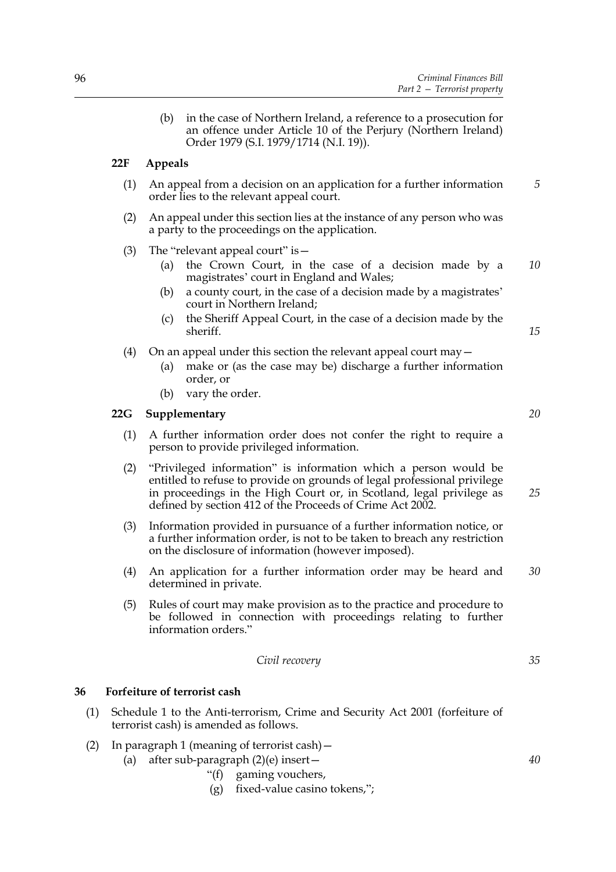(b) in the case of Northern Ireland, a reference to a prosecution for an offence under Article 10 of the Perjury (Northern Ireland) Order 1979 (S.I. 1979/1714 (N.I. 19)).

# **22F Appeals**

- (1) An appeal from a decision on an application for a further information order lies to the relevant appeal court. *5*
- (2) An appeal under this section lies at the instance of any person who was a party to the proceedings on the application.
- (3) The "relevant appeal court" is  $-$ 
	- (a) the Crown Court, in the case of a decision made by a magistrates' court in England and Wales; *10*
	- (b) a county court, in the case of a decision made by a magistrates' court in Northern Ireland;
	- (c) the Sheriff Appeal Court, in the case of a decision made by the sheriff.
- (4) On an appeal under this section the relevant appeal court may  $-$ 
	- (a) make or (as the case may be) discharge a further information order, or
	- (b) vary the order.

# **22G Supplementary**

- (1) A further information order does not confer the right to require a person to provide privileged information.
- (2) "Privileged information" is information which a person would be entitled to refuse to provide on grounds of legal professional privilege in proceedings in the High Court or, in Scotland, legal privilege as defined by section 412 of the Proceeds of Crime Act 2002. *25*
- (3) Information provided in pursuance of a further information notice, or a further information order, is not to be taken to breach any restriction on the disclosure of information (however imposed).
- (4) An application for a further information order may be heard and determined in private. *30*
- (5) Rules of court may make provision as to the practice and procedure to be followed in connection with proceedings relating to further information orders."

*Civil recovery*

### **36 Forfeiture of terrorist cash**

- (1) Schedule 1 to the Anti-terrorism, Crime and Security Act 2001 (forfeiture of terrorist cash) is amended as follows.
- (2) In paragraph 1 (meaning of terrorist cash)—
	- (a) after sub-paragraph (2)(e) insert—
		- "(f) gaming vouchers,
		- (g) fixed-value casino tokens,";

*20*

*35*

*40*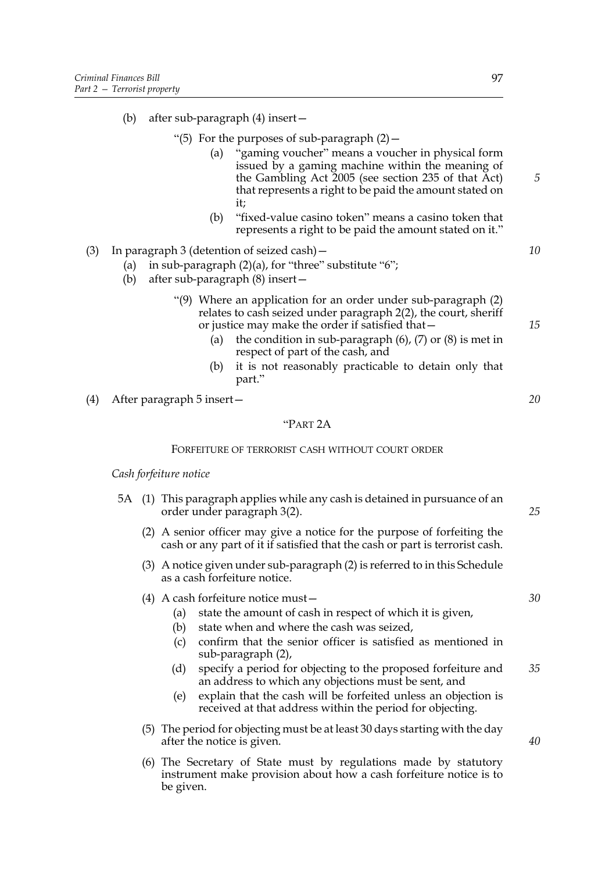- (b) after sub-paragraph (4) insert—
	- "(5) For the purposes of sub-paragraph (2)—
		- "gaming voucher" means a voucher in physical form issued by a gaming machine within the meaning of the Gambling Act 2005 (see section 235 of that Act) that represents a right to be paid the amount stated on it;
		- (b) "fixed-value casino token" means a casino token that represents a right to be paid the amount stated on it."

(3) In paragraph 3 (detention of seized cash)—

- (a) in sub-paragraph  $(2)(a)$ , for "three" substitute "6";
- (b) after sub-paragraph (8) insert—
	- "(9) Where an application for an order under sub-paragraph (2) relates to cash seized under paragraph 2(2), the court, sheriff or justice may make the order if satisfied that—
		- (a) the condition in sub-paragraph  $(6)$ ,  $(7)$  or  $(8)$  is met in respect of part of the cash, and
		- (b) it is not reasonably practicable to detain only that part."

(4) After paragraph 5 insert—

## "PART 2A

## FORFEITURE OF TERRORIST CASH WITHOUT COURT ORDER

## *Cash forfeiture notice*

- 5A (1) This paragraph applies while any cash is detained in pursuance of an order under paragraph 3(2).
	- (2) A senior officer may give a notice for the purpose of forfeiting the cash or any part of it if satisfied that the cash or part is terrorist cash.
	- (3) A notice given under sub-paragraph (2) is referred to in this Schedule as a cash forfeiture notice.
	- (4) A cash forfeiture notice must—
		- (a) state the amount of cash in respect of which it is given,
		- (b) state when and where the cash was seized,
		- (c) confirm that the senior officer is satisfied as mentioned in sub-paragraph (2),
		- (d) specify a period for objecting to the proposed forfeiture and an address to which any objections must be sent, and *35*
		- (e) explain that the cash will be forfeited unless an objection is received at that address within the period for objecting.
	- (5) The period for objecting must be at least 30 days starting with the day after the notice is given.
	- (6) The Secretary of State must by regulations made by statutory instrument make provision about how a cash forfeiture notice is to be given.

*5*

*10*

*15*

*20*

*30*

*25*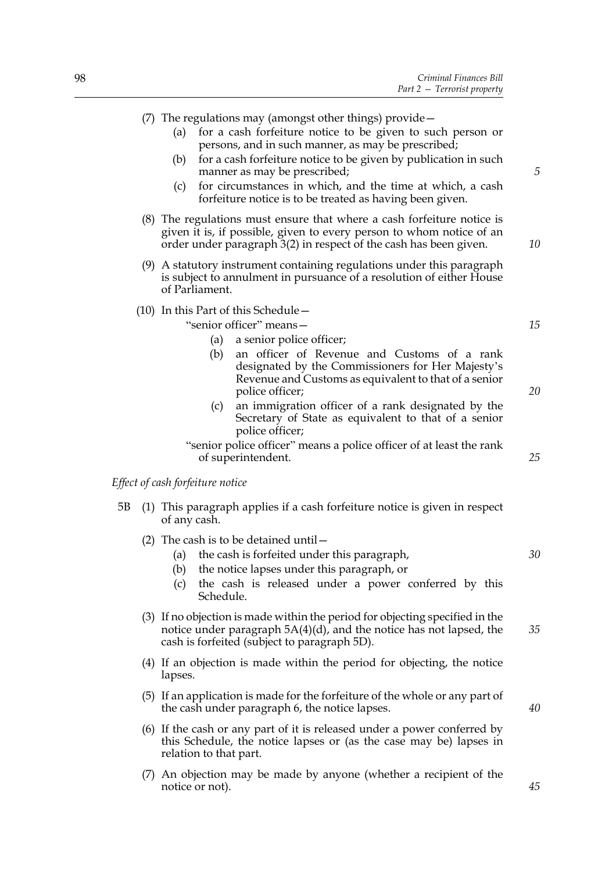|    | (7) The regulations may (amongst other things) provide $-$<br>for a cash forfeiture notice to be given to such person or<br>(a)<br>persons, and in such manner, as may be prescribed;<br>for a cash forfeiture notice to be given by publication in such<br>(b)<br>manner as may be prescribed;<br>for circumstances in which, and the time at which, a cash<br>(c)<br>forfeiture notice is to be treated as having been given.                                                                                                  | 5              |
|----|----------------------------------------------------------------------------------------------------------------------------------------------------------------------------------------------------------------------------------------------------------------------------------------------------------------------------------------------------------------------------------------------------------------------------------------------------------------------------------------------------------------------------------|----------------|
|    | (8) The regulations must ensure that where a cash forfeiture notice is<br>given it is, if possible, given to every person to whom notice of an<br>order under paragraph 3(2) in respect of the cash has been given.                                                                                                                                                                                                                                                                                                              | 10             |
|    | (9) A statutory instrument containing regulations under this paragraph<br>is subject to annulment in pursuance of a resolution of either House<br>of Parliament.                                                                                                                                                                                                                                                                                                                                                                 |                |
|    | $(10)$ In this Part of this Schedule –<br>"senior officer" means-<br>a senior police officer;<br>(a)<br>an officer of Revenue and Customs of a rank<br>(b)<br>designated by the Commissioners for Her Majesty's<br>Revenue and Customs as equivalent to that of a senior<br>police officer;<br>an immigration officer of a rank designated by the<br>(c)<br>Secretary of State as equivalent to that of a senior<br>police officer;<br>"senior police officer" means a police officer of at least the rank<br>of superintendent. | 15<br>20<br>25 |
| 5B | Effect of cash forfeiture notice<br>(1) This paragraph applies if a cash forfeiture notice is given in respect<br>of any cash.                                                                                                                                                                                                                                                                                                                                                                                                   |                |
|    | (2) The cash is to be detained until $-$<br>(a) the cash is forfeited under this paragraph,<br>the notice lapses under this paragraph, or<br>(b)<br>the cash is released under a power conferred by this<br>(c)<br>Schedule.                                                                                                                                                                                                                                                                                                     | 30             |
|    | (3) If no objection is made within the period for objecting specified in the<br>notice under paragraph $5A(4)(d)$ , and the notice has not lapsed, the<br>cash is forfeited (subject to paragraph 5D).                                                                                                                                                                                                                                                                                                                           | 35             |
|    | (4) If an objection is made within the period for objecting, the notice<br>lapses.                                                                                                                                                                                                                                                                                                                                                                                                                                               |                |
|    | (5) If an application is made for the forfeiture of the whole or any part of<br>the cash under paragraph 6, the notice lapses.                                                                                                                                                                                                                                                                                                                                                                                                   | 40             |
|    | (6) If the cash or any part of it is released under a power conferred by<br>this Schedule, the notice lapses or (as the case may be) lapses in<br>relation to that part.                                                                                                                                                                                                                                                                                                                                                         |                |
|    | (7) An objection may be made by anyone (whether a recipient of the<br>notice or not).                                                                                                                                                                                                                                                                                                                                                                                                                                            | 45             |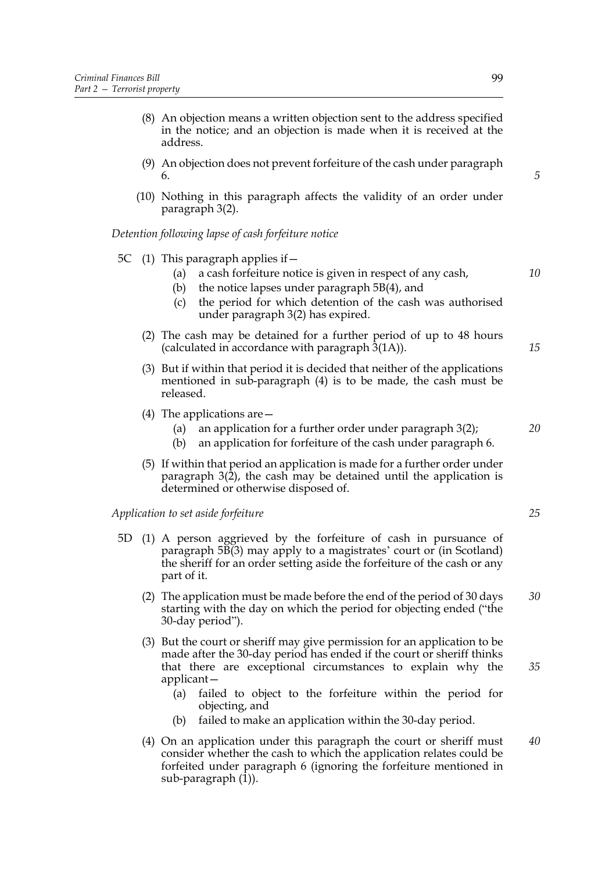- (8) An objection means a written objection sent to the address specified in the notice; and an objection is made when it is received at the address.
- (9) An objection does not prevent forfeiture of the cash under paragraph 6.
- (10) Nothing in this paragraph affects the validity of an order under paragraph 3(2).

*Detention following lapse of cash forfeiture notice*

- 5C (1) This paragraph applies if—
	- (a) a cash forfeiture notice is given in respect of any cash,
	- (b) the notice lapses under paragraph 5B(4), and
	- (c) the period for which detention of the cash was authorised under paragraph 3(2) has expired.
	- (2) The cash may be detained for a further period of up to 48 hours (calculated in accordance with paragraph 3(1A)).
	- (3) But if within that period it is decided that neither of the applications mentioned in sub-paragraph (4) is to be made, the cash must be released.
	- (4) The applications are  $-$ 
		- (a) an application for a further order under paragraph 3(2);
		- (b) an application for forfeiture of the cash under paragraph 6.
	- (5) If within that period an application is made for a further order under paragraph  $3(2)$ , the cash may be detained until the application is determined or otherwise disposed of.

*Application to set aside forfeiture*

- 5D (1) A person aggrieved by the forfeiture of cash in pursuance of paragraph 5B(3) may apply to a magistrates' court or (in Scotland) the sheriff for an order setting aside the forfeiture of the cash or any part of it.
	- (2) The application must be made before the end of the period of 30 days starting with the day on which the period for objecting ended ("the 30-day period"). *30*
	- (3) But the court or sheriff may give permission for an application to be made after the 30-day period has ended if the court or sheriff thinks that there are exceptional circumstances to explain why the applicant—
		- (a) failed to object to the forfeiture within the period for objecting, and
		- (b) failed to make an application within the 30-day period.
	- (4) On an application under this paragraph the court or sheriff must consider whether the cash to which the application relates could be forfeited under paragraph 6 (ignoring the forfeiture mentioned in sub-paragraph (1)). *40*

*5*

*10*

*15*

*20*

*25*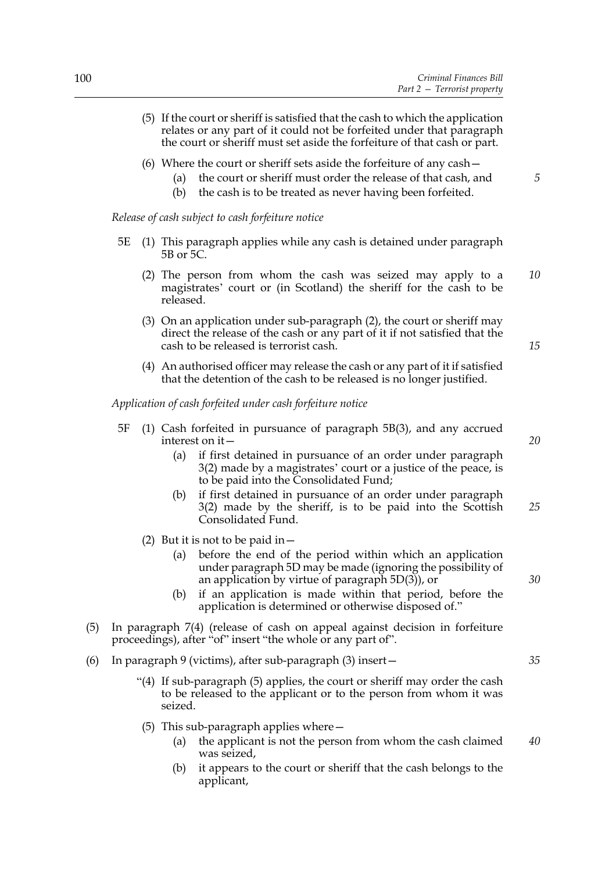- (5) If the court or sheriff is satisfied that the cash to which the application relates or any part of it could not be forfeited under that paragraph the court or sheriff must set aside the forfeiture of that cash or part.
- (6) Where the court or sheriff sets aside the forfeiture of any cash—
	- (a) the court or sheriff must order the release of that cash, and
	- (b) the cash is to be treated as never having been forfeited.

*Release of cash subject to cash forfeiture notice*

- 5E (1) This paragraph applies while any cash is detained under paragraph 5B or 5C.
	- (2) The person from whom the cash was seized may apply to a magistrates' court or (in Scotland) the sheriff for the cash to be released. *10*
	- (3) On an application under sub-paragraph (2), the court or sheriff may direct the release of the cash or any part of it if not satisfied that the cash to be released is terrorist cash.
	- (4) An authorised officer may release the cash or any part of it if satisfied that the detention of the cash to be released is no longer justified.

*Application of cash forfeited under cash forfeiture notice*

- 5F (1) Cash forfeited in pursuance of paragraph 5B(3), and any accrued interest on it—
	- (a) if first detained in pursuance of an order under paragraph 3(2) made by a magistrates' court or a justice of the peace, is to be paid into the Consolidated Fund;
	- (b) if first detained in pursuance of an order under paragraph 3(2) made by the sheriff, is to be paid into the Scottish Consolidated Fund. *25*
	- (2) But it is not to be paid in  $-$ 
		- (a) before the end of the period within which an application under paragraph 5D may be made (ignoring the possibility of an application by virtue of paragraph 5D(3)), or
		- (b) if an application is made within that period, before the application is determined or otherwise disposed of."
- (5) In paragraph 7(4) (release of cash on appeal against decision in forfeiture proceedings), after "of" insert "the whole or any part of".
- (6) In paragraph 9 (victims), after sub-paragraph (3) insert—
	- "(4) If sub-paragraph (5) applies, the court or sheriff may order the cash to be released to the applicant or to the person from whom it was seized.
	- (5) This sub-paragraph applies where—
		- (a) the applicant is not the person from whom the cash claimed was seized, *40*
		- (b) it appears to the court or sheriff that the cash belongs to the applicant,

*20*

*15*

*5*

*30*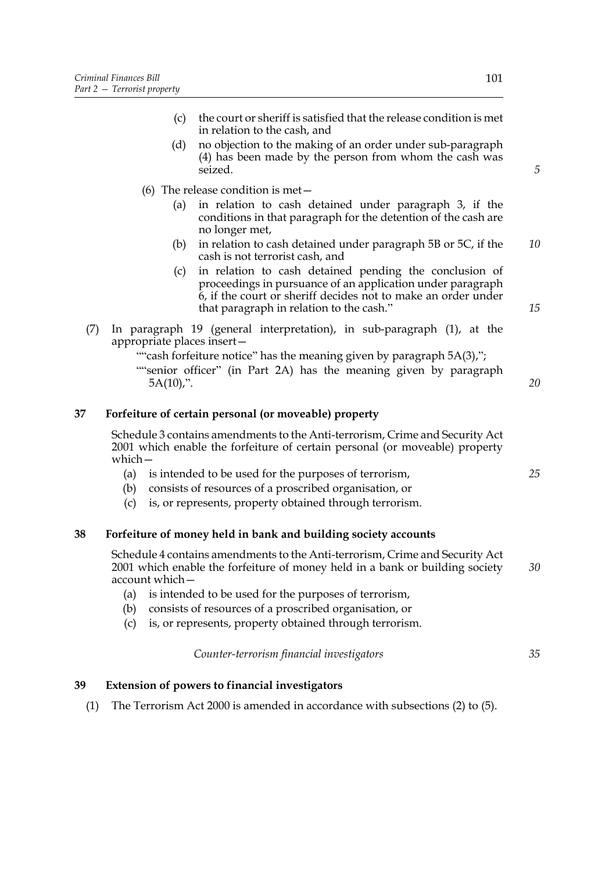- (c) the court or sheriff is satisfied that the release condition is met in relation to the cash, and
- (d) no objection to the making of an order under sub-paragraph (4) has been made by the person from whom the cash was seized.
- (6) The release condition is met—
	- (a) in relation to cash detained under paragraph 3, if the conditions in that paragraph for the detention of the cash are no longer met,
	- (b) in relation to cash detained under paragraph 5B or 5C, if the cash is not terrorist cash, and *10*
	- (c) in relation to cash detained pending the conclusion of proceedings in pursuance of an application under paragraph 6, if the court or sheriff decides not to make an order under that paragraph in relation to the cash."
- (7) In paragraph 19 (general interpretation), in sub-paragraph (1), at the appropriate places insert—

""cash forfeiture notice" has the meaning given by paragraph 5A(3),";

""senior officer" (in Part 2A) has the meaning given by paragraph  $5A(10)$ ,".

## **37 Forfeiture of certain personal (or moveable) property**

Schedule 3 contains amendments to the Anti-terrorism, Crime and Security Act 2001 which enable the forfeiture of certain personal (or moveable) property which—

- (a) is intended to be used for the purposes of terrorism,
- (b) consists of resources of a proscribed organisation, or
- (c) is, or represents, property obtained through terrorism.

### **38 Forfeiture of money held in bank and building society accounts**

Schedule 4 contains amendments to the Anti-terrorism, Crime and Security Act 2001 which enable the forfeiture of money held in a bank or building society account which— *30*

- (a) is intended to be used for the purposes of terrorism,
- (b) consists of resources of a proscribed organisation, or
- (c) is, or represents, property obtained through terrorism.

### *Counter-terrorism financial investigators*

# **39 Extension of powers to financial investigators**

(1) The Terrorism Act 2000 is amended in accordance with subsections (2) to (5).

*5*

*15*

*20*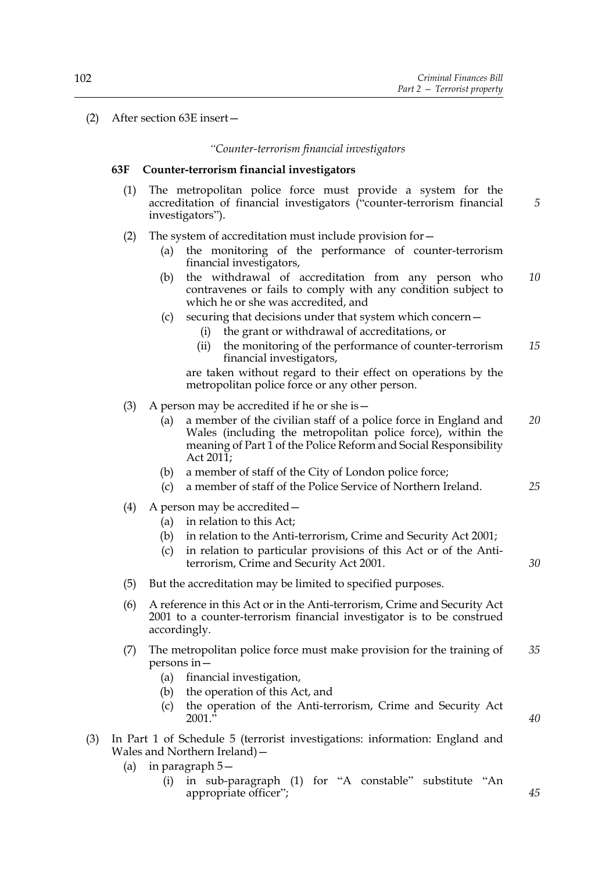(2) After section 63E insert—

## *"Counter-terrorism financial investigators*

### **63F Counter-terrorism financial investigators**

- (1) The metropolitan police force must provide a system for the accreditation of financial investigators ("counter-terrorism financial investigators"). *5*
- (2) The system of accreditation must include provision for—
	- (a) the monitoring of the performance of counter-terrorism financial investigators,
	- (b) the withdrawal of accreditation from any person who contravenes or fails to comply with any condition subject to which he or she was accredited, and *10*
	- (c) securing that decisions under that system which concern—
		- (i) the grant or withdrawal of accreditations, or
		- (ii) the monitoring of the performance of counter-terrorism financial investigators, *15*

are taken without regard to their effect on operations by the metropolitan police force or any other person.

- (3) A person may be accredited if he or she is—
	- (a) a member of the civilian staff of a police force in England and Wales (including the metropolitan police force), within the meaning of Part 1 of the Police Reform and Social Responsibility Act 2011; *20*
	- (b) a member of staff of the City of London police force;
	- (c) a member of staff of the Police Service of Northern Ireland. *25*
- (4) A person may be accredited—
	- (a) in relation to this Act;
	- (b) in relation to the Anti-terrorism, Crime and Security Act 2001;
	- (c) in relation to particular provisions of this Act or of the Antiterrorism, Crime and Security Act 2001.
- (5) But the accreditation may be limited to specified purposes.
- (6) A reference in this Act or in the Anti-terrorism, Crime and Security Act 2001 to a counter-terrorism financial investigator is to be construed accordingly.
- (7) The metropolitan police force must make provision for the training of persons in— *35*
	- (a) financial investigation,
	- (b) the operation of this Act, and
	- (c) the operation of the Anti-terrorism, Crime and Security Act  $2001.<sup>2</sup>$
- (3) In Part 1 of Schedule 5 (terrorist investigations: information: England and Wales and Northern Ireland)—
	- (a) in paragraph 5—
		- (i) in sub-paragraph (1) for "A constable" substitute "An appropriate officer";

*45*

*40*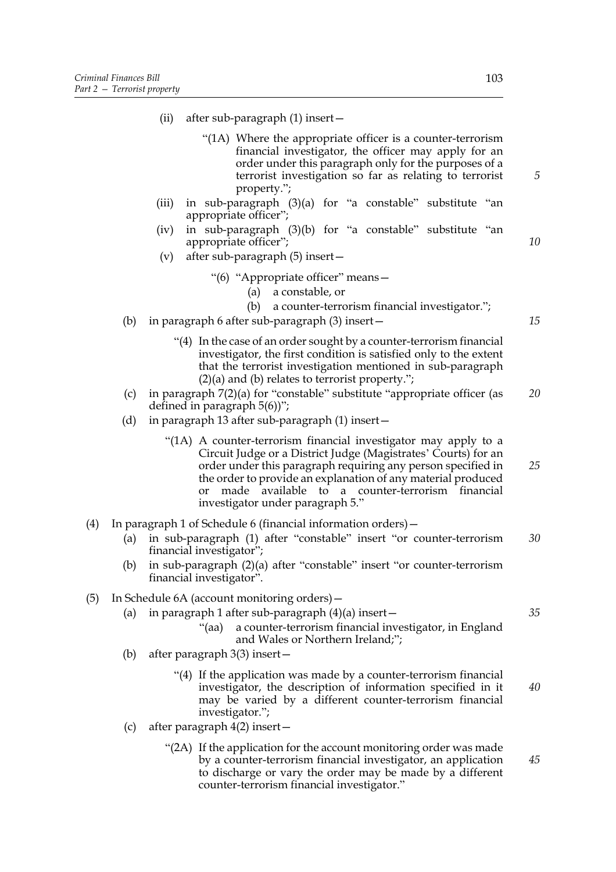(ii) after sub-paragraph (1) insert—

- "(1A) Where the appropriate officer is a counter-terrorism financial investigator, the officer may apply for an order under this paragraph only for the purposes of a terrorist investigation so far as relating to terrorist property.";
- (iii) in sub-paragraph (3)(a) for "a constable" substitute "an appropriate officer";
- (iv) in sub-paragraph (3)(b) for "a constable" substitute "an appropriate officer";
- (v) after sub-paragraph (5) insert—

"(6) "Appropriate officer" means—

- (a) a constable, or
- (b) a counter-terrorism financial investigator.";
- (b) in paragraph 6 after sub-paragraph (3) insert—
	- "(4) In the case of an order sought by a counter-terrorism financial investigator, the first condition is satisfied only to the extent that the terrorist investigation mentioned in sub-paragraph  $(2)(a)$  and  $(b)$  relates to terrorist property.";
- (c) in paragraph 7(2)(a) for "constable" substitute "appropriate officer (as defined in paragraph 5(6))"; *20*
- (d) in paragraph 13 after sub-paragraph (1) insert—
	- "(1A) A counter-terrorism financial investigator may apply to a Circuit Judge or a District Judge (Magistrates' Courts) for an order under this paragraph requiring any person specified in the order to provide an explanation of any material produced or made available to a counter-terrorism financial investigator under paragraph 5." *25*
- (4) In paragraph 1 of Schedule 6 (financial information orders)—
	- (a) in sub-paragraph (1) after "constable" insert "or counter-terrorism financial investigator"; *30*
	- (b) in sub-paragraph (2)(a) after "constable" insert "or counter-terrorism financial investigator".
- (5) In Schedule 6A (account monitoring orders)—
	- (a) in paragraph 1 after sub-paragraph  $(4)(a)$  insert
		- "(aa) a counter-terrorism financial investigator, in England and Wales or Northern Ireland;";
	- (b) after paragraph 3(3) insert—
		- "(4) If the application was made by a counter-terrorism financial investigator, the description of information specified in it may be varied by a different counter-terrorism financial investigator."; *40*
	- (c) after paragraph 4(2) insert—
		- "(2A) If the application for the account monitoring order was made by a counter-terrorism financial investigator, an application to discharge or vary the order may be made by a different counter-terrorism financial investigator."

*15*

*35*

*45*

*10*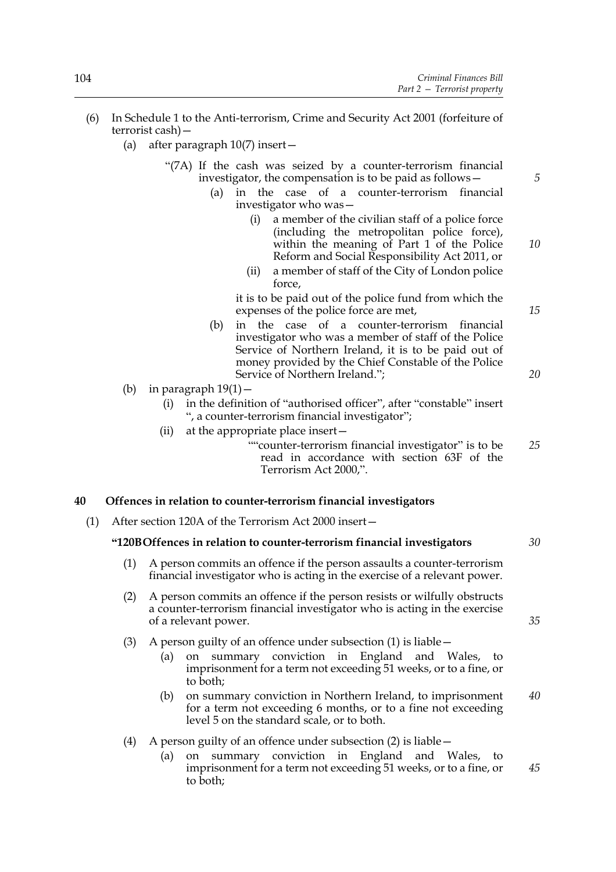- (6) In Schedule 1 to the Anti-terrorism, Crime and Security Act 2001 (forfeiture of terrorist cash)—
	- (a) after paragraph 10(7) insert—
		- "(7A) If the cash was seized by a counter-terrorism financial investigator, the compensation is to be paid as follows—
			- (a) in the case of a counter-terrorism financial investigator who was—
				- (i) a member of the civilian staff of a police force (including the metropolitan police force), within the meaning of Part 1 of the Police Reform and Social Responsibility Act 2011, or
				- (ii) a member of staff of the City of London police force,

it is to be paid out of the police fund from which the expenses of the police force are met,

- (b) in the case of a counter-terrorism financial investigator who was a member of staff of the Police Service of Northern Ireland, it is to be paid out of money provided by the Chief Constable of the Police Service of Northern Ireland.";
- (b) in paragraph  $19(1)$  -
	- (i) in the definition of "authorised officer", after "constable" insert ", a counter-terrorism financial investigator";
	- (ii) at the appropriate place insert—

""counter-terrorism financial investigator" is to be read in accordance with section 63F of the Terrorism Act 2000,". *25*

### **40 Offences in relation to counter-terrorism financial investigators**

(1) After section 120A of the Terrorism Act 2000 insert—

### **"120BOffences in relation to counter-terrorism financial investigators**

- (1) A person commits an offence if the person assaults a counter-terrorism financial investigator who is acting in the exercise of a relevant power.
- (2) A person commits an offence if the person resists or wilfully obstructs a counter-terrorism financial investigator who is acting in the exercise of a relevant power.
- (3) A person guilty of an offence under subsection (1) is liable—
	- (a) on summary conviction in England and Wales, to imprisonment for a term not exceeding 51 weeks, or to a fine, or to both;
	- (b) on summary conviction in Northern Ireland, to imprisonment for a term not exceeding 6 months, or to a fine not exceeding level 5 on the standard scale, or to both. *40*

### (4) A person guilty of an offence under subsection (2) is liable—

(a) on summary conviction in England and Wales, to imprisonment for a term not exceeding 51 weeks, or to a fine, or to both; *45*

*5*

*10*

*20*

*30*

*35*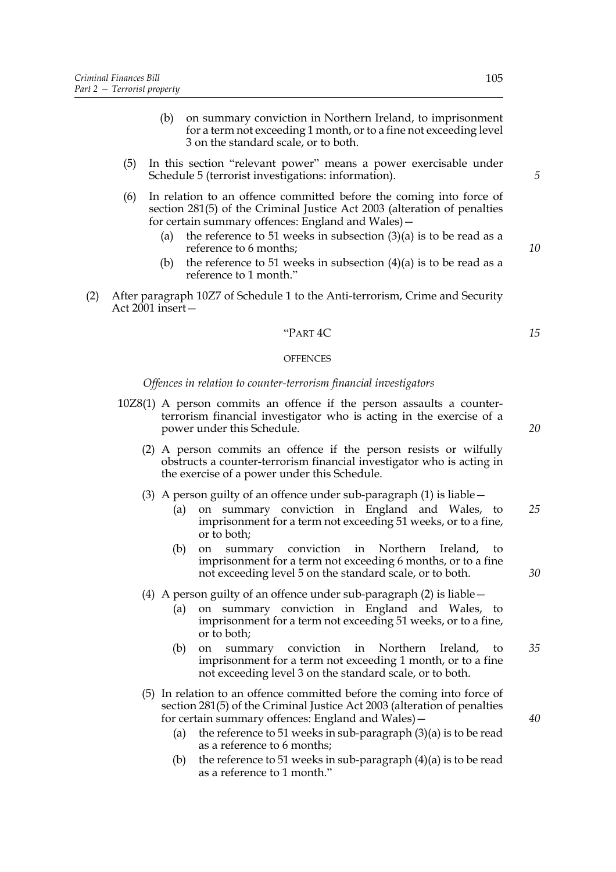- (b) on summary conviction in Northern Ireland, to imprisonment for a term not exceeding 1 month, or to a fine not exceeding level 3 on the standard scale, or to both.
- (5) In this section "relevant power" means a power exercisable under Schedule 5 (terrorist investigations: information).
- (6) In relation to an offence committed before the coming into force of section 281(5) of the Criminal Justice Act 2003 (alteration of penalties for certain summary offences: England and Wales)—
	- (a) the reference to 51 weeks in subsection  $(3)(a)$  is to be read as a reference to 6 months;
	- (b) the reference to 51 weeks in subsection  $(4)(a)$  is to be read as a reference to 1 month."
- (2) After paragraph 10Z7 of Schedule 1 to the Anti-terrorism, Crime and Security Act 2001 insert—

### "PART 4C

### **OFFENCES**

### *Offences in relation to counter-terrorism financial investigators*

- 10Z8(1) A person commits an offence if the person assaults a counterterrorism financial investigator who is acting in the exercise of a power under this Schedule.
	- (2) A person commits an offence if the person resists or wilfully obstructs a counter-terrorism financial investigator who is acting in the exercise of a power under this Schedule.
	- (3) A person guilty of an offence under sub-paragraph (1) is liable—
		- (a) on summary conviction in England and Wales, to imprisonment for a term not exceeding 51 weeks, or to a fine, or to both; *25*
		- (b) on summary conviction in Northern Ireland, to imprisonment for a term not exceeding 6 months, or to a fine not exceeding level 5 on the standard scale, or to both.
	- (4) A person guilty of an offence under sub-paragraph (2) is liable—
		- (a) on summary conviction in England and Wales, to imprisonment for a term not exceeding 51 weeks, or to a fine, or to both;
		- (b) on summary conviction in Northern Ireland, imprisonment for a term not exceeding 1 month, or to a fine not exceeding level 3 on the standard scale, or to both. *35*
	- (5) In relation to an offence committed before the coming into force of section 281(5) of the Criminal Justice Act 2003 (alteration of penalties for certain summary offences: England and Wales)—
		- (a) the reference to 51 weeks in sub-paragraph  $(3)(a)$  is to be read as a reference to 6 months;
		- (b) the reference to 51 weeks in sub-paragraph  $(4)(a)$  is to be read as a reference to 1 month."

*15*

*5*

*10*

*20*

*30*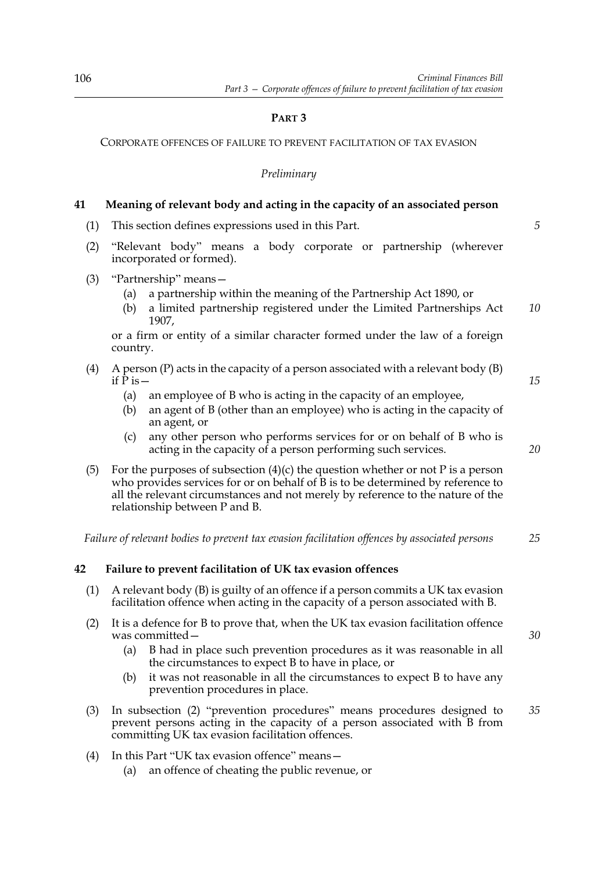# **PART 3**

CORPORATE OFFENCES OF FAILURE TO PREVENT FACILITATION OF TAX EVASION

*Preliminary*

# **41 Meaning of relevant body and acting in the capacity of an associated person**

- (1) This section defines expressions used in this Part.
- (2) "Relevant body" means a body corporate or partnership (wherever incorporated or formed).
- (3) "Partnership" means—
	- (a) a partnership within the meaning of the Partnership Act 1890, or
	- (b) a limited partnership registered under the Limited Partnerships Act 1907, *10*

or a firm or entity of a similar character formed under the law of a foreign country.

- (4) A person  $(P)$  acts in the capacity of a person associated with a relevant body  $(B)$ if  $\tilde{P}$  is  $-$ 
	- (a) an employee of B who is acting in the capacity of an employee,
	- (b) an agent of B (other than an employee) who is acting in the capacity of an agent, or
	- (c) any other person who performs services for or on behalf of B who is acting in the capacity of a person performing such services.
- (5) For the purposes of subsection  $(4)(c)$  the question whether or not P is a person who provides services for or on behalf of B is to be determined by reference to all the relevant circumstances and not merely by reference to the nature of the relationship between P and B.

*Failure of relevant bodies to prevent tax evasion facilitation offences by associated persons 25*

# **42 Failure to prevent facilitation of UK tax evasion offences**

- (1) A relevant body (B) is guilty of an offence if a person commits a UK tax evasion facilitation offence when acting in the capacity of a person associated with B.
- (2) It is a defence for B to prove that, when the UK tax evasion facilitation offence was committed—
	- (a) B had in place such prevention procedures as it was reasonable in all the circumstances to expect B to have in place, or
	- (b) it was not reasonable in all the circumstances to expect B to have any prevention procedures in place.
- (3) In subsection (2) "prevention procedures" means procedures designed to prevent persons acting in the capacity of a person associated with B from committing UK tax evasion facilitation offences. *35*
- (4) In this Part "UK tax evasion offence" means—
	- (a) an offence of cheating the public revenue, or

*20*

*30*

*15*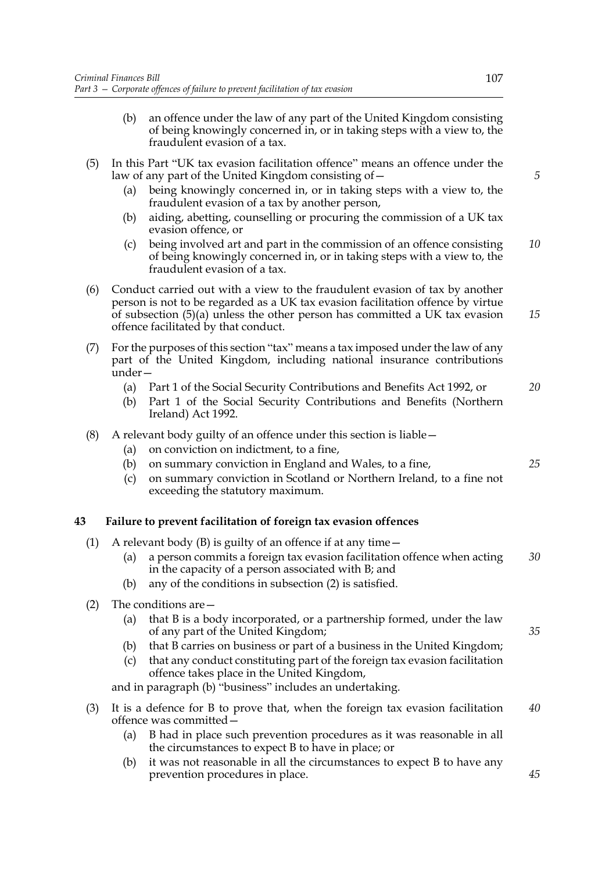- (b) an offence under the law of any part of the United Kingdom consisting of being knowingly concerned in, or in taking steps with a view to, the fraudulent evasion of a tax.
- (5) In this Part "UK tax evasion facilitation offence" means an offence under the law of any part of the United Kingdom consisting of—
	- (a) being knowingly concerned in, or in taking steps with a view to, the fraudulent evasion of a tax by another person,
	- (b) aiding, abetting, counselling or procuring the commission of a UK tax evasion offence, or
	- (c) being involved art and part in the commission of an offence consisting of being knowingly concerned in, or in taking steps with a view to, the fraudulent evasion of a tax. *10*
- (6) Conduct carried out with a view to the fraudulent evasion of tax by another person is not to be regarded as a UK tax evasion facilitation offence by virtue of subsection  $(5)(a)$  unless the other person has committed a UK tax evasion offence facilitated by that conduct. *15*
- (7) For the purposes of this section "tax" means a tax imposed under the law of any part of the United Kingdom, including national insurance contributions under—
	- (a) Part 1 of the Social Security Contributions and Benefits Act 1992, or *20*
	- (b) Part 1 of the Social Security Contributions and Benefits (Northern Ireland) Act 1992.
- (8) A relevant body guilty of an offence under this section is liable—
	- (a) on conviction on indictment, to a fine,
	- (b) on summary conviction in England and Wales, to a fine,
	- (c) on summary conviction in Scotland or Northern Ireland, to a fine not exceeding the statutory maximum.

# **43 Failure to prevent facilitation of foreign tax evasion offences**

- (1) A relevant body (B) is guilty of an offence if at any time  $-$ 
	- (a) a person commits a foreign tax evasion facilitation offence when acting in the capacity of a person associated with B; and *30*
	- (b) any of the conditions in subsection (2) is satisfied.
- (2) The conditions are—
	- (a) that B is a body incorporated, or a partnership formed, under the law of any part of the United Kingdom;
	- (b) that B carries on business or part of a business in the United Kingdom;
	- (c) that any conduct constituting part of the foreign tax evasion facilitation offence takes place in the United Kingdom,

and in paragraph (b) "business" includes an undertaking.

- (3) It is a defence for B to prove that, when the foreign tax evasion facilitation offence was committed— *40*
	- (a) B had in place such prevention procedures as it was reasonable in all the circumstances to expect B to have in place; or
	- (b) it was not reasonable in all the circumstances to expect B to have any prevention procedures in place.

*5*

*45*

*35*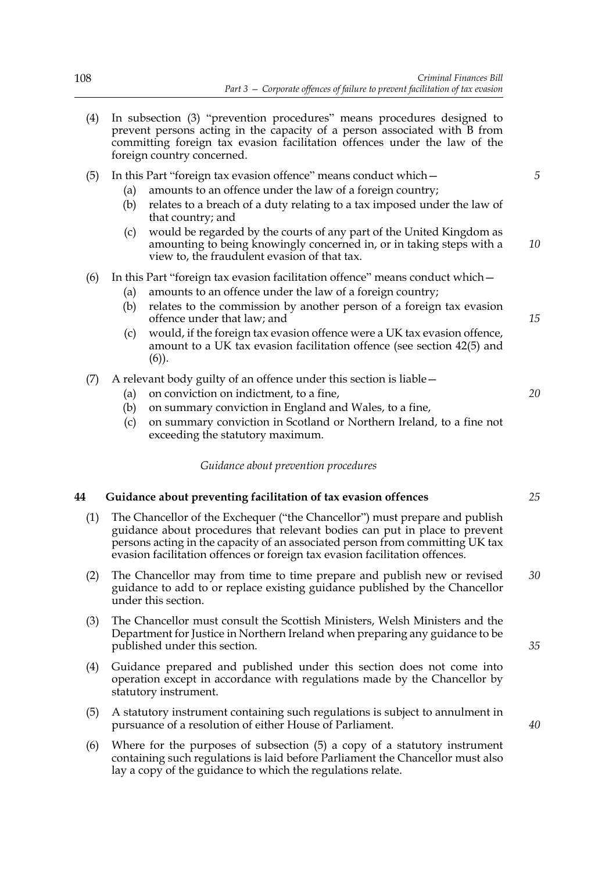- (4) In subsection (3) "prevention procedures" means procedures designed to prevent persons acting in the capacity of a person associated with B from committing foreign tax evasion facilitation offences under the law of the foreign country concerned.
- (5) In this Part "foreign tax evasion offence" means conduct which—
	- (a) amounts to an offence under the law of a foreign country;
	- (b) relates to a breach of a duty relating to a tax imposed under the law of that country; and
	- (c) would be regarded by the courts of any part of the United Kingdom as amounting to being knowingly concerned in, or in taking steps with a view to, the fraudulent evasion of that tax. *10*

# (6) In this Part "foreign tax evasion facilitation offence" means conduct which—

- (a) amounts to an offence under the law of a foreign country;
- (b) relates to the commission by another person of a foreign tax evasion offence under that law; and
- (c) would, if the foreign tax evasion offence were a UK tax evasion offence, amount to a UK tax evasion facilitation offence (see section 42(5) and (6)).
- (7) A relevant body guilty of an offence under this section is liable—
	- (a) on conviction on indictment, to a fine,
	- (b) on summary conviction in England and Wales, to a fine,
	- (c) on summary conviction in Scotland or Northern Ireland, to a fine not exceeding the statutory maximum.

### *Guidance about prevention procedures*

### **44 Guidance about preventing facilitation of tax evasion offences**

- (1) The Chancellor of the Exchequer ("the Chancellor") must prepare and publish guidance about procedures that relevant bodies can put in place to prevent persons acting in the capacity of an associated person from committing UK tax evasion facilitation offences or foreign tax evasion facilitation offences.
- (2) The Chancellor may from time to time prepare and publish new or revised guidance to add to or replace existing guidance published by the Chancellor under this section. *30*
- (3) The Chancellor must consult the Scottish Ministers, Welsh Ministers and the Department for Justice in Northern Ireland when preparing any guidance to be published under this section.
- (4) Guidance prepared and published under this section does not come into operation except in accordance with regulations made by the Chancellor by statutory instrument.
- (5) A statutory instrument containing such regulations is subject to annulment in pursuance of a resolution of either House of Parliament.
- (6) Where for the purposes of subsection (5) a copy of a statutory instrument containing such regulations is laid before Parliament the Chancellor must also lay a copy of the guidance to which the regulations relate.

*5*

*15*

*20*

*25*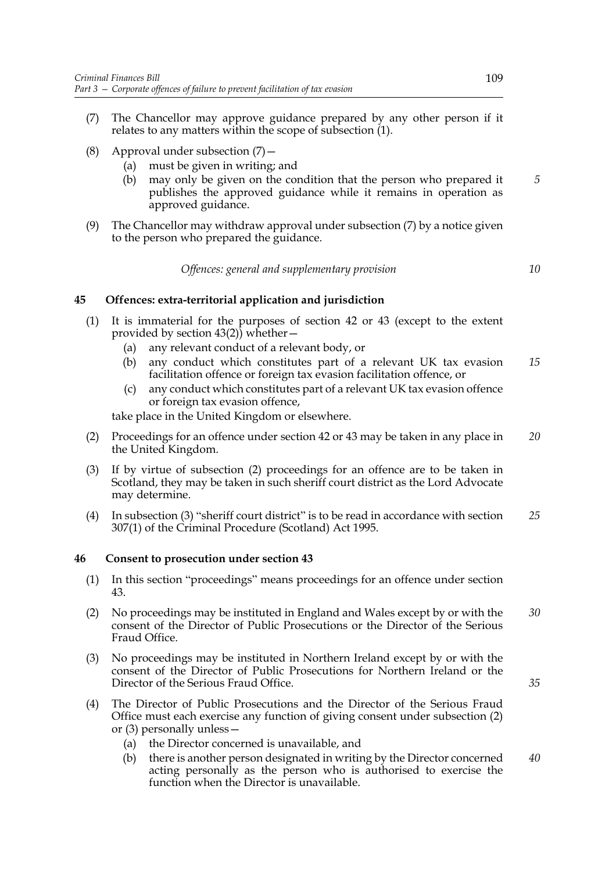- (7) The Chancellor may approve guidance prepared by any other person if it relates to any matters within the scope of subsection (1).
- (8) Approval under subsection  $(7)$  -
	- (a) must be given in writing; and
	- (b) may only be given on the condition that the person who prepared it publishes the approved guidance while it remains in operation as approved guidance.
- (9) The Chancellor may withdraw approval under subsection (7) by a notice given to the person who prepared the guidance.

*Offences: general and supplementary provision*

*10*

*35*

*5*

# **45 Offences: extra-territorial application and jurisdiction**

- (1) It is immaterial for the purposes of section 42 or 43 (except to the extent provided by section  $43(2)$ ) whether –
	- (a) any relevant conduct of a relevant body, or
	- (b) any conduct which constitutes part of a relevant UK tax evasion facilitation offence or foreign tax evasion facilitation offence, or *15*
	- (c) any conduct which constitutes part of a relevant UK tax evasion offence or foreign tax evasion offence,

take place in the United Kingdom or elsewhere.

- (2) Proceedings for an offence under section 42 or 43 may be taken in any place in the United Kingdom. *20*
- (3) If by virtue of subsection (2) proceedings for an offence are to be taken in Scotland, they may be taken in such sheriff court district as the Lord Advocate may determine.
- (4) In subsection (3) "sheriff court district" is to be read in accordance with section 307(1) of the Criminal Procedure (Scotland) Act 1995. *25*

### **46 Consent to prosecution under section 43**

- (1) In this section "proceedings" means proceedings for an offence under section 43.
- (2) No proceedings may be instituted in England and Wales except by or with the consent of the Director of Public Prosecutions or the Director of the Serious Fraud Office. *30*
- (3) No proceedings may be instituted in Northern Ireland except by or with the consent of the Director of Public Prosecutions for Northern Ireland or the Director of the Serious Fraud Office.
- (4) The Director of Public Prosecutions and the Director of the Serious Fraud Office must each exercise any function of giving consent under subsection (2) or (3) personally unless—
	- (a) the Director concerned is unavailable, and
	- (b) there is another person designated in writing by the Director concerned acting personally as the person who is authorised to exercise the function when the Director is unavailable. *40*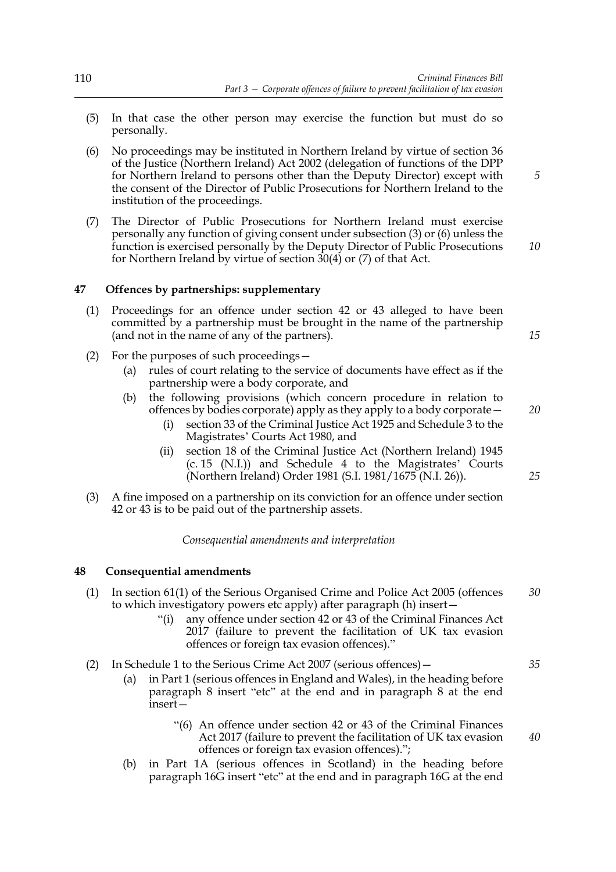- (5) In that case the other person may exercise the function but must do so personally.
- (6) No proceedings may be instituted in Northern Ireland by virtue of section 36 of the Justice (Northern Ireland) Act 2002 (delegation of functions of the DPP for Northern Ireland to persons other than the Deputy Director) except with the consent of the Director of Public Prosecutions for Northern Ireland to the institution of the proceedings.
- (7) The Director of Public Prosecutions for Northern Ireland must exercise personally any function of giving consent under subsection (3) or (6) unless the function is exercised personally by the Deputy Director of Public Prosecutions for Northern Ireland by virtue of section 30(4) or (7) of that Act.

# **47 Offences by partnerships: supplementary**

- (1) Proceedings for an offence under section 42 or 43 alleged to have been committed by a partnership must be brought in the name of the partnership (and not in the name of any of the partners).
- (2) For the purposes of such proceedings—
	- (a) rules of court relating to the service of documents have effect as if the partnership were a body corporate, and
	- (b) the following provisions (which concern procedure in relation to offences by bodies corporate) apply as they apply to a body corporate
		- section 33 of the Criminal Justice Act 1925 and Schedule 3 to the Magistrates' Courts Act 1980, and
		- (ii) section 18 of the Criminal Justice Act (Northern Ireland) 1945 (c. 15 (N.I.)) and Schedule 4 to the Magistrates' Courts (Northern Ireland) Order 1981 (S.I. 1981/1675 (N.I. 26)).
- (3) A fine imposed on a partnership on its conviction for an offence under section 42 or 43 is to be paid out of the partnership assets.

*Consequential amendments and interpretation*

### **48 Consequential amendments**

- (1) In section 61(1) of the Serious Organised Crime and Police Act 2005 (offences to which investigatory powers etc apply) after paragraph (h) insert— *30*
	- "(i) any offence under section 42 or 43 of the Criminal Finances Act 2017 (failure to prevent the facilitation of UK tax evasion offences or foreign tax evasion offences)."

(2) In Schedule 1 to the Serious Crime Act 2007 (serious offences)—

- (a) in Part 1 (serious offences in England and Wales), in the heading before paragraph 8 insert "etc" at the end and in paragraph 8 at the end insert—
	- "(6) An offence under section 42 or 43 of the Criminal Finances Act 2017 (failure to prevent the facilitation of UK tax evasion offences or foreign tax evasion offences).";
- (b) in Part 1A (serious offences in Scotland) in the heading before paragraph 16G insert "etc" at the end and in paragraph 16G at the end

*5*

*10*

*15*

*25*

*35*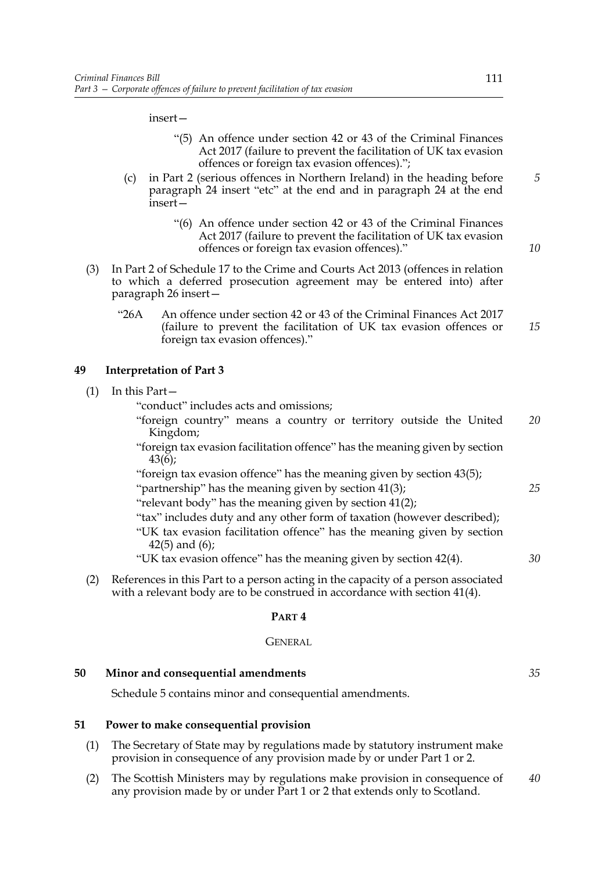insert—

- "(5) An offence under section 42 or 43 of the Criminal Finances Act 2017 (failure to prevent the facilitation of UK tax evasion offences or foreign tax evasion offences).";
- (c) in Part 2 (serious offences in Northern Ireland) in the heading before paragraph 24 insert "etc" at the end and in paragraph 24 at the end insert—
	- "(6) An offence under section 42 or 43 of the Criminal Finances Act 2017 (failure to prevent the facilitation of UK tax evasion offences or foreign tax evasion offences)."
- (3) In Part 2 of Schedule 17 to the Crime and Courts Act 2013 (offences in relation to which a deferred prosecution agreement may be entered into) after paragraph 26 insert—
	- "26A An offence under section 42 or 43 of the Criminal Finances Act 2017 (failure to prevent the facilitation of UK tax evasion offences or foreign tax evasion offences)." *15*

## **49 Interpretation of Part 3**

|  | (1) |  |  |  | In this Part- |  |
|--|-----|--|--|--|---------------|--|
|--|-----|--|--|--|---------------|--|

"conduct" includes acts and omissions;

- "foreign country" means a country or territory outside the United Kingdom; *20*
- "foreign tax evasion facilitation offence" has the meaning given by section 43(6);
- "foreign tax evasion offence" has the meaning given by section 43(5);

"partnership" has the meaning given by section 41(3);

- "relevant body" has the meaning given by section 41(2);
- "tax" includes duty and any other form of taxation (however described); "UK tax evasion facilitation offence" has the meaning given by section 42(5) and (6);

"UK tax evasion offence" has the meaning given by section 42(4).

(2) References in this Part to a person acting in the capacity of a person associated with a relevant body are to be construed in accordance with section 41(4).

### **PART 4**

### GENERAL

### **50 Minor and consequential amendments**

Schedule 5 contains minor and consequential amendments.

### **51 Power to make consequential provision**

- (1) The Secretary of State may by regulations made by statutory instrument make provision in consequence of any provision made by or under Part 1 or 2.
- (2) The Scottish Ministers may by regulations make provision in consequence of any provision made by or under Part 1 or 2 that extends only to Scotland. *40*

*5*

*10*

*35*

*25*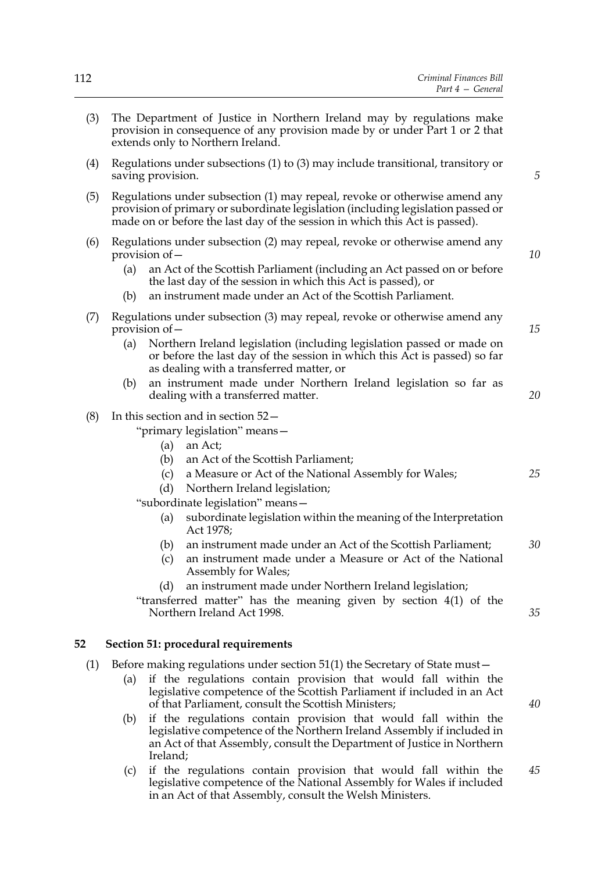- (3) The Department of Justice in Northern Ireland may by regulations make provision in consequence of any provision made by or under Part 1 or 2 that extends only to Northern Ireland. (4) Regulations under subsections (1) to (3) may include transitional, transitory or saving provision. (5) Regulations under subsection (1) may repeal, revoke or otherwise amend any provision of primary or subordinate legislation (including legislation passed or made on or before the last day of the session in which this Act is passed). (6) Regulations under subsection (2) may repeal, revoke or otherwise amend any provision of— (a) an Act of the Scottish Parliament (including an Act passed on or before the last day of the session in which this Act is passed), or (b) an instrument made under an Act of the Scottish Parliament. (7) Regulations under subsection (3) may repeal, revoke or otherwise amend any provision of— (a) Northern Ireland legislation (including legislation passed or made on or before the last day of the session in which this Act is passed) so far as dealing with a transferred matter, or (b) an instrument made under Northern Ireland legislation so far as dealing with a transferred matter. (8) In this section and in section 52— "primary legislation" means— (a) an Act; (b) an Act of the Scottish Parliament; (c) a Measure or Act of the National Assembly for Wales; (d) Northern Ireland legislation; "subordinate legislation" means— (a) subordinate legislation within the meaning of the Interpretation Act 1978; (b) an instrument made under an Act of the Scottish Parliament; (c) an instrument made under a Measure or Act of the National Assembly for Wales; *5 10 15 20 25 30*
	- (d) an instrument made under Northern Ireland legislation;

"transferred matter" has the meaning given by section 4(1) of the Northern Ireland Act 1998.

# **52 Section 51: procedural requirements**

- (1) Before making regulations under section 51(1) the Secretary of State must—
	- (a) if the regulations contain provision that would fall within the legislative competence of the Scottish Parliament if included in an Act of that Parliament, consult the Scottish Ministers;
	- (b) if the regulations contain provision that would fall within the legislative competence of the Northern Ireland Assembly if included in an Act of that Assembly, consult the Department of Justice in Northern Ireland;
	- (c) if the regulations contain provision that would fall within the legislative competence of the National Assembly for Wales if included in an Act of that Assembly, consult the Welsh Ministers. *45*

*40*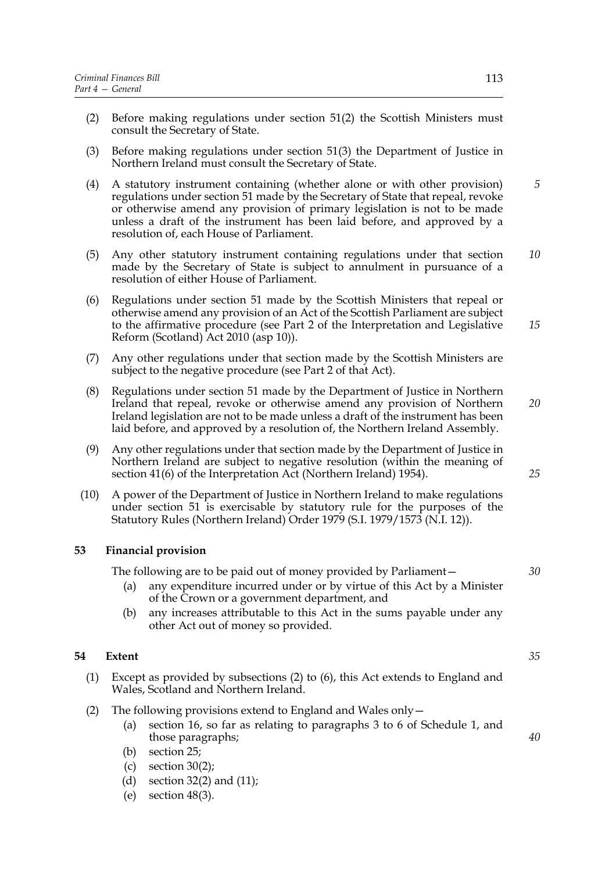- (2) Before making regulations under section 51(2) the Scottish Ministers must consult the Secretary of State.
- (3) Before making regulations under section 51(3) the Department of Justice in Northern Ireland must consult the Secretary of State.
- (4) A statutory instrument containing (whether alone or with other provision) regulations under section 51 made by the Secretary of State that repeal, revoke or otherwise amend any provision of primary legislation is not to be made unless a draft of the instrument has been laid before, and approved by a resolution of, each House of Parliament. *5*
- (5) Any other statutory instrument containing regulations under that section made by the Secretary of State is subject to annulment in pursuance of a resolution of either House of Parliament. *10*
- (6) Regulations under section 51 made by the Scottish Ministers that repeal or otherwise amend any provision of an Act of the Scottish Parliament are subject to the affirmative procedure (see Part 2 of the Interpretation and Legislative Reform (Scotland) Act 2010 (asp 10)).
- (7) Any other regulations under that section made by the Scottish Ministers are subject to the negative procedure (see Part 2 of that Act).
- (8) Regulations under section 51 made by the Department of Justice in Northern Ireland that repeal, revoke or otherwise amend any provision of Northern Ireland legislation are not to be made unless a draft of the instrument has been laid before, and approved by a resolution of, the Northern Ireland Assembly. *20*
- (9) Any other regulations under that section made by the Department of Justice in Northern Ireland are subject to negative resolution (within the meaning of section 41(6) of the Interpretation Act (Northern Ireland) 1954).
- (10) A power of the Department of Justice in Northern Ireland to make regulations under section 51 is exercisable by statutory rule for the purposes of the Statutory Rules (Northern Ireland) Order 1979 (S.I. 1979/1573 (N.I. 12)).

# **53 Financial provision**

The following are to be paid out of money provided by Parliament—

- (a) any expenditure incurred under or by virtue of this Act by a Minister of the Crown or a government department, and
- (b) any increases attributable to this Act in the sums payable under any other Act out of money so provided.

### **54 Extent**

- (1) Except as provided by subsections (2) to (6), this Act extends to England and Wales, Scotland and Northern Ireland.
- (2) The following provisions extend to England and Wales only—
	- (a) section 16, so far as relating to paragraphs 3 to 6 of Schedule 1, and those paragraphs;
	- (b) section 25;
	- (c) section 30(2);
	- (d) section 32(2) and (11);
	- (e) section 48(3).

*35*

*30*

*15*

*25*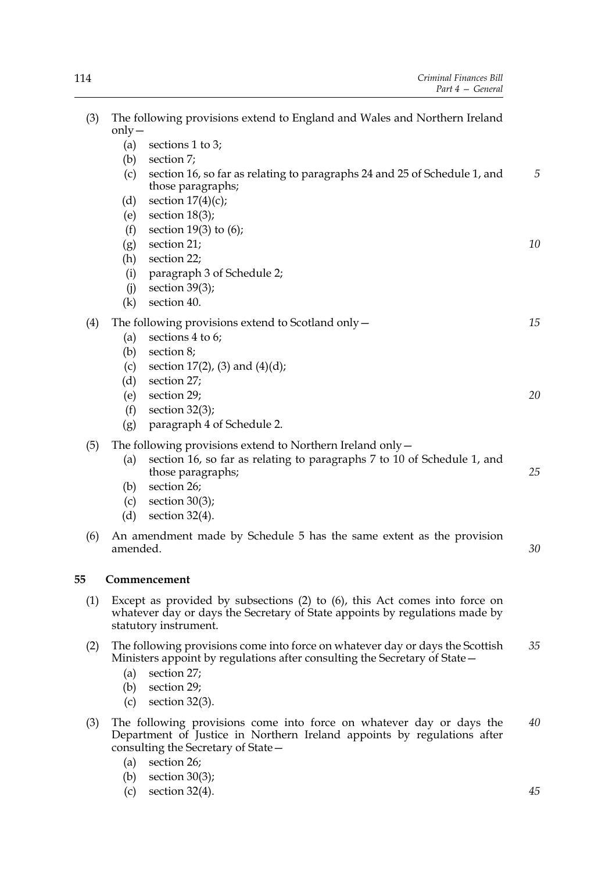| (3) | The following provisions extend to England and Wales and Northern Ireland<br>only –                                                                                                     |                                                                                                                                                                                                                |    |
|-----|-----------------------------------------------------------------------------------------------------------------------------------------------------------------------------------------|----------------------------------------------------------------------------------------------------------------------------------------------------------------------------------------------------------------|----|
|     | (a)                                                                                                                                                                                     | sections 1 to 3;                                                                                                                                                                                               |    |
|     | (b)                                                                                                                                                                                     | section 7;                                                                                                                                                                                                     |    |
|     | (c)                                                                                                                                                                                     | section 16, so far as relating to paragraphs 24 and 25 of Schedule 1, and<br>those paragraphs;                                                                                                                 | 5  |
|     | (d)                                                                                                                                                                                     | section $17(4)(c)$ ;                                                                                                                                                                                           |    |
|     | (e)                                                                                                                                                                                     | section $18(3)$ ;                                                                                                                                                                                              |    |
|     | (f)                                                                                                                                                                                     | section 19 $(3)$ to $(6)$ ;                                                                                                                                                                                    |    |
|     | (g)                                                                                                                                                                                     | section 21;                                                                                                                                                                                                    | 10 |
|     | (h)                                                                                                                                                                                     | section 22;                                                                                                                                                                                                    |    |
|     | (i)                                                                                                                                                                                     | paragraph 3 of Schedule 2;                                                                                                                                                                                     |    |
|     | (i)                                                                                                                                                                                     | section $39(3)$ ;<br>section 40.                                                                                                                                                                               |    |
|     | (k)                                                                                                                                                                                     |                                                                                                                                                                                                                |    |
| (4) |                                                                                                                                                                                         | The following provisions extend to Scotland only -                                                                                                                                                             | 15 |
|     | (a)                                                                                                                                                                                     | sections 4 to 6;                                                                                                                                                                                               |    |
|     | (b)                                                                                                                                                                                     | section 8;                                                                                                                                                                                                     |    |
|     | (c)                                                                                                                                                                                     | section $17(2)$ , (3) and (4)(d);                                                                                                                                                                              |    |
|     | (d)<br>(e)                                                                                                                                                                              | section 27;<br>section 29;                                                                                                                                                                                     | 20 |
|     | (f)                                                                                                                                                                                     | section $32(3)$ ;                                                                                                                                                                                              |    |
|     | (g)                                                                                                                                                                                     | paragraph 4 of Schedule 2.                                                                                                                                                                                     |    |
|     |                                                                                                                                                                                         | The following provisions extend to Northern Ireland only –                                                                                                                                                     |    |
| (5) | (a)                                                                                                                                                                                     | section 16, so far as relating to paragraphs 7 to 10 of Schedule 1, and<br>those paragraphs;                                                                                                                   | 25 |
|     | (b)                                                                                                                                                                                     | section 26;                                                                                                                                                                                                    |    |
|     | (c)                                                                                                                                                                                     | section $30(3)$ ;                                                                                                                                                                                              |    |
|     | (d)                                                                                                                                                                                     | section $32(4)$ .                                                                                                                                                                                              |    |
| (6) | amended.                                                                                                                                                                                | An amendment made by Schedule 5 has the same extent as the provision                                                                                                                                           | 30 |
| 55  |                                                                                                                                                                                         | Commencement                                                                                                                                                                                                   |    |
| (1) | Except as provided by subsections $(2)$ to $(6)$ , this Act comes into force on<br>whatever day or days the Secretary of State appoints by regulations made by<br>statutory instrument. |                                                                                                                                                                                                                |    |
| (2) | (a)<br>(b)<br>(c)                                                                                                                                                                       | The following provisions come into force on whatever day or days the Scottish<br>Ministers appoint by regulations after consulting the Secretary of State -<br>section 27;<br>section 29;<br>section $32(3)$ . | 35 |
| (3) | The following provisions come into force on whatever day or days the<br>Department of Justice in Northern Ireland appoints by regulations after                                         |                                                                                                                                                                                                                | 40 |

consulting the Secretary of State—

- (a) section 26;
- (b) section  $30(3)$ ;
- (c) section  $32(4)$ .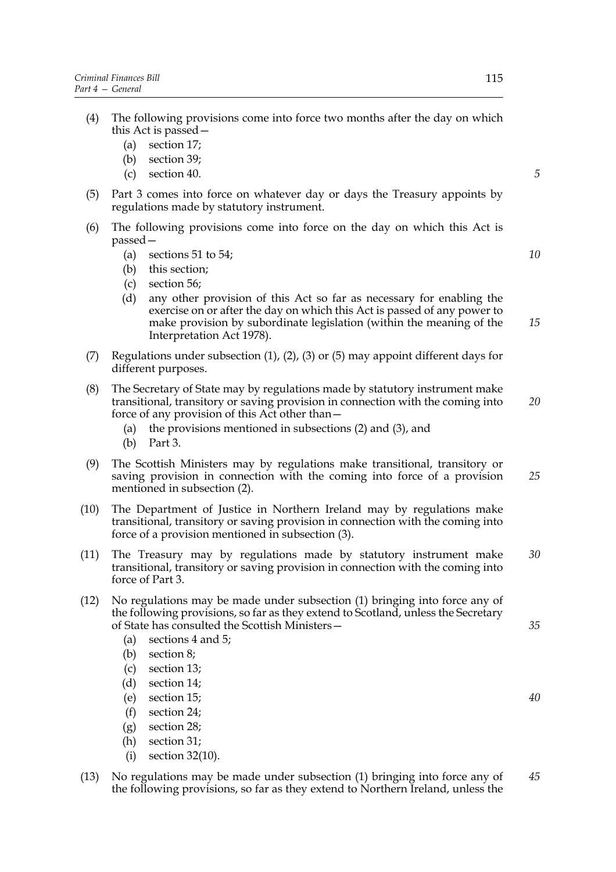- (4) The following provisions come into force two months after the day on which this Act is passed—
	- (a) section 17;
	- (b) section 39;
	- (c) section 40.
- (5) Part 3 comes into force on whatever day or days the Treasury appoints by regulations made by statutory instrument.
- (6) The following provisions come into force on the day on which this Act is passed—
	- (a) sections 51 to 54;
	- (b) this section:
	- (c) section 56;
	- (d) any other provision of this Act so far as necessary for enabling the exercise on or after the day on which this Act is passed of any power to make provision by subordinate legislation (within the meaning of the Interpretation Act 1978).
- (7) Regulations under subsection (1), (2), (3) or (5) may appoint different days for different purposes.
- (8) The Secretary of State may by regulations made by statutory instrument make transitional, transitory or saving provision in connection with the coming into force of any provision of this Act other than— *20*
	- (a) the provisions mentioned in subsections (2) and (3), and
	- (b) Part 3.
- (9) The Scottish Ministers may by regulations make transitional, transitory or saving provision in connection with the coming into force of a provision mentioned in subsection (2). *25*
- (10) The Department of Justice in Northern Ireland may by regulations make transitional, transitory or saving provision in connection with the coming into force of a provision mentioned in subsection (3).
- (11) The Treasury may by regulations made by statutory instrument make transitional, transitory or saving provision in connection with the coming into force of Part 3. *30*
- (12) No regulations may be made under subsection (1) bringing into force any of the following provisions, so far as they extend to Scotland, unless the Secretary of State has consulted the Scottish Ministers—
	- (a) sections 4 and 5;
	- (b) section 8;
	- (c) section 13;
	- (d) section 14;
	- (e) section 15;
	- (f) section 24;
	- (g) section 28;
	- (h) section 31;
	- (i) section 32(10).
- (13) No regulations may be made under subsection (1) bringing into force any of the following provisions, so far as they extend to Northern Ireland, unless the *45*

*40*

*10*

*15*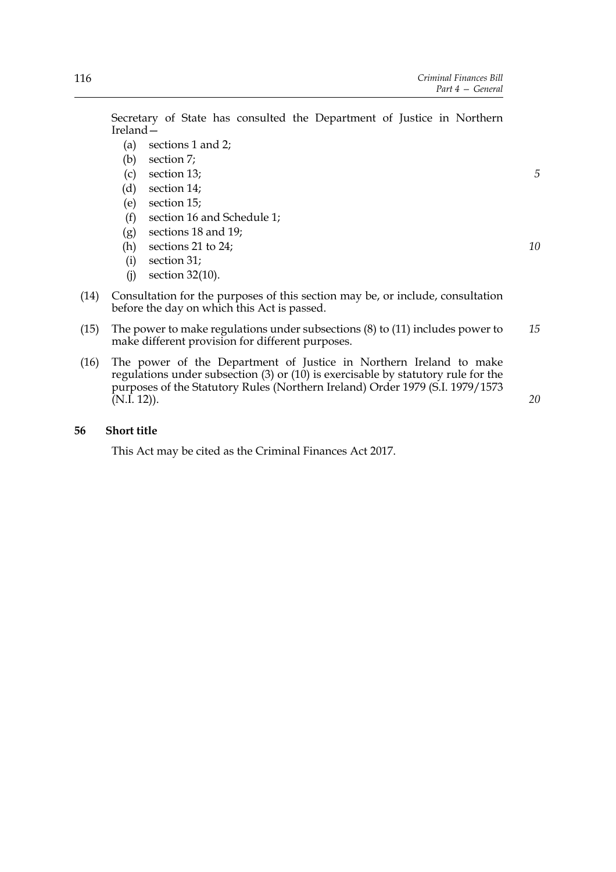Secretary of State has consulted the Department of Justice in Northern Ireland—

- (a) sections 1 and 2;
- (b) section 7;
- (c) section 13;
- (d) section 14;
- (e) section 15;
- (f) section 16 and Schedule 1;
- (g) sections 18 and 19;
- (h) sections 21 to 24;
- (i) section 31;
- (j) section 32(10).
- (14) Consultation for the purposes of this section may be, or include, consultation before the day on which this Act is passed.
- (15) The power to make regulations under subsections (8) to (11) includes power to make different provision for different purposes. *15*
- (16) The power of the Department of Justice in Northern Ireland to make regulations under subsection (3) or (10) is exercisable by statutory rule for the purposes of the Statutory Rules (Northern Ireland) Order 1979 (S.I. 1979/1573  $(N.\overline{I}. 12)$ ).

### **56 Short title**

This Act may be cited as the Criminal Finances Act 2017.

*5*

*10*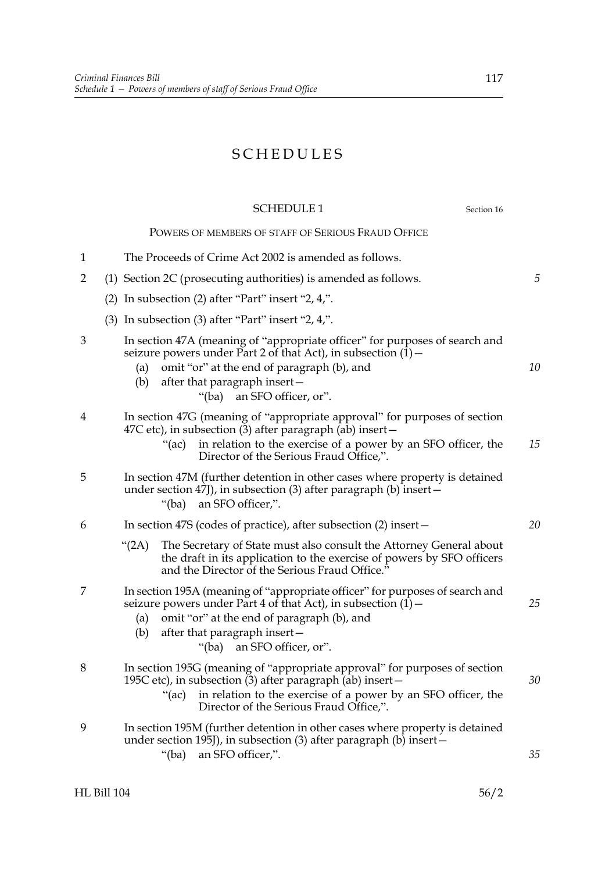# SCHEDULES

# SCHEDULE 1 Section 16

# POWERS OF MEMBERS OF STAFF OF SERIOUS FRAUD OFFICE

| 1              | The Proceeds of Crime Act 2002 is amended as follows.                                                                                                                                                                                                                          |    |
|----------------|--------------------------------------------------------------------------------------------------------------------------------------------------------------------------------------------------------------------------------------------------------------------------------|----|
| $\overline{2}$ | (1) Section 2C (prosecuting authorities) is amended as follows.                                                                                                                                                                                                                | 5  |
|                | (2) In subsection (2) after "Part" insert "2, $4$ ,".                                                                                                                                                                                                                          |    |
|                | (3) In subsection (3) after "Part" insert "2, $4$ ,".                                                                                                                                                                                                                          |    |
| 3              | In section 47A (meaning of "appropriate officer" for purposes of search and<br>seizure powers under Part 2 of that Act), in subsection $(1)$ –<br>omit "or" at the end of paragraph (b), and<br>(a)<br>after that paragraph insert-<br>(b)<br>" $(ba)$<br>an SFO officer, or". | 10 |
| $\overline{4}$ | In section 47G (meaning of "appropriate approval" for purposes of section<br>47C etc), in subsection (3) after paragraph (ab) insert –<br>in relation to the exercise of a power by an SFO officer, the<br>"(ac)<br>Director of the Serious Fraud Office,".                    | 15 |
| 5              | In section 47M (further detention in other cases where property is detained<br>under section 47J), in subsection $(3)$ after paragraph $(b)$ insert $-$<br>an SFO officer,".<br>"(ba)                                                                                          |    |
| 6              | In section 47S (codes of practice), after subsection (2) insert –                                                                                                                                                                                                              | 20 |
|                | The Secretary of State must also consult the Attorney General about<br>" $(2A)$<br>the draft in its application to the exercise of powers by SFO officers<br>and the Director of the Serious Fraud Office."                                                                    |    |
| 7              | In section 195A (meaning of "appropriate officer" for purposes of search and<br>seizure powers under Part 4 of that Act), in subsection $(1)$ –<br>omit "or" at the end of paragraph (b), and<br>(a)<br>(b)<br>after that paragraph insert-<br>"(ba)<br>an SFO officer, or".   | 25 |
| 8              | In section 195G (meaning of "appropriate approval" for purposes of section<br>195C etc), in subsection (3) after paragraph (ab) insert -<br>in relation to the exercise of a power by an SFO officer, the<br>" $(ac)$<br>Director of the Serious Fraud Office,".               | 30 |
| 9              | In section 195M (further detention in other cases where property is detained<br>under section 195J), in subsection (3) after paragraph (b) insert –<br>an SFO officer,".<br>"(ba)                                                                                              | 35 |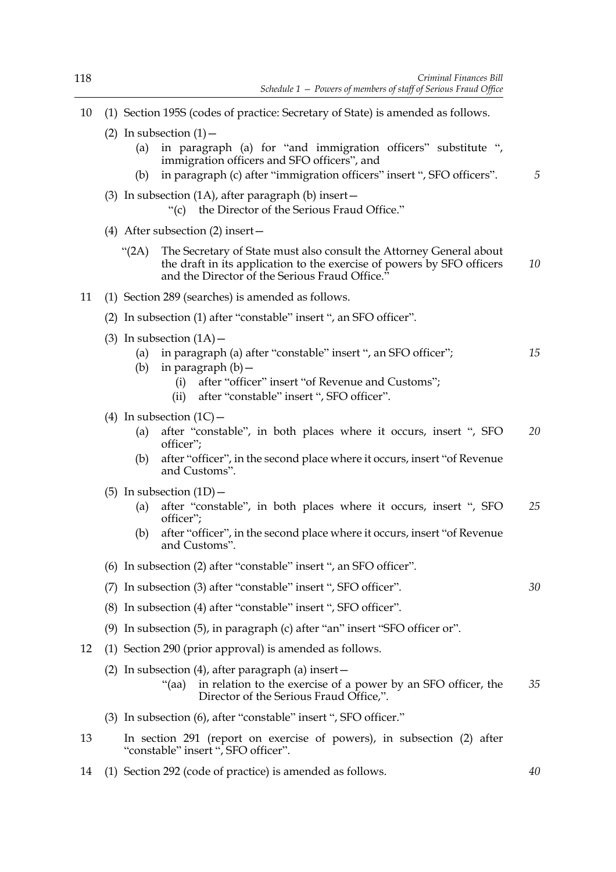- 10 (1) Section 195S (codes of practice: Secretary of State) is amended as follows.
	- (2) In subsection  $(1)$  -
		- (a) in paragraph (a) for "and immigration officers" substitute ", immigration officers and SFO officers", and
		- (b) in paragraph (c) after "immigration officers" insert ", SFO officers". *5*
	- (3) In subsection (1A), after paragraph (b) insert— "(c) the Director of the Serious Fraud Office."
	- (4) After subsection (2) insert—
		- "(2A) The Secretary of State must also consult the Attorney General about the draft in its application to the exercise of powers by SFO officers and the Director of the Serious Fraud Office." *10*
- 11 (1) Section 289 (searches) is amended as follows.
	- (2) In subsection (1) after "constable" insert ", an SFO officer".
	- (3) In subsection  $(1A)$ 
		- (a) in paragraph (a) after "constable" insert ", an SFO officer";
		- (b) in paragraph  $(b)$  -
			- (i) after "officer" insert "of Revenue and Customs";
			- (ii) after "constable" insert ", SFO officer".
	- (4) In subsection  $(1C)$  -
		- (a) after "constable", in both places where it occurs, insert ", SFO officer"; *20*
		- (b) after "officer", in the second place where it occurs, insert "of Revenue and Customs".
	- (5) In subsection  $(1D)$  -
		- (a) after "constable", in both places where it occurs, insert ", SFO officer"; *25*
		- (b) after "officer", in the second place where it occurs, insert "of Revenue and Customs".
	- (6) In subsection (2) after "constable" insert ", an SFO officer".
	- (7) In subsection (3) after "constable" insert ", SFO officer". *30*
	- (8) In subsection (4) after "constable" insert ", SFO officer".
	- (9) In subsection (5), in paragraph (c) after "an" insert "SFO officer or".
- 12 (1) Section 290 (prior approval) is amended as follows.
	- (2) In subsection (4), after paragraph (a) insert  $-$ 
		- "(aa) in relation to the exercise of a power by an SFO officer, the Director of the Serious Fraud Office,". *35*
	- (3) In subsection (6), after "constable" insert ", SFO officer."
- 13 In section 291 (report on exercise of powers), in subsection (2) after "constable" insert ", SFO officer".
- 14 (1) Section 292 (code of practice) is amended as follows.

*15*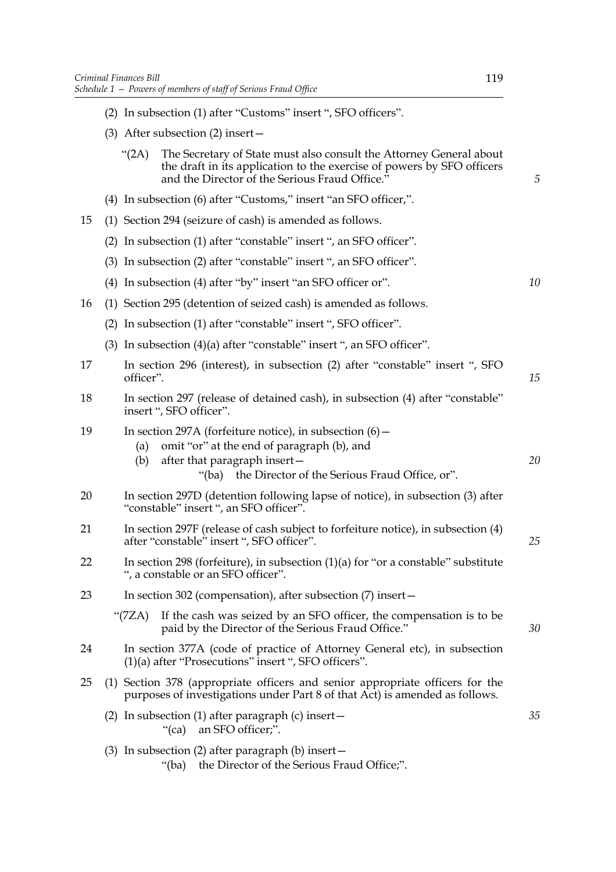- (2) In subsection (1) after "Customs" insert ", SFO officers".
- (3) After subsection (2) insert—

|    | " $(2A)$<br>The Secretary of State must also consult the Attorney General about<br>the draft in its application to the exercise of powers by SFO officers<br>and the Director of the Serious Fraud Office."       | 5  |
|----|-------------------------------------------------------------------------------------------------------------------------------------------------------------------------------------------------------------------|----|
|    | (4) In subsection (6) after "Customs," insert "an SFO officer,".                                                                                                                                                  |    |
| 15 | (1) Section 294 (seizure of cash) is amended as follows.                                                                                                                                                          |    |
|    | (2) In subsection (1) after "constable" insert ", an SFO officer".                                                                                                                                                |    |
|    | (3) In subsection (2) after "constable" insert ", an SFO officer".                                                                                                                                                |    |
|    | (4) In subsection (4) after "by" insert "an SFO officer or".                                                                                                                                                      | 10 |
| 16 | (1) Section 295 (detention of seized cash) is amended as follows.                                                                                                                                                 |    |
|    | In subsection (1) after "constable" insert ", SFO officer".<br>(2)                                                                                                                                                |    |
|    | (3) In subsection $(4)(a)$ after "constable" insert ", an SFO officer".                                                                                                                                           |    |
| 17 | In section 296 (interest), in subsection (2) after "constable" insert ", SFO<br>officer".                                                                                                                         | 15 |
| 18 | In section 297 (release of detained cash), in subsection (4) after "constable"<br>insert ", SFO officer".                                                                                                         |    |
| 19 | In section 297A (forfeiture notice), in subsection $(6)$ –<br>omit "or" at the end of paragraph (b), and<br>(a)<br>after that paragraph insert-<br>(b)<br>the Director of the Serious Fraud Office, or".<br>"(ba) | 20 |
| 20 | In section 297D (detention following lapse of notice), in subsection (3) after<br>"constable" insert ", an SFO officer".                                                                                          |    |
| 21 | In section 297F (release of cash subject to forfeiture notice), in subsection (4)<br>after "constable" insert ", SFO officer".                                                                                    | 25 |
| 22 | In section 298 (forfeiture), in subsection $(1)(a)$ for "or a constable" substitute<br>", a constable or an SFO officer".                                                                                         |    |
| 23 | In section 302 (compensation), after subsection (7) insert –                                                                                                                                                      |    |
|    | "(7ZA) If the cash was seized by an SFO officer, the compensation is to be<br>paid by the Director of the Serious Fraud Office."                                                                                  | 30 |
| 24 | In section 377A (code of practice of Attorney General etc), in subsection<br>$(1)(a)$ after "Prosecutions" insert ", SFO officers".                                                                               |    |
| 25 | (1) Section 378 (appropriate officers and senior appropriate officers for the<br>purposes of investigations under Part 8 of that Act) is amended as follows.                                                      |    |
|    | (2) In subsection (1) after paragraph (c) insert $-$<br>"(ca) an SFO officer;".                                                                                                                                   | 35 |
|    | (3) In subsection (2) after paragraph (b) insert $-$                                                                                                                                                              |    |

"(ba) the Director of the Serious Fraud Office;".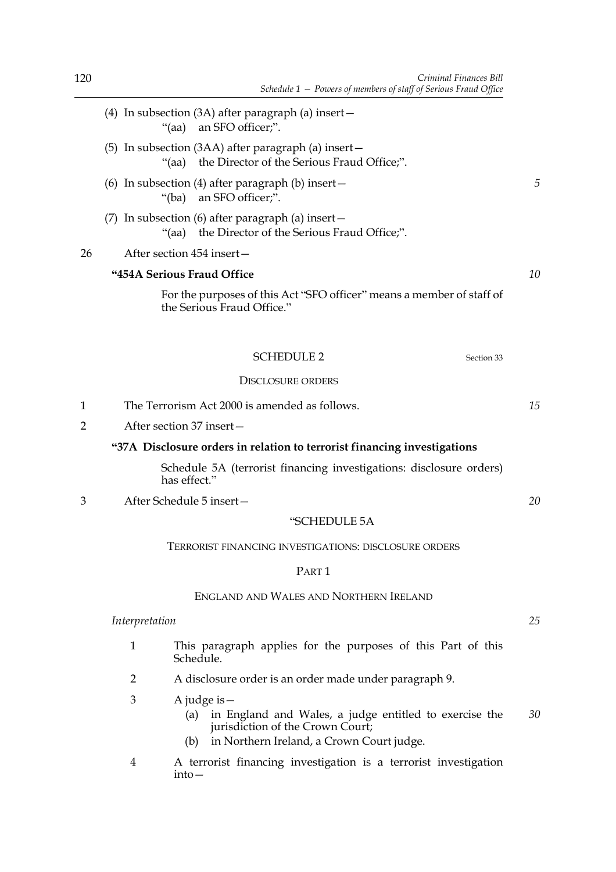|    | (4) In subsection $(3A)$ after paragraph $(a)$ insert $-$<br>"(aa) an SFO officer;".                      |
|----|-----------------------------------------------------------------------------------------------------------|
|    | (5) In subsection (3AA) after paragraph (a) insert-<br>"(aa) the Director of the Serious Fraud Office;".  |
|    | (6) In subsection (4) after paragraph (b) insert $-$<br>an SFO officer;".<br>"(ba)                        |
|    | (7) In subsection (6) after paragraph (a) insert $-$<br>"(aa) the Director of the Serious Fraud Office;". |
| 26 | After section 454 insert-                                                                                 |
|    | "454A Serious Fraud Office                                                                                |
|    | For the purposes of this Act "SFO officer" means a member of staff of<br>the Serious Fraud Office."       |
|    | <b>SCHEDULE 2</b><br>Section 33                                                                           |
|    | <b>DISCLOSURE ORDERS</b>                                                                                  |
| 1  | The Terrorism Act 2000 is amended as follows.                                                             |
| 2  | After section 37 insert-                                                                                  |
|    | "37A Disclosure orders in relation to terrorist financing investigations                                  |
|    | Schedule 5A (terrorist financing investigations: disclosure orders)<br>has effect."                       |
| 3  | After Schedule 5 insert-                                                                                  |
|    | "SCHEDULE 5A                                                                                              |
|    | TERRORIST FINANCING INVESTIGATIONS: DISCLOSURE ORDERS                                                     |
|    | PART <sub>1</sub>                                                                                         |
|    | ENGLAND AND WALES AND NORTHERN IRELAND                                                                    |
|    | Interpretation                                                                                            |
|    | This paragraph applies for the purposes of this Part of this<br>1<br>Schedule.                            |
|    | $\overline{2}$<br>A disclosure order is an order made under paragraph 9.                                  |
|    | 3<br>A judge is $-$<br>(a) in England and Wales, a judge entitled to exercise the                         |

- jurisdiction of the Crown Court;
- (b) in Northern Ireland, a Crown Court judge.
- 4 A terrorist financing investigation is a terrorist investigation into—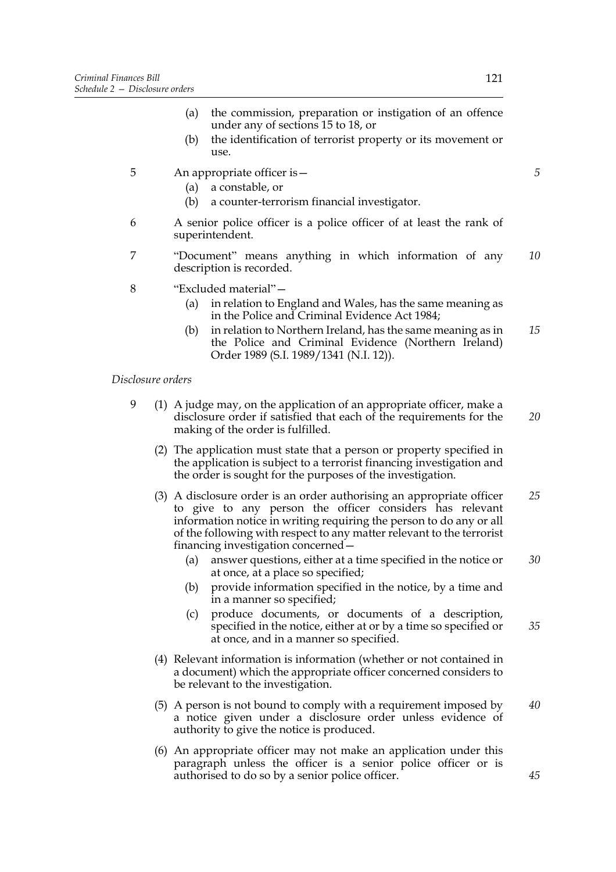- (b) the identification of terrorist property or its movement or use.
- 5 An appropriate officer is—
	- (a) a constable, or
	- (b) a counter-terrorism financial investigator.
- 6 A senior police officer is a police officer of at least the rank of superintendent.
- 7 "Document" means anything in which information of any description is recorded. *10*
- 8 "Excluded material"—
	- (a) in relation to England and Wales, has the same meaning as in the Police and Criminal Evidence Act 1984;
	- (b) in relation to Northern Ireland, has the same meaning as in the Police and Criminal Evidence (Northern Ireland) Order 1989 (S.I. 1989/1341 (N.I. 12)). *15*

### *Disclosure orders*

- 9 (1) A judge may, on the application of an appropriate officer, make a disclosure order if satisfied that each of the requirements for the making of the order is fulfilled. *20*
	- (2) The application must state that a person or property specified in the application is subject to a terrorist financing investigation and the order is sought for the purposes of the investigation.
	- (3) A disclosure order is an order authorising an appropriate officer to give to any person the officer considers has relevant information notice in writing requiring the person to do any or all of the following with respect to any matter relevant to the terrorist financing investigation concerned— *25*
		- (a) answer questions, either at a time specified in the notice or at once, at a place so specified; *30*
		- (b) provide information specified in the notice, by a time and in a manner so specified;
		- (c) produce documents, or documents of a description, specified in the notice, either at or by a time so specified or at once, and in a manner so specified. *35*
	- (4) Relevant information is information (whether or not contained in a document) which the appropriate officer concerned considers to be relevant to the investigation.
	- (5) A person is not bound to comply with a requirement imposed by a notice given under a disclosure order unless evidence of authority to give the notice is produced. *40*
	- (6) An appropriate officer may not make an application under this paragraph unless the officer is a senior police officer or is authorised to do so by a senior police officer.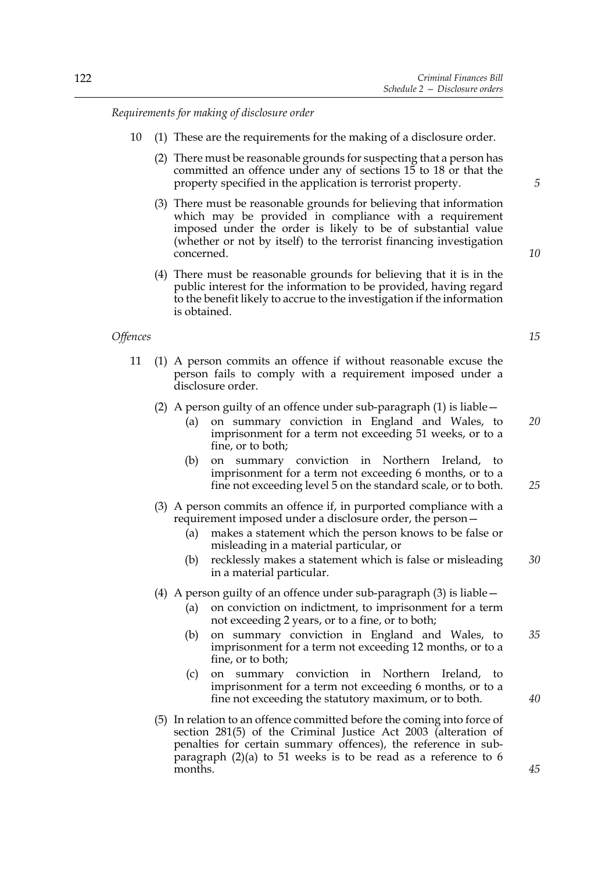*Requirements for making of disclosure order*

- 10 (1) These are the requirements for the making of a disclosure order.
	- (2) There must be reasonable grounds for suspecting that a person has committed an offence under any of sections 15 to 18 or that the property specified in the application is terrorist property.
	- (3) There must be reasonable grounds for believing that information which may be provided in compliance with a requirement imposed under the order is likely to be of substantial value (whether or not by itself) to the terrorist financing investigation concerned.
	- (4) There must be reasonable grounds for believing that it is in the public interest for the information to be provided, having regard to the benefit likely to accrue to the investigation if the information is obtained.

### *Offences*

- 11 (1) A person commits an offence if without reasonable excuse the person fails to comply with a requirement imposed under a disclosure order.
	- (2) A person guilty of an offence under sub-paragraph (1) is liable—
		- (a) on summary conviction in England and Wales, to imprisonment for a term not exceeding 51 weeks, or to a fine, or to both;
		- (b) on summary conviction in Northern Ireland, to imprisonment for a term not exceeding 6 months, or to a fine not exceeding level 5 on the standard scale, or to both.
	- (3) A person commits an offence if, in purported compliance with a requirement imposed under a disclosure order, the person—
		- (a) makes a statement which the person knows to be false or misleading in a material particular, or
		- (b) recklessly makes a statement which is false or misleading in a material particular. *30*
	- (4) A person guilty of an offence under sub-paragraph (3) is liable—
		- (a) on conviction on indictment, to imprisonment for a term not exceeding 2 years, or to a fine, or to both;
		- (b) on summary conviction in England and Wales, to imprisonment for a term not exceeding 12 months, or to a fine, or to both;
		- (c) on summary conviction in Northern Ireland, to imprisonment for a term not exceeding 6 months, or to a fine not exceeding the statutory maximum, or to both.
	- (5) In relation to an offence committed before the coming into force of section 281(5) of the Criminal Justice Act 2003 (alteration of penalties for certain summary offences), the reference in subparagraph (2)(a) to 51 weeks is to be read as a reference to 6 months.

*15*

*5*

*10*

*20*

*25*

*45*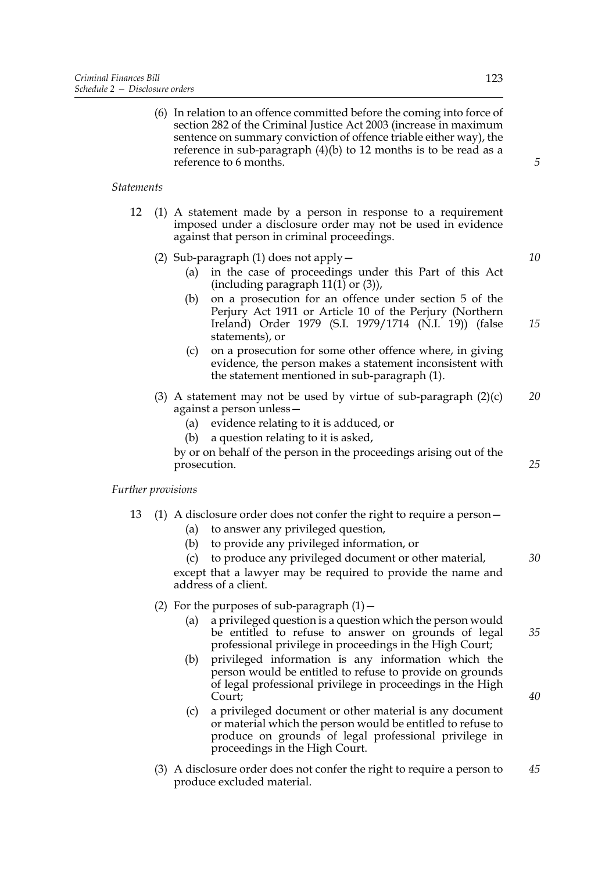(6) In relation to an offence committed before the coming into force of section 282 of the Criminal Justice Act 2003 (increase in maximum sentence on summary conviction of offence triable either way), the reference in sub-paragraph (4)(b) to 12 months is to be read as a reference to 6 months.

### *Statements*

12 (1) A statement made by a person in response to a requirement imposed under a disclosure order may not be used in evidence against that person in criminal proceedings.

# (2) Sub-paragraph (1) does not apply—

- (a) in the case of proceedings under this Part of this Act (including paragraph  $11(1)$  or (3)),
- (b) on a prosecution for an offence under section 5 of the Perjury Act 1911 or Article 10 of the Perjury (Northern Ireland) Order 1979 (S.I. 1979/1714 (N.I. 19)) (false statements), or
- (c) on a prosecution for some other offence where, in giving evidence, the person makes a statement inconsistent with the statement mentioned in sub-paragraph (1).
- (3) A statement may not be used by virtue of sub-paragraph  $(2)(c)$ against a person unless— *20*
	- (a) evidence relating to it is adduced, or
	- (b) a question relating to it is asked,

by or on behalf of the person in the proceedings arising out of the prosecution.

### *Further provisions*

- 13 (1) A disclosure order does not confer the right to require a person—
	- (a) to answer any privileged question,
	- (b) to provide any privileged information, or

(c) to produce any privileged document or other material, except that a lawyer may be required to provide the name and address of a client.

- (2) For the purposes of sub-paragraph  $(1)$  -
	- (a) a privileged question is a question which the person would be entitled to refuse to answer on grounds of legal professional privilege in proceedings in the High Court;
	- (b) privileged information is any information which the person would be entitled to refuse to provide on grounds of legal professional privilege in proceedings in the High Court;
	- (c) a privileged document or other material is any document or material which the person would be entitled to refuse to produce on grounds of legal professional privilege in proceedings in the High Court.
- (3) A disclosure order does not confer the right to require a person to produce excluded material. *45*

*5*

*10*

*15*

*25*

*35*

*30*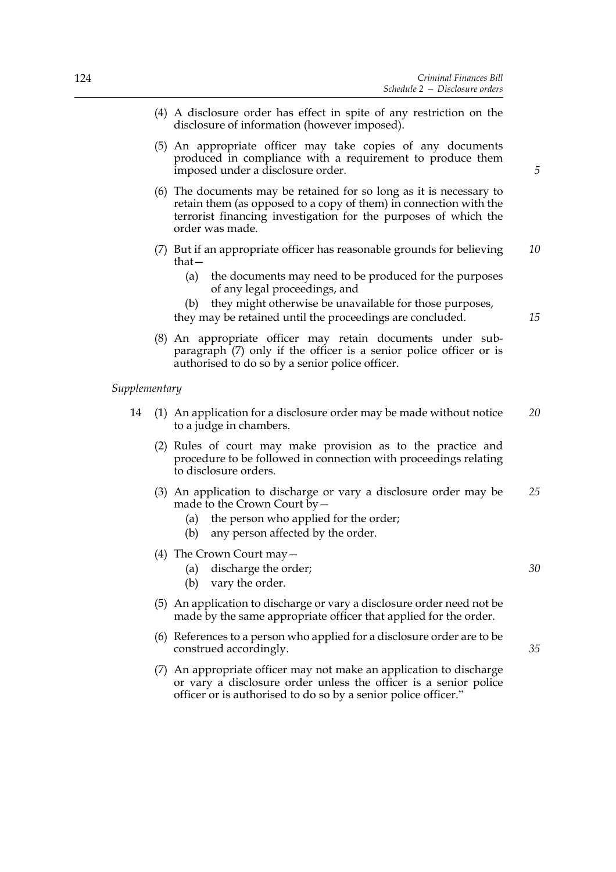- (4) A disclosure order has effect in spite of any restriction on the disclosure of information (however imposed).
- (5) An appropriate officer may take copies of any documents produced in compliance with a requirement to produce them imposed under a disclosure order.
- (6) The documents may be retained for so long as it is necessary to retain them (as opposed to a copy of them) in connection with the terrorist financing investigation for the purposes of which the order was made.
- (7) But if an appropriate officer has reasonable grounds for believing that— *10*
	- (a) the documents may need to be produced for the purposes of any legal proceedings, and
	- (b) they might otherwise be unavailable for those purposes, they may be retained until the proceedings are concluded.
- (8) An appropriate officer may retain documents under subparagraph (7) only if the officer is a senior police officer or is authorised to do so by a senior police officer.

### *Supplementary*

- 14 (1) An application for a disclosure order may be made without notice to a judge in chambers. *20*
	- (2) Rules of court may make provision as to the practice and procedure to be followed in connection with proceedings relating to disclosure orders.
	- (3) An application to discharge or vary a disclosure order may be made to the Crown Court by— *25*
		- (a) the person who applied for the order;
		- (b) any person affected by the order.
	- (4) The Crown Court may—
		- (a) discharge the order;
		- (b) vary the order.
	- (5) An application to discharge or vary a disclosure order need not be made by the same appropriate officer that applied for the order.
	- (6) References to a person who applied for a disclosure order are to be construed accordingly.
	- (7) An appropriate officer may not make an application to discharge or vary a disclosure order unless the officer is a senior police officer or is authorised to do so by a senior police officer."

*5*

*15*

*30*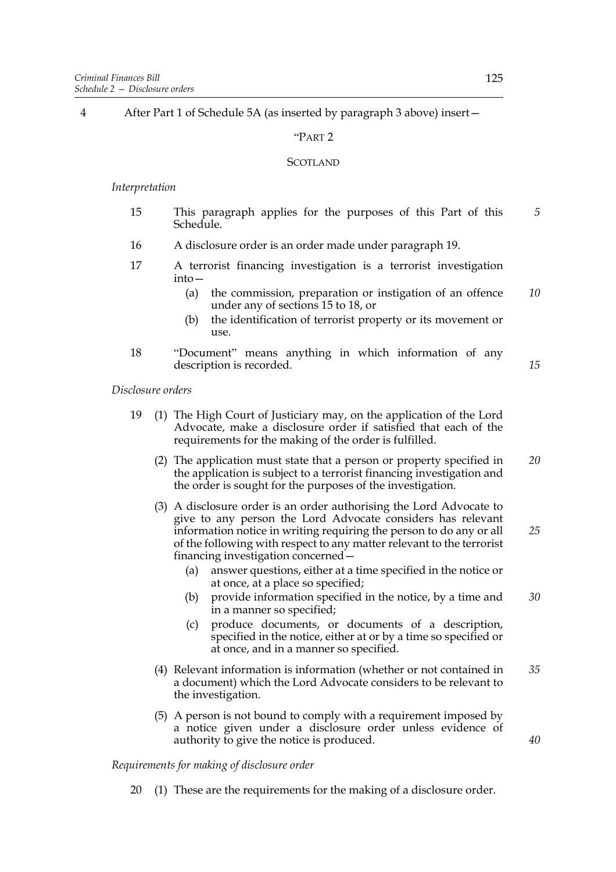# "PART 2

### **SCOTLAND**

## *Interpretation*

- 15 This paragraph applies for the purposes of this Part of this Schedule. *5*
- 16 A disclosure order is an order made under paragraph 19.
- 17 A terrorist financing investigation is a terrorist investigation into—
	- (a) the commission, preparation or instigation of an offence under any of sections 15 to 18, or *10*
	- (b) the identification of terrorist property or its movement or use.
- 18 "Document" means anything in which information of any description is recorded.

*15*

### *Disclosure orders*

- 19 (1) The High Court of Justiciary may, on the application of the Lord Advocate, make a disclosure order if satisfied that each of the requirements for the making of the order is fulfilled.
	- (2) The application must state that a person or property specified in the application is subject to a terrorist financing investigation and the order is sought for the purposes of the investigation. *20*
	- (3) A disclosure order is an order authorising the Lord Advocate to give to any person the Lord Advocate considers has relevant information notice in writing requiring the person to do any or all of the following with respect to any matter relevant to the terrorist financing investigation concerned— *25*
		- (a) answer questions, either at a time specified in the notice or at once, at a place so specified;
		- (b) provide information specified in the notice, by a time and in a manner so specified; *30*
		- (c) produce documents, or documents of a description, specified in the notice, either at or by a time so specified or at once, and in a manner so specified.
	- (4) Relevant information is information (whether or not contained in a document) which the Lord Advocate considers to be relevant to the investigation. *35*
	- (5) A person is not bound to comply with a requirement imposed by a notice given under a disclosure order unless evidence of authority to give the notice is produced.

### *Requirements for making of disclosure order*

20 (1) These are the requirements for the making of a disclosure order.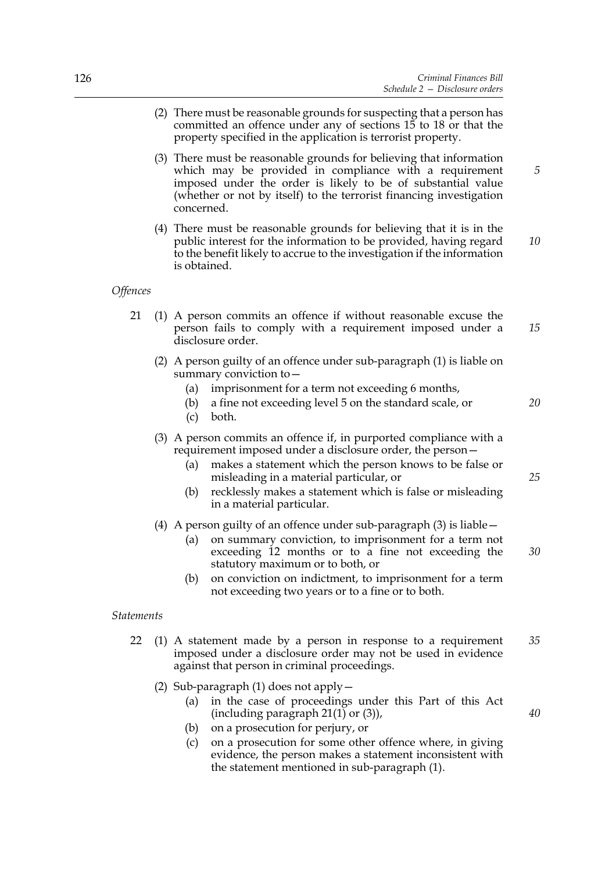*5*

*15*

*20*

*25*

*30*

*40*

- (2) There must be reasonable grounds for suspecting that a person has committed an offence under any of sections 15 to 18 or that the property specified in the application is terrorist property.
- (3) There must be reasonable grounds for believing that information which may be provided in compliance with a requirement imposed under the order is likely to be of substantial value (whether or not by itself) to the terrorist financing investigation concerned.
- (4) There must be reasonable grounds for believing that it is in the public interest for the information to be provided, having regard to the benefit likely to accrue to the investigation if the information is obtained. *10*

### *Offences*

- 21 (1) A person commits an offence if without reasonable excuse the person fails to comply with a requirement imposed under a disclosure order.
	- (2) A person guilty of an offence under sub-paragraph (1) is liable on summary conviction to—
		- (a) imprisonment for a term not exceeding 6 months,
		- (b) a fine not exceeding level 5 on the standard scale, or
		- (c) both.
	- (3) A person commits an offence if, in purported compliance with a requirement imposed under a disclosure order, the person—
		- (a) makes a statement which the person knows to be false or misleading in a material particular, or
		- (b) recklessly makes a statement which is false or misleading in a material particular.
	- (4) A person guilty of an offence under sub-paragraph (3) is liable—
		- (a) on summary conviction, to imprisonment for a term not exceeding 12 months or to a fine not exceeding the statutory maximum or to both, or
		- (b) on conviction on indictment, to imprisonment for a term not exceeding two years or to a fine or to both.

### *Statements*

- 22 (1) A statement made by a person in response to a requirement imposed under a disclosure order may not be used in evidence against that person in criminal proceedings. *35*
	- (2) Sub-paragraph (1) does not apply—
		- (a) in the case of proceedings under this Part of this Act (including paragraph  $21(1)$  or  $(3)$ ),
		- (b) on a prosecution for perjury, or
		- (c) on a prosecution for some other offence where, in giving evidence, the person makes a statement inconsistent with the statement mentioned in sub-paragraph (1).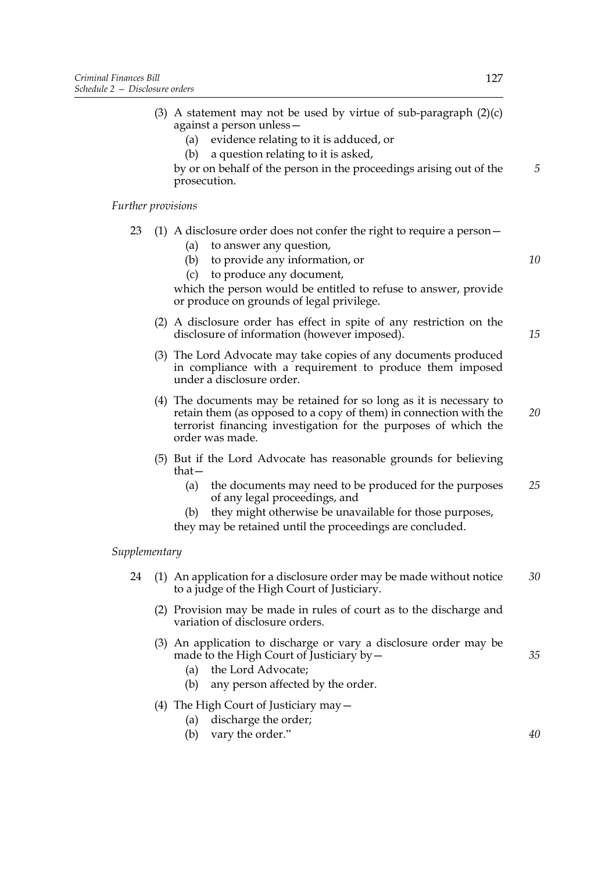- (3) A statement may not be used by virtue of sub-paragraph  $(2)(c)$ against a person unless—
	- (a) evidence relating to it is adduced, or
	- (b) a question relating to it is asked,

by or on behalf of the person in the proceedings arising out of the prosecution.

### *Further provisions*

- 23 (1) A disclosure order does not confer the right to require a person—
	- (a) to answer any question,
	- (b) to provide any information, or
	- (c) to produce any document,

which the person would be entitled to refuse to answer, provide or produce on grounds of legal privilege.

- (2) A disclosure order has effect in spite of any restriction on the disclosure of information (however imposed).
- (3) The Lord Advocate may take copies of any documents produced in compliance with a requirement to produce them imposed under a disclosure order.
- (4) The documents may be retained for so long as it is necessary to retain them (as opposed to a copy of them) in connection with the terrorist financing investigation for the purposes of which the order was made. *20*
- (5) But if the Lord Advocate has reasonable grounds for believing that—
	- (a) the documents may need to be produced for the purposes of any legal proceedings, and *25*
	- (b) they might otherwise be unavailable for those purposes, they may be retained until the proceedings are concluded.

### *Supplementary*

- 24 (1) An application for a disclosure order may be made without notice to a judge of the High Court of Justiciary. *30*
	- (2) Provision may be made in rules of court as to the discharge and variation of disclosure orders.
	- (3) An application to discharge or vary a disclosure order may be made to the High Court of Justiciary by— *35*
		- (a) the Lord Advocate;
		- (b) any person affected by the order.
	- (4) The High Court of Justiciary may—
		- (a) discharge the order;
		- (b) vary the order." *40*

*5*

*10*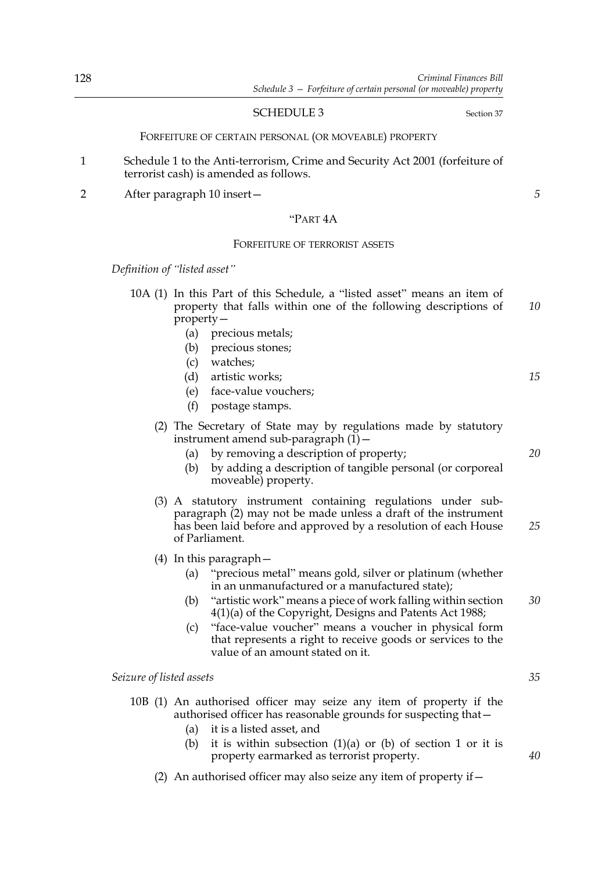# SCHEDULE 3 Section 37

FORFEITURE OF CERTAIN PERSONAL (OR MOVEABLE) PROPERTY

- 1 Schedule 1 to the Anti-terrorism, Crime and Security Act 2001 (forfeiture of terrorist cash) is amended as follows.
- 2 After paragraph 10 insert—

### "PART 4A

### FORFEITURE OF TERRORIST ASSETS

*Definition of "listed asset"* 

- 10A (1) In this Part of this Schedule, a "listed asset" means an item of property that falls within one of the following descriptions of property— *10*
	- (a) precious metals;
	- (b) precious stones;
	- (c) watches;
	- (d) artistic works;
	- (e) face-value vouchers;
	- (f) postage stamps.
	- (2) The Secretary of State may by regulations made by statutory instrument amend sub-paragraph  $(1)$  –
		- (a) by removing a description of property;
		- (b) by adding a description of tangible personal (or corporeal moveable) property.
	- (3) A statutory instrument containing regulations under subparagraph (2) may not be made unless a draft of the instrument has been laid before and approved by a resolution of each House of Parliament.
	- (4) In this paragraph—
		- (a) "precious metal" means gold, silver or platinum (whether in an unmanufactured or a manufactured state);
		- (b) "artistic work" means a piece of work falling within section 4(1)(a) of the Copyright, Designs and Patents Act 1988; *30*
		- (c) "face-value voucher" means a voucher in physical form that represents a right to receive goods or services to the value of an amount stated on it.

*Seizure of listed assets*

- 10B (1) An authorised officer may seize any item of property if the authorised officer has reasonable grounds for suspecting that—
	- (a) it is a listed asset, and
	- (b) it is within subsection  $(1)(a)$  or (b) of section 1 or it is property earmarked as terrorist property.
	- (2) An authorised officer may also seize any item of property if  $-$

*5*

*15*

*20*

*25*

*35*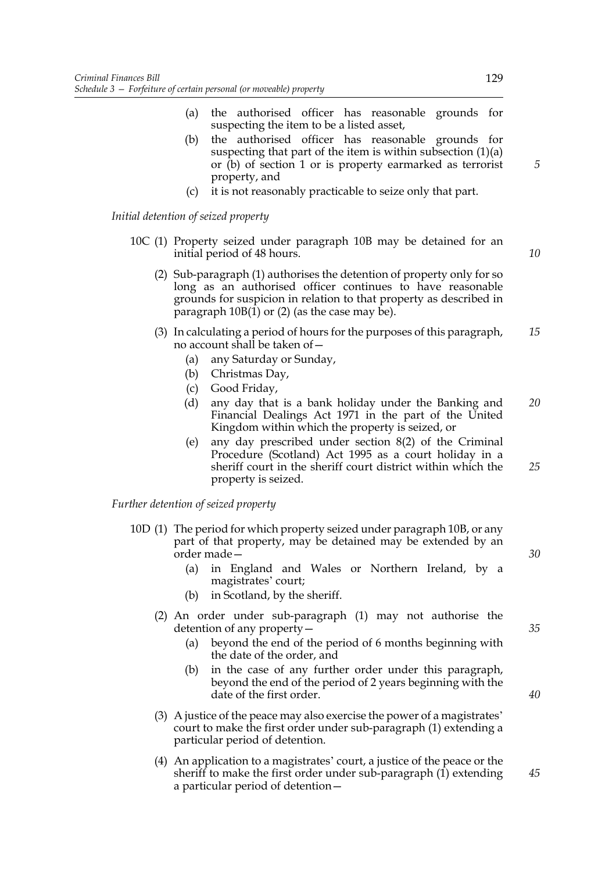- (a) the authorised officer has reasonable grounds for suspecting the item to be a listed asset,
- (b) the authorised officer has reasonable grounds for suspecting that part of the item is within subsection (1)(a) or (b) of section 1 or is property earmarked as terrorist property, and
- (c) it is not reasonably practicable to seize only that part.

*Initial detention of seized property*

- 10C (1) Property seized under paragraph 10B may be detained for an initial period of 48 hours.
	- (2) Sub-paragraph (1) authorises the detention of property only for so long as an authorised officer continues to have reasonable grounds for suspicion in relation to that property as described in paragraph 10B(1) or (2) (as the case may be).
	- (3) In calculating a period of hours for the purposes of this paragraph, no account shall be taken of— *15*
		- (a) any Saturday or Sunday,
		- (b) Christmas Day,
		- (c) Good Friday,
		- (d) any day that is a bank holiday under the Banking and Financial Dealings Act 1971 in the part of the United Kingdom within which the property is seized, or *20*
		- (e) any day prescribed under section 8(2) of the Criminal Procedure (Scotland) Act 1995 as a court holiday in a sheriff court in the sheriff court district within which the property is seized.

*Further detention of seized property*

- 10D (1) The period for which property seized under paragraph 10B, or any part of that property, may be detained may be extended by an order made—
	- (a) in England and Wales or Northern Ireland, by a magistrates' court;
	- (b) in Scotland, by the sheriff.
	- (2) An order under sub-paragraph (1) may not authorise the detention of any property—
		- (a) beyond the end of the period of 6 months beginning with the date of the order, and
		- (b) in the case of any further order under this paragraph, beyond the end of the period of 2 years beginning with the date of the first order.
	- (3) A justice of the peace may also exercise the power of a magistrates' court to make the first order under sub-paragraph (1) extending a particular period of detention.
	- (4) An application to a magistrates' court, a justice of the peace or the sheriff to make the first order under sub-paragraph  $(1)$  extending a particular period of detention—

*30*

*35*

*25*

*45*

*40*

*5*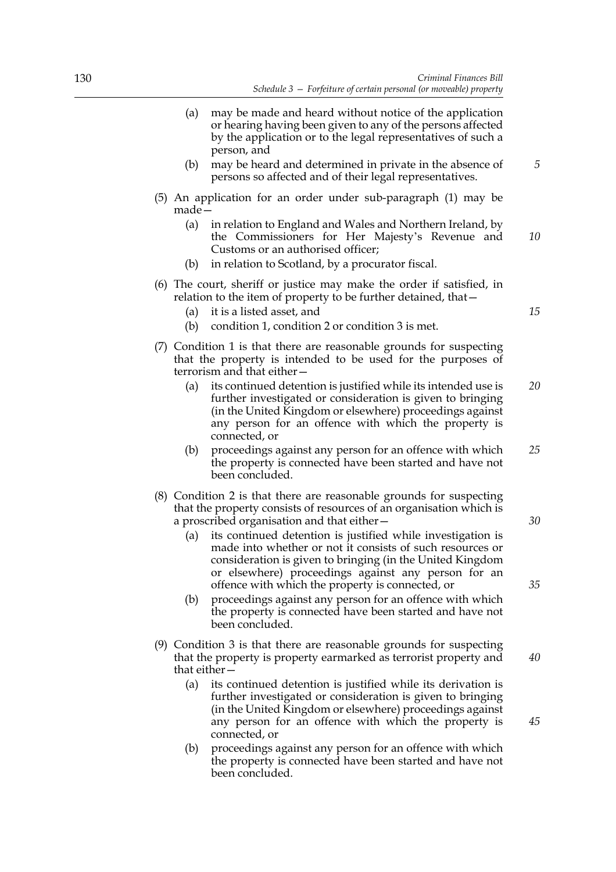- (a) may be made and heard without notice of the application or hearing having been given to any of the persons affected by the application or to the legal representatives of such a person, and (b) may be heard and determined in private in the absence of persons so affected and of their legal representatives. (5) An application for an order under sub-paragraph (1) may be made— (a) in relation to England and Wales and Northern Ireland, by the Commissioners for Her Majesty's Revenue and Customs or an authorised officer; (b) in relation to Scotland, by a procurator fiscal. (6) The court, sheriff or justice may make the order if satisfied, in relation to the item of property to be further detained, that— (a) it is a listed asset, and (b) condition 1, condition 2 or condition 3 is met. (7) Condition 1 is that there are reasonable grounds for suspecting that the property is intended to be used for the purposes of terrorism and that either— (a) its continued detention is justified while its intended use is further investigated or consideration is given to bringing (in the United Kingdom or elsewhere) proceedings against any person for an offence with which the property is connected, or (b) proceedings against any person for an offence with which the property is connected have been started and have not been concluded. *5 10 20 25*
- (8) Condition 2 is that there are reasonable grounds for suspecting that the property consists of resources of an organisation which is a proscribed organisation and that either—
	- (a) its continued detention is justified while investigation is made into whether or not it consists of such resources or consideration is given to bringing (in the United Kingdom or elsewhere) proceedings against any person for an offence with which the property is connected, or
	- (b) proceedings against any person for an offence with which the property is connected have been started and have not been concluded.
- (9) Condition 3 is that there are reasonable grounds for suspecting that the property is property earmarked as terrorist property and that either— *40*
	- (a) its continued detention is justified while its derivation is further investigated or consideration is given to bringing (in the United Kingdom or elsewhere) proceedings against any person for an offence with which the property is connected, or
	- (b) proceedings against any person for an offence with which the property is connected have been started and have not been concluded.

*15*

*30*

*35*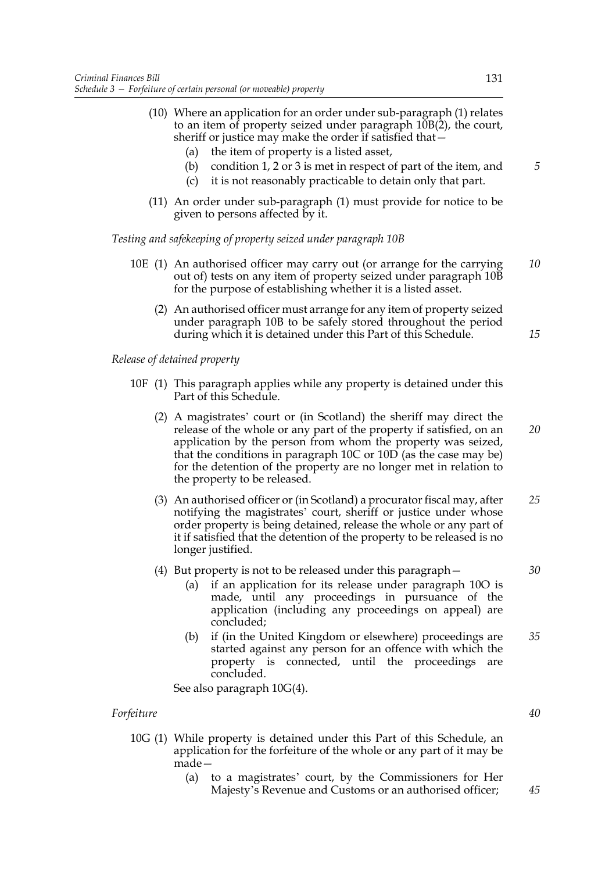- (10) Where an application for an order under sub-paragraph (1) relates to an item of property seized under paragraph 10B(2), the court, sheriff or justice may make the order if satisfied that—
	- (a) the item of property is a listed asset,
	- (b) condition 1, 2 or 3 is met in respect of part of the item, and
	- (c) it is not reasonably practicable to detain only that part.
- (11) An order under sub-paragraph (1) must provide for notice to be given to persons affected by it.

*Testing and safekeeping of property seized under paragraph 10B*

- 10E (1) An authorised officer may carry out (or arrange for the carrying out of) tests on any item of property seized under paragraph 10B for the purpose of establishing whether it is a listed asset. *10*
	- (2) An authorised officer must arrange for any item of property seized under paragraph 10B to be safely stored throughout the period during which it is detained under this Part of this Schedule.

*Release of detained property*

- 10F (1) This paragraph applies while any property is detained under this Part of this Schedule.
	- (2) A magistrates' court or (in Scotland) the sheriff may direct the release of the whole or any part of the property if satisfied, on an application by the person from whom the property was seized, that the conditions in paragraph 10C or 10D (as the case may be) for the detention of the property are no longer met in relation to the property to be released. *20*
	- (3) An authorised officer or (in Scotland) a procurator fiscal may, after notifying the magistrates' court, sheriff or justice under whose order property is being detained, release the whole or any part of it if satisfied that the detention of the property to be released is no longer justified. *25*

### (4) But property is not to be released under this paragraph—

- (a) if an application for its release under paragraph 10O is made, until any proceedings in pursuance of the application (including any proceedings on appeal) are concluded;
- (b) if (in the United Kingdom or elsewhere) proceedings are started against any person for an offence with which the property is connected, until the proceedings are concluded. *35*

See also paragraph 10G(4).

*Forfeiture*

- 10G (1) While property is detained under this Part of this Schedule, an application for the forfeiture of the whole or any part of it may be made—
	- (a) to a magistrates' court, by the Commissioners for Her Majesty's Revenue and Customs or an authorised officer;

*5*

*15*

*40*

*45*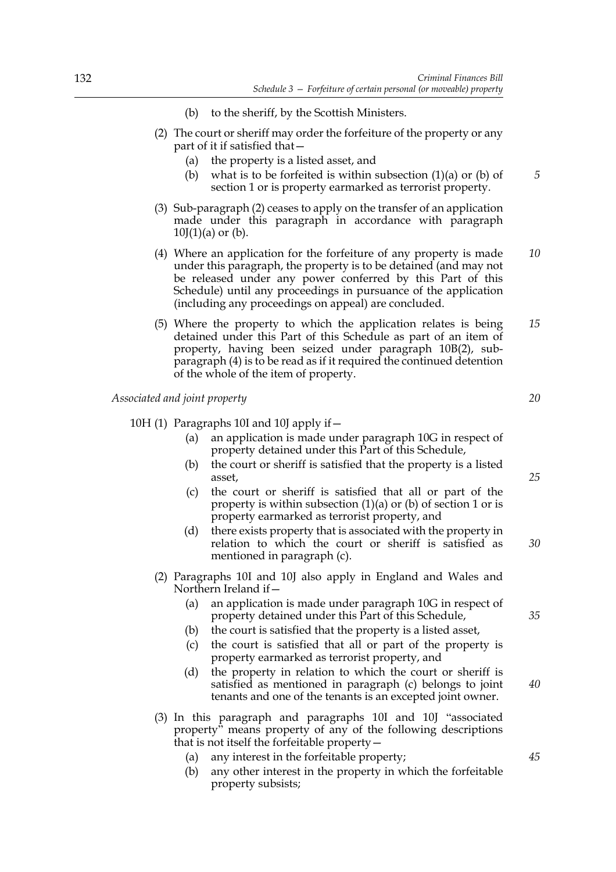- (b) to the sheriff, by the Scottish Ministers.
- (2) The court or sheriff may order the forfeiture of the property or any part of it if satisfied that—
	- (a) the property is a listed asset, and
	- (b) what is to be forfeited is within subsection  $(1)(a)$  or  $(b)$  of section 1 or is property earmarked as terrorist property.
- (3) Sub-paragraph (2) ceases to apply on the transfer of an application made under this paragraph in accordance with paragraph  $10J(1)(a)$  or (b).
- (4) Where an application for the forfeiture of any property is made under this paragraph, the property is to be detained (and may not be released under any power conferred by this Part of this Schedule) until any proceedings in pursuance of the application (including any proceedings on appeal) are concluded. *10*
- (5) Where the property to which the application relates is being detained under this Part of this Schedule as part of an item of property, having been seized under paragraph 10B(2), subparagraph (4) is to be read as if it required the continued detention of the whole of the item of property. *15*

*Associated and joint property*

10H (1) Paragraphs 10I and 10J apply if  $-$ 

- (a) an application is made under paragraph 10G in respect of property detained under this Part of this Schedule,
- (b) the court or sheriff is satisfied that the property is a listed asset,
- (c) the court or sheriff is satisfied that all or part of the property is within subsection (1)(a) or (b) of section 1 or is property earmarked as terrorist property, and
- (d) there exists property that is associated with the property in relation to which the court or sheriff is satisfied as mentioned in paragraph (c).
- (2) Paragraphs 10I and 10J also apply in England and Wales and Northern Ireland if—
	- (a) an application is made under paragraph 10G in respect of property detained under this Part of this Schedule,
	- (b) the court is satisfied that the property is a listed asset,
	- (c) the court is satisfied that all or part of the property is property earmarked as terrorist property, and
	- (d) the property in relation to which the court or sheriff is satisfied as mentioned in paragraph (c) belongs to joint tenants and one of the tenants is an excepted joint owner.
- (3) In this paragraph and paragraphs 10I and 10J "associated property" means property of any of the following descriptions that is not itself the forfeitable property—
	- (a) any interest in the forfeitable property;
	- (b) any other interest in the property in which the forfeitable property subsists;

*20*

*25*

*5*

*30*

*35*

*40*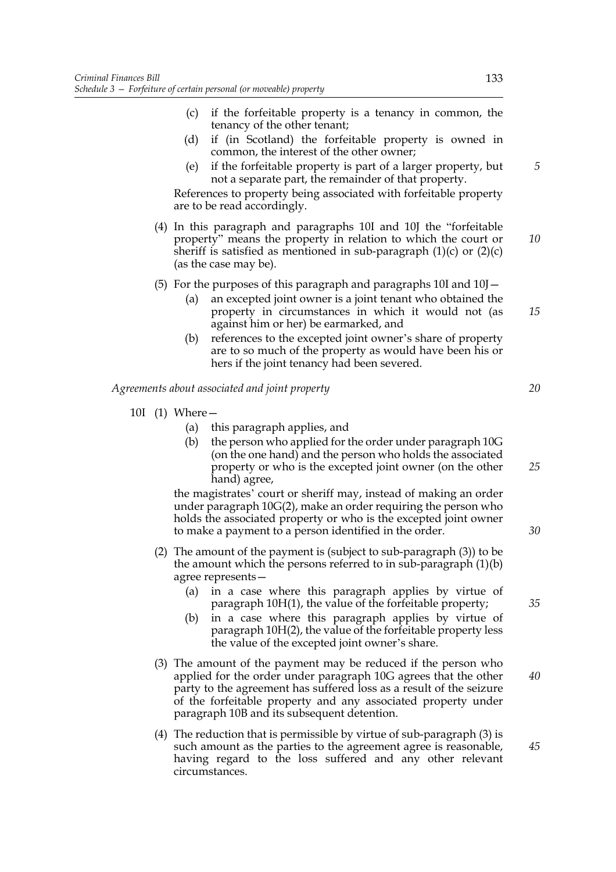- (c) if the forfeitable property is a tenancy in common, the tenancy of the other tenant;
- (d) if (in Scotland) the forfeitable property is owned in common, the interest of the other owner;
- (e) if the forfeitable property is part of a larger property, but not a separate part, the remainder of that property.

References to property being associated with forfeitable property are to be read accordingly.

- (4) In this paragraph and paragraphs 10I and 10J the "forfeitable property" means the property in relation to which the court or sheriff is satisfied as mentioned in sub-paragraph  $(1)(c)$  or  $(2)(c)$ (as the case may be).
- (5) For the purposes of this paragraph and paragraphs 10I and  $10J -$ 
	- (a) an excepted joint owner is a joint tenant who obtained the property in circumstances in which it would not (as against him or her) be earmarked, and
	- (b) references to the excepted joint owner's share of property are to so much of the property as would have been his or hers if the joint tenancy had been severed.

### *Agreements about associated and joint property*

- 10I (1) Where—
	- (a) this paragraph applies, and
	- (b) the person who applied for the order under paragraph 10G (on the one hand) and the person who holds the associated property or who is the excepted joint owner (on the other hand) agree,

the magistrates' court or sheriff may, instead of making an order under paragraph 10G(2), make an order requiring the person who holds the associated property or who is the excepted joint owner to make a payment to a person identified in the order.

- (2) The amount of the payment is (subject to sub-paragraph (3)) to be the amount which the persons referred to in sub-paragraph (1)(b) agree represents—
	- (a) in a case where this paragraph applies by virtue of paragraph 10H(1), the value of the forfeitable property;
	- (b) in a case where this paragraph applies by virtue of paragraph 10H(2), the value of the forfeitable property less the value of the excepted joint owner's share.
- (3) The amount of the payment may be reduced if the person who applied for the order under paragraph 10G agrees that the other party to the agreement has suffered loss as a result of the seizure of the forfeitable property and any associated property under paragraph 10B and its subsequent detention.
- (4) The reduction that is permissible by virtue of sub-paragraph (3) is such amount as the parties to the agreement agree is reasonable, having regard to the loss suffered and any other relevant circumstances.

*10*

*15*

*5*

*20*

*30*

*25*

*35*

*40*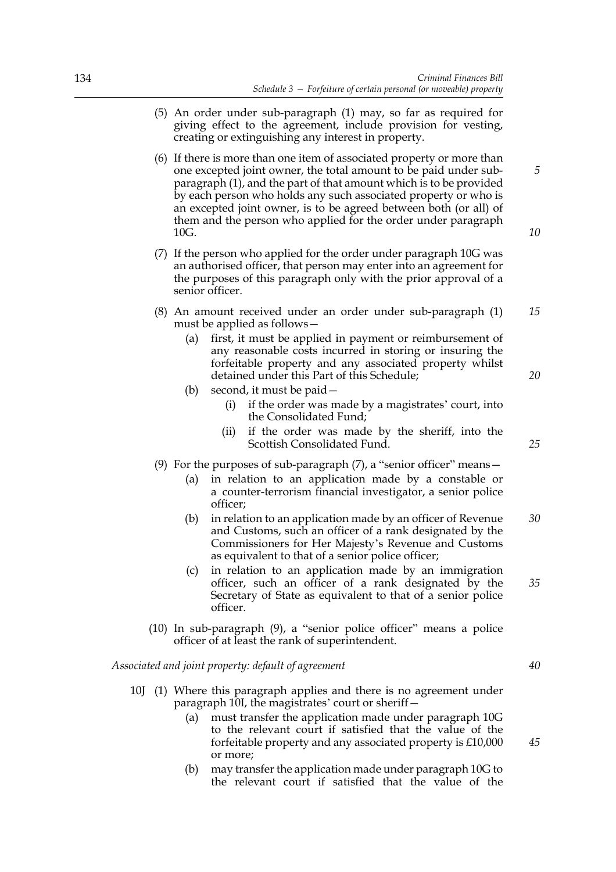- (5) An order under sub-paragraph (1) may, so far as required for giving effect to the agreement, include provision for vesting, creating or extinguishing any interest in property.
- (6) If there is more than one item of associated property or more than one excepted joint owner, the total amount to be paid under subparagraph (1), and the part of that amount which is to be provided by each person who holds any such associated property or who is an excepted joint owner, is to be agreed between both (or all) of them and the person who applied for the order under paragraph 10G.
- (7) If the person who applied for the order under paragraph 10G was an authorised officer, that person may enter into an agreement for the purposes of this paragraph only with the prior approval of a senior officer.
- (8) An amount received under an order under sub-paragraph (1) must be applied as follows— *15*
	- (a) first, it must be applied in payment or reimbursement of any reasonable costs incurred in storing or insuring the forfeitable property and any associated property whilst detained under this Part of this Schedule;
	- (b) second, it must be paid—
		- (i) if the order was made by a magistrates' court, into the Consolidated Fund;
		- (ii) if the order was made by the sheriff, into the Scottish Consolidated Fund.
- (9) For the purposes of sub-paragraph  $(7)$ , a "senior officer" means  $-$ 
	- (a) in relation to an application made by a constable or a counter-terrorism financial investigator, a senior police officer;
	- (b) in relation to an application made by an officer of Revenue and Customs, such an officer of a rank designated by the Commissioners for Her Majesty's Revenue and Customs as equivalent to that of a senior police officer; *30*
	- (c) in relation to an application made by an immigration officer, such an officer of a rank designated by the Secretary of State as equivalent to that of a senior police officer.
- (10) In sub-paragraph (9), a "senior police officer" means a police officer of at least the rank of superintendent.

*Associated and joint property: default of agreement*

- 10J (1) Where this paragraph applies and there is no agreement under paragraph 10I, the magistrates' court or sheriff—
	- (a) must transfer the application made under paragraph 10G to the relevant court if satisfied that the value of the forfeitable property and any associated property is £10,000 or more;
	- (b) may transfer the application made under paragraph 10G to the relevant court if satisfied that the value of the

*25*

*20*

*5*

*10*

*40*

*45*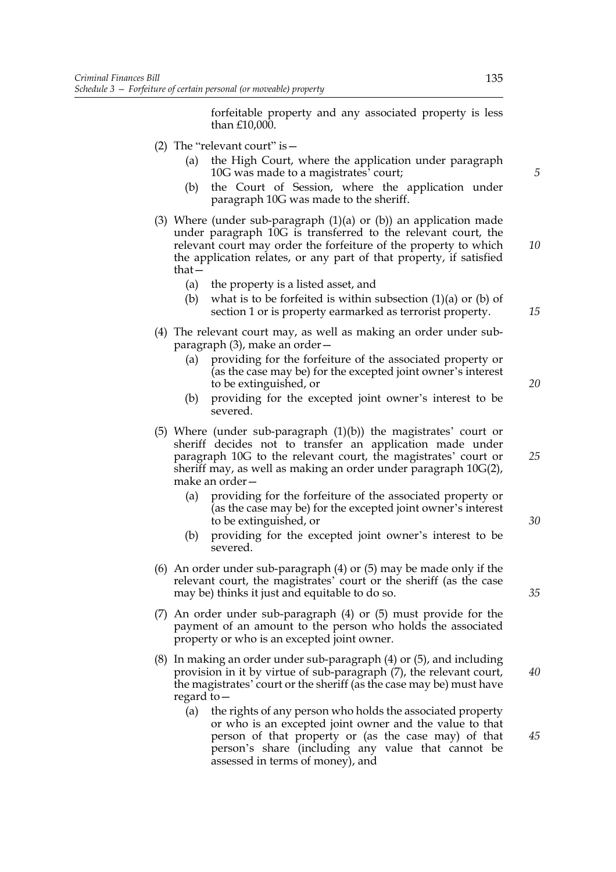forfeitable property and any associated property is less than £10,000.

- (2) The "relevant court" is  $-$ 
	- (a) the High Court, where the application under paragraph 10G was made to a magistrates' court;
	- (b) the Court of Session, where the application under paragraph 10G was made to the sheriff.
- (3) Where (under sub-paragraph  $(1)(a)$  or  $(b)$ ) an application made under paragraph 10G is transferred to the relevant court, the relevant court may order the forfeiture of the property to which the application relates, or any part of that property, if satisfied that— *10*
	- (a) the property is a listed asset, and
	- (b) what is to be forfeited is within subsection  $(1)(a)$  or  $(b)$  of section 1 or is property earmarked as terrorist property.
- (4) The relevant court may, as well as making an order under subparagraph (3), make an order—
	- (a) providing for the forfeiture of the associated property or (as the case may be) for the excepted joint owner's interest to be extinguished, or
	- (b) providing for the excepted joint owner's interest to be severed.
- (5) Where (under sub-paragraph  $(1)(b)$ ) the magistrates' court or sheriff decides not to transfer an application made under paragraph 10G to the relevant court, the magistrates' court or sheriff may, as well as making an order under paragraph 10G(2), make an order—
	- (a) providing for the forfeiture of the associated property or (as the case may be) for the excepted joint owner's interest to be extinguished, or
	- (b) providing for the excepted joint owner's interest to be severed.
- (6) An order under sub-paragraph (4) or (5) may be made only if the relevant court, the magistrates' court or the sheriff (as the case may be) thinks it just and equitable to do so.
- (7) An order under sub-paragraph (4) or (5) must provide for the payment of an amount to the person who holds the associated property or who is an excepted joint owner.
- (8) In making an order under sub-paragraph (4) or (5), and including provision in it by virtue of sub-paragraph (7), the relevant court, the magistrates' court or the sheriff (as the case may be) must have regard to—
	- (a) the rights of any person who holds the associated property or who is an excepted joint owner and the value to that person of that property or (as the case may) of that person's share (including any value that cannot be assessed in terms of money), and

*5*

*15*

*20*

*25*

*30*

*40*

*45*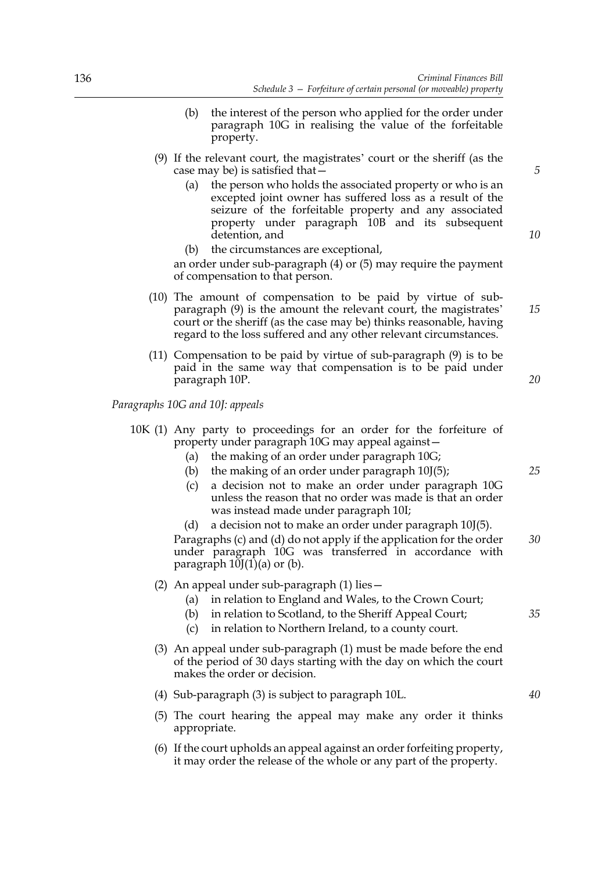- (b) the interest of the person who applied for the order under paragraph 10G in realising the value of the forfeitable property.
- (9) If the relevant court, the magistrates' court or the sheriff (as the case may be) is satisfied that—
	- (a) the person who holds the associated property or who is an excepted joint owner has suffered loss as a result of the seizure of the forfeitable property and any associated property under paragraph 10B and its subsequent detention, and
	- (b) the circumstances are exceptional,

an order under sub-paragraph (4) or (5) may require the payment of compensation to that person.

- (10) The amount of compensation to be paid by virtue of subparagraph (9) is the amount the relevant court, the magistrates' court or the sheriff (as the case may be) thinks reasonable, having regard to the loss suffered and any other relevant circumstances.
- (11) Compensation to be paid by virtue of sub-paragraph (9) is to be paid in the same way that compensation is to be paid under paragraph 10P.

*Paragraphs 10G and 10J: appeals*

- 10K (1) Any party to proceedings for an order for the forfeiture of property under paragraph 10G may appeal against—
	- (a) the making of an order under paragraph 10G;
	- (b) the making of an order under paragraph  $10[(5);$
	- (c) a decision not to make an order under paragraph 10G unless the reason that no order was made is that an order was instead made under paragraph 10I;

(d) a decision not to make an order under paragraph 10J(5). Paragraphs (c) and (d) do not apply if the application for the order under paragraph 10G was transferred in accordance with paragraph  $10J(1)(a)$  or (b). *30*

- (2) An appeal under sub-paragraph (1) lies—
	- (a) in relation to England and Wales, to the Crown Court;
	- (b) in relation to Scotland, to the Sheriff Appeal Court;
	- (c) in relation to Northern Ireland, to a county court.
- (3) An appeal under sub-paragraph (1) must be made before the end of the period of 30 days starting with the day on which the court makes the order or decision.
- (4) Sub-paragraph (3) is subject to paragraph 10L.
- (5) The court hearing the appeal may make any order it thinks appropriate.
- (6) If the court upholds an appeal against an order forfeiting property, it may order the release of the whole or any part of the property.

*5*

*10*

*15*

*20*

*25*

*40*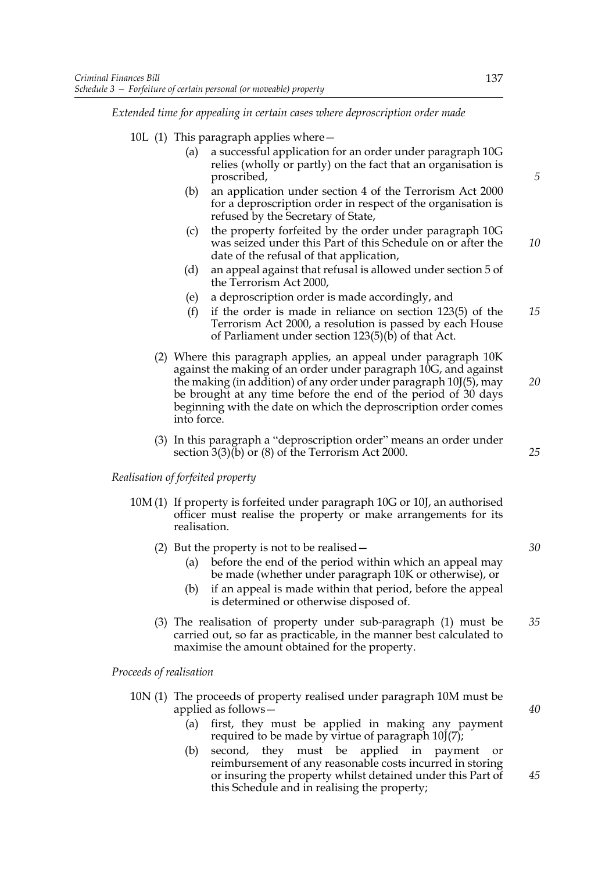*Extended time for appealing in certain cases where deproscription order made*

- 10L (1) This paragraph applies where—
	- (a) a successful application for an order under paragraph 10G relies (wholly or partly) on the fact that an organisation is proscribed,
	- (b) an application under section 4 of the Terrorism Act 2000 for a deproscription order in respect of the organisation is refused by the Secretary of State,
	- (c) the property forfeited by the order under paragraph 10G was seized under this Part of this Schedule on or after the date of the refusal of that application, *10*
	- (d) an appeal against that refusal is allowed under section 5 of the Terrorism Act 2000,
	- (e) a deproscription order is made accordingly, and
	- (f) if the order is made in reliance on section 123(5) of the Terrorism Act 2000, a resolution is passed by each House of Parliament under section 123(5)(b) of that Act. *15*
	- (2) Where this paragraph applies, an appeal under paragraph 10K against the making of an order under paragraph 10G, and against the making (in addition) of any order under paragraph 10J(5), may be brought at any time before the end of the period of 30 days beginning with the date on which the deproscription order comes into force. *20*
	- (3) In this paragraph a "deproscription order" means an order under section  $3(3)(b)$  or  $(8)$  of the Terrorism Act 2000.

*Realisation of forfeited property*

- 10M (1) If property is forfeited under paragraph 10G or 10J, an authorised officer must realise the property or make arrangements for its realisation.
	- (2) But the property is not to be realised—
		- (a) before the end of the period within which an appeal may be made (whether under paragraph 10K or otherwise), or
		- (b) if an appeal is made within that period, before the appeal is determined or otherwise disposed of.
	- (3) The realisation of property under sub-paragraph (1) must be carried out, so far as practicable, in the manner best calculated to maximise the amount obtained for the property. *35*

*Proceeds of realisation*

- 10N (1) The proceeds of property realised under paragraph 10M must be applied as follows—
	- (a) first, they must be applied in making any payment required to be made by virtue of paragraph  $10J(7)$ ;
	- (b) second, they must be applied in payment or reimbursement of any reasonable costs incurred in storing or insuring the property whilst detained under this Part of this Schedule and in realising the property;

*5*

*40*

*45*

*25*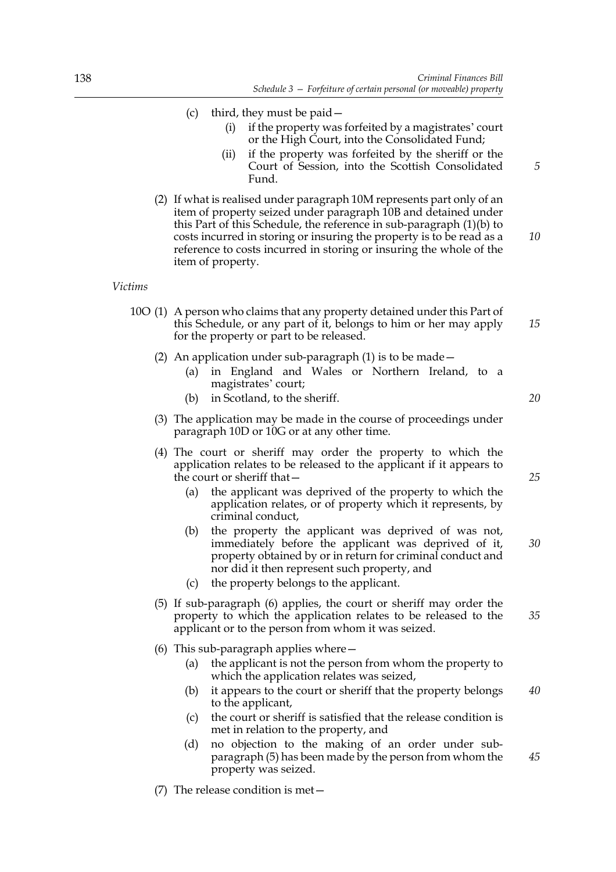|                                                                                                                  | third, they must be paid –<br>(c)<br>if the property was forfeited by a magistrates' court<br>(i)<br>or the High Court, into the Consolidated Fund;<br>if the property was forfeited by the sheriff or the<br>(ii)<br>Court of Session, into the Scottish Consolidated<br>Fund.                                                                                                                                                                                                                  | 5        |
|------------------------------------------------------------------------------------------------------------------|--------------------------------------------------------------------------------------------------------------------------------------------------------------------------------------------------------------------------------------------------------------------------------------------------------------------------------------------------------------------------------------------------------------------------------------------------------------------------------------------------|----------|
|                                                                                                                  | (2) If what is realised under paragraph 10M represents part only of an<br>item of property seized under paragraph 10B and detained under<br>this Part of this Schedule, the reference in sub-paragraph (1)(b) to<br>costs incurred in storing or insuring the property is to be read as a<br>reference to costs incurred in storing or insuring the whole of the<br>item of property.                                                                                                            | 10       |
| Victims                                                                                                          |                                                                                                                                                                                                                                                                                                                                                                                                                                                                                                  |          |
|                                                                                                                  | 10O (1) A person who claims that any property detained under this Part of<br>this Schedule, or any part of it, belongs to him or her may apply<br>for the property or part to be released.                                                                                                                                                                                                                                                                                                       | 15       |
|                                                                                                                  | (2) An application under sub-paragraph $(1)$ is to be made $-$<br>in England and Wales or Northern Ireland, to a<br>(a)<br>magistrates' court;<br>in Scotland, to the sheriff.<br>(b)                                                                                                                                                                                                                                                                                                            | 20       |
| (3) The application may be made in the course of proceedings under<br>paragraph 10D or 10G or at any other time. |                                                                                                                                                                                                                                                                                                                                                                                                                                                                                                  |          |
|                                                                                                                  | (4) The court or sheriff may order the property to which the<br>application relates to be released to the applicant if it appears to<br>the court or sheriff that-                                                                                                                                                                                                                                                                                                                               |          |
|                                                                                                                  | the applicant was deprived of the property to which the<br>(a)<br>application relates, or of property which it represents, by<br>criminal conduct,                                                                                                                                                                                                                                                                                                                                               |          |
|                                                                                                                  | the property the applicant was deprived of was not,<br>(b)<br>immediately before the applicant was deprived of it,<br>property obtained by or in return for criminal conduct and<br>nor did it then represent such property, and<br>the property belongs to the applicant.<br>(c)                                                                                                                                                                                                                | 30       |
|                                                                                                                  | (5) If sub-paragraph (6) applies, the court or sheriff may order the<br>property to which the application relates to be released to the<br>applicant or to the person from whom it was seized.                                                                                                                                                                                                                                                                                                   |          |
|                                                                                                                  | $(6)$ This sub-paragraph applies where $-$<br>the applicant is not the person from whom the property to<br>(a)<br>which the application relates was seized,<br>it appears to the court or sheriff that the property belongs<br>(b)<br>to the applicant,<br>the court or sheriff is satisfied that the release condition is<br>(c)<br>met in relation to the property, and<br>no objection to the making of an order under sub-<br>(d)<br>paragraph (5) has been made by the person from whom the | 40<br>45 |
|                                                                                                                  | property was seized.<br>(7) The release condition is met $-$                                                                                                                                                                                                                                                                                                                                                                                                                                     |          |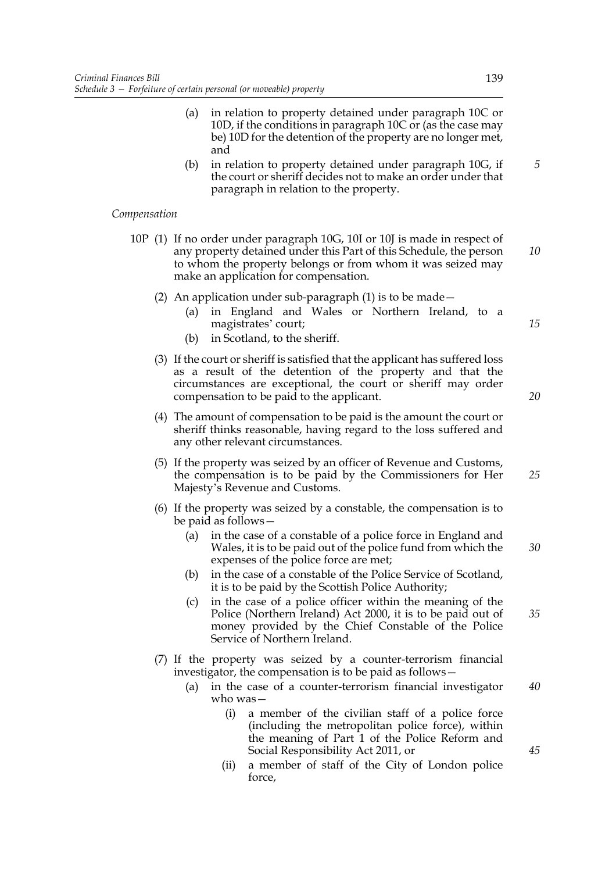- (a) in relation to property detained under paragraph 10C or 10D, if the conditions in paragraph 10C or (as the case may be) 10D for the detention of the property are no longer met, and
- (b) in relation to property detained under paragraph 10G, if the court or sheriff decides not to make an order under that paragraph in relation to the property.

#### *Compensation*

- 10P (1) If no order under paragraph 10G, 10I or 10J is made in respect of any property detained under this Part of this Schedule, the person to whom the property belongs or from whom it was seized may make an application for compensation. *10*
	- (2) An application under sub-paragraph  $(1)$  is to be made  $-$ 
		- (a) in England and Wales or Northern Ireland, to a magistrates' court;
		- (b) in Scotland, to the sheriff.
	- (3) If the court or sheriff is satisfied that the applicant has suffered loss as a result of the detention of the property and that the circumstances are exceptional, the court or sheriff may order compensation to be paid to the applicant.
	- (4) The amount of compensation to be paid is the amount the court or sheriff thinks reasonable, having regard to the loss suffered and any other relevant circumstances.
	- (5) If the property was seized by an officer of Revenue and Customs, the compensation is to be paid by the Commissioners for Her Majesty's Revenue and Customs.
	- (6) If the property was seized by a constable, the compensation is to be paid as follows—
		- (a) in the case of a constable of a police force in England and Wales, it is to be paid out of the police fund from which the expenses of the police force are met;
		- (b) in the case of a constable of the Police Service of Scotland, it is to be paid by the Scottish Police Authority;
		- (c) in the case of a police officer within the meaning of the Police (Northern Ireland) Act 2000, it is to be paid out of money provided by the Chief Constable of the Police Service of Northern Ireland.
	- (7) If the property was seized by a counter-terrorism financial investigator, the compensation is to be paid as follows—
		- (a) in the case of a counter-terrorism financial investigator who was— *40*
			- (i) a member of the civilian staff of a police force (including the metropolitan police force), within the meaning of Part 1 of the Police Reform and Social Responsibility Act 2011, or
			- (ii) a member of staff of the City of London police force,

*20*

*25*

*30*

*35*

*15*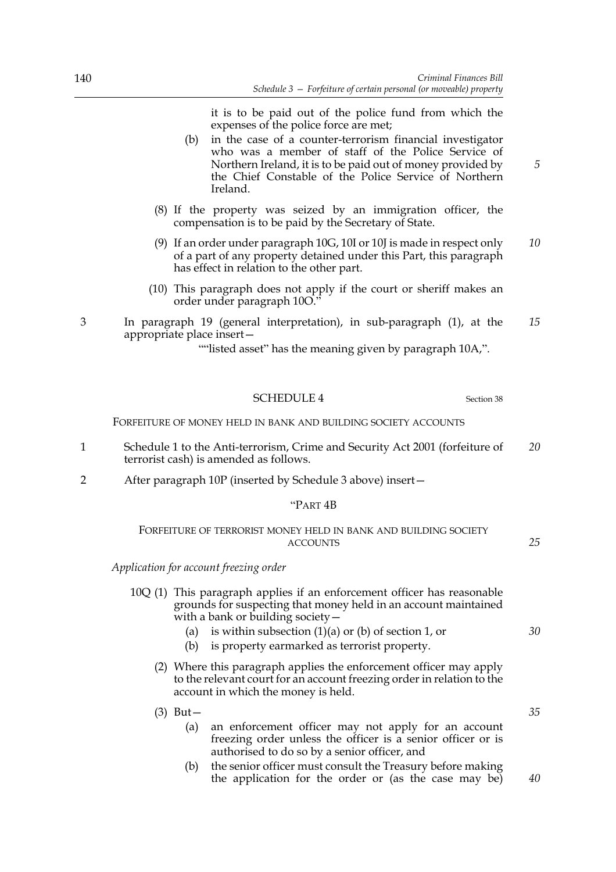it is to be paid out of the police fund from which the expenses of the police force are met;

- (b) in the case of a counter-terrorism financial investigator who was a member of staff of the Police Service of Northern Ireland, it is to be paid out of money provided by the Chief Constable of the Police Service of Northern Ireland.
- (8) If the property was seized by an immigration officer, the compensation is to be paid by the Secretary of State.
- (9) If an order under paragraph 10G, 10I or 10J is made in respect only of a part of any property detained under this Part, this paragraph has effect in relation to the other part. *10*
- (10) This paragraph does not apply if the court or sheriff makes an order under paragraph 10O."

3 In paragraph 19 (general interpretation), in sub-paragraph (1), at the appropriate place insert— *15*

""listed asset" has the meaning given by paragraph 10A,".

## SCHEDULE 4 Section 38

FORFEITURE OF MONEY HELD IN BANK AND BUILDING SOCIETY ACCOUNTS

- 1 Schedule 1 to the Anti-terrorism, Crime and Security Act 2001 (forfeiture of terrorist cash) is amended as follows. *20*
- 2 After paragraph 10P (inserted by Schedule 3 above) insert—

#### "PART 4B

## FORFEITURE OF TERRORIST MONEY HELD IN BANK AND BUILDING SOCIETY **ACCOUNTS**

*Application for account freezing order*

- 10Q (1) This paragraph applies if an enforcement officer has reasonable grounds for suspecting that money held in an account maintained with a bank or building society  $-$ 
	- (a) is within subsection  $(1)(a)$  or  $(b)$  of section 1, or
	- (b) is property earmarked as terrorist property.
	- (2) Where this paragraph applies the enforcement officer may apply to the relevant court for an account freezing order in relation to the account in which the money is held.
	- (3) But— (a) an enforcement officer may not apply for an account freezing order unless the officer is a senior officer or is authorised to do so by a senior officer, and
		- (b) the senior officer must consult the Treasury before making the application for the order or (as the case may be)

*35*

*40*

*30*

*25*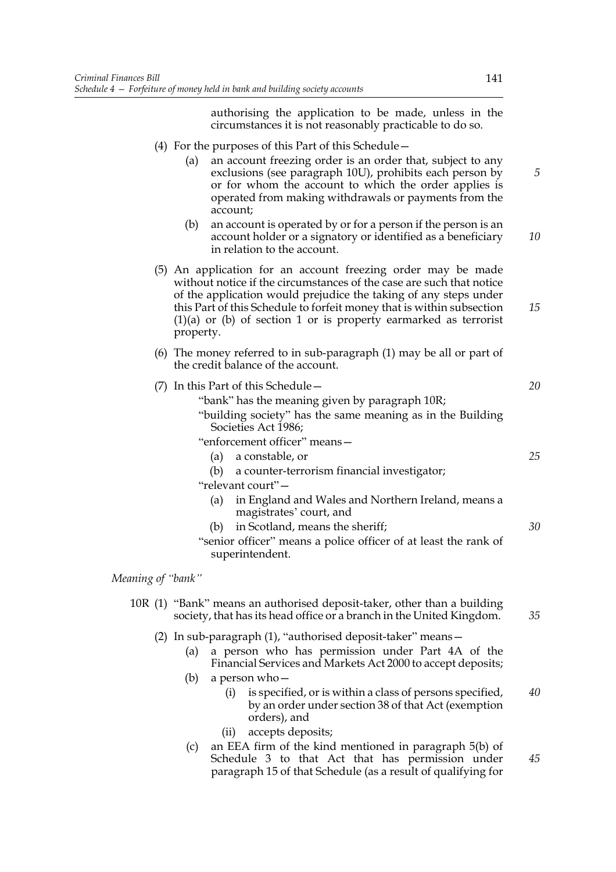authorising the application to be made, unless in the circumstances it is not reasonably practicable to do so.

(4) For the purposes of this Part of this Schedule—

| (a) | an account freezing order is an order that, subject to any |
|-----|------------------------------------------------------------|
|     | exclusions (see paragraph 10U), prohibits each person by   |
|     | or for whom the account to which the order applies is      |
|     | operated from making withdrawals or payments from the      |
|     | account:                                                   |

- (b) an account is operated by or for a person if the person is an account holder or a signatory or identified as a beneficiary in relation to the account. *10*
- (5) An application for an account freezing order may be made without notice if the circumstances of the case are such that notice of the application would prejudice the taking of any steps under this Part of this Schedule to forfeit money that is within subsection (1)(a) or (b) of section 1 or is property earmarked as terrorist property.
- (6) The money referred to in sub-paragraph (1) may be all or part of the credit balance of the account.

| In this Part of this Schedule -                                                      | 20 |
|--------------------------------------------------------------------------------------|----|
| "bank" has the meaning given by paragraph 10R;                                       |    |
| "building society" has the same meaning as in the Building<br>Societies Act 1986;    |    |
| "enforcement officer" means-                                                         |    |
| (a) a constable, or                                                                  | 25 |
| a counter-terrorism financial investigator;<br>(b)                                   |    |
| "relevant court" –                                                                   |    |
| in England and Wales and Northern Ireland, means a<br>(a)<br>magistrates' court, and |    |
| in Scotland, means the sheriff;<br>(b)                                               | 30 |
| "senior officer" means a police officer of at least the rank of<br>superintendent.   |    |
| of "bank"                                                                            |    |

 $Meaning$ 

|  |  | 10R (1) "Bank" means an authorised deposit-taker, other than a building |  |
|--|--|-------------------------------------------------------------------------|--|
|  |  | society, that has its head office or a branch in the United Kingdom.    |  |

- (2) In sub-paragraph (1), "authorised deposit-taker" means—
	- (a) a person who has permission under Part 4A of the Financial Services and Markets Act 2000 to accept deposits;
	- (b) a person who—
		- (i) is specified, or is within a class of persons specified, by an order under section 38 of that Act (exemption orders), and *40*
		- (ii) accepts deposits;
	- (c) an EEA firm of the kind mentioned in paragraph 5(b) of Schedule 3 to that Act that has permission under paragraph 15 of that Schedule (as a result of qualifying for *45*

*5*

*15*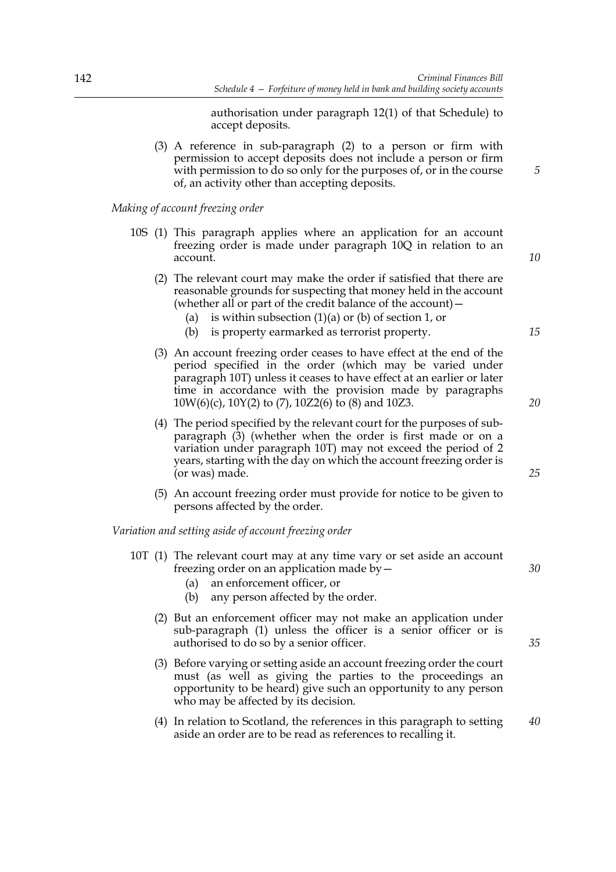authorisation under paragraph 12(1) of that Schedule) to accept deposits.

(3) A reference in sub-paragraph (2) to a person or firm with permission to accept deposits does not include a person or firm with permission to do so only for the purposes of, or in the course of, an activity other than accepting deposits.

*Making of account freezing order*

- 10S (1) This paragraph applies where an application for an account freezing order is made under paragraph 10Q in relation to an account.
	- (2) The relevant court may make the order if satisfied that there are reasonable grounds for suspecting that money held in the account (whether all or part of the credit balance of the account)—
		- (a) is within subsection  $(1)(a)$  or  $(b)$  of section 1, or
		- (b) is property earmarked as terrorist property.
	- (3) An account freezing order ceases to have effect at the end of the period specified in the order (which may be varied under paragraph 10T) unless it ceases to have effect at an earlier or later time in accordance with the provision made by paragraphs 10W(6)(c), 10Y(2) to (7), 10Z2(6) to (8) and 10Z3.
	- (4) The period specified by the relevant court for the purposes of subparagraph (3) (whether when the order is first made or on a variation under paragraph 10T) may not exceed the period of 2 years, starting with the day on which the account freezing order is (or was) made.
	- (5) An account freezing order must provide for notice to be given to persons affected by the order.

*Variation and setting aside of account freezing order*

- 10T (1) The relevant court may at any time vary or set aside an account freezing order on an application made by—
	- (a) an enforcement officer, or
	- (b) any person affected by the order.
	- (2) But an enforcement officer may not make an application under sub-paragraph (1) unless the officer is a senior officer or is authorised to do so by a senior officer.
	- (3) Before varying or setting aside an account freezing order the court must (as well as giving the parties to the proceedings an opportunity to be heard) give such an opportunity to any person who may be affected by its decision.
	- (4) In relation to Scotland, the references in this paragraph to setting aside an order are to be read as references to recalling it. *40*

*5*

*15*

*10*

*25*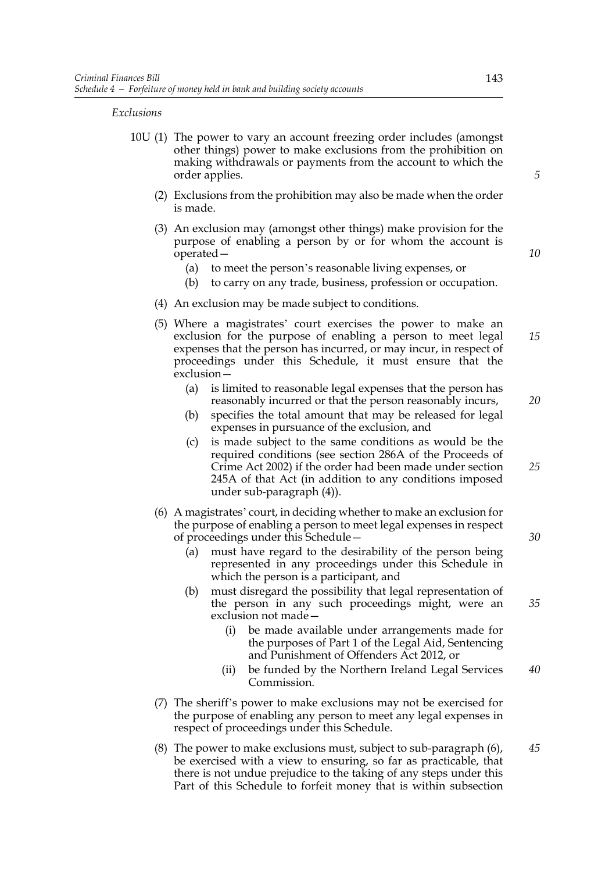*Exclusions*

- 10U (1) The power to vary an account freezing order includes (amongst other things) power to make exclusions from the prohibition on making withdrawals or payments from the account to which the order applies.
	- (2) Exclusions from the prohibition may also be made when the order is made.
	- (3) An exclusion may (amongst other things) make provision for the purpose of enabling a person by or for whom the account is operated—
		- (a) to meet the person's reasonable living expenses, or
		- (b) to carry on any trade, business, profession or occupation.
	- (4) An exclusion may be made subject to conditions.
	- (5) Where a magistrates' court exercises the power to make an exclusion for the purpose of enabling a person to meet legal expenses that the person has incurred, or may incur, in respect of proceedings under this Schedule, it must ensure that the exclusion— *15*
		- (a) is limited to reasonable legal expenses that the person has reasonably incurred or that the person reasonably incurs,
		- (b) specifies the total amount that may be released for legal expenses in pursuance of the exclusion, and
		- (c) is made subject to the same conditions as would be the required conditions (see section 286A of the Proceeds of Crime Act 2002) if the order had been made under section 245A of that Act (in addition to any conditions imposed under sub-paragraph (4)).
	- (6) A magistrates' court, in deciding whether to make an exclusion for the purpose of enabling a person to meet legal expenses in respect of proceedings under this Schedule—
		- (a) must have regard to the desirability of the person being represented in any proceedings under this Schedule in which the person is a participant, and
		- (b) must disregard the possibility that legal representation of the person in any such proceedings might, were an exclusion not made—
			- (i) be made available under arrangements made for the purposes of Part 1 of the Legal Aid, Sentencing and Punishment of Offenders Act 2012, or
			- (ii) be funded by the Northern Ireland Legal Services Commission. *40*
	- (7) The sheriff's power to make exclusions may not be exercised for the purpose of enabling any person to meet any legal expenses in respect of proceedings under this Schedule.
	- (8) The power to make exclusions must, subject to sub-paragraph (6), be exercised with a view to ensuring, so far as practicable, that there is not undue prejudice to the taking of any steps under this Part of this Schedule to forfeit money that is within subsection *45*

*5*

*10*

*20*

*25*

*30*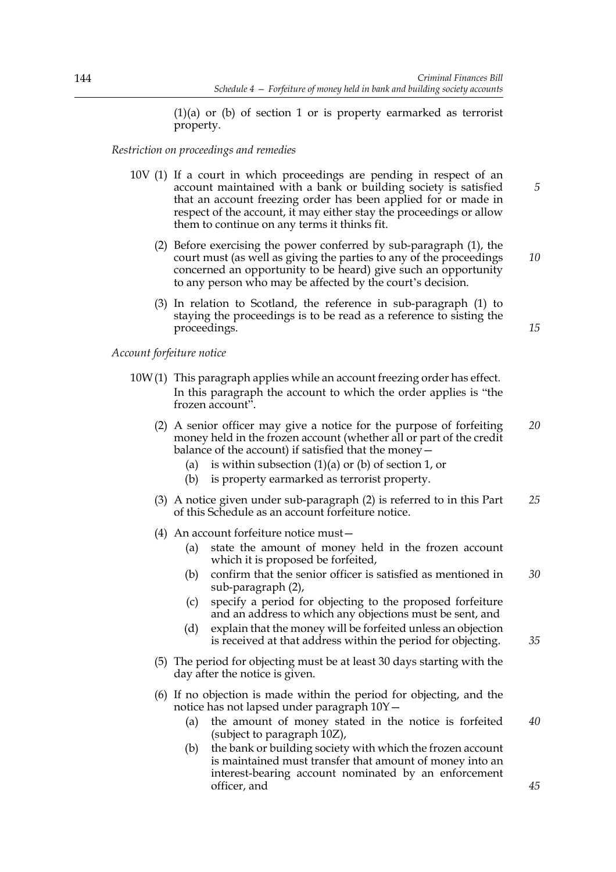*10*

*15*

*35*

*45*

(1)(a) or (b) of section 1 or is property earmarked as terrorist property.

#### *Restriction on proceedings and remedies*

- 10V (1) If a court in which proceedings are pending in respect of an account maintained with a bank or building society is satisfied that an account freezing order has been applied for or made in respect of the account, it may either stay the proceedings or allow them to continue on any terms it thinks fit.
	- (2) Before exercising the power conferred by sub-paragraph (1), the court must (as well as giving the parties to any of the proceedings concerned an opportunity to be heard) give such an opportunity to any person who may be affected by the court's decision.
	- (3) In relation to Scotland, the reference in sub-paragraph (1) to staying the proceedings is to be read as a reference to sisting the proceedings.

*Account forfeiture notice*

- 10W(1) This paragraph applies while an account freezing order has effect. In this paragraph the account to which the order applies is "the frozen account".
	- (2) A senior officer may give a notice for the purpose of forfeiting money held in the frozen account (whether all or part of the credit balance of the account) if satisfied that the money— *20*
		- (a) is within subsection  $(1)(a)$  or  $(b)$  of section 1, or
		- (b) is property earmarked as terrorist property.
	- (3) A notice given under sub-paragraph (2) is referred to in this Part of this Schedule as an account forfeiture notice. *25*
	- (4) An account forfeiture notice must—
		- (a) state the amount of money held in the frozen account which it is proposed be forfeited,
		- (b) confirm that the senior officer is satisfied as mentioned in sub-paragraph (2), *30*
		- (c) specify a period for objecting to the proposed forfeiture and an address to which any objections must be sent, and
		- (d) explain that the money will be forfeited unless an objection is received at that address within the period for objecting.
	- (5) The period for objecting must be at least 30 days starting with the day after the notice is given.
	- (6) If no objection is made within the period for objecting, and the notice has not lapsed under paragraph 10Y—
		- (a) the amount of money stated in the notice is forfeited (subject to paragraph 10Z), *40*
		- (b) the bank or building society with which the frozen account is maintained must transfer that amount of money into an interest-bearing account nominated by an enforcement officer, and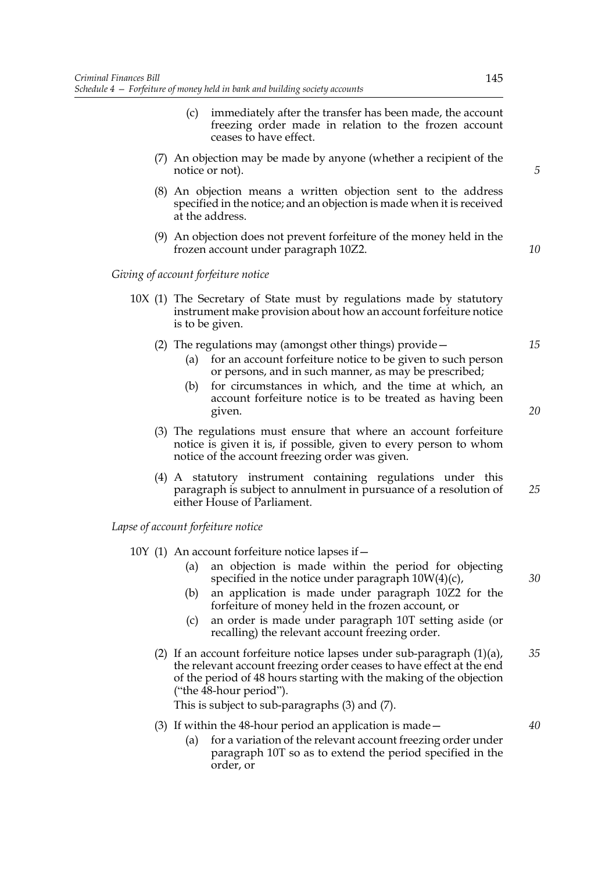- (c) immediately after the transfer has been made, the account freezing order made in relation to the frozen account ceases to have effect.
- (7) An objection may be made by anyone (whether a recipient of the notice or not).
- (8) An objection means a written objection sent to the address specified in the notice; and an objection is made when it is received at the address.
- (9) An objection does not prevent forfeiture of the money held in the frozen account under paragraph 10Z2.

*Giving of account forfeiture notice*

- 10X (1) The Secretary of State must by regulations made by statutory instrument make provision about how an account forfeiture notice is to be given.
	- (2) The regulations may (amongst other things) provide—
		- (a) for an account forfeiture notice to be given to such person or persons, and in such manner, as may be prescribed;
		- (b) for circumstances in which, and the time at which, an account forfeiture notice is to be treated as having been given.
	- (3) The regulations must ensure that where an account forfeiture notice is given it is, if possible, given to every person to whom notice of the account freezing order was given.
	- (4) A statutory instrument containing regulations under this paragraph is subject to annulment in pursuance of a resolution of either House of Parliament. *25*

*Lapse of account forfeiture notice*

- 10Y (1) An account forfeiture notice lapses if—
	- (a) an objection is made within the period for objecting specified in the notice under paragraph  $10W(4)(c)$ ,
	- (b) an application is made under paragraph 10Z2 for the forfeiture of money held in the frozen account, or
	- (c) an order is made under paragraph 10T setting aside (or recalling) the relevant account freezing order.
	- (2) If an account forfeiture notice lapses under sub-paragraph (1)(a), the relevant account freezing order ceases to have effect at the end of the period of 48 hours starting with the making of the objection ("the 48-hour period"). *35*

This is subject to sub-paragraphs (3) and (7).

- (3) If within the 48-hour period an application is made—
	- (a) for a variation of the relevant account freezing order under paragraph 10T so as to extend the period specified in the order, or

*5*

*10*

*15*

*20*

*40*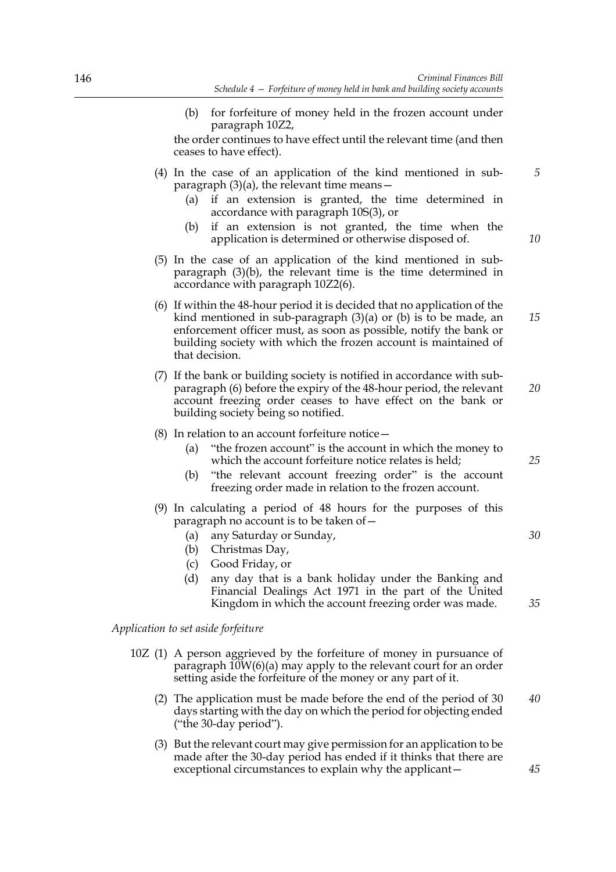(b) for forfeiture of money held in the frozen account under paragraph 10Z2,

the order continues to have effect until the relevant time (and then ceases to have effect).

- (4) In the case of an application of the kind mentioned in subparagraph  $(3)(a)$ , the relevant time means –
	- (a) if an extension is granted, the time determined in accordance with paragraph 10S(3), or
	- (b) if an extension is not granted, the time when the application is determined or otherwise disposed of.
- (5) In the case of an application of the kind mentioned in subparagraph (3)(b), the relevant time is the time determined in accordance with paragraph 10Z2(6).
- (6) If within the 48-hour period it is decided that no application of the kind mentioned in sub-paragraph (3)(a) or (b) is to be made, an enforcement officer must, as soon as possible, notify the bank or building society with which the frozen account is maintained of that decision. *15*
- (7) If the bank or building society is notified in accordance with subparagraph (6) before the expiry of the 48-hour period, the relevant account freezing order ceases to have effect on the bank or building society being so notified. *20*
- (8) In relation to an account forfeiture notice—
	- (a) "the frozen account" is the account in which the money to which the account forfeiture notice relates is held;
	- (b) "the relevant account freezing order" is the account freezing order made in relation to the frozen account.
- (9) In calculating a period of 48 hours for the purposes of this paragraph no account is to be taken of—
	- (a) any Saturday or Sunday,
	- (b) Christmas Day,
	- (c) Good Friday, or
	- (d) any day that is a bank holiday under the Banking and Financial Dealings Act 1971 in the part of the United Kingdom in which the account freezing order was made.

*Application to set aside forfeiture*

- 10Z (1) A person aggrieved by the forfeiture of money in pursuance of paragraph 10W(6)(a) may apply to the relevant court for an order setting aside the forfeiture of the money or any part of it.
	- (2) The application must be made before the end of the period of 30 days starting with the day on which the period for objecting ended ("the 30-day period"). *40*
	- (3) But the relevant court may give permission for an application to be made after the 30-day period has ended if it thinks that there are exceptional circumstances to explain why the applicant—

*10*

*5*

*30*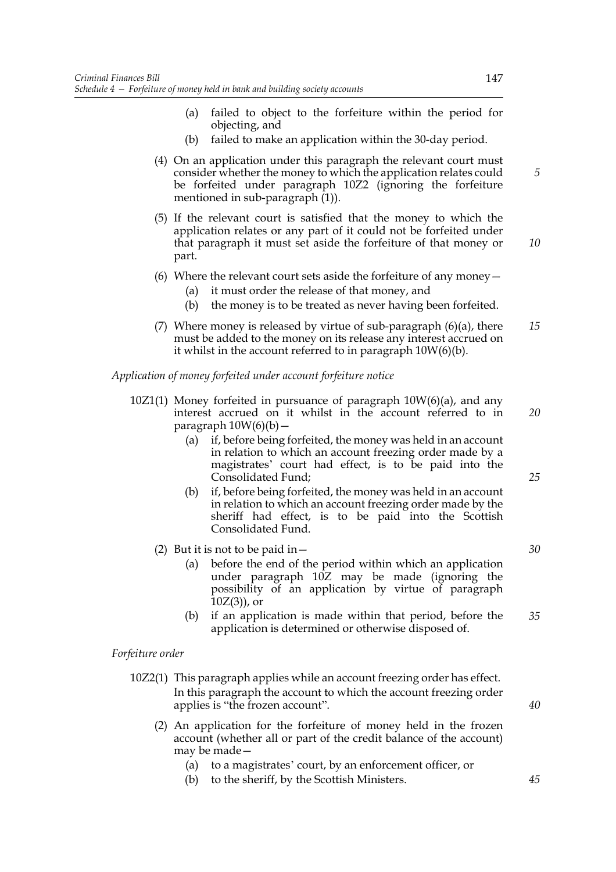- (a) failed to object to the forfeiture within the period for objecting, and
- (b) failed to make an application within the 30-day period.
- (4) On an application under this paragraph the relevant court must consider whether the money to which the application relates could be forfeited under paragraph 10Z2 (ignoring the forfeiture mentioned in sub-paragraph  $(1)$ ).
- (5) If the relevant court is satisfied that the money to which the application relates or any part of it could not be forfeited under that paragraph it must set aside the forfeiture of that money or part. *10*
- (6) Where the relevant court sets aside the forfeiture of any money—
	- (a) it must order the release of that money, and
	- (b) the money is to be treated as never having been forfeited.
- (7) Where money is released by virtue of sub-paragraph  $(6)(a)$ , there must be added to the money on its release any interest accrued on it whilst in the account referred to in paragraph 10W(6)(b). *15*

#### *Application of money forfeited under account forfeiture notice*

- 10Z1(1) Money forfeited in pursuance of paragraph 10W(6)(a), and any interest accrued on it whilst in the account referred to in paragraph  $10W(6)(b)$  -
	- (a) if, before being forfeited, the money was held in an account in relation to which an account freezing order made by a magistrates' court had effect, is to be paid into the Consolidated Fund;
	- (b) if, before being forfeited, the money was held in an account in relation to which an account freezing order made by the sheriff had effect, is to be paid into the Scottish Consolidated Fund.
	- (2) But it is not to be paid in  $-$ 
		- (a) before the end of the period within which an application under paragraph 10Z may be made (ignoring the possibility of an application by virtue of paragraph  $10Z(3)$ , or
		- (b) if an application is made within that period, before the application is determined or otherwise disposed of. *35*

*Forfeiture order*

- 10Z2(1) This paragraph applies while an account freezing order has effect. In this paragraph the account to which the account freezing order applies is "the frozen account".
	- (2) An application for the forfeiture of money held in the frozen account (whether all or part of the credit balance of the account) may be made—
		- (a) to a magistrates' court, by an enforcement officer, or
		- (b) to the sheriff, by the Scottish Ministers.

*5*

*20*

*25*

*30*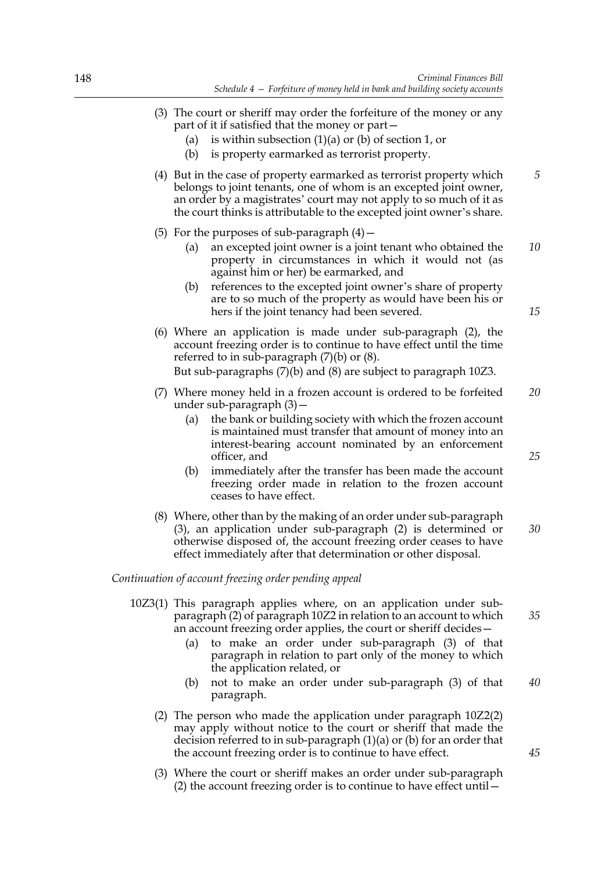- (3) The court or sheriff may order the forfeiture of the money or any part of it if satisfied that the money or part—
	- (a) is within subsection  $(1)(a)$  or  $(b)$  of section 1, or
	- (b) is property earmarked as terrorist property.
- (4) But in the case of property earmarked as terrorist property which belongs to joint tenants, one of whom is an excepted joint owner, an order by a magistrates' court may not apply to so much of it as the court thinks is attributable to the excepted joint owner's share. *5*
- (5) For the purposes of sub-paragraph  $(4)$  -
	- (a) an excepted joint owner is a joint tenant who obtained the property in circumstances in which it would not (as against him or her) be earmarked, and *10*
	- (b) references to the excepted joint owner's share of property are to so much of the property as would have been his or hers if the joint tenancy had been severed.
- (6) Where an application is made under sub-paragraph (2), the account freezing order is to continue to have effect until the time referred to in sub-paragraph  $(7)(b)$  or  $(8)$ . But sub-paragraphs (7)(b) and (8) are subject to paragraph 10Z3.
- (7) Where money held in a frozen account is ordered to be forfeited under sub-paragraph (3)— *20*
	- (a) the bank or building society with which the frozen account is maintained must transfer that amount of money into an interest-bearing account nominated by an enforcement officer, and
	- (b) immediately after the transfer has been made the account freezing order made in relation to the frozen account ceases to have effect.
- (8) Where, other than by the making of an order under sub-paragraph (3), an application under sub-paragraph (2) is determined or otherwise disposed of, the account freezing order ceases to have effect immediately after that determination or other disposal. *30*

## *Continuation of account freezing order pending appeal*

- 10Z3(1) This paragraph applies where, on an application under subparagraph (2) of paragraph 10Z2 in relation to an account to which an account freezing order applies, the court or sheriff decides—
	- (a) to make an order under sub-paragraph (3) of that paragraph in relation to part only of the money to which the application related, or
	- (b) not to make an order under sub-paragraph (3) of that paragraph. *40*
	- (2) The person who made the application under paragraph 10Z2(2) may apply without notice to the court or sheriff that made the decision referred to in sub-paragraph (1)(a) or (b) for an order that the account freezing order is to continue to have effect.
	- (3) Where the court or sheriff makes an order under sub-paragraph (2) the account freezing order is to continue to have effect until—

*25*

*15*

*35*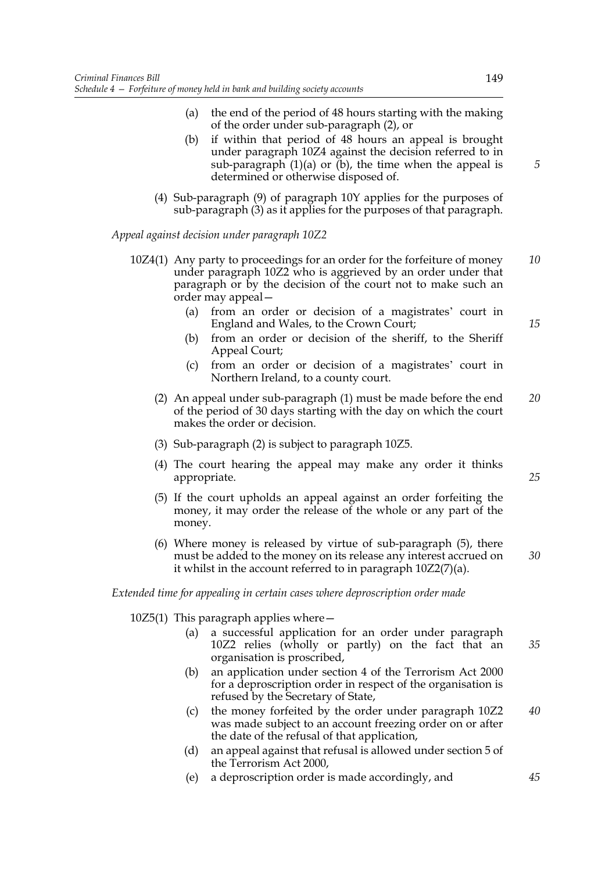- (a) the end of the period of 48 hours starting with the making of the order under sub-paragraph (2), or
- (b) if within that period of 48 hours an appeal is brought under paragraph 10Z4 against the decision referred to in sub-paragraph (1)(a) or (b), the time when the appeal is determined or otherwise disposed of.
- (4) Sub-paragraph (9) of paragraph 10Y applies for the purposes of sub-paragraph (3) as it applies for the purposes of that paragraph.

#### *Appeal against decision under paragraph 10Z2*

- 10Z4(1) Any party to proceedings for an order for the forfeiture of money under paragraph 10Z2 who is aggrieved by an order under that paragraph or by the decision of the court not to make such an order may appeal— *10*
	- (a) from an order or decision of a magistrates' court in England and Wales, to the Crown Court;
	- (b) from an order or decision of the sheriff, to the Sheriff Appeal Court;
	- (c) from an order or decision of a magistrates' court in Northern Ireland, to a county court.
	- (2) An appeal under sub-paragraph (1) must be made before the end of the period of 30 days starting with the day on which the court makes the order or decision. *20*
	- (3) Sub-paragraph (2) is subject to paragraph 10Z5.
	- (4) The court hearing the appeal may make any order it thinks appropriate.
	- (5) If the court upholds an appeal against an order forfeiting the money, it may order the release of the whole or any part of the money.
	- (6) Where money is released by virtue of sub-paragraph (5), there must be added to the money on its release any interest accrued on it whilst in the account referred to in paragraph 10Z2(7)(a).

#### *Extended time for appealing in certain cases where deproscription order made*

10Z5(1) This paragraph applies where  $-$ 

- (a) a successful application for an order under paragraph 10Z2 relies (wholly or partly) on the fact that an organisation is proscribed,
- (b) an application under section 4 of the Terrorism Act 2000 for a deproscription order in respect of the organisation is refused by the Secretary of State,
- (c) the money forfeited by the order under paragraph 10Z2 was made subject to an account freezing order on or after the date of the refusal of that application, *40*
- (d) an appeal against that refusal is allowed under section 5 of the Terrorism Act 2000,
- (e) a deproscription order is made accordingly, and

*25*

*30*

*35*

*15*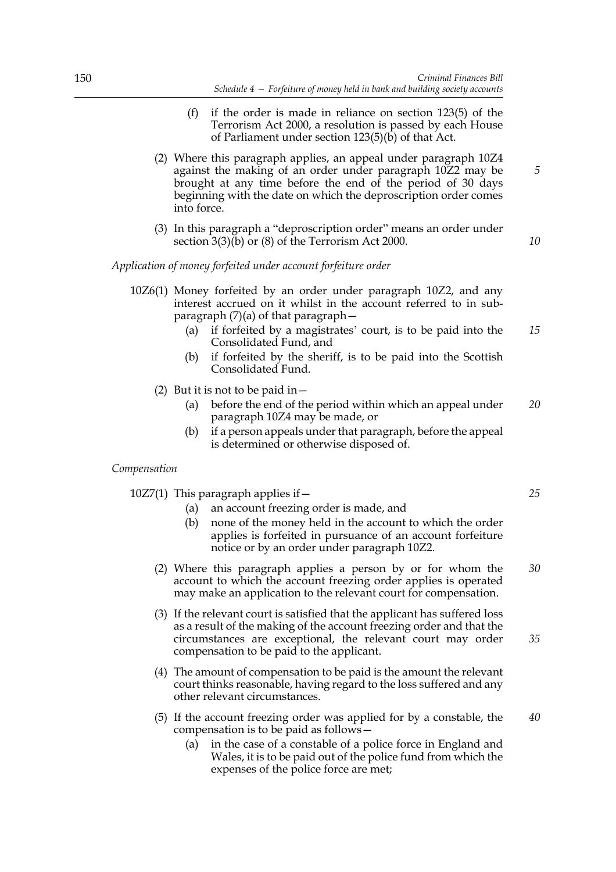*10*

*25*

- (f) if the order is made in reliance on section 123(5) of the Terrorism Act 2000, a resolution is passed by each House of Parliament under section  $123(5)(\overline{b})$  of that Act.
- (2) Where this paragraph applies, an appeal under paragraph 10Z4 against the making of an order under paragraph 10Z2 may be brought at any time before the end of the period of 30 days beginning with the date on which the deproscription order comes into force.
- (3) In this paragraph a "deproscription order" means an order under section 3(3)(b) or (8) of the Terrorism Act 2000.

*Application of money forfeited under account forfeiture order*

- 10Z6(1) Money forfeited by an order under paragraph 10Z2, and any interest accrued on it whilst in the account referred to in subparagraph  $(7)(a)$  of that paragraph –
	- (a) if forfeited by a magistrates' court, is to be paid into the Consolidated Fund, and *15*
	- (b) if forfeited by the sheriff, is to be paid into the Scottish Consolidated Fund.
	- (2) But it is not to be paid in  $-$ 
		- (a) before the end of the period within which an appeal under paragraph 10Z4 may be made, or *20*
		- (b) if a person appeals under that paragraph, before the appeal is determined or otherwise disposed of.

#### *Compensation*

10Z7(1) This paragraph applies if  $-$ 

- (a) an account freezing order is made, and
- (b) none of the money held in the account to which the order applies is forfeited in pursuance of an account forfeiture notice or by an order under paragraph 10Z2.
- (2) Where this paragraph applies a person by or for whom the account to which the account freezing order applies is operated may make an application to the relevant court for compensation. *30*
- (3) If the relevant court is satisfied that the applicant has suffered loss as a result of the making of the account freezing order and that the circumstances are exceptional, the relevant court may order compensation to be paid to the applicant. *35*
- (4) The amount of compensation to be paid is the amount the relevant court thinks reasonable, having regard to the loss suffered and any other relevant circumstances.
- (5) If the account freezing order was applied for by a constable, the compensation is to be paid as follows— *40*
	- (a) in the case of a constable of a police force in England and Wales, it is to be paid out of the police fund from which the expenses of the police force are met;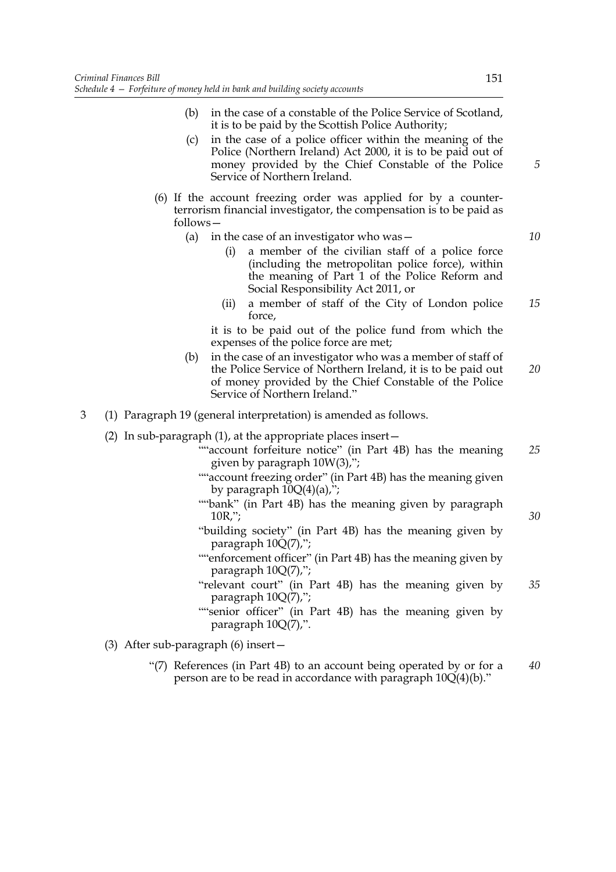- (b) in the case of a constable of the Police Service of Scotland, it is to be paid by the Scottish Police Authority;
- (c) in the case of a police officer within the meaning of the Police (Northern Ireland) Act 2000, it is to be paid out of money provided by the Chief Constable of the Police Service of Northern Ireland.
- (6) If the account freezing order was applied for by a counterterrorism financial investigator, the compensation is to be paid as follows—
	- (a) in the case of an investigator who was—
		- (i) a member of the civilian staff of a police force (including the metropolitan police force), within the meaning of Part 1 of the Police Reform and Social Responsibility Act 2011, or
		- (ii) a member of staff of the City of London police force, *15*

it is to be paid out of the police fund from which the expenses of the police force are met;

- (b) in the case of an investigator who was a member of staff of the Police Service of Northern Ireland, it is to be paid out of money provided by the Chief Constable of the Police Service of Northern Ireland." *20*
- 3 (1) Paragraph 19 (general interpretation) is amended as follows.
	- (2) In sub-paragraph (1), at the appropriate places insert—
		- ""account forfeiture notice" (in Part 4B) has the meaning given by paragraph 10W(3),"; *25*
		- ""account freezing order" (in Part 4B) has the meaning given by paragraph  $10Q(4)(a)$ ,";
		- ""bank" (in Part 4B) has the meaning given by paragraph 10R,";
		- "building society" (in Part 4B) has the meaning given by paragraph 10Q(7),";
		- ""enforcement officer" (in Part 4B) has the meaning given by paragraph 10Q(7),";
		- "relevant court" (in Part 4B) has the meaning given by paragraph 10Q(7),"; *35*
		- ""senior officer" (in Part 4B) has the meaning given by paragraph 10Q(7),".
	- (3) After sub-paragraph (6) insert—
		- "(7) References (in Part 4B) to an account being operated by or for a person are to be read in accordance with paragraph 10Q(4)(b)." *40*

*10*

*5*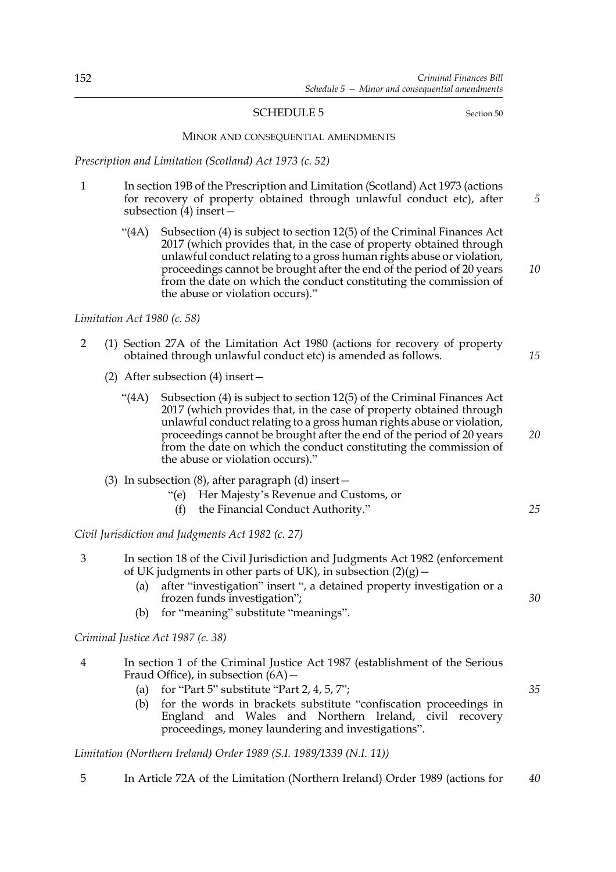## SCHEDULE 5 Section 50

#### MINOR AND CONSEQUENTIAL AMENDMENTS

*Prescription and Limitation (Scotland) Act 1973 (c. 52)*

- 1 In section 19B of the Prescription and Limitation (Scotland) Act 1973 (actions for recovery of property obtained through unlawful conduct etc), after subsection  $(4)$  insert – *5*
	- "(4A) Subsection (4) is subject to section 12(5) of the Criminal Finances Act  $2017$  (which provides that, in the case of property obtained through unlawful conduct relating to a gross human rights abuse or violation, proceedings cannot be brought after the end of the period of 20 years from the date on which the conduct constituting the commission of the abuse or violation occurs)."

### *Limitation Act 1980 (c. 58)*

- 2 (1) Section 27A of the Limitation Act 1980 (actions for recovery of property obtained through unlawful conduct etc) is amended as follows.
	- (2) After subsection (4) insert—
		- "(4A) Subsection (4) is subject to section 12(5) of the Criminal Finances Act 2017 (which provides that, in the case of property obtained through unlawful conduct relating to a gross human rights abuse or violation, proceedings cannot be brought after the end of the period of 20 years from the date on which the conduct constituting the commission of the abuse or violation occurs)."

#### (3) In subsection (8), after paragraph (d) insert—

- "(e) Her Majesty's Revenue and Customs, or
	- (f) the Financial Conduct Authority."

## *Civil Jurisdiction and Judgments Act 1982 (c. 27)*

- 3 In section 18 of the Civil Jurisdiction and Judgments Act 1982 (enforcement of UK judgments in other parts of UK), in subsection  $(2)(g)$  –
	- (a) after "investigation" insert ", a detained property investigation or a frozen funds investigation";
	- (b) for "meaning" substitute "meanings".

## *Criminal Justice Act 1987 (c. 38)*

- 4 In section 1 of the Criminal Justice Act 1987 (establishment of the Serious Fraud Office), in subsection (6A)—
	- (a) for "Part 5" substitute "Part  $2, 4, 5, 7$ ";
	- (b) for the words in brackets substitute "confiscation proceedings in England and Wales and Northern Ireland, civil recovery proceedings, money laundering and investigations".

*Limitation (Northern Ireland) Order 1989 (S.I. 1989/1339 (N.I. 11))*

5 In Article 72A of the Limitation (Northern Ireland) Order 1989 (actions for *40*

*35*

*15*

*20*

*25*

*30*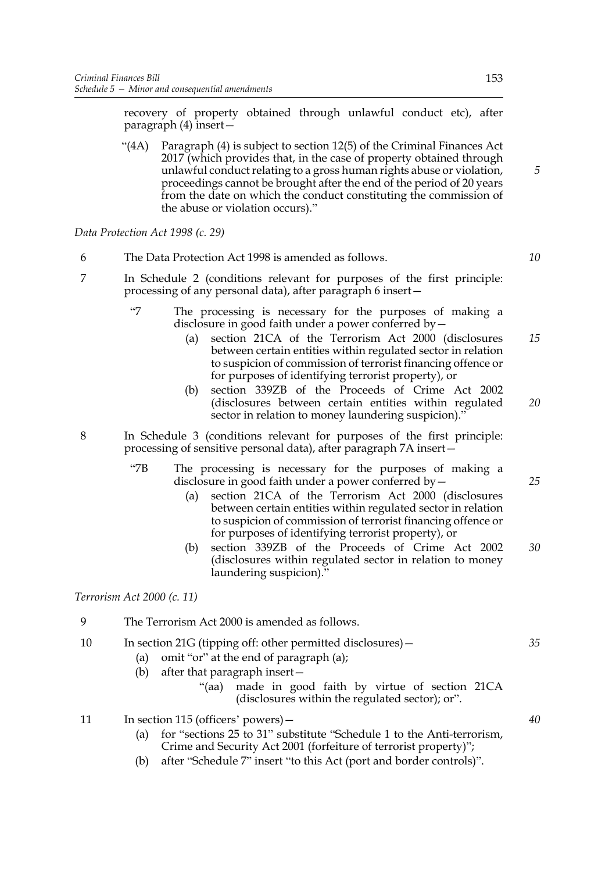recovery of property obtained through unlawful conduct etc), after paragraph (4) insert—

"(4A) Paragraph (4) is subject to section 12(5) of the Criminal Finances Act 2017 (which provides that, in the case of property obtained through unlawful conduct relating to a gross human rights abuse or violation, proceedings cannot be brought after the end of the period of 20 years from the date on which the conduct constituting the commission of the abuse or violation occurs)."

*Data Protection Act 1998 (c. 29)*

- 6 The Data Protection Act 1998 is amended as follows.
- 7 In Schedule 2 (conditions relevant for purposes of the first principle: processing of any personal data), after paragraph 6 insert—
	- "7 The processing is necessary for the purposes of making a disclosure in good faith under a power conferred by—
		- (a) section 21CA of the Terrorism Act 2000 (disclosures between certain entities within regulated sector in relation to suspicion of commission of terrorist financing offence or for purposes of identifying terrorist property), or *15*
		- (b) section 339ZB of the Proceeds of Crime Act 2002 (disclosures between certain entities within regulated sector in relation to money laundering suspicion)." *20*
- 8 In Schedule 3 (conditions relevant for purposes of the first principle: processing of sensitive personal data), after paragraph 7A insert—
	- "7B The processing is necessary for the purposes of making a disclosure in good faith under a power conferred by—
		- (a) section 21CA of the Terrorism Act 2000 (disclosures between certain entities within regulated sector in relation to suspicion of commission of terrorist financing offence or for purposes of identifying terrorist property), or
		- (b) section 339ZB of the Proceeds of Crime Act 2002 (disclosures within regulated sector in relation to money laundering suspicion)." *30*

*Terrorism Act 2000 (c. 11)*

9 The Terrorism Act 2000 is amended as follows.

10 In section 21G (tipping off: other permitted disclosures) –

- (a) omit "or" at the end of paragraph (a);
- (b) after that paragraph insert—
	- "(aa) made in good faith by virtue of section 21CA (disclosures within the regulated sector); or".
- 11 In section 115 (officers' powers)
	- (a) for "sections 25 to 31" substitute "Schedule 1 to the Anti-terrorism, Crime and Security Act 2001 (forfeiture of terrorist property)";
	- (b) after "Schedule 7" insert "to this Act (port and border controls)".

*5*

*10*

*25*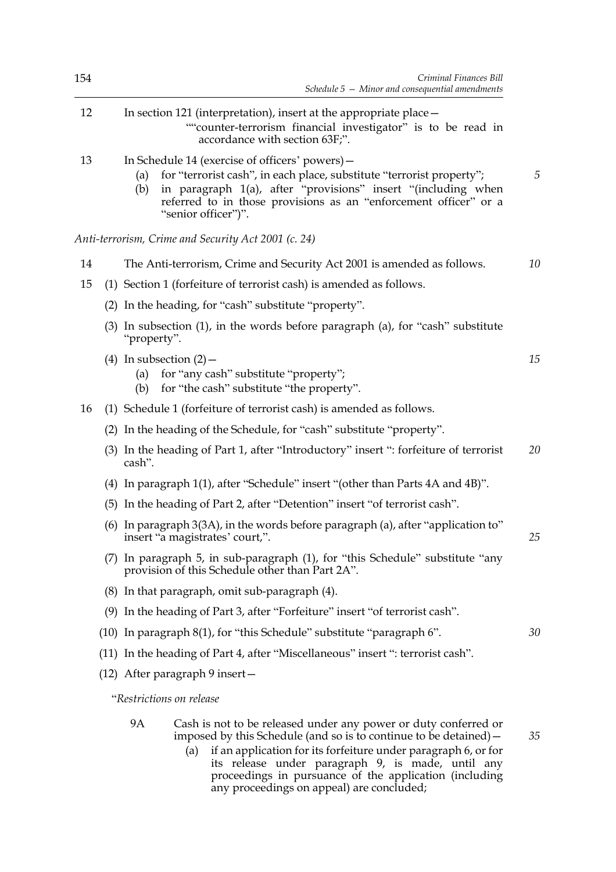| 154 |     | Criminal Finances Bill<br>Schedule $5$ – Minor and consequential amendments                                                                                                                                                                                                                        |
|-----|-----|----------------------------------------------------------------------------------------------------------------------------------------------------------------------------------------------------------------------------------------------------------------------------------------------------|
| 12  |     | In section 121 (interpretation), insert at the appropriate place -<br>""counter-terrorism financial investigator" is to be read in<br>accordance with section 63F;".                                                                                                                               |
| 13  |     | In Schedule 14 (exercise of officers' powers) –<br>for "terrorist cash", in each place, substitute "terrorist property";<br>(a)<br>in paragraph 1(a), after "provisions" insert "(including when<br>(b)<br>referred to in those provisions as an "enforcement officer" or a<br>"senior officer")". |
|     |     | Anti-terrorism, Crime and Security Act 2001 (c. 24)                                                                                                                                                                                                                                                |
| 14  |     | The Anti-terrorism, Crime and Security Act 2001 is amended as follows.<br>10                                                                                                                                                                                                                       |
| 15  |     | (1) Section 1 (forfeiture of terrorist cash) is amended as follows.                                                                                                                                                                                                                                |
|     |     | (2) In the heading, for "cash" substitute "property".                                                                                                                                                                                                                                              |
|     |     | $(3)$ In subsection $(1)$ , in the words before paragraph $(a)$ , for "cash" substitute<br>"property".                                                                                                                                                                                             |
|     |     | 15<br>(4) In subsection $(2)$ –<br>for "any cash" substitute "property";<br>(a)<br>for "the cash" substitute "the property".<br>(b)                                                                                                                                                                |
| 16  |     | (1) Schedule 1 (forfeiture of terrorist cash) is amended as follows.                                                                                                                                                                                                                               |
|     |     | (2) In the heading of the Schedule, for "cash" substitute "property".                                                                                                                                                                                                                              |
|     |     | (3) In the heading of Part 1, after "Introductory" insert ": forfeiture of terrorist<br>20<br>cash".                                                                                                                                                                                               |
|     |     | (4) In paragraph $1(1)$ , after "Schedule" insert "(other than Parts 4A and $4B$ )".                                                                                                                                                                                                               |
|     |     | (5) In the heading of Part 2, after "Detention" insert "of terrorist cash".                                                                                                                                                                                                                        |
|     |     | (6) In paragraph 3(3A), in the words before paragraph (a), after "application to"<br>25<br>insert "a magistrates' court,".                                                                                                                                                                         |
|     | (7) | In paragraph 5, in sub-paragraph (1), for "this Schedule" substitute "any<br>provision of this Schedule other than Part 2A".                                                                                                                                                                       |
|     |     | (8) In that paragraph, omit sub-paragraph (4).                                                                                                                                                                                                                                                     |
|     |     | (9) In the heading of Part 3, after "Forfeiture" insert "of terrorist cash".                                                                                                                                                                                                                       |
|     |     | (10) In paragraph 8(1), for "this Schedule" substitute "paragraph 6".<br>30                                                                                                                                                                                                                        |
|     |     | (11) In the heading of Part 4, after "Miscellaneous" insert ": terrorist cash".                                                                                                                                                                                                                    |
|     |     | $(12)$ After paragraph 9 insert $-$                                                                                                                                                                                                                                                                |
|     |     | "Restrictions on release                                                                                                                                                                                                                                                                           |
|     |     | <b>9A</b><br>Cash is not to be released under any power or duty conferred or<br>imposed by this Schedule (and so is to continue to be detained) –<br>35                                                                                                                                            |

(a) if an application for its forfeiture under paragraph 6, or for its release under paragraph 9, is made, until any proceedings in pursuance of the application (including any proceedings on appeal) are concluded;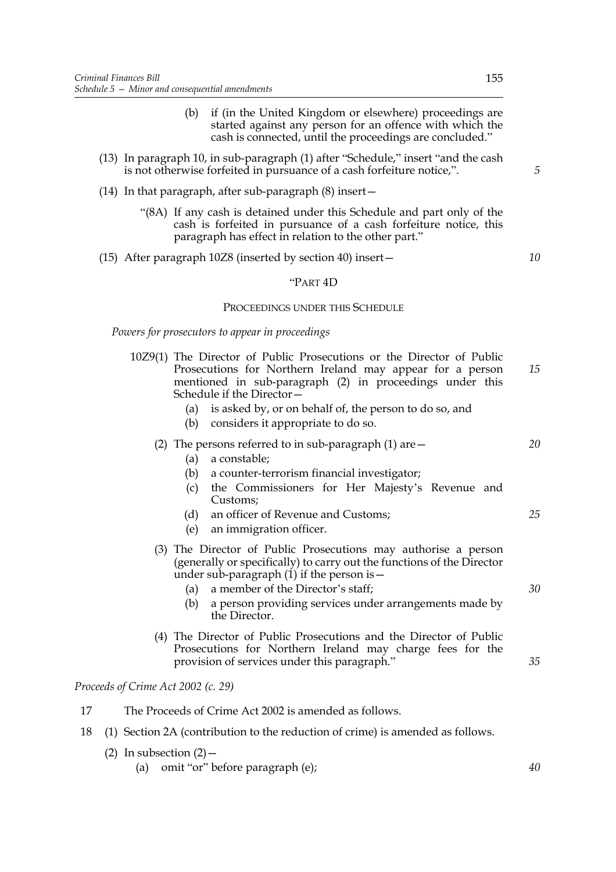- (b) if (in the United Kingdom or elsewhere) proceedings are started against any person for an offence with which the cash is connected, until the proceedings are concluded."
- (13) In paragraph 10, in sub-paragraph (1) after "Schedule," insert "and the cash is not otherwise forfeited in pursuance of a cash forfeiture notice,".
- (14) In that paragraph, after sub-paragraph (8) insert—
	- "(8A) If any cash is detained under this Schedule and part only of the cash is forfeited in pursuance of a cash forfeiture notice, this paragraph has effect in relation to the other part."
- (15) After paragraph 10Z8 (inserted by section 40) insert—

#### "PART 4D

#### PROCEEDINGS UNDER THIS SCHEDULE

*Powers for prosecutors to appear in proceedings*

- 10Z9(1) The Director of Public Prosecutions or the Director of Public Prosecutions for Northern Ireland may appear for a person mentioned in sub-paragraph (2) in proceedings under this Schedule if the Director— (a) is asked by, or on behalf of, the person to do so, and (b) considers it appropriate to do so. (2) The persons referred to in sub-paragraph  $(1)$  are  $-$ (a) a constable; (b) a counter-terrorism financial investigator; (c) the Commissioners for Her Majesty's Revenue and Customs; (d) an officer of Revenue and Customs; (e) an immigration officer. (3) The Director of Public Prosecutions may authorise a person (generally or specifically) to carry out the functions of the Director under sub-paragraph  $(1)$  if the person is  $-$ (a) a member of the Director's staff; (b) a person providing services under arrangements made by the Director. (4) The Director of Public Prosecutions and the Director of Public Prosecutions for Northern Ireland may charge fees for the provision of services under this paragraph." *Proceeds of Crime Act 2002 (c. 29)* 17 The Proceeds of Crime Act 2002 is amended as follows. *15 20 25 30 35*
	- 18 (1) Section 2A (contribution to the reduction of crime) is amended as follows.
		- (2) In subsection  $(2)$ 
			- (a) omit "or" before paragraph (e);

155

*10*

*5*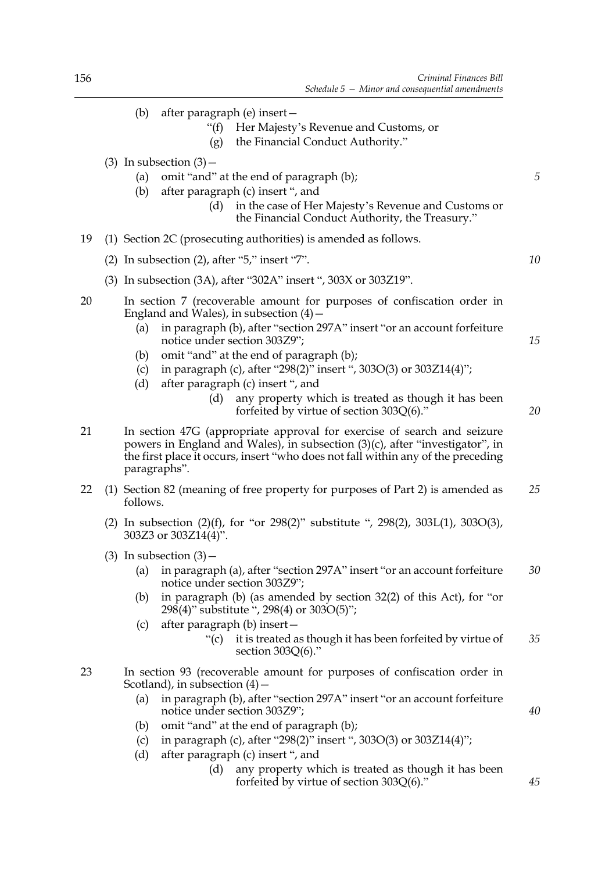- (b) after paragraph (e) insert—
	- "(f) Her Majesty's Revenue and Customs, or
	- (g) the Financial Conduct Authority."
- (3) In subsection  $(3)$ 
	- (a) omit "and" at the end of paragraph (b);
	- (b) after paragraph (c) insert ", and
		- (d) in the case of Her Majesty's Revenue and Customs or the Financial Conduct Authority, the Treasury."
- 19 (1) Section 2C (prosecuting authorities) is amended as follows.
	- (2) In subsection (2), after "5," insert "7".
	- (3) In subsection (3A), after "302A" insert ", 303X or 303Z19".
- 20 In section 7 (recoverable amount for purposes of confiscation order in England and Wales), in subsection  $(4)$  –
	- (a) in paragraph (b), after "section 297A" insert "or an account forfeiture notice under section 303Z9";
	- (b) omit "and" at the end of paragraph (b);
	- (c) in paragraph (c), after "298(2)" insert ", 303O(3) or 303Z14(4)";
	- (d) after paragraph (c) insert ", and
		- (d) any property which is treated as though it has been forfeited by virtue of section 303Q(6)."
- 21 In section 47G (appropriate approval for exercise of search and seizure powers in England and Wales), in subsection (3)(c), after "investigator", in the first place it occurs, insert "who does not fall within any of the preceding paragraphs".
- 22 (1) Section 82 (meaning of free property for purposes of Part 2) is amended as follows. *25*
	- (2) In subsection  $(2)(f)$ , for "or  $298(2)$ " substitute ",  $298(2)$ ,  $303L(1)$ ,  $303O(3)$ , 303Z3 or 303Z14(4)".
	- (3) In subsection  $(3)$ 
		- (a) in paragraph (a), after "section 297A" insert "or an account forfeiture notice under section 303Z9"; *30*
		- (b) in paragraph (b) (as amended by section 32(2) of this Act), for "or 298(4)" substitute ", 298(4) or 303O(5)";
		- (c) after paragraph (b) insert—
			- "(c) it is treated as though it has been forfeited by virtue of section 303Q(6)." *35*
- 23 In section 93 (recoverable amount for purposes of confiscation order in Scotland), in subsection  $(4)$  –
	- (a) in paragraph (b), after "section 297A" insert "or an account forfeiture notice under section 303Z9";
	- (b) omit "and" at the end of paragraph (b);
	- (c) in paragraph (c), after "298(2)" insert ", 303O(3) or 303Z14(4)";
	- (d) after paragraph (c) insert ", and
		- (d) any property which is treated as though it has been forfeited by virtue of section 303Q(6)."

*10*

*15*

*20*

*40*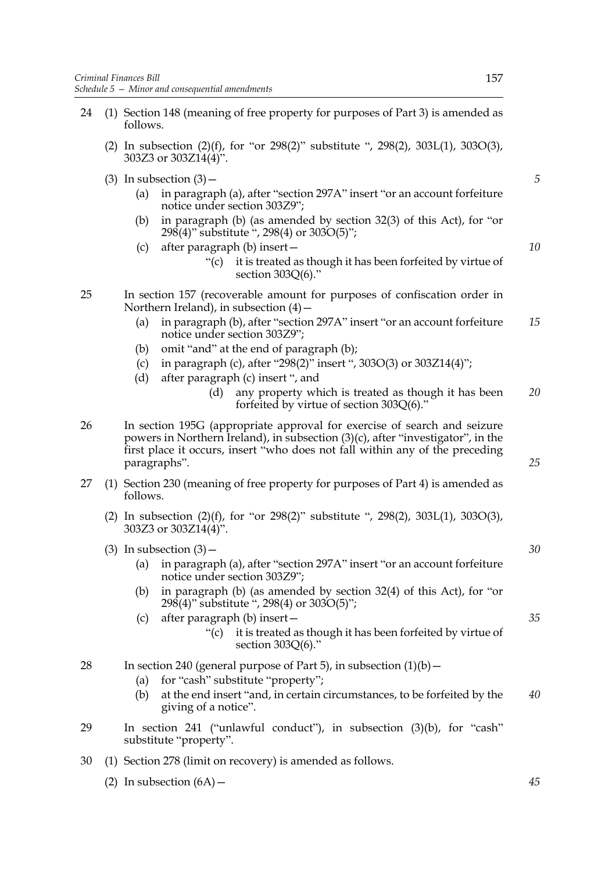- 24 (1) Section 148 (meaning of free property for purposes of Part 3) is amended as follows.
	- (2) In subsection (2)(f), for "or 298(2)" substitute ", 298(2), 303L(1), 303O(3), 303Z3 or 303Z14(4)".
	- (3) In subsection  $(3)$ 
		- (a) in paragraph (a), after "section 297A" insert "or an account forfeiture notice under section 303Z9";
		- (b) in paragraph (b) (as amended by section 32(3) of this Act), for "or 298(4)" substitute ", 298(4) or 303O(5)";
		- (c) after paragraph (b) insert—
			- "(c) it is treated as though it has been forfeited by virtue of section 303Q(6)."
- 25 In section 157 (recoverable amount for purposes of confiscation order in Northern Ireland), in subsection  $(4)$  –
	- (a) in paragraph (b), after "section 297A" insert "or an account forfeiture notice under section 303Z9"; *15*
	- (b) omit "and" at the end of paragraph (b);
	- (c) in paragraph (c), after "298(2)" insert ", 303O(3) or 303Z14(4)";
	- (d) after paragraph (c) insert ", and
		- (d) any property which is treated as though it has been forfeited by virtue of section 303Q(6)." *20*
- 26 In section 195G (appropriate approval for exercise of search and seizure powers in Northern Ireland), in subsection (3)(c), after "investigator", in the first place it occurs, insert "who does not fall within any of the preceding paragraphs".
- 27 (1) Section 230 (meaning of free property for purposes of Part 4) is amended as follows.
	- (2) In subsection (2)(f), for "or 298(2)" substitute ", 298(2), 303L(1), 303O(3), 303Z3 or 303Z14(4)".
	- (3) In subsection  $(3)$ 
		- (a) in paragraph (a), after "section 297A" insert "or an account forfeiture notice under section 303Z9";
		- (b) in paragraph (b) (as amended by section 32(4) of this Act), for "or 298(4)" substitute ", 298(4) or 303O(5)";
		- (c) after paragraph (b) insert—
			- "(c) it is treated as though it has been forfeited by virtue of section 303Q(6)."
- 28 In section 240 (general purpose of Part 5), in subsection  $(1)(b)$ 
	- (a) for "cash" substitute "property";
	- (b) at the end insert "and, in certain circumstances, to be forfeited by the giving of a notice". *40*
- 29 In section 241 ("unlawful conduct"), in subsection (3)(b), for "cash" substitute "property".
- 30 (1) Section 278 (limit on recovery) is amended as follows.
	- (2) In subsection  $(6A)$  –

*10*

*35*

*30*

*25*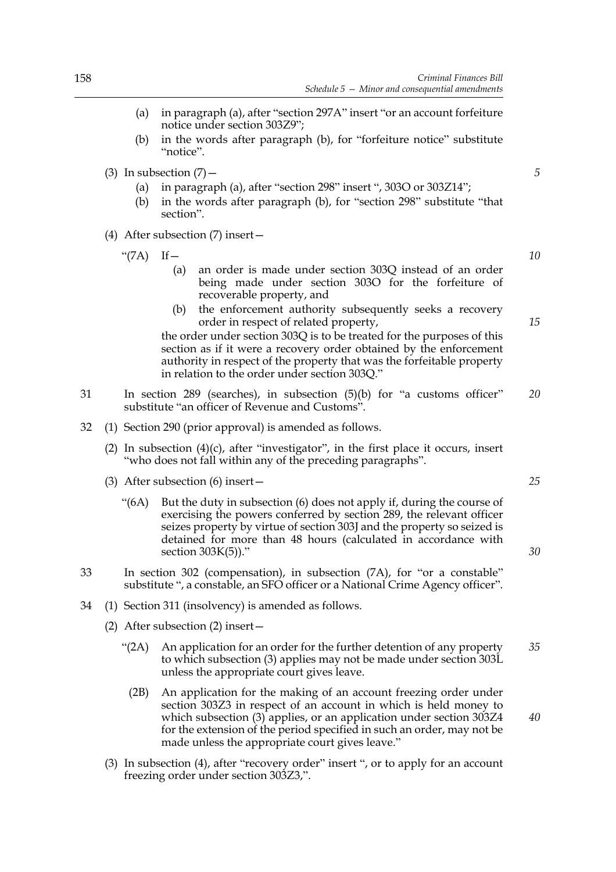- (a) in paragraph (a), after "section 297A" insert "or an account forfeiture notice under section 303Z9";
- (b) in the words after paragraph (b), for "forfeiture notice" substitute "notice".
- (3) In subsection  $(7)$  -
	- (a) in paragraph (a), after "section 298" insert ", 303O or 303Z14";
	- (b) in the words after paragraph (b), for "section 298" substitute "that section".
- (4) After subsection (7) insert—
	- " $(7A)$  If  $-$ 
		- (a) an order is made under section 303Q instead of an order being made under section 303O for the forfeiture of recoverable property, and
		- (b) the enforcement authority subsequently seeks a recovery order in respect of related property,

the order under section 303Q is to be treated for the purposes of this section as if it were a recovery order obtained by the enforcement authority in respect of the property that was the forfeitable property in relation to the order under section 303Q."

- 31 In section 289 (searches), in subsection (5)(b) for "a customs officer" substitute "an officer of Revenue and Customs". *20*
- 32 (1) Section 290 (prior approval) is amended as follows.
	- (2) In subsection  $(4)(c)$ , after "investigator", in the first place it occurs, insert "who does not fall within any of the preceding paragraphs".
	- (3) After subsection (6) insert—
		- "(6A) But the duty in subsection (6) does not apply if, during the course of exercising the powers conferred by section 289, the relevant officer seizes property by virtue of section 303J and the property so seized is detained for more than 48 hours (calculated in accordance with section 303K(5))."
- 33 In section 302 (compensation), in subsection (7A), for "or a constable" substitute ", a constable, an SFO officer or a National Crime Agency officer".
- 34 (1) Section 311 (insolvency) is amended as follows.
	- (2) After subsection (2) insert—
		- "(2A) An application for an order for the further detention of any property to which subsection (3) applies may not be made under section 303L unless the appropriate court gives leave. *35*
		- (2B) An application for the making of an account freezing order under section 303Z3 in respect of an account in which is held money to which subsection (3) applies, or an application under section 303Z4 for the extension of the period specified in such an order, may not be made unless the appropriate court gives leave."
	- (3) In subsection (4), after "recovery order" insert ", or to apply for an account freezing order under section 303Z3,".

*5*

*10*

*15*

*30*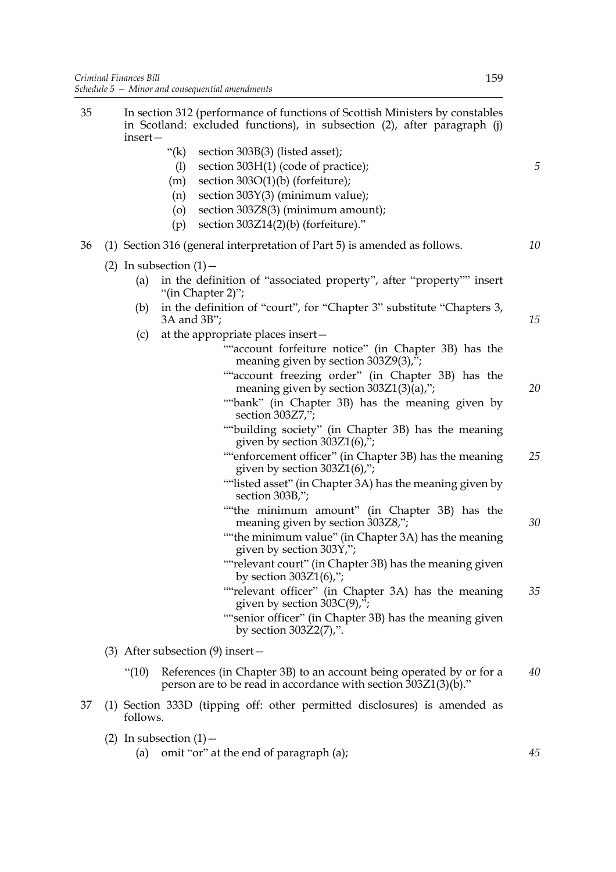| 35 | In section 312 (performance of functions of Scottish Ministers by constables<br>in Scotland: excluded functions), in subsection (2), after paragraph (j)<br>insert-                                                                                                        |    |
|----|----------------------------------------------------------------------------------------------------------------------------------------------------------------------------------------------------------------------------------------------------------------------------|----|
|    | "(k)<br>section 303B(3) (listed asset);<br>section 303H(1) (code of practice);<br>(1)<br>section 303O(1)(b) (forfeiture);<br>(m)<br>section 303Y(3) (minimum value);<br>(n)<br>section 303Z8(3) (minimum amount);<br>$\circ$<br>section 303Z14(2)(b) (forfeiture)."<br>(p) | 5  |
| 36 | (1) Section 316 (general interpretation of Part 5) is amended as follows.                                                                                                                                                                                                  | 10 |
|    | (2) In subsection $(1)$ –<br>in the definition of "associated property", after "property" insert<br>(a)<br>"(in Chapter 2)";                                                                                                                                               |    |
|    | in the definition of "court", for "Chapter 3" substitute "Chapters 3,<br>(b)<br>3A and 3B";                                                                                                                                                                                | 15 |
|    | at the appropriate places insert-<br>(c)                                                                                                                                                                                                                                   |    |
|    | "account forfeiture notice" (in Chapter 3B) has the<br>meaning given by section 303Z9(3),";                                                                                                                                                                                |    |
|    | "account freezing order" (in Chapter 3B) has the<br>meaning given by section $303Z1(3)(a)$ ,";                                                                                                                                                                             | 20 |
|    | ""bank" (in Chapter 3B) has the meaning given by<br>section 303Z7,";                                                                                                                                                                                                       |    |
|    | ""building society" (in Chapter 3B) has the meaning<br>given by section $303Z1(6)$ ,";                                                                                                                                                                                     |    |
|    | ""enforcement officer" (in Chapter 3B) has the meaning<br>given by section $303Z1(6)$ ,";                                                                                                                                                                                  | 25 |
|    | ""listed asset" (in Chapter 3A) has the meaning given by<br>section 303B,";                                                                                                                                                                                                |    |
|    | ""the minimum amount" (in Chapter 3B) has the<br>meaning given by section 303Z8,";                                                                                                                                                                                         | 30 |
|    | ""the minimum value" (in Chapter 3A) has the meaning<br>given by section 303Y,";                                                                                                                                                                                           |    |
|    | ""relevant court" (in Chapter 3B) has the meaning given<br>by section $303Z1(6)$ ,";                                                                                                                                                                                       |    |
|    | ""relevant officer" (in Chapter 3A) has the meaning<br>given by section $303C(9)$ ,";                                                                                                                                                                                      | 35 |
|    | ""senior officer" (in Chapter 3B) has the meaning given<br>by section $303Z2(7)$ ,".                                                                                                                                                                                       |    |
|    | (3) After subsection $(9)$ insert $-$                                                                                                                                                                                                                                      |    |
|    | References (in Chapter 3B) to an account being operated by or for a<br>" $(10)$<br>person are to be read in accordance with section $303Z1(3)(b)$ ."                                                                                                                       | 40 |
| 37 | (1) Section 333D (tipping off: other permitted disclosures) is amended as<br>follows.                                                                                                                                                                                      |    |

- (2) In subsection  $(1)$ 
	- (a) omit "or" at the end of paragraph (a);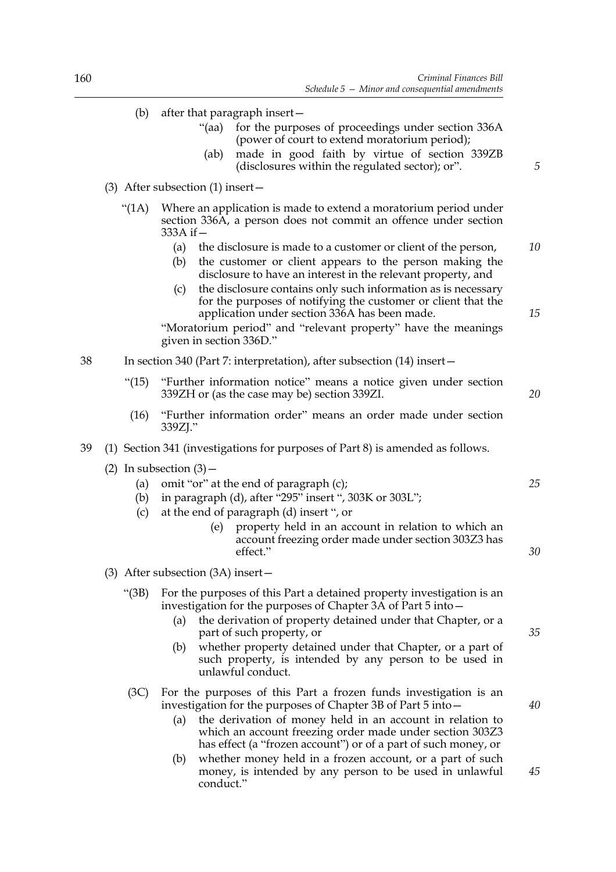- (b) after that paragraph insert— "(aa) for the purposes of proceedings under section 336A (power of court to extend moratorium period); (ab) made in good faith by virtue of section 339ZB (disclosures within the regulated sector); or". (3) After subsection (1) insert— "(1A) Where an application is made to extend a moratorium period under section 336A, a person does not commit an offence under section 333A if— (a) the disclosure is made to a customer or client of the person, (b) the customer or client appears to the person making the disclosure to have an interest in the relevant property, and (c) the disclosure contains only such information as is necessary for the purposes of notifying the customer or client that the application under section 336A has been made. "Moratorium period" and "relevant property" have the meanings given in section 336D." 38 In section 340 (Part 7: interpretation), after subsection (14) insert— "(15) "Further information notice" means a notice given under section 339ZH or (as the case may be) section 339ZI. (16) "Further information order" means an order made under section 339ZJ." 39 (1) Section 341 (investigations for purposes of Part 8) is amended as follows. (2) In subsection  $(3)$  – (a) omit "or" at the end of paragraph  $(c)$ ; (b) in paragraph (d), after "295" insert ", 303K or 303L"; (c) at the end of paragraph (d) insert ", or (e) property held in an account in relation to which an account freezing order made under section 303Z3 has effect." (3) After subsection (3A) insert— "(3B) For the purposes of this Part a detained property investigation is an investigation for the purposes of Chapter 3A of Part 5 into— (a) the derivation of property detained under that Chapter, or a part of such property, or (b) whether property detained under that Chapter, or a part of such property, is intended by any person to be used in unlawful conduct. (3C) For the purposes of this Part a frozen funds investigation is an investigation for the purposes of Chapter 3B of Part 5 into— (a) the derivation of money held in an account in relation to which an account freezing order made under section 303Z3 has effect (a "frozen account") or of a part of such money, or (b) whether money held in a frozen account, or a part of such *5 10 15 20 25 30 35 40*
	- money, is intended by any person to be used in unlawful conduct." *45*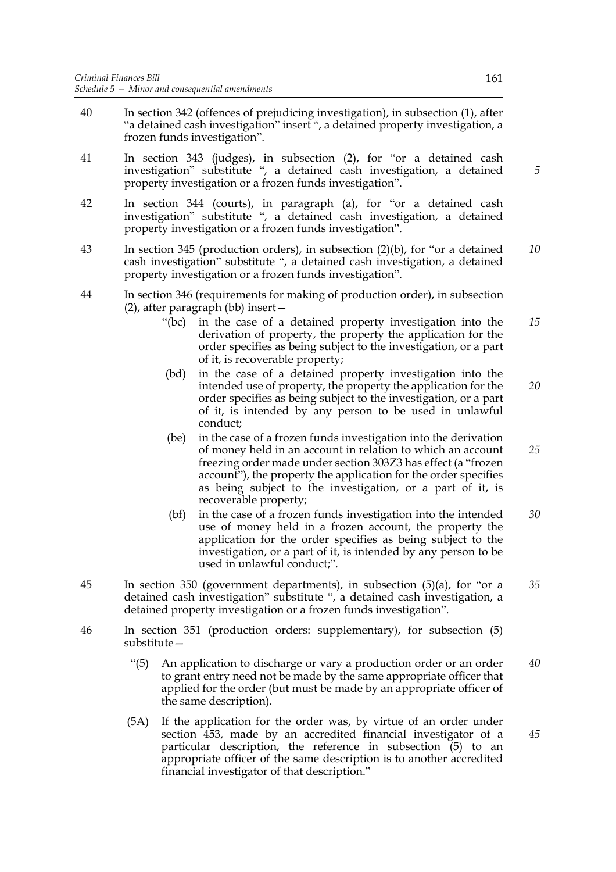- 40 In section 342 (offences of prejudicing investigation), in subsection (1), after "a detained cash investigation" insert ", a detained property investigation, a frozen funds investigation".
- 41 In section 343 (judges), in subsection (2), for "or a detained cash investigation" substitute ", a detained cash investigation, a detained property investigation or a frozen funds investigation".
- 42 In section 344 (courts), in paragraph (a), for "or a detained cash investigation" substitute ", a detained cash investigation, a detained property investigation or a frozen funds investigation".
- 43 In section 345 (production orders), in subsection (2)(b), for "or a detained cash investigation" substitute ", a detained cash investigation, a detained property investigation or a frozen funds investigation". *10*
- 44 In section 346 (requirements for making of production order), in subsection (2), after paragraph (bb) insert—
	- "(bc) in the case of a detained property investigation into the derivation of property, the property the application for the order specifies as being subject to the investigation, or a part of it, is recoverable property; *15*
	- (bd) in the case of a detained property investigation into the intended use of property, the property the application for the order specifies as being subject to the investigation, or a part of it, is intended by any person to be used in unlawful conduct; *20*
	- (be) in the case of a frozen funds investigation into the derivation of money held in an account in relation to which an account freezing order made under section 303Z3 has effect (a "frozen account"), the property the application for the order specifies as being subject to the investigation, or a part of it, is recoverable property; *25*
	- (bf) in the case of a frozen funds investigation into the intended use of money held in a frozen account, the property the application for the order specifies as being subject to the investigation, or a part of it, is intended by any person to be used in unlawful conduct;". *30*
- 45 In section 350 (government departments), in subsection (5)(a), for "or a detained cash investigation" substitute ", a detained cash investigation, a detained property investigation or a frozen funds investigation". *35*
- 46 In section 351 (production orders: supplementary), for subsection (5) substitute—
	- "(5) An application to discharge or vary a production order or an order to grant entry need not be made by the same appropriate officer that applied for the order (but must be made by an appropriate officer of the same description). *40*
	- (5A) If the application for the order was, by virtue of an order under section 453, made by an accredited financial investigator of a particular description, the reference in subsection (5) to an appropriate officer of the same description is to another accredited financial investigator of that description."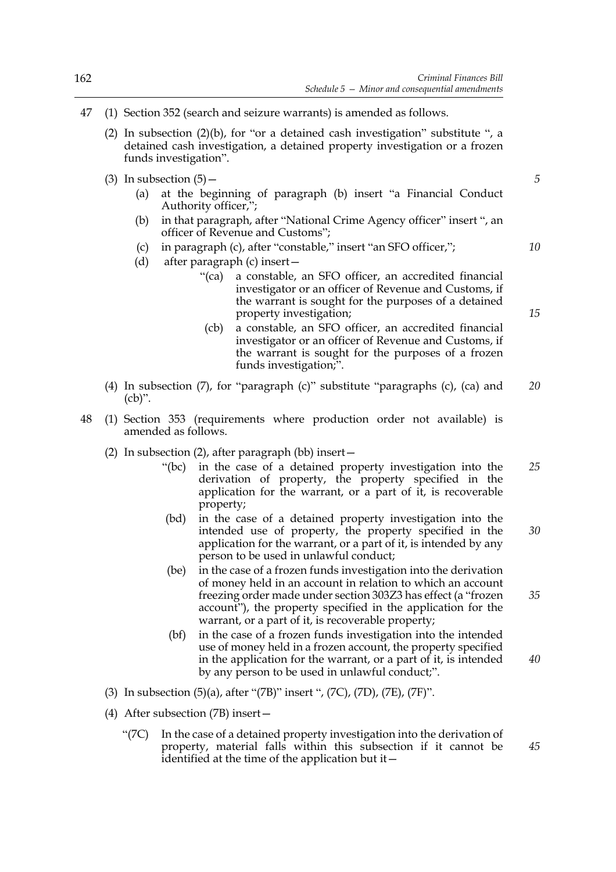- 47 (1) Section 352 (search and seizure warrants) is amended as follows.
	- (2) In subsection (2)(b), for "or a detained cash investigation" substitute ", a detained cash investigation, a detained property investigation or a frozen funds investigation".
	- (3) In subsection  $(5)$ 
		- (a) at the beginning of paragraph (b) insert "a Financial Conduct Authority officer,";
		- (b) in that paragraph, after "National Crime Agency officer" insert ", an officer of Revenue and Customs";
		- (c) in paragraph (c), after "constable," insert "an SFO officer,";
		- (d) after paragraph (c) insert—
			- "(ca) a constable, an SFO officer, an accredited financial investigator or an officer of Revenue and Customs, if the warrant is sought for the purposes of a detained property investigation;
			- (cb) a constable, an SFO officer, an accredited financial investigator or an officer of Revenue and Customs, if the warrant is sought for the purposes of a frozen funds investigation;".
	- (4) In subsection (7), for "paragraph (c)" substitute "paragraphs (c), (ca) and  $(cb)$ ". *20*
- 48 (1) Section 353 (requirements where production order not available) is amended as follows.
	- (2) In subsection (2), after paragraph (bb) insert—
		- "(bc) in the case of a detained property investigation into the derivation of property, the property specified in the application for the warrant, or a part of it, is recoverable property; *25*
		- (bd) in the case of a detained property investigation into the intended use of property, the property specified in the application for the warrant, or a part of it, is intended by any person to be used in unlawful conduct; *30*
		- (be) in the case of a frozen funds investigation into the derivation of money held in an account in relation to which an account freezing order made under section 303Z3 has effect (a "frozen account"), the property specified in the application for the warrant, or a part of it, is recoverable property;
		- (bf) in the case of a frozen funds investigation into the intended use of money held in a frozen account, the property specified in the application for the warrant, or a part of it, is intended by any person to be used in unlawful conduct;". *40*
	- (3) In subsection (5)(a), after "(7B)" insert ", (7C), (7D), (7E), (7F)".
	- (4) After subsection (7B) insert—
		- "(7C) In the case of a detained property investigation into the derivation of property, material falls within this subsection if it cannot be identified at the time of the application but it— *45*

*35*

*10*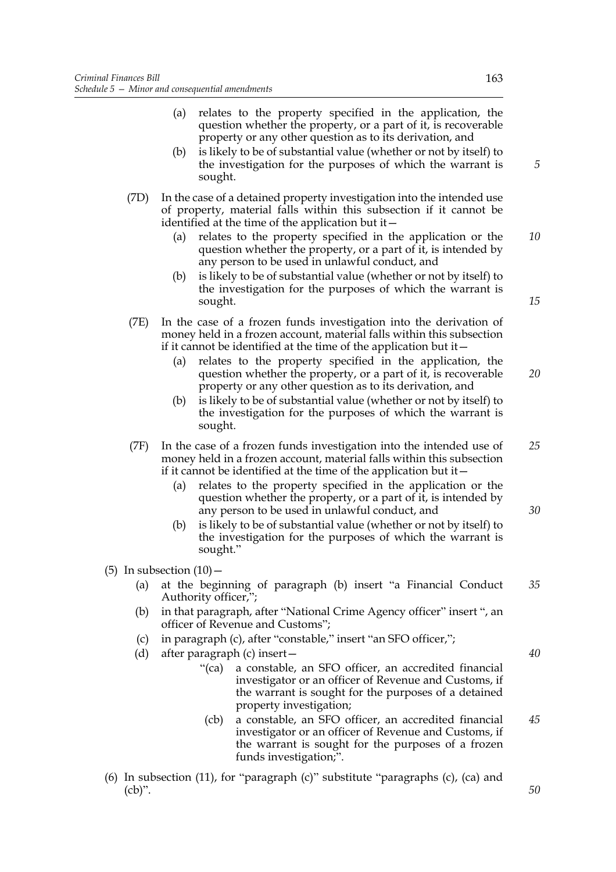$(5)$ 

|           | (a)                                                                                                       |          | relates to the property specified in the application, the<br>question whether the property, or a part of it, is recoverable                                                                                           |    |  |  |
|-----------|-----------------------------------------------------------------------------------------------------------|----------|-----------------------------------------------------------------------------------------------------------------------------------------------------------------------------------------------------------------------|----|--|--|
|           | (b)                                                                                                       | sought.  | property or any other question as to its derivation, and<br>is likely to be of substantial value (whether or not by itself) to<br>the investigation for the purposes of which the warrant is                          | 5  |  |  |
| (TD)      |                                                                                                           |          | In the case of a detained property investigation into the intended use<br>of property, material falls within this subsection if it cannot be<br>identified at the time of the application but it -                    |    |  |  |
|           | (a)                                                                                                       |          | relates to the property specified in the application or the<br>question whether the property, or a part of it, is intended by<br>any person to be used in unlawful conduct, and                                       | 10 |  |  |
|           | (b)                                                                                                       | sought.  | is likely to be of substantial value (whether or not by itself) to<br>the investigation for the purposes of which the warrant is                                                                                      | 15 |  |  |
| (7E)      |                                                                                                           |          | In the case of a frozen funds investigation into the derivation of<br>money held in a frozen account, material falls within this subsection<br>if it cannot be identified at the time of the application but it $-$   |    |  |  |
|           | (a)                                                                                                       |          | relates to the property specified in the application, the<br>question whether the property, or a part of it, is recoverable<br>property or any other question as to its derivation, and                               | 20 |  |  |
|           | (b)                                                                                                       | sought.  | is likely to be of substantial value (whether or not by itself) to<br>the investigation for the purposes of which the warrant is                                                                                      |    |  |  |
| (7F)      |                                                                                                           |          | In the case of a frozen funds investigation into the intended use of<br>money held in a frozen account, material falls within this subsection<br>if it cannot be identified at the time of the application but it $-$ | 25 |  |  |
|           | (a)                                                                                                       |          | relates to the property specified in the application or the<br>question whether the property, or a part of it, is intended by<br>any person to be used in unlawful conduct, and                                       | 30 |  |  |
|           | (b)                                                                                                       | sought." | is likely to be of substantial value (whether or not by itself) to<br>the investigation for the purposes of which the warrant is                                                                                      |    |  |  |
|           | (5) In subsection $(10)$ –                                                                                |          |                                                                                                                                                                                                                       |    |  |  |
| (a)       | at the beginning of paragraph (b) insert "a Financial Conduct<br>Authority officer,";                     |          |                                                                                                                                                                                                                       |    |  |  |
| (b)       | in that paragraph, after "National Crime Agency officer" insert ", an<br>officer of Revenue and Customs"; |          |                                                                                                                                                                                                                       |    |  |  |
|           | in paragraph (c), after "constable," insert "an SFO officer,";<br>(c)<br>after paragraph (c) insert -     |          |                                                                                                                                                                                                                       |    |  |  |
| (d)       |                                                                                                           | " $(ca)$ | a constable, an SFO officer, an accredited financial                                                                                                                                                                  | 40 |  |  |
|           |                                                                                                           |          | investigator or an officer of Revenue and Customs, if<br>the warrant is sought for the purposes of a detained                                                                                                         |    |  |  |
|           |                                                                                                           |          | property investigation;                                                                                                                                                                                               |    |  |  |
|           |                                                                                                           | (cb)     | a constable, an SFO officer, an accredited financial<br>investigator or an officer of Revenue and Customs, if<br>the warrant is sought for the purposes of a frozen<br>funds investigation;".                         | 45 |  |  |
| $(cb)$ ". |                                                                                                           |          | (6) In subsection $(11)$ , for "paragraph $(c)$ " substitute "paragraphs $(c)$ , $(ca)$ and                                                                                                                           | 50 |  |  |
|           |                                                                                                           |          |                                                                                                                                                                                                                       |    |  |  |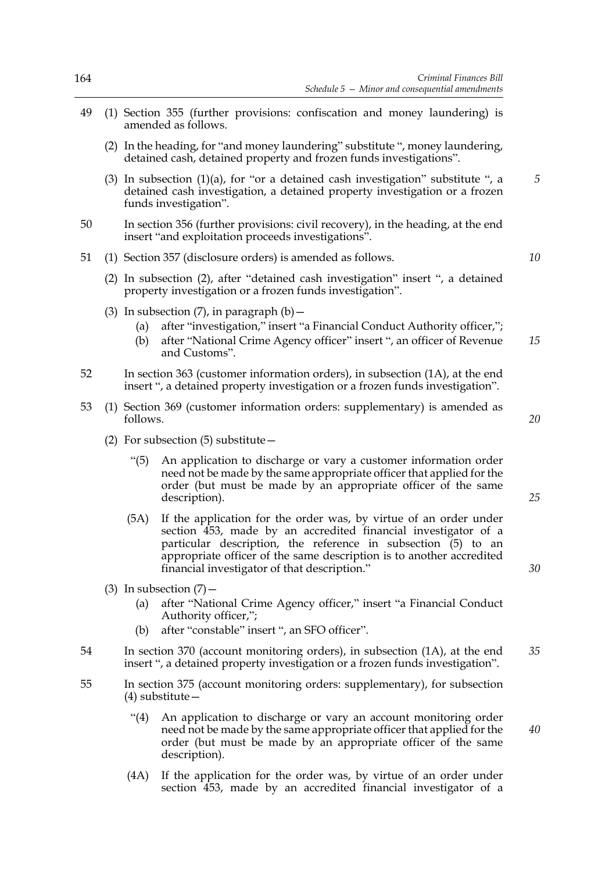- 49 (1) Section 355 (further provisions: confiscation and money laundering) is amended as follows.
	- (2) In the heading, for "and money laundering" substitute ", money laundering, detained cash, detained property and frozen funds investigations".
	- (3) In subsection  $(1)(a)$ , for "or a detained cash investigation" substitute ", a detained cash investigation, a detained property investigation or a frozen funds investigation".
- 50 In section 356 (further provisions: civil recovery), in the heading, at the end insert "and exploitation proceeds investigations".
- 51 (1) Section 357 (disclosure orders) is amended as follows.
	- (2) In subsection (2), after "detained cash investigation" insert ", a detained property investigation or a frozen funds investigation".
	- (3) In subsection  $(7)$ , in paragraph  $(b)$  -
		- (a) after "investigation," insert "a Financial Conduct Authority officer,";
		- (b) after "National Crime Agency officer" insert ", an officer of Revenue and Customs". *15*
- 52 In section 363 (customer information orders), in subsection (1A), at the end insert ", a detained property investigation or a frozen funds investigation".
- 53 (1) Section 369 (customer information orders: supplementary) is amended as follows.
	- (2) For subsection (5) substitute—
		- "(5) An application to discharge or vary a customer information order need not be made by the same appropriate officer that applied for the order (but must be made by an appropriate officer of the same description).
		- (5A) If the application for the order was, by virtue of an order under section 453, made by an accredited financial investigator of a particular description, the reference in subsection (5) to an appropriate officer of the same description is to another accredited financial investigator of that description."
	- (3) In subsection  $(7)$  -
		- (a) after "National Crime Agency officer," insert "a Financial Conduct Authority officer,";
		- (b) after "constable" insert ", an SFO officer".
- 54 In section 370 (account monitoring orders), in subsection (1A), at the end insert ", a detained property investigation or a frozen funds investigation". *35*
- 55 In section 375 (account monitoring orders: supplementary), for subsection (4) substitute—
	- "(4) An application to discharge or vary an account monitoring order need not be made by the same appropriate officer that applied for the order (but must be made by an appropriate officer of the same description).
	- (4A) If the application for the order was, by virtue of an order under section 453, made by an accredited financial investigator of a

*5*

*20*

*25*

*30*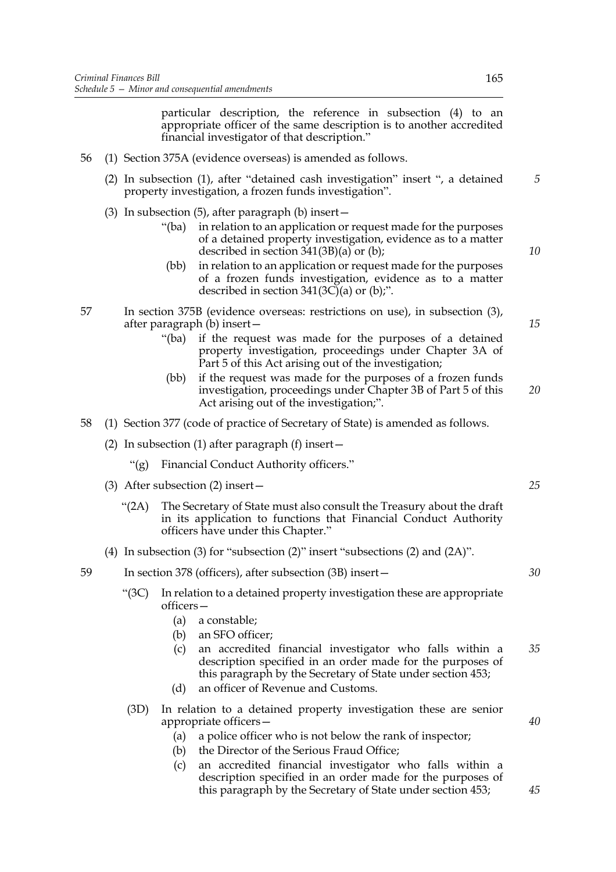particular description, the reference in subsection (4) to an appropriate officer of the same description is to another accredited financial investigator of that description."

- 56 (1) Section 375A (evidence overseas) is amended as follows.
	- (2) In subsection (1), after "detained cash investigation" insert ", a detained property investigation, a frozen funds investigation".
	- (3) In subsection (5), after paragraph (b) insert—
		- "(ba) in relation to an application or request made for the purposes of a detained property investigation, evidence as to a matter described in section 341(3B)(a) or (b);
		- (bb) in relation to an application or request made for the purposes of a frozen funds investigation, evidence as to a matter described in section  $341(3C)(a)$  or  $(b)$ ;".
- 57 In section 375B (evidence overseas: restrictions on use), in subsection (3), after paragraph (b) insert—
	- "(ba) if the request was made for the purposes of a detained property investigation, proceedings under Chapter 3A of Part 5 of this Act arising out of the investigation;
	- (bb) if the request was made for the purposes of a frozen funds investigation, proceedings under Chapter 3B of Part 5 of this Act arising out of the investigation;". *20*
- 58 (1) Section 377 (code of practice of Secretary of State) is amended as follows.
	- (2) In subsection (1) after paragraph (f) insert—
		- "(g) Financial Conduct Authority officers."
	- (3) After subsection (2) insert—
		- "(2A) The Secretary of State must also consult the Treasury about the draft in its application to functions that Financial Conduct Authority officers have under this Chapter."

#### (4) In subsection (3) for "subsection (2)" insert "subsections (2) and (2A)".

59 In section 378 (officers), after subsection (3B) insert—

- "(3C) In relation to a detained property investigation these are appropriate officers—
	- (a) a constable;
	- (b) an SFO officer;
	- (c) an accredited financial investigator who falls within a description specified in an order made for the purposes of this paragraph by the Secretary of State under section 453; *35*
	- (d) an officer of Revenue and Customs.
- (3D) In relation to a detained property investigation these are senior appropriate officers—
	- (a) a police officer who is not below the rank of inspector;
	- (b) the Director of the Serious Fraud Office;
	- (c) an accredited financial investigator who falls within a description specified in an order made for the purposes of this paragraph by the Secretary of State under section 453;

*5*

*10*

*15*

*25*

*45*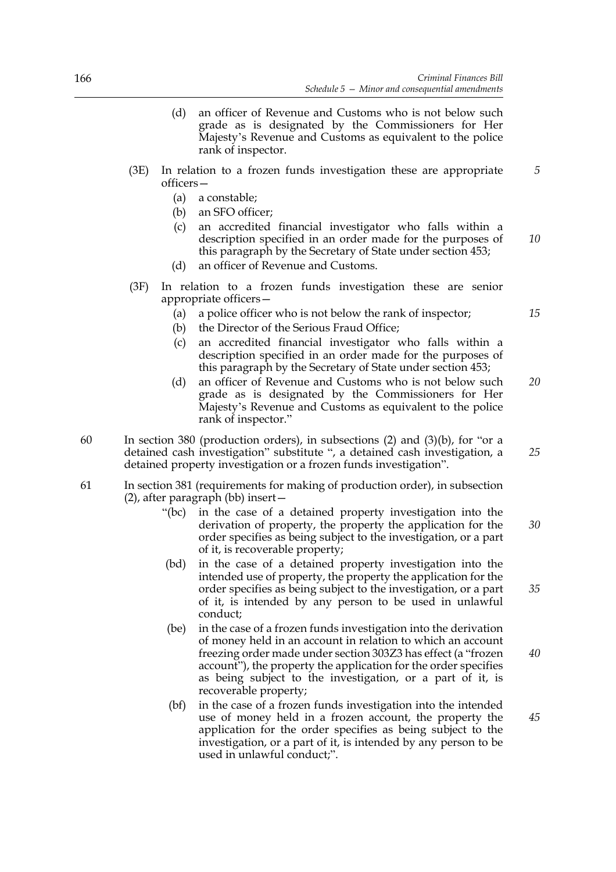- (d) an officer of Revenue and Customs who is not below such grade as is designated by the Commissioners for Her Majesty's Revenue and Customs as equivalent to the police rank of inspector.
- (3E) In relation to a frozen funds investigation these are appropriate officers—
	- (a) a constable;
	- (b) an SFO officer;
	- (c) an accredited financial investigator who falls within a description specified in an order made for the purposes of this paragraph by the Secretary of State under section 453; *10*
	- (d) an officer of Revenue and Customs.
- (3F) In relation to a frozen funds investigation these are senior appropriate officers—
	- (a) a police officer who is not below the rank of inspector;
	- (b) the Director of the Serious Fraud Office;
	- (c) an accredited financial investigator who falls within a description specified in an order made for the purposes of this paragraph by the Secretary of State under section 453;
	- (d) an officer of Revenue and Customs who is not below such grade as is designated by the Commissioners for Her Majesty's Revenue and Customs as equivalent to the police rank of inspector." *20*
- 60 In section 380 (production orders), in subsections (2) and (3)(b), for "or a detained cash investigation" substitute ", a detained cash investigation, a detained property investigation or a frozen funds investigation".
- 61 In section 381 (requirements for making of production order), in subsection (2), after paragraph (bb) insert—
	- "(bc) in the case of a detained property investigation into the derivation of property, the property the application for the order specifies as being subject to the investigation, or a part of it, is recoverable property;
	- (bd) in the case of a detained property investigation into the intended use of property, the property the application for the order specifies as being subject to the investigation, or a part of it, is intended by any person to be used in unlawful conduct;
	- (be) in the case of a frozen funds investigation into the derivation of money held in an account in relation to which an account freezing order made under section 303Z3 has effect (a "frozen account"), the property the application for the order specifies as being subject to the investigation, or a part of it, is recoverable property;
	- (bf) in the case of a frozen funds investigation into the intended use of money held in a frozen account, the property the application for the order specifies as being subject to the investigation, or a part of it, is intended by any person to be used in unlawful conduct;".

*5*

*25*

*30*

*35*

*40*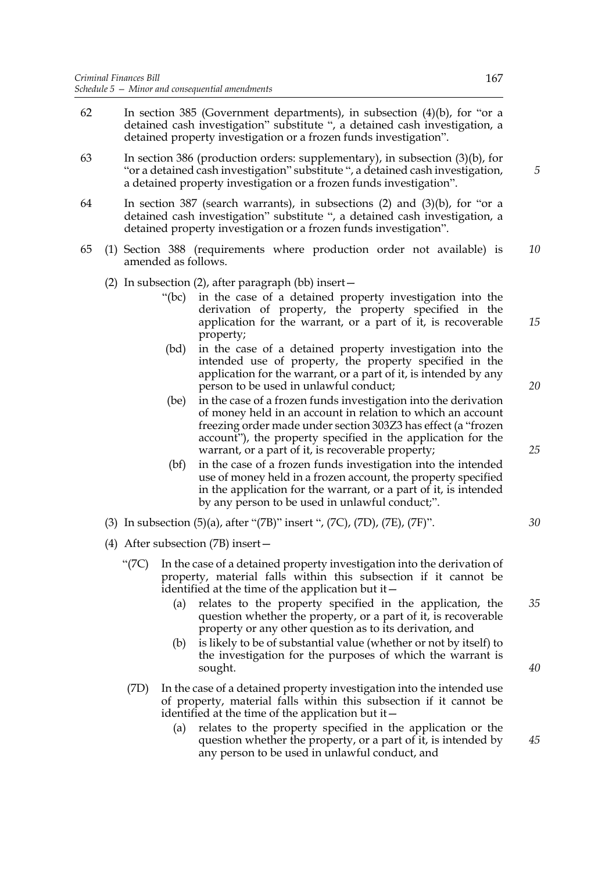- 62 In section 385 (Government departments), in subsection (4)(b), for "or a detained cash investigation" substitute ", a detained cash investigation, a detained property investigation or a frozen funds investigation".
- 63 In section 386 (production orders: supplementary), in subsection (3)(b), for "or a detained cash investigation" substitute ", a detained cash investigation, a detained property investigation or a frozen funds investigation".
- 64 In section 387 (search warrants), in subsections (2) and (3)(b), for "or a detained cash investigation" substitute ", a detained cash investigation, a detained property investigation or a frozen funds investigation".
- 65 (1) Section 388 (requirements where production order not available) is amended as follows. *10*
	- (2) In subsection (2), after paragraph (bb) insert—
		- "(bc) in the case of a detained property investigation into the derivation of property, the property specified in the application for the warrant, or a part of it, is recoverable property;
		- (bd) in the case of a detained property investigation into the intended use of property, the property specified in the application for the warrant, or a part of it, is intended by any person to be used in unlawful conduct;
		- (be) in the case of a frozen funds investigation into the derivation of money held in an account in relation to which an account freezing order made under section 303Z3 has effect (a "frozen account"), the property specified in the application for the warrant, or a part of it, is recoverable property;
		- (bf) in the case of a frozen funds investigation into the intended use of money held in a frozen account, the property specified in the application for the warrant, or a part of it, is intended by any person to be used in unlawful conduct;".

(3) In subsection (5)(a), after "(7B)" insert ", (7C), (7D), (7E), (7F)".

- (4) After subsection (7B) insert—
	- "(7C) In the case of a detained property investigation into the derivation of property, material falls within this subsection if it cannot be identified at the time of the application but it—
		- (a) relates to the property specified in the application, the question whether the property, or a part of it, is recoverable property or any other question as to its derivation, and *35*
		- (b) is likely to be of substantial value (whether or not by itself) to the investigation for the purposes of which the warrant is sought.
	- (7D) In the case of a detained property investigation into the intended use of property, material falls within this subsection if it cannot be identified at the time of the application but it—
		- (a) relates to the property specified in the application or the question whether the property, or a part of it, is intended by any person to be used in unlawful conduct, and

*40*

*45*

*20*

*15*

*5*

*25*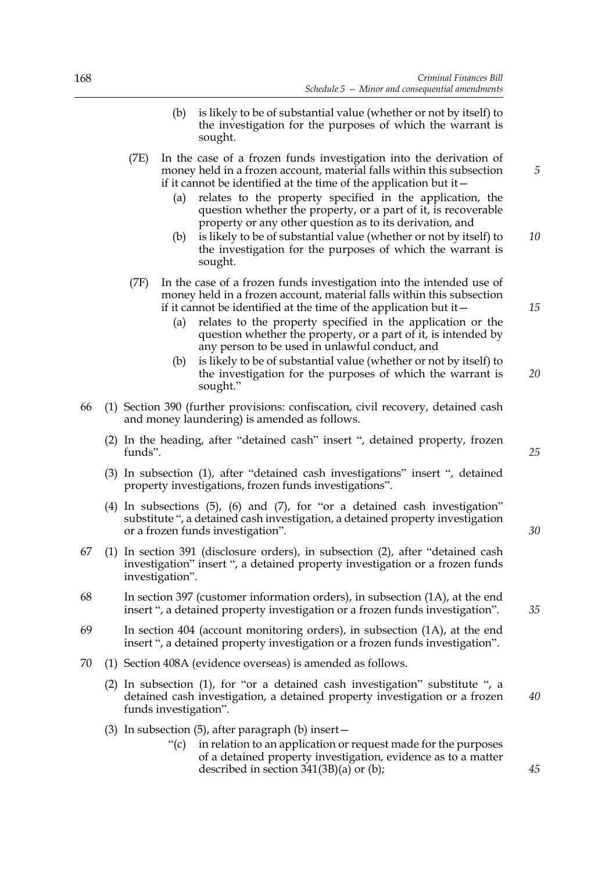- (b) is likely to be of substantial value (whether or not by itself) to the investigation for the purposes of which the warrant is sought.
- (7E) In the case of a frozen funds investigation into the derivation of money held in a frozen account, material falls within this subsection if it cannot be identified at the time of the application but it—
	- (a) relates to the property specified in the application, the question whether the property, or a part of it, is recoverable property or any other question as to its derivation, and
	- (b) is likely to be of substantial value (whether or not by itself) to the investigation for the purposes of which the warrant is sought. *10*
- (7F) In the case of a frozen funds investigation into the intended use of money held in a frozen account, material falls within this subsection if it cannot be identified at the time of the application but it—
	- (a) relates to the property specified in the application or the question whether the property, or a part of it, is intended by any person to be used in unlawful conduct, and
	- (b) is likely to be of substantial value (whether or not by itself) to the investigation for the purposes of which the warrant is sought." *20*
- 66 (1) Section 390 (further provisions: confiscation, civil recovery, detained cash and money laundering) is amended as follows.
	- (2) In the heading, after "detained cash" insert ", detained property, frozen funds".
	- (3) In subsection (1), after "detained cash investigations" insert ", detained property investigations, frozen funds investigations".
	- (4) In subsections (5), (6) and (7), for "or a detained cash investigation" substitute ", a detained cash investigation, a detained property investigation or a frozen funds investigation".
- 67 (1) In section 391 (disclosure orders), in subsection (2), after "detained cash investigation" insert ", a detained property investigation or a frozen funds investigation".
- 68 In section 397 (customer information orders), in subsection (1A), at the end insert ", a detained property investigation or a frozen funds investigation".
- 69 In section 404 (account monitoring orders), in subsection (1A), at the end insert ", a detained property investigation or a frozen funds investigation".
- 70 (1) Section 408A (evidence overseas) is amended as follows.
	- (2) In subsection (1), for "or a detained cash investigation" substitute ", a detained cash investigation, a detained property investigation or a frozen funds investigation".
	- (3) In subsection (5), after paragraph (b) insert—
		- "(c) in relation to an application or request made for the purposes of a detained property investigation, evidence as to a matter described in section 341(3B)(a) or (b);

*5*

*15*

*30*

*40*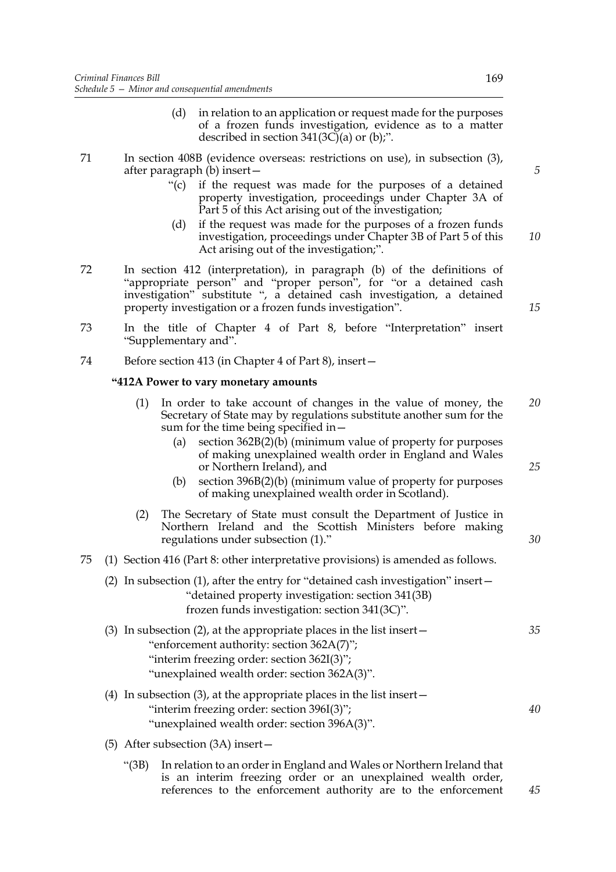- (d) in relation to an application or request made for the purposes of a frozen funds investigation, evidence as to a matter described in section  $341(3C)(a)$  or (b);".
- 71 In section 408B (evidence overseas: restrictions on use), in subsection (3), after paragraph (b) insert—
	- "(c) if the request was made for the purposes of a detained property investigation, proceedings under Chapter 3A of Part 5 of this Act arising out of the investigation;
	- (d) if the request was made for the purposes of a frozen funds investigation, proceedings under Chapter 3B of Part 5 of this Act arising out of the investigation;".
- 72 In section 412 (interpretation), in paragraph (b) of the definitions of "appropriate person" and "proper person", for "or a detained cash investigation" substitute ", a detained cash investigation, a detained property investigation or a frozen funds investigation".
- 73 In the title of Chapter 4 of Part 8, before "Interpretation" insert "Supplementary and".
- 74 Before section 413 (in Chapter 4 of Part 8), insert—

#### **"412A Power to vary monetary amounts**

- (1) In order to take account of changes in the value of money, the Secretary of State may by regulations substitute another sum for the sum for the time being specified in— *20*
	- (a) section 362B(2)(b) (minimum value of property for purposes of making unexplained wealth order in England and Wales or Northern Ireland), and
	- (b) section 396B(2)(b) (minimum value of property for purposes of making unexplained wealth order in Scotland).
- (2) The Secretary of State must consult the Department of Justice in Northern Ireland and the Scottish Ministers before making regulations under subsection (1)."
- 75 (1) Section 416 (Part 8: other interpretative provisions) is amended as follows.
	- (2) In subsection (1), after the entry for "detained cash investigation" insert— "detained property investigation: section 341(3B) frozen funds investigation: section 341(3C)".
	- (3) In subsection  $(2)$ , at the appropriate places in the list insert  $-$ "enforcement authority: section 362A(7)"; "interim freezing order: section 362I(3)"; "unexplained wealth order: section 362A(3)". *35*
	- (4) In subsection (3), at the appropriate places in the list insert— "interim freezing order: section 396I(3)"; "unexplained wealth order: section 396A(3)".
	- (5) After subsection (3A) insert—
		- "(3B) In relation to an order in England and Wales or Northern Ireland that is an interim freezing order or an unexplained wealth order, references to the enforcement authority are to the enforcement

*5*

*10*

*15*

*25*

*30*

*40*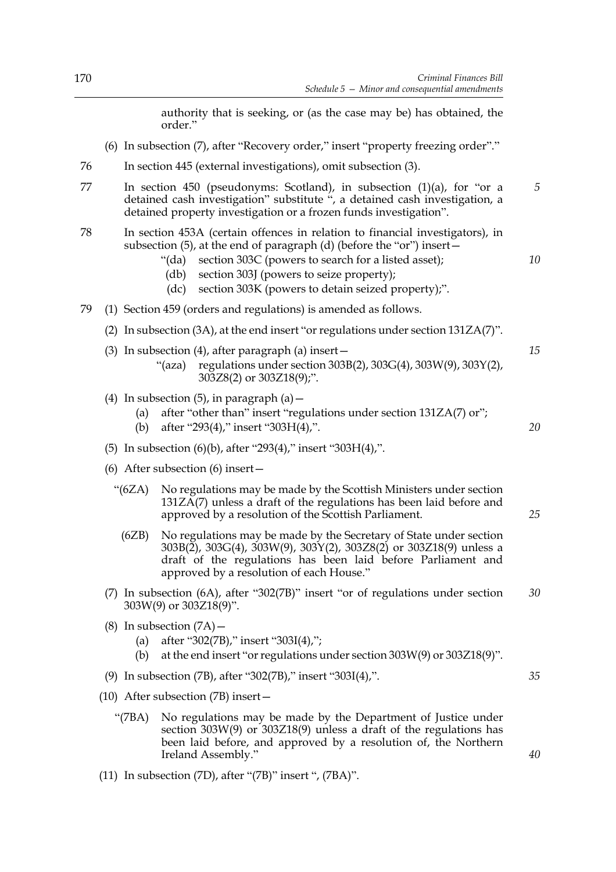authority that is seeking, or (as the case may be) has obtained, the order."

- (6) In subsection (7), after "Recovery order," insert "property freezing order"."
- 76 In section 445 (external investigations), omit subsection (3).
- 77 In section 450 (pseudonyms: Scotland), in subsection (1)(a), for "or a detained cash investigation" substitute ", a detained cash investigation, a detained property investigation or a frozen funds investigation". *5*
- 78 In section 453A (certain offences in relation to financial investigators), in subsection (5), at the end of paragraph (d) (before the "or") insert—
	- "(da) section 303C (powers to search for a listed asset);
	- (db) section 303J (powers to seize property);
	- (dc) section 303K (powers to detain seized property);".
- 79 (1) Section 459 (orders and regulations) is amended as follows.
	- (2) In subsection (3A), at the end insert "or regulations under section 131ZA(7)".
	- (3) In subsection  $(4)$ , after paragraph  $(a)$  insert  $-$ "(aza) regulations under section  $303B(2)$ ,  $303G(4)$ ,  $303W(9)$ ,  $303Y(2)$ , 303Z8(2) or 303Z18(9);".
	- (4) In subsection (5), in paragraph  $(a)$ 
		- (a) after "other than" insert "regulations under section 131ZA(7) or";
		- (b) after "293(4)," insert "303H(4),".
	- (5) In subsection (6)(b), after "293(4)," insert "303H(4),".
	- (6) After subsection (6) insert—
		- "(6ZA) No regulations may be made by the Scottish Ministers under section 131ZA(7) unless a draft of the regulations has been laid before and approved by a resolution of the Scottish Parliament.
			- (6ZB) No regulations may be made by the Secretary of State under section 303B(2), 303G(4), 303W(9), 303Y(2), 303Z8(2) or 303Z18(9) unless a draft of the regulations has been laid before Parliament and approved by a resolution of each House."
	- (7) In subsection (6A), after "302(7B)" insert "or of regulations under section 303W(9) or 303Z18(9)". *30*
	- (8) In subsection  $(7A)$ 
		- (a) after "302(7B)," insert "303I(4),";
		- (b) at the end insert "or regulations under section 303W(9) or 303Z18(9)".
	- (9) In subsection (7B), after "302(7B)," insert "303I(4),".
	- (10) After subsection (7B) insert—
		- "(7BA) No regulations may be made by the Department of Justice under section 303W(9) or 303Z18(9) unless a draft of the regulations has been laid before, and approved by a resolution of, the Northern Ireland Assembly."
	- (11) In subsection (7D), after "(7B)" insert ", (7BA)".

*40*

*35*

*10*

*15*

*20*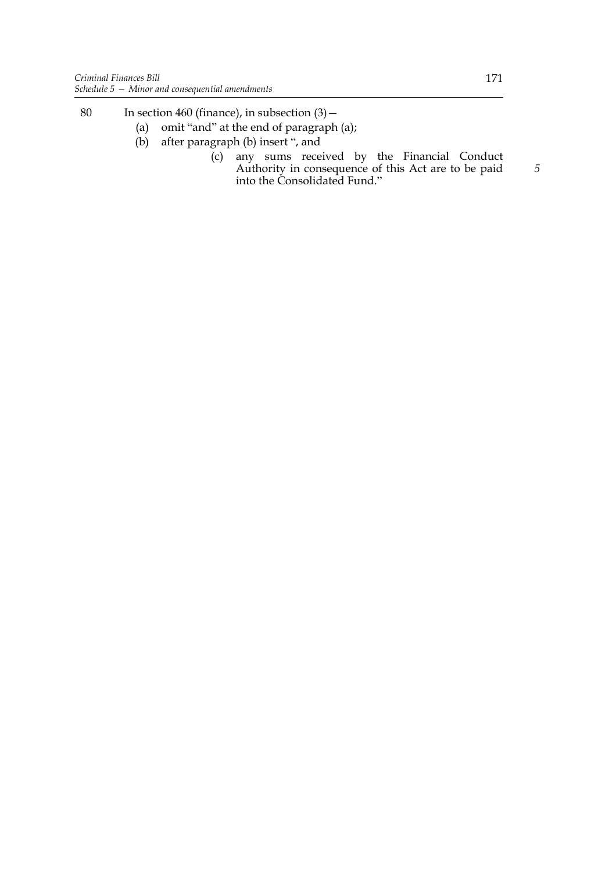- 80 In section 460 (finance), in subsection  $(3)$ 
	- (a) omit "and" at the end of paragraph (a);
	- (b) after paragraph (b) insert ", and
		- (c) any sums received by the Financial Conduct Authority in consequence of this Act are to be paid into the Consolidated Fund."